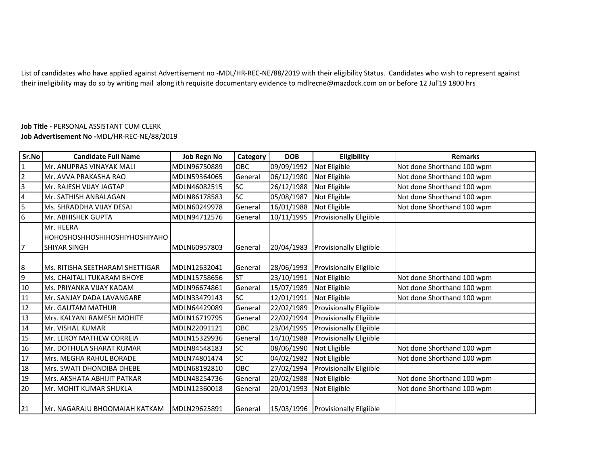List of candidates who have applied against Advertisement no -MDL/HR-REC-NE/88/2019 with their eligibility Status. Candidates who wish to represent against their ineligibility may do so by writing mail along ith requisite documentary evidence to mdlrecne@mazdock.com on or before 12 Jul'19 1800 hrs

## **Job Title -** PERSONAL ASSISTANT CUM CLERK**Job Advertisement No -**MDL/HR-REC-NE/88/2019

| Sr.No          | <b>Candidate Full Name</b>      | <b>Job Regn No</b> | Category   | <b>DOB</b> | Eligibility                        | <b>Remarks</b>             |
|----------------|---------------------------------|--------------------|------------|------------|------------------------------------|----------------------------|
| 1              | Mr. ANUPRAS VINAYAK MALI        | MDLN96750889       | OBC        | 09/09/1992 | Not Eligible                       | Not done Shorthand 100 wpm |
| $\overline{2}$ | Mr. AVVA PRAKASHA RAO           | MDLN59364065       | General    | 06/12/1980 | Not Eligible                       | Not done Shorthand 100 wpm |
| $\overline{3}$ | Mr. RAJESH VIJAY JAGTAP         | MDLN46082515       | <b>SC</b>  | 26/12/1988 | Not Eligible                       | Not done Shorthand 100 wpm |
| $\overline{4}$ | Mr. SATHISH ANBALAGAN           | MDLN86178583       | <b>SC</b>  | 05/08/1987 | Not Eligible                       | Not done Shorthand 100 wpm |
| $\overline{5}$ | Ms. SHRADDHA VIJAY DESAI        | MDLN60249978       | General    | 16/01/1988 | Not Eligible                       | Not done Shorthand 100 wpm |
| 6              | Mr. ABHISHEK GUPTA              | MDLN94712576       | General    | 10/11/1995 | <b>Provisionally Eligiible</b>     |                            |
|                | Mr. HEERA                       |                    |            |            |                                    |                            |
|                | HOHOSHOSHHOSHIHOSHIYHOSHIYAHO   |                    |            |            |                                    |                            |
| 7              | SHIYAR SINGH                    | MDLN60957803       | General    | 20/04/1983 | <b>Provisionally Eligiible</b>     |                            |
|                |                                 |                    |            |            |                                    |                            |
| 8              | Ms. RITISHA SEETHARAM SHETTIGAR | MDLN12632041       | General    | 28/06/1993 | <b>Provisionally Eligiible</b>     |                            |
| $\overline{9}$ | Ms. CHAITALI TUKARAM BHOYE      | MDLN15758656       | <b>ST</b>  | 23/10/1991 | Not Eligible                       | Not done Shorthand 100 wpm |
| 10             | <b>Ms. PRIYANKA VIJAY KADAM</b> | MDLN96674861       | General    | 15/07/1989 | Not Eligible                       | Not done Shorthand 100 wpm |
| 11             | Mr. SANJAY DADA LAVANGARE       | MDLN33479143       | <b>SC</b>  | 12/01/1991 | Not Eligible                       | Not done Shorthand 100 wpm |
| 12             | Mr. GAUTAM MATHUR               | MDLN64429089       | General    | 22/02/1989 | <b>Provisionally Eligiible</b>     |                            |
| 13             | Mrs. KALYANI RAMESH MOHITE      | MDLN16719795       | General    | 22/02/1994 | Provisionally Eligiible            |                            |
| 14             | Mr. VISHAL KUMAR                | MDLN22091121       | <b>OBC</b> | 23/04/1995 | <b>Provisionally Eligiible</b>     |                            |
| 15             | <b>Mr. LEROY MATHEW CORREIA</b> | MDLN15329936       | General    | 14/10/1988 | <b>Provisionally Eligiible</b>     |                            |
| 16             | Mr. DOTHULA SHARAT KUMAR        | MDLN84548183       | <b>SC</b>  | 08/06/1990 | Not Eligible                       | Not done Shorthand 100 wpm |
| 17             | Mrs. MEGHA RAHUL BORADE         | MDLN74801474       | <b>SC</b>  | 04/02/1982 | Not Eligible                       | Not done Shorthand 100 wpm |
| 18             | Mrs. SWATI DHONDIBA DHEBE       | MDLN68192810       | OBC        | 27/02/1994 | <b>Provisionally Eligiible</b>     |                            |
| 19             | Mrs. AKSHATA ABHIJIT PATKAR     | MDLN48254736       | General    | 20/02/1988 | Not Eligible                       | Not done Shorthand 100 wpm |
| 20             | Mr. MOHIT KUMAR SHUKLA          | MDLN12360018       | General    | 20/01/1993 | Not Eligible                       | Not done Shorthand 100 wpm |
|                |                                 |                    |            |            |                                    |                            |
| 21             | Mr. NAGARAJU BHOOMAIAH KATKAM   | MDLN29625891       | General    |            | 15/03/1996 Provisionally Eligiible |                            |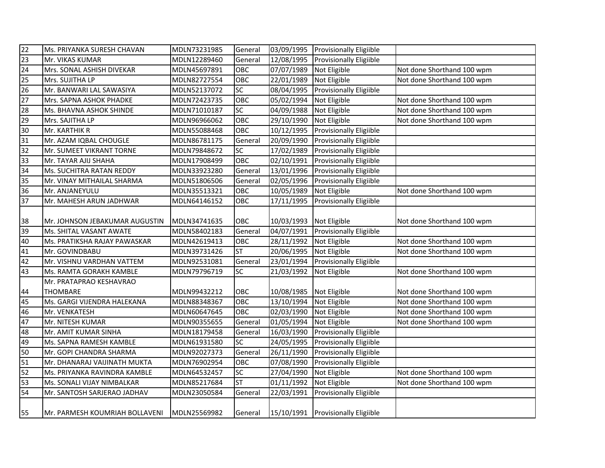| $\overline{22}$ | Ms. PRIYANKA SURESH CHAVAN     | MDLN73231985 | General         |            | 03/09/1995 Provisionally Eligiible |                            |
|-----------------|--------------------------------|--------------|-----------------|------------|------------------------------------|----------------------------|
| 23              | Mr. VIKAS KUMAR                | MDLN12289460 | General         | 12/08/1995 | <b>Provisionally Eligiible</b>     |                            |
| 24              | Mrs. SONAL ASHISH DIVEKAR      | MDLN45697891 | OBC             | 07/07/1989 | Not Eligible                       | Not done Shorthand 100 wpm |
| 25              | Mrs. SUJITHA LP                | MDLN82727554 | OBC             | 22/01/1989 | Not Eligible                       | Not done Shorthand 100 wpm |
| 26              | Mr. BANWARI LAL SAWASIYA       | MDLN52137072 | $\overline{SC}$ | 08/04/1995 | Provisionally Eligiible            |                            |
| 27              | Mrs. SAPNA ASHOK PHADKE        | MDLN72423735 | OBC             | 05/02/1994 | Not Eligible                       | Not done Shorthand 100 wpm |
| 28              | Ms. BHAVNA ASHOK SHINDE        | MDLN71010187 | SC              | 04/09/1988 | Not Eligible                       | Not done Shorthand 100 wpm |
| 29              | Mrs. SAJITHA LP                | MDLN96966062 | OBC             | 29/10/1990 | Not Eligible                       | Not done Shorthand 100 wpm |
| 30              | Mr. KARTHIK R                  | MDLN55088468 | OBC             | 10/12/1995 | Provisionally Eligiible            |                            |
| 31              | Mr. AZAM IQBAL CHOUGLE         | MDLN86781175 | General         | 20/09/1990 | <b>Provisionally Eligiible</b>     |                            |
| 32              | Mr. SUMEET VIKRANT TORNE       | MDLN79848672 | SC              | 17/02/1989 | <b>Provisionally Eligiible</b>     |                            |
| 33              | Mr. TAYAR AJIJ SHAHA           | MDLN17908499 | OBC             | 02/10/1991 | <b>Provisionally Eligiible</b>     |                            |
| 34              | Ms. SUCHITRA RATAN REDDY       | MDLN33923280 | General         | 13/01/1996 | <b>Provisionally Eligiible</b>     |                            |
| 35              | Mr. VINAY MITHAILAL SHARMA     | MDLN51806506 | General         | 02/05/1996 | <b>Provisionally Eligiible</b>     |                            |
| 36              | Mr. ANJANEYULU                 | MDLN35513321 | OBC             | 10/05/1989 | Not Eligible                       | Not done Shorthand 100 wpm |
| 37              | Mr. MAHESH ARUN JADHWAR        | MDLN64146152 | OBC             | 17/11/1995 | <b>Provisionally Eligiible</b>     |                            |
| 38              | Mr. JOHNSON JEBAKUMAR AUGUSTIN | MDLN34741635 | OBC             | 10/03/1993 | Not Eligible                       | Not done Shorthand 100 wpm |
| 39              | Ms. SHITAL VASANT AWATE        | MDLN58402183 | General         | 04/07/1991 | Provisionally Eligiible            |                            |
| 40              | Ms. PRATIKSHA RAJAY PAWASKAR   | MDLN42619413 | OBC             | 28/11/1992 | Not Eligible                       | Not done Shorthand 100 wpm |
| 41              | Mr. GOVINDBABU                 | MDLN39731426 | <b>ST</b>       | 20/06/1995 | Not Eligible                       | Not done Shorthand 100 wpm |
| 42              | Mr. VISHNU VARDHAN VATTEM      | MDLN92531081 | General         | 23/01/1994 | <b>Provisionally Eligiible</b>     |                            |
| 43              | Ms. RAMTA GORAKH KAMBLE        | MDLN79796719 | SC              | 21/03/1992 | Not Eligible                       | Not done Shorthand 100 wpm |
|                 | Mr. PRATAPRAO KESHAVRAO        |              |                 |            |                                    |                            |
| 44              | <b>THOMBARE</b>                | MDLN99432212 | OBC             | 10/08/1985 | Not Eligible                       | Not done Shorthand 100 wpm |
| 45              | Ms. GARGI VIJENDRA HALEKANA    | MDLN88348367 | OBC             | 13/10/1994 | Not Eligible                       | Not done Shorthand 100 wpm |
| 46              | Mr. VENKATESH                  | MDLN60647645 | OBC             | 02/03/1990 | Not Eligible                       | Not done Shorthand 100 wpm |
| 47              | Mr. NITESH KUMAR               | MDLN90355655 | General         | 01/05/1994 | Not Eligible                       | Not done Shorthand 100 wpm |
| 48              | Mr. AMIT KUMAR SINHA           | MDLN18179458 | General         | 16/03/1990 | Provisionally Eligiible            |                            |
| 49              | Ms. SAPNA RAMESH KAMBLE        | MDLN61931580 | SC              | 24/05/1995 | Provisionally Eligiible            |                            |
| 50              | Mr. GOPI CHANDRA SHARMA        | MDLN92027373 | General         | 26/11/1990 | Provisionally Eligiible            |                            |
| 51              | Mr. DHANARAJ VAIJINATH MUKTA   | MDLN76902954 | OBC             | 07/08/1990 | Provisionally Eligiible            |                            |
| 52              | Ms. PRIYANKA RAVINDRA KAMBLE   | MDLN64532457 | SC              | 27/04/1990 | Not Eligible                       | Not done Shorthand 100 wpm |
| 53              | Ms. SONALI VIJAY NIMBALKAR     | MDLN85217684 | <b>ST</b>       | 01/11/1992 | Not Eligible                       | Not done Shorthand 100 wpm |
| 54              | Mr. SANTOSH SARJERAO JADHAV    | MDLN23050584 | General         | 22/03/1991 | Provisionally Eligiible            |                            |
| 55              | Mr. PARMESH KOUMRIAH BOLLAVENI | MDLN25569982 | General         |            | 15/10/1991 Provisionally Eligiible |                            |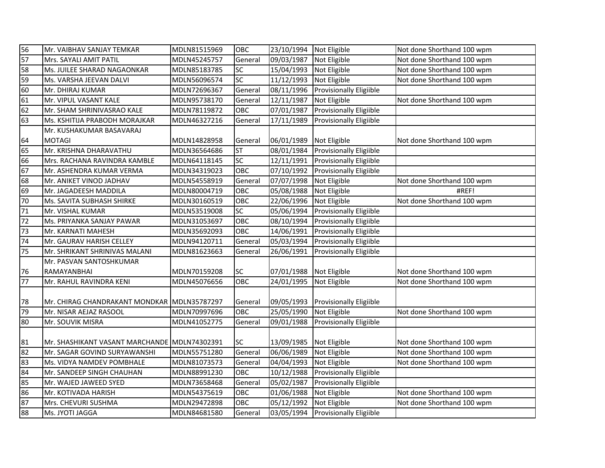| 56 | Mr. VAIBHAV SANJAY TEMKAR                    | MDLN81515969 | <b>OBC</b> | 23/10/1994 Not Eligible |                                    | Not done Shorthand 100 wpm |
|----|----------------------------------------------|--------------|------------|-------------------------|------------------------------------|----------------------------|
| 57 | Mrs. SAYALI AMIT PATIL                       | MDLN45245757 | General    | 09/03/1987              | Not Eligible                       | Not done Shorthand 100 wpm |
| 58 | Ms. JUILEE SHARAD NAGAONKAR                  | MDLN85183785 | SC         | 15/04/1993 Not Eligible |                                    | Not done Shorthand 100 wpm |
| 59 | Ms. VARSHA JEEVAN DALVI                      | MDLN56096574 | SC         | 11/12/1993              | Not Eligible                       | Not done Shorthand 100 wpm |
| 60 | Mr. DHIRAJ KUMAR                             | MDLN72696367 | General    | 08/11/1996              | <b>Provisionally Eligiible</b>     |                            |
| 61 | Mr. VIPUL VASANT KALE                        | MDLN95738170 | General    | 12/11/1987              | Not Eligible                       | Not done Shorthand 100 wpm |
| 62 | Mr. SHAM SHRINIVASRAO KALE                   | MDLN78119872 | OBC        | 07/01/1987              | <b>Provisionally Eligiible</b>     |                            |
| 63 | Ms. KSHITIJA PRABODH MORAJKAR                | MDLN46327216 | General    | 17/11/1989              | <b>Provisionally Eligiible</b>     |                            |
|    | Mr. KUSHAKUMAR BASAVARAJ                     |              |            |                         |                                    |                            |
| 64 | <b>MOTAGI</b>                                | MDLN14828958 | General    | 06/01/1989              | Not Eligible                       | Not done Shorthand 100 wpm |
| 65 | Mr. KRISHNA DHARAVATHU                       | MDLN36564686 | <b>ST</b>  | 08/01/1984              | <b>Provisionally Eligiible</b>     |                            |
| 66 | Mrs. RACHANA RAVINDRA KAMBLE                 | MDLN64118145 | SC         | 12/11/1991              | <b>Provisionally Eligiible</b>     |                            |
| 67 | Mr. ASHENDRA KUMAR VERMA                     | MDLN34319023 | OBC        |                         | 07/10/1992 Provisionally Eligiible |                            |
| 68 | Mr. ANIKET VINOD JADHAV                      | MDLN54558919 | General    | 07/07/1998 Not Eligible |                                    | Not done Shorthand 100 wpm |
| 69 | Mr. JAGADEESH MADDILA                        | MDLN80004719 | OBC        | 05/08/1988              | Not Eligible                       | #REF!                      |
| 70 | Ms. SAVITA SUBHASH SHIRKE                    | MDLN30160519 | OBC        | 22/06/1996              | Not Eligible                       | Not done Shorthand 100 wpm |
| 71 | Mr. VISHAL KUMAR                             | MDLN53519008 | <b>SC</b>  | 05/06/1994              | <b>Provisionally Eligiible</b>     |                            |
| 72 | Ms. PRIYANKA SANJAY PAWAR                    | MDLN31053697 | OBC        | 08/10/1994              | Provisionally Eligiible            |                            |
| 73 | Mr. KARNATI MAHESH                           | MDLN35692093 | OBC.       | 14/06/1991              | <b>Provisionally Eligiible</b>     |                            |
| 74 | Mr. GAURAV HARISH CELLEY                     | MDLN94120711 | General    | 05/03/1994              | Provisionally Eligiible            |                            |
| 75 | Mr. SHRIKANT SHRINIVAS MALANI                | MDLN81623663 | General    | 26/06/1991              | <b>Provisionally Eligiible</b>     |                            |
|    | Mr. PASVAN SANTOSHKUMAR                      |              |            |                         |                                    |                            |
| 76 | RAMAYANBHAI                                  | MDLN70159208 | SC         | 07/01/1988 Not Eligible |                                    | Not done Shorthand 100 wpm |
| 77 | Mr. RAHUL RAVINDRA KENI                      | MDLN45076656 | OBC        | 24/01/1995              | Not Eligible                       | Not done Shorthand 100 wpm |
|    |                                              |              |            |                         |                                    |                            |
| 78 | Mr. CHIRAG CHANDRAKANT MONDKAR MDLN35787297  |              | General    | 09/05/1993              | <b>Provisionally Eligiible</b>     |                            |
| 79 | Mr. NISAR AEJAZ RASOOL                       | MDLN70997696 | OBC        | 25/05/1990              | Not Eligible                       | Not done Shorthand 100 wpm |
| 80 | Mr. SOUVIK MISRA                             | MDLN41052775 | General    | 09/01/1988              | Provisionally Eligiible            |                            |
|    |                                              |              |            |                         |                                    |                            |
| 81 | Mr. SHASHIKANT VASANT MARCHANDE MDLN74302391 |              | SC         | 13/09/1985 Not Eligible |                                    | Not done Shorthand 100 wpm |
| 82 | Mr. SAGAR GOVIND SURYAWANSHI                 | MDLN55751280 | General    | 06/06/1989              | Not Eligible                       | Not done Shorthand 100 wpm |
| 83 | Ms. VIDYA NAMDEV POMBHALE                    | MDLN81073573 | General    | 04/04/1993              | Not Eligible                       | Not done Shorthand 100 wpm |
| 84 | Mr. SANDEEP SINGH CHAUHAN                    | MDLN88991230 | <b>OBC</b> |                         | 10/12/1988 Provisionally Eligiible |                            |
| 85 | Mr. WAJED JAWEED SYED                        | MDLN73658468 | General    | 05/02/1987              | <b>Provisionally Eligiible</b>     |                            |
| 86 | Mr. KOTIVADA HARISH                          | MDLN54375619 | OBC        | 01/06/1988              | Not Eligible                       | Not done Shorthand 100 wpm |
| 87 | Mrs. CHEVURI SUSHMA                          | MDLN29472898 | <b>OBC</b> | 05/12/1992              | Not Eligible                       | Not done Shorthand 100 wpm |
| 88 | Ms. JYOTI JAGGA                              | MDLN84681580 | General    |                         | 03/05/1994 Provisionally Eligiible |                            |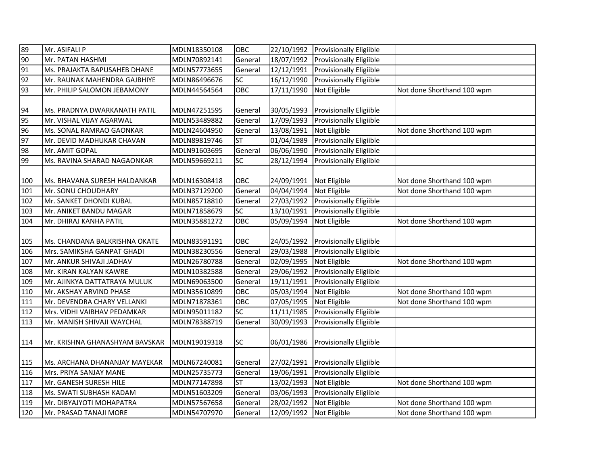| 89  | Mr. ASIFALI P                  | MDLN18350108 | OBC       | 22/10/1992 | <b>Provisionally Eligiible</b> |                            |
|-----|--------------------------------|--------------|-----------|------------|--------------------------------|----------------------------|
| 90  | Mr. PATAN HASHMI               | MDLN70892141 | General   | 18/07/1992 | <b>Provisionally Eligiible</b> |                            |
| 91  | Ms. PRAJAKTA BAPUSAHEB DHANE   | MDLN57773655 | General   | 12/12/1991 | Provisionally Eligiible        |                            |
| 92  | Mr. RAUNAK MAHENDRA GAJBHIYE   | MDLN86496676 | SC        | 16/12/1990 | <b>Provisionally Eligiible</b> |                            |
| 93  | Mr. PHILIP SALOMON JEBAMONY    | MDLN44564564 | OBC       | 17/11/1990 | Not Eligible                   | Not done Shorthand 100 wpm |
|     |                                |              |           |            |                                |                            |
| 94  | Ms. PRADNYA DWARKANATH PATIL   | MDLN47251595 | General   | 30/05/1993 | <b>Provisionally Eligiible</b> |                            |
| 95  | Mr. VISHAL VIJAY AGARWAL       | MDLN53489882 | General   | 17/09/1993 | <b>Provisionally Eligiible</b> |                            |
| 96  | Ms. SONAL RAMRAO GAONKAR       | MDLN24604950 | General   | 13/08/1991 | Not Eligible                   | Not done Shorthand 100 wpm |
| 97  | Mr. DEVID MADHUKAR CHAVAN      | MDLN89819746 | <b>ST</b> | 01/04/1989 | <b>Provisionally Eligiible</b> |                            |
| 98  | Mr. AMIT GOPAL                 | MDLN91603695 | General   | 06/06/1990 | Provisionally Eligiible        |                            |
| 99  | Ms. RAVINA SHARAD NAGAONKAR    | MDLN59669211 | SC        | 28/12/1994 | <b>Provisionally Eligiible</b> |                            |
|     |                                |              |           |            |                                |                            |
| 100 | Ms. BHAVANA SURESH HALDANKAR   | MDLN16308418 | OBC       | 24/09/1991 | Not Eligible                   | Not done Shorthand 100 wpm |
| 101 | Mr. SONU CHOUDHARY             | MDLN37129200 | General   | 04/04/1994 | Not Eligible                   | Not done Shorthand 100 wpm |
| 102 | Mr. SANKET DHONDI KUBAL        | MDLN85718810 | General   | 27/03/1992 | Provisionally Eligiible        |                            |
| 103 | Mr. ANIKET BANDU MAGAR         | MDLN71858679 | SC        | 13/10/1991 | Provisionally Eligiible        |                            |
| 104 | Mr. DHIRAJ KANHA PATIL         | MDLN35881272 | OBC       | 05/09/1994 | Not Eligible                   | Not done Shorthand 100 wpm |
|     |                                |              |           |            |                                |                            |
| 105 | Ms. CHANDANA BALKRISHNA OKATE  | MDLN83591191 | OBC       | 24/05/1992 | <b>Provisionally Eligiible</b> |                            |
| 106 | Mrs. SAMIKSHA GANPAT GHADI     | MDLN38230556 | General   | 29/03/1988 | Provisionally Eligiible        |                            |
| 107 | Mr. ANKUR SHIVAJI JADHAV       | MDLN26780788 | General   | 02/09/1995 | Not Eligible                   | Not done Shorthand 100 wpm |
| 108 | Mr. KIRAN KALYAN KAWRE         | MDLN10382588 | General   | 29/06/1992 | Provisionally Eligiible        |                            |
| 109 | Mr. AJINKYA DATTATRAYA MULUK   | MDLN69063500 | General   | 19/11/1991 | Provisionally Eligiible        |                            |
| 110 | Mr. AKSHAY ARVIND PHASE        | MDLN35610899 | OBC       | 05/03/1994 | Not Eligible                   | Not done Shorthand 100 wpm |
| 111 | Mr. DEVENDRA CHARY VELLANKI    | MDLN71878361 | OBC       | 07/05/1995 | Not Eligible                   | Not done Shorthand 100 wpm |
| 112 | Mrs. VIDHI VAIBHAV PEDAMKAR    | MDLN95011182 | SC        | 11/11/1985 | Provisionally Eligiible        |                            |
| 113 | Mr. MANISH SHIVAJI WAYCHAL     | MDLN78388719 | General   | 30/09/1993 | Provisionally Eligiible        |                            |
|     |                                |              |           |            |                                |                            |
| 114 | Mr. KRISHNA GHANASHYAM BAVSKAR | MDLN19019318 | <b>SC</b> | 06/01/1986 | <b>Provisionally Eligiible</b> |                            |
|     |                                |              |           |            |                                |                            |
| 115 | Ms. ARCHANA DHANANJAY MAYEKAR  | MDLN67240081 | General   | 27/02/1991 | <b>Provisionally Eligiible</b> |                            |
| 116 | Mrs. PRIYA SANJAY MANE         | MDLN25735773 | General   | 19/06/1991 | Provisionally Eligiible        |                            |
| 117 | Mr. GANESH SURESH HILE         | MDLN77147898 | <b>ST</b> | 13/02/1993 | Not Eligible                   | Not done Shorthand 100 wpm |
| 118 | Ms. SWATI SUBHASH KADAM        | MDLN51603209 | General   | 03/06/1993 | Provisionally Eligiible        |                            |
| 119 | Mr. DIBYAJYOTI MOHAPATRA       | MDLN57567658 | General   | 28/02/1992 | Not Eligible                   | Not done Shorthand 100 wpm |
| 120 | Mr. PRASAD TANAJI MORE         | MDLN54707970 | General   | 12/09/1992 | Not Eligible                   | Not done Shorthand 100 wpm |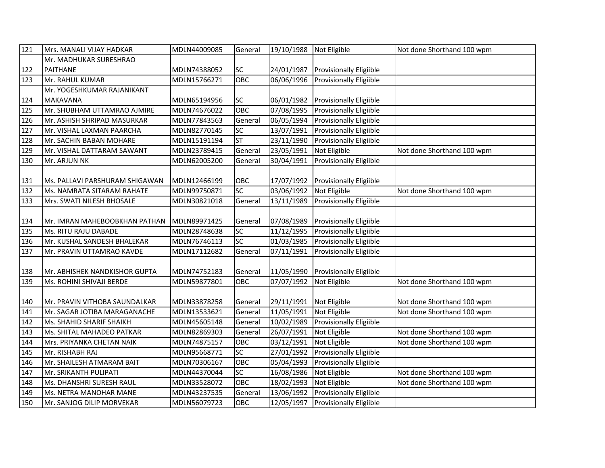| 121 | Mrs. MANALI VIJAY HADKAR       | MDLN44009085 | General          | 19/10/1988 | Not Eligible                   | Not done Shorthand 100 wpm |
|-----|--------------------------------|--------------|------------------|------------|--------------------------------|----------------------------|
|     | Mr. MADHUKAR SURESHRAO         |              |                  |            |                                |                            |
| 122 | <b>PAITHANE</b>                | MDLN74388052 | SC               | 24/01/1987 | <b>Provisionally Eligiible</b> |                            |
| 123 | Mr. RAHUL KUMAR                | MDLN15766271 | OBC              | 06/06/1996 | Provisionally Eligiible        |                            |
|     | Mr. YOGESHKUMAR RAJANIKANT     |              |                  |            |                                |                            |
| 124 | <b>MAKAVANA</b>                | MDLN65194956 | SC               | 06/01/1982 | <b>Provisionally Eligiible</b> |                            |
| 125 | Mr. SHUBHAM UTTAMRAO AJMIRE    | MDLN74676022 | $\overline{OBC}$ | 07/08/1995 | Provisionally Eligiible        |                            |
| 126 | Mr. ASHISH SHRIPAD MASURKAR    | MDLN77843563 | General          | 06/05/1994 | <b>Provisionally Eligiible</b> |                            |
| 127 | Mr. VISHAL LAXMAN PAARCHA      | MDLN82770145 | SC               | 13/07/1991 | Provisionally Eligiible        |                            |
| 128 | Mr. SACHIN BABAN MOHARE        | MDLN15191194 | <b>ST</b>        | 23/11/1990 | Provisionally Eligiible        |                            |
| 129 | Mr. VISHAL DATTARAM SAWANT     | MDLN23789415 | General          | 23/05/1991 | Not Eligible                   | Not done Shorthand 100 wpm |
| 130 | Mr. ARJUN NK                   | MDLN62005200 | General          | 30/04/1991 | Provisionally Eligiible        |                            |
|     |                                |              |                  |            |                                |                            |
| 131 | Ms. PALLAVI PARSHURAM SHIGAWAN | MDLN12466199 | OBC              | 17/07/1992 | <b>Provisionally Eligiible</b> |                            |
| 132 | Ms. NAMRATA SITARAM RAHATE     | MDLN99750871 | $\overline{SC}$  | 03/06/1992 | Not Eligible                   | Not done Shorthand 100 wpm |
| 133 | Mrs. SWATI NILESH BHOSALE      | MDLN30821018 | General          | 13/11/1989 | <b>Provisionally Eligiible</b> |                            |
|     |                                |              |                  |            |                                |                            |
| 134 | Mr. IMRAN MAHEBOOBKHAN PATHAN  | MDLN89971425 | General          | 07/08/1989 | <b>Provisionally Eligiible</b> |                            |
| 135 | Ms. RITU RAJU DABADE           | MDLN28748638 | SC               | 11/12/1995 | Provisionally Eligiible        |                            |
| 136 | Mr. KUSHAL SANDESH BHALEKAR    | MDLN76746113 | SC               | 01/03/1985 | <b>Provisionally Eligiible</b> |                            |
| 137 | Mr. PRAVIN UTTAMRAO KAVDE      | MDLN17112682 | General          | 07/11/1991 | <b>Provisionally Eligiible</b> |                            |
|     |                                |              |                  |            |                                |                            |
| 138 | Mr. ABHISHEK NANDKISHOR GUPTA  | MDLN74752183 | General          | 11/05/1990 | Provisionally Eligiible        |                            |
| 139 | Ms. ROHINI SHIVAJI BERDE       | MDLN59877801 | OBC              | 07/07/1992 | Not Eligible                   | Not done Shorthand 100 wpm |
|     |                                |              |                  |            |                                |                            |
| 140 | Mr. PRAVIN VITHOBA SAUNDALKAR  | MDLN33878258 | General          | 29/11/1991 | Not Eligible                   | Not done Shorthand 100 wpm |
| 141 | Mr. SAGAR JOTIBA MARAGANACHE   | MDLN13533621 | General          | 11/05/1991 | Not Eligible                   | Not done Shorthand 100 wpm |
| 142 | Ms. SHAHID SHARIF SHAIKH       | MDLN45605148 | General          | 10/02/1989 | Provisionally Eligiible        |                            |
| 143 | Ms. SHITAL MAHADEO PATKAR      | MDLN82869303 | General          | 26/07/1991 | Not Eligible                   | Not done Shorthand 100 wpm |
| 144 | Mrs. PRIYANKA CHETAN NAIK      | MDLN74875157 | OBC              | 03/12/1991 | Not Eligible                   | Not done Shorthand 100 wpm |
| 145 | Mr. RISHABH RAJ                | MDLN95668771 | SC               | 27/01/1992 | Provisionally Eligiible        |                            |
| 146 | Mr. SHAILESH ATMARAM BAIT      | MDLN70306167 | OBC              | 05/04/1993 | Provisionally Eligiible        |                            |
| 147 | Mr. SRIKANTH PULIPATI          | MDLN44370044 | SC               | 16/08/1986 | Not Eligible                   | Not done Shorthand 100 wpm |
| 148 | Ms. DHANSHRI SURESH RAUL       | MDLN33528072 | OBC              | 18/02/1993 | Not Eligible                   | Not done Shorthand 100 wpm |
| 149 | Ms. NETRA MANOHAR MANE         | MDLN43237535 | General          | 13/06/1992 | <b>Provisionally Eligiible</b> |                            |
| 150 | Mr. SANJOG DILIP MORVEKAR      | MDLN56079723 | OBC              | 12/05/1997 | Provisionally Eligiible        |                            |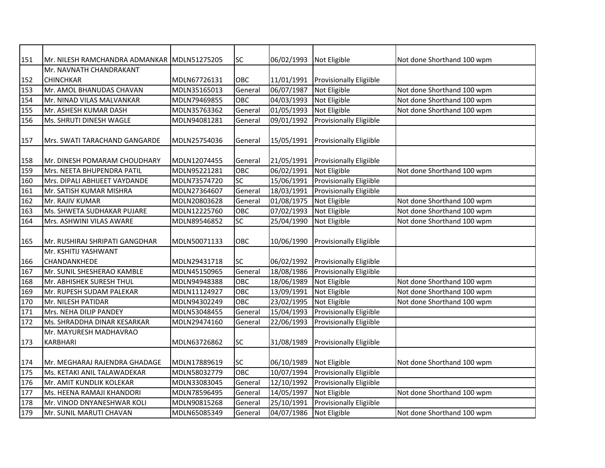| 151 | Mr. NILESH RAMCHANDRA ADMANKAR MDLN51275205 |              | <b>SC</b> | 06/02/1993 | Not Eligible                   | Not done Shorthand 100 wpm |
|-----|---------------------------------------------|--------------|-----------|------------|--------------------------------|----------------------------|
|     | Mr. NAVNATH CHANDRAKANT                     |              |           |            |                                |                            |
| 152 | <b>CHINCHKAR</b>                            | MDLN67726131 | OBC       | 11/01/1991 | <b>Provisionally Eligiible</b> |                            |
| 153 | Mr. AMOL BHANUDAS CHAVAN                    | MDLN35165013 | General   | 06/07/1987 | Not Eligible                   | Not done Shorthand 100 wpm |
| 154 | Mr. NINAD VILAS MALVANKAR                   | MDLN79469855 | OBC       | 04/03/1993 | Not Eligible                   | Not done Shorthand 100 wpm |
| 155 | Mr. ASHESH KUMAR DASH                       | MDLN35763362 | General   | 01/05/1993 | Not Eligible                   | Not done Shorthand 100 wpm |
| 156 | Ms. SHRUTI DINESH WAGLE                     | MDLN94081281 | General   | 09/01/1992 | Provisionally Eligiible        |                            |
|     |                                             |              |           |            |                                |                            |
| 157 | Mrs. SWATI TARACHAND GANGARDE               | MDLN25754036 | General   | 15/05/1991 | <b>Provisionally Eligiible</b> |                            |
|     |                                             |              |           |            |                                |                            |
| 158 | Mr. DINESH POMARAM CHOUDHARY                | MDLN12074455 | General   | 21/05/1991 | <b>Provisionally Eligiible</b> |                            |
| 159 | Mrs. NEETA BHUPENDRA PATIL                  | MDLN95221281 | OBC       | 06/02/1991 | Not Eligible                   | Not done Shorthand 100 wpm |
| 160 | Mrs. DIPALI ABHIJEET VAYDANDE               | MDLN73574720 | <b>SC</b> | 15/06/1991 | Provisionally Eligiible        |                            |
| 161 | Mr. SATISH KUMAR MISHRA                     | MDLN27364607 | General   | 18/03/1991 | <b>Provisionally Eligiible</b> |                            |
| 162 | Mr. RAJIV KUMAR                             | MDLN20803628 | General   | 01/08/1975 | Not Eligible                   | Not done Shorthand 100 wpm |
| 163 | Ms. SHWETA SUDHAKAR PUJARE                  | MDLN12225760 | OBC       | 07/02/1993 | Not Eligible                   | Not done Shorthand 100 wpm |
| 164 | Mrs. ASHWINI VILAS AWARE                    | MDLN89546852 | SC        | 25/04/1990 | Not Eligible                   | Not done Shorthand 100 wpm |
|     |                                             |              |           |            |                                |                            |
| 165 | Mr. RUSHIRAJ SHRIPATI GANGDHAR              | MDLN50071133 | OBC       | 10/06/1990 | <b>Provisionally Eligiible</b> |                            |
|     | Mr. KSHITIJ YASHWANT                        |              |           |            |                                |                            |
| 166 | CHANDANKHEDE                                | MDLN29431718 | <b>SC</b> | 06/02/1992 | Provisionally Eligiible        |                            |
| 167 | Mr. SUNIL SHESHERAO KAMBLE                  | MDLN45150965 | General   | 18/08/1986 | <b>Provisionally Eligiible</b> |                            |
| 168 | Mr. ABHISHEK SURESH THUL                    | MDLN94948388 | OBC       | 18/06/1989 | Not Eligible                   | Not done Shorthand 100 wpm |
| 169 | Mr. RUPESH SUDAM PALEKAR                    | MDLN11124927 | OBC       | 13/09/1991 | Not Eligible                   | Not done Shorthand 100 wpm |
| 170 | Mr. NILESH PATIDAR                          | MDLN94302249 | OBC       | 23/02/1995 | Not Eligible                   | Not done Shorthand 100 wpm |
| 171 | Mrs. NEHA DILIP PANDEY                      | MDLN53048455 | General   | 15/04/1993 | Provisionally Eligiible        |                            |
| 172 | Ms. SHRADDHA DINAR KESARKAR                 | MDLN29474160 | General   | 22/06/1993 | Provisionally Eligiible        |                            |
|     | Mr. MAYURESH MADHAVRAO                      |              |           |            |                                |                            |
| 173 | <b>KARBHARI</b>                             | MDLN63726862 | <b>SC</b> | 31/08/1989 | <b>Provisionally Eligiible</b> |                            |
|     |                                             |              |           |            |                                |                            |
| 174 | Mr. MEGHARAJ RAJENDRA GHADAGE               | MDLN17889619 | <b>SC</b> | 06/10/1989 | Not Eligible                   | Not done Shorthand 100 wpm |
| 175 | Ms. KETAKI ANIL TALAWADEKAR                 | MDLN58032779 | OBC       | 10/07/1994 | <b>Provisionally Eligiible</b> |                            |
| 176 | Mr. AMIT KUNDLIK KOLEKAR                    | MDLN33083045 | General   | 12/10/1992 | Provisionally Eligiible        |                            |
| 177 | Ms. HEENA RAMAJI KHANDORI                   | MDLN78596495 | General   | 14/05/1997 | Not Eligible                   | Not done Shorthand 100 wpm |
| 178 | Mr. VINOD DNYANESHWAR KOLI                  | MDLN90815268 | General   | 25/10/1991 | Provisionally Eligiible        |                            |
| 179 | Mr. SUNIL MARUTI CHAVAN                     | MDLN65085349 | General   | 04/07/1986 | Not Eligible                   | Not done Shorthand 100 wpm |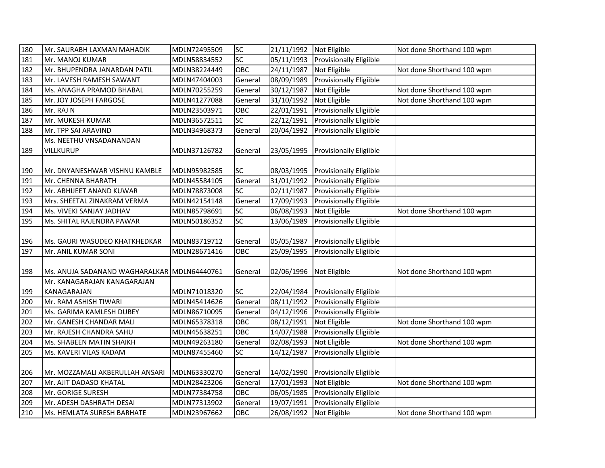| 180 | Mr. SAURABH LAXMAN MAHADIK                  | MDLN72495509 | <b>SC</b> | 21/11/1992 | Not Eligible                   | Not done Shorthand 100 wpm |
|-----|---------------------------------------------|--------------|-----------|------------|--------------------------------|----------------------------|
| 181 | Mr. MANOJ KUMAR                             | MDLN58834552 | <b>SC</b> | 05/11/1993 | <b>Provisionally Eligiible</b> |                            |
| 182 | Mr. BHUPENDRA JANARDAN PATIL                | MDLN38224449 | OBC       | 24/11/1987 | Not Eligible                   | Not done Shorthand 100 wpm |
| 183 | Mr. LAVESH RAMESH SAWANT                    | MDLN47404003 | General   | 08/09/1989 | <b>Provisionally Eligiible</b> |                            |
| 184 | Ms. ANAGHA PRAMOD BHABAL                    | MDLN70255259 | General   | 30/12/1987 | Not Eligible                   | Not done Shorthand 100 wpm |
| 185 | Mr. JOY JOSEPH FARGOSE                      | MDLN41277088 | General   | 31/10/1992 | Not Eligible                   | Not done Shorthand 100 wpm |
| 186 | Mr. RAJ N                                   | MDLN23503971 | OBC       | 22/01/1991 | <b>Provisionally Eligiible</b> |                            |
| 187 | Mr. MUKESH KUMAR                            | MDLN36572511 | SC        | 22/12/1991 | <b>Provisionally Eligiible</b> |                            |
| 188 | Mr. TPP SAI ARAVIND                         | MDLN34968373 | General   | 20/04/1992 | <b>Provisionally Eligiible</b> |                            |
|     | Ms. NEETHU VNSADANANDAN                     |              |           |            |                                |                            |
| 189 | <b>VILLKURUP</b>                            | MDLN37126782 | General   | 23/05/1995 | <b>Provisionally Eligiible</b> |                            |
|     |                                             |              |           |            |                                |                            |
| 190 | Mr. DNYANESHWAR VISHNU KAMBLE               | MDLN95982585 | <b>SC</b> | 08/03/1995 | <b>Provisionally Eligiible</b> |                            |
| 191 | Mr. CHENNA BHARATH                          | MDLN45584105 | General   | 31/01/1992 | <b>Provisionally Eligiible</b> |                            |
| 192 | Mr. ABHIJEET ANAND KUWAR                    | MDLN78873008 | SC        | 02/11/1987 | <b>Provisionally Eligiible</b> |                            |
| 193 | Mrs. SHEETAL ZINAKRAM VERMA                 | MDLN42154148 | General   | 17/09/1993 | <b>Provisionally Eligiible</b> |                            |
| 194 | Ms. VIVEKI SANJAY JADHAV                    | MDLN85798691 | <b>SC</b> | 06/08/1993 | Not Eligible                   | Not done Shorthand 100 wpm |
| 195 | Ms. SHITAL RAJENDRA PAWAR                   | MDLN50186352 | <b>SC</b> | 13/06/1989 | Provisionally Eligiible        |                            |
|     |                                             |              |           |            |                                |                            |
| 196 | Ms. GAURI WASUDEO KHATKHEDKAR               | MDLN83719712 | General   | 05/05/1987 | <b>Provisionally Eligiible</b> |                            |
| 197 | Mr. ANIL KUMAR SONI                         | MDLN28671416 | OBC       | 25/09/1995 | Provisionally Eligiible        |                            |
|     |                                             |              |           |            |                                |                            |
| 198 | Ms. ANUJA SADANAND WAGHARALKAR MDLN64440761 |              | General   | 02/06/1996 | Not Eligible                   | Not done Shorthand 100 wpm |
|     | Mr. KANAGARAJAN KANAGARAJAN                 |              |           |            |                                |                            |
| 199 | KANAGARAJAN                                 | MDLN71018320 | <b>SC</b> | 22/04/1984 | <b>Provisionally Eligiible</b> |                            |
| 200 | Mr. RAM ASHISH TIWARI                       | MDLN45414626 | General   | 08/11/1992 | Provisionally Eligiible        |                            |
| 201 | Ms. GARIMA KAMLESH DUBEY                    | MDLN86710095 | General   | 04/12/1996 | Provisionally Eligiible        |                            |
| 202 | Mr. GANESH CHANDAR MALI                     | MDLN65378318 | OBC       | 08/12/1991 | Not Eligible                   | Not done Shorthand 100 wpm |
| 203 | Mr. RAJESH CHANDRA SAHU                     | MDLN45638251 | OBC       | 14/07/1988 | <b>Provisionally Eligiible</b> |                            |
| 204 | Ms. SHABEEN MATIN SHAIKH                    | MDLN49263180 | General   | 02/08/1993 | Not Eligible                   | Not done Shorthand 100 wpm |
| 205 | Ms. KAVERI VILAS KADAM                      | MDLN87455460 | SC        | 14/12/1987 | Provisionally Eligiible        |                            |
|     |                                             |              |           |            |                                |                            |
| 206 | Mr. MOZZAMALI AKBERULLAH ANSARI             | MDLN63330270 | General   | 14/02/1990 | <b>Provisionally Eligiible</b> |                            |
| 207 | Mr. AJIT DADASO KHATAL                      | MDLN28423206 | General   | 17/01/1993 | Not Eligible                   | Not done Shorthand 100 wpm |
| 208 | Mr. GORIGE SURESH                           | MDLN77384758 | OBC       | 06/05/1985 | Provisionally Eligiible        |                            |
| 209 | Mr. ADESH DASHRATH DESAI                    | MDLN77313902 | General   | 19/07/1991 | Provisionally Eligiible        |                            |
| 210 | Ms. HEMLATA SURESH BARHATE                  | MDLN23967662 | OBC       | 26/08/1992 | Not Eligible                   | Not done Shorthand 100 wpm |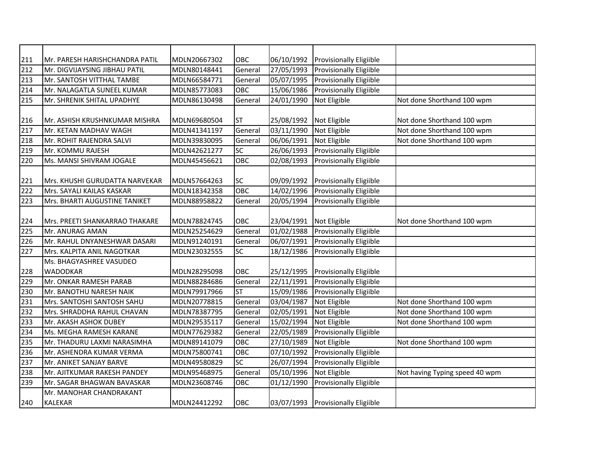| 211 | Mr. PARESH HARISHCHANDRA PATIL | MDLN20667302 | OBC             | 06/10/1992              | <b>Provisionally Eligiible</b>     |                                |
|-----|--------------------------------|--------------|-----------------|-------------------------|------------------------------------|--------------------------------|
| 212 | Mr. DIGVIJAYSING JIBHAU PATIL  | MDLN80148441 | General         | 27/05/1993              | Provisionally Eligiible            |                                |
| 213 | Mr. SANTOSH VITTHAL TAMBE      | MDLN66584771 | General         | 05/07/1995              | Provisionally Eligiible            |                                |
| 214 | Mr. NALAGATLA SUNEEL KUMAR     | MDLN85773083 | OBC             | 15/06/1986              | Provisionally Eligiible            |                                |
| 215 | Mr. SHRENIK SHITAL UPADHYE     | MDLN86130498 | General         | 24/01/1990              | Not Eligible                       | Not done Shorthand 100 wpm     |
|     |                                |              |                 |                         |                                    |                                |
| 216 | Mr. ASHISH KRUSHNKUMAR MISHRA  | MDLN69680504 | <b>ST</b>       | 25/08/1992              | Not Eligible                       | Not done Shorthand 100 wpm     |
| 217 | Mr. KETAN MADHAV WAGH          | MDLN41341197 | General         | 03/11/1990              | Not Eligible                       | Not done Shorthand 100 wpm     |
| 218 | Mr. ROHIT RAJENDRA SALVI       | MDLN39830095 | General         | 06/06/1991              | Not Eligible                       | Not done Shorthand 100 wpm     |
| 219 | Mr. KOMMU RAJESH               | MDLN42621277 | SC              | 26/06/1993              | <b>Provisionally Eligiible</b>     |                                |
| 220 | Ms. MANSI SHIVRAM JOGALE       | MDLN45456621 | OBC             | 02/08/1993              | <b>Provisionally Eligiible</b>     |                                |
|     |                                |              |                 |                         |                                    |                                |
| 221 | Mrs. KHUSHI GURUDATTA NARVEKAR | MDLN57664263 | <b>SC</b>       | 09/09/1992              | <b>Provisionally Eligiible</b>     |                                |
| 222 | Mrs. SAYALI KAILAS KASKAR      | MDLN18342358 | OBC             | $\frac{14}{02}}$ 1996   | Provisionally Eligiible            |                                |
| 223 | Mrs. BHARTI AUGUSTINE TANIKET  | MDLN88958822 | General         | 20/05/1994              | Provisionally Eligiible            |                                |
|     |                                |              |                 |                         |                                    |                                |
| 224 | Mrs. PREETI SHANKARRAO THAKARE | MDLN78824745 | OBC             | 23/04/1991              | Not Eligible                       | Not done Shorthand 100 wpm     |
| 225 | Mr. ANURAG AMAN                | MDLN25254629 | General         | 01/02/1988              | Provisionally Eligiible            |                                |
| 226 | Mr. RAHUL DNYANESHWAR DASARI   | MDLN91240191 | General         | 06/07/1991              | Provisionally Eligiible            |                                |
| 227 | Mrs. KALPITA ANIL NAGOTKAR     | MDLN23032555 | <b>SC</b>       | 18/12/1986              | Provisionally Eligiible            |                                |
|     | Ms. BHAGYASHREE VASUDEO        |              |                 |                         |                                    |                                |
| 228 | <b>WADODKAR</b>                | MDLN28295098 | <b>OBC</b>      | 25/12/1995              | Provisionally Eligiible            |                                |
| 229 | Mr. ONKAR RAMESH PARAB         | MDLN88284686 | General         | 22/11/1991              | Provisionally Eligiible            |                                |
| 230 | Mr. BANOTHU NARESH NAIK        | MDLN79917966 | <b>ST</b>       | 15/09/1986              | Provisionally Eligiible            |                                |
| 231 | Mrs. SANTOSHI SANTOSH SAHU     | MDLN20778815 | General         | 03/04/1987              | Not Eligible                       | Not done Shorthand 100 wpm     |
| 232 | Mrs. SHRADDHA RAHUL CHAVAN     | MDLN78387795 | General         | 02/05/1991              | Not Eligible                       | Not done Shorthand 100 wpm     |
| 233 | Mr. AKASH ASHOK DUBEY          | MDLN29535117 | General         | 15/02/1994              | Not Eligible                       | Not done Shorthand 100 wpm     |
| 234 | Ms. MEGHA RAMESH KARANE        | MDLN77629382 | General         | 22/05/1989              | Provisionally Eligiible            |                                |
| 235 | Mr. THADURU LAXMI NARASIMHA    | MDLN89141079 | OBC             | 27/10/1989              | Not Eligible                       | Not done Shorthand 100 wpm     |
| 236 | Mr. ASHENDRA KUMAR VERMA       | MDLN75800741 | OBC             | $\overline{07}/10/1992$ | Provisionally Eligiible            |                                |
| 237 | Mr. ANIKET SANJAY BARVE        | MDLN49580829 | $\overline{SC}$ | 26/07/1994              | Provisionally Eligiible            |                                |
| 238 | Mr. AJITKUMAR RAKESH PANDEY    | MDLN95468975 | General         | 05/10/1996              | Not Eligible                       | Not having Typing speed 40 wpm |
| 239 | Mr. SAGAR BHAGWAN BAVASKAR     | MDLN23608746 | OBC             | 01/12/1990              | Provisionally Eligiible            |                                |
|     | Mr. MANOHAR CHANDRAKANT        |              |                 |                         |                                    |                                |
| 240 | <b>KALEKAR</b>                 | MDLN24412292 | OBC             |                         | 03/07/1993 Provisionally Eligiible |                                |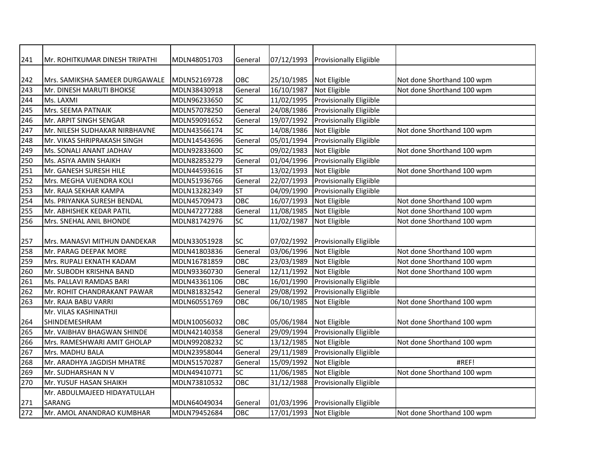| 241 | Mr. ROHITKUMAR DINESH TRIPATHI | MDLN48051703 | General    | 07/12/1993 | <b>Provisionally Eligiible</b> |                            |
|-----|--------------------------------|--------------|------------|------------|--------------------------------|----------------------------|
|     |                                |              |            |            |                                |                            |
| 242 | Mrs. SAMIKSHA SAMEER DURGAWALE | MDLN52169728 | OBC        | 25/10/1985 | Not Eligible                   | Not done Shorthand 100 wpm |
| 243 | Mr. DINESH MARUTI BHOKSE       | MDLN38430918 | General    | 16/10/1987 | Not Eligible                   | Not done Shorthand 100 wpm |
| 244 | Ms. LAXMI                      | MDLN96233650 | SC         | 11/02/1995 | Provisionally Eligiible        |                            |
| 245 | Mrs. SEEMA PATNAIK             | MDLN57078250 | General    | 24/08/1986 | Provisionally Eligiible        |                            |
| 246 | Mr. ARPIT SINGH SENGAR         | MDLN59091652 | General    | 19/07/1992 | Provisionally Eligiible        |                            |
| 247 | Mr. NILESH SUDHAKAR NIRBHAVNE  | MDLN43566174 | SC         | 14/08/1986 | Not Eligible                   | Not done Shorthand 100 wpm |
| 248 | Mr. VIKAS SHRIPRAKASH SINGH    | MDLN14543696 | General    | 05/01/1994 | <b>Provisionally Eligiible</b> |                            |
| 249 | Ms. SONALI ANANT JADHAV        | MDLN92833600 | SC         | 09/02/1983 | Not Eligible                   | Not done Shorthand 100 wpm |
| 250 | Ms. ASIYA AMIN SHAIKH          | MDLN82853279 | General    | 01/04/1996 | Provisionally Eligiible        |                            |
| 251 | Mr. GANESH SURESH HILE         | MDLN44593616 | <b>ST</b>  | 13/02/1993 | Not Eligible                   | Not done Shorthand 100 wpm |
| 252 | Mrs. MEGHA VIJENDRA KOLI       | MDLN51936766 | General    | 22/07/1993 | <b>Provisionally Eligiible</b> |                            |
| 253 | Mr. RAJA SEKHAR KAMPA          | MDLN13282349 | <b>ST</b>  | 04/09/1990 | Provisionally Eligiible        |                            |
| 254 | Ms. PRIYANKA SURESH BENDAL     | MDLN45709473 | OBC        | 16/07/1993 | Not Eligible                   | Not done Shorthand 100 wpm |
| 255 | Mr. ABHISHEK KEDAR PATIL       | MDLN47277288 | General    | 11/08/1985 | Not Eligible                   | Not done Shorthand 100 wpm |
| 256 | Mrs. SNEHAL ANIL BHONDE        | MDLN81742976 | SC         | 11/02/1987 | Not Eligible                   | Not done Shorthand 100 wpm |
|     |                                |              |            |            |                                |                            |
| 257 | Mrs. MANASVI MITHUN DANDEKAR   | MDLN33051928 | <b>SC</b>  | 07/02/1992 | <b>Provisionally Eligiible</b> |                            |
| 258 | Mr. PARAG DEEPAK MORE          | MDLN41803836 | General    | 03/06/1996 | Not Eligible                   | Not done Shorthand 100 wpm |
| 259 | Mrs. RUPALI EKNATH KADAM       | MDLN16781859 | OBC        | 23/03/1989 | Not Eligible                   | Not done Shorthand 100 wpm |
| 260 | Mr. SUBODH KRISHNA BAND        | MDLN93360730 | General    | 12/11/1992 | Not Eligible                   | Not done Shorthand 100 wpm |
| 261 | Ms. PALLAVI RAMDAS BARI        | MDLN43361106 | OBC        | 16/01/1990 | Provisionally Eligiible        |                            |
| 262 | Mr. ROHIT CHANDRAKANT PAWAR    | MDLN81832542 | General    | 29/08/1992 | Provisionally Eligiible        |                            |
| 263 | Mr. RAJA BABU VARRI            | MDLN60551769 | OBC        | 06/10/1985 | Not Eligible                   | Not done Shorthand 100 wpm |
|     | Mr. VILAS KASHINATHJI          |              |            |            |                                |                            |
| 264 | SHINDEMESHRAM                  | MDLN10056032 | <b>OBC</b> | 05/06/1984 | Not Eligible                   | Not done Shorthand 100 wpm |
| 265 | Mr. VAIBHAV BHAGWAN SHINDE     | MDLN42140358 | General    | 29/09/1994 | Provisionally Eligiible        |                            |
| 266 | Mrs. RAMESHWARI AMIT GHOLAP    | MDLN99208232 | <b>SC</b>  | 13/12/1985 | Not Eligible                   | Not done Shorthand 100 wpm |
| 267 | Mrs. MADHU BALA                | MDLN23958044 | General    | 29/11/1989 | Provisionally Eligiible        |                            |
| 268 | Mr. ARADHYA JAGDISH MHATRE     | MDLN51570287 | General    | 15/09/1992 | Not Eligible                   | #REF!                      |
| 269 | Mr. SUDHARSHAN N V             | MDLN49410771 | <b>SC</b>  | 11/06/1985 | Not Eligible                   | Not done Shorthand 100 wpm |
| 270 | Mr. YUSUF HASAN SHAIKH         | MDLN73810532 | OBC        | 31/12/1988 | Provisionally Eligiible        |                            |
|     | Mr. ABDULMAJEED HIDAYATULLAH   |              |            |            |                                |                            |
| 271 | <b>SARANG</b>                  | MDLN64049034 | General    | 01/03/1996 | <b>Provisionally Eligiible</b> |                            |
| 272 | Mr. AMOL ANANDRAO KUMBHAR      | MDLN79452684 | OBC        | 17/01/1993 | Not Eligible                   | Not done Shorthand 100 wpm |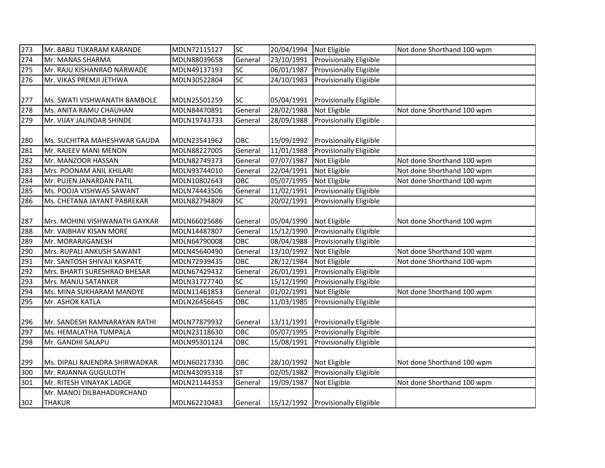| 273 | Mr. BABU TUKARAM KARANDE       | MDLN72115127 | <b>SC</b>  | 20/04/1994              | Not Eligible                       | Not done Shorthand 100 wpm |
|-----|--------------------------------|--------------|------------|-------------------------|------------------------------------|----------------------------|
| 274 | Mr. MANAS SHARMA               | MDLN88039658 | General    | 23/10/1991              | Provisionally Eligiible            |                            |
| 275 | Mr. RAJU KISHANRAO NARWADE     | MDLN49137193 | SC         | 06/01/1987              | Provisionally Eligiible            |                            |
| 276 | Mr. VIKAS PREMJI JETHWA        | MDLN30522804 | SC         | 24/10/1983              | Provisionally Eligiible            |                            |
|     |                                |              |            |                         |                                    |                            |
| 277 | Ms. SWATI VISHWANATH BAMBOLE   | MDLN25501259 | <b>SC</b>  | 05/04/1991              | <b>Provisionally Eligiible</b>     |                            |
| 278 | Ms. ANITA RAMU CHAUHAN         | MDLN84470891 | General    | 28/02/1988              | Not Eligible                       | Not done Shorthand 100 wpm |
| 279 | Mr. VIJAY JALINDAR SHINDE      | MDLN19743733 | General    | 28/09/1988              | <b>Provisionally Eligiible</b>     |                            |
|     |                                |              |            |                         |                                    |                            |
| 280 | Ms. SUCHITRA MAHESHWAR GAUDA   | MDLN23541962 | OBC        | 15/09/1992              | <b>Provisionally Eligiible</b>     |                            |
| 281 | Mr. RAJEEV MANI MENON          | MDLN88227005 | General    | 11/01/1988              | Provisionally Eligiible            |                            |
| 282 | Mr. MANZOOR HASSAN             | MDLN82749373 | General    | 07/07/1987              | Not Eligible                       | Not done Shorthand 100 wpm |
| 283 | Mrs. POONAM ANIL KHILARI       | MDLN93744010 | General    | 22/04/1991              | Not Eligible                       | Not done Shorthand 100 wpm |
| 284 | Mr. PUJEN JANARDAN PATIL       | MDLN10802643 | <b>OBC</b> | 05/07/1995              | Not Eligible                       | Not done Shorthand 100 wpm |
| 285 | Ms. POOJA VISHWAS SAWANT       | MDLN74443506 | General    | 11/02/1991              | <b>Provisionally Eligiible</b>     |                            |
| 286 | Ms. CHETANA JAYANT PABREKAR    | MDLN82794809 | SC         | 20/02/1991              | Provisionally Eligiible            |                            |
|     |                                |              |            |                         |                                    |                            |
| 287 | Mrs. MOHINI VISHWANATH GAYKAR  | MDLN66025686 | General    | 05/04/1990              | Not Eligible                       | Not done Shorthand 100 wpm |
| 288 | Mr. VAIBHAV KISAN MORE         | MDLN14487807 | General    | 15/12/1990              | Provisionally Eligiible            |                            |
| 289 | Mr. MORARJIGANESH              | MDLN64790008 | OBC        | 08/04/1988              | Provisionally Eligiible            |                            |
| 290 | Mrs. RUPALI ANKUSH SAWANT      | MDLN45640490 | General    | 13/10/1992              | Not Eligible                       | Not done Shorthand 100 wpm |
| 291 | Mr. SANTOSH SHIVAJI KASPATE    | MDLN72939435 | OBC        | 28/12/1984              | Not Eligible                       | Not done Shorthand 100 wpm |
| 292 | Mrs. BHARTI SURESHRAO BHESAR   | MDLN67429432 | General    | 26/01/1991              | Provisionally Eligiible            |                            |
| 293 | Mrs. MANJU SATANKER            | MDLN31727740 | <b>SC</b>  | 15/12/1990              | Provisionally Eligiible            |                            |
| 294 | Ms. MINA SUKHARAM MANDYE       | MDLN11461853 | General    | $\overline{01/02/1991}$ | Not Eligible                       | Not done Shorthand 100 wpm |
| 295 | Mr. ASHOK KATLA                | MDLN26456645 | <b>OBC</b> | 11/03/1985              | Provisionally Eligiible            |                            |
|     |                                |              |            |                         |                                    |                            |
| 296 | Mr. SANDESH RAMNARAYAN RATHI   | MDLN77879932 | General    | 13/11/1991              | <b>Provisionally Eligiible</b>     |                            |
| 297 | Ms. HEMALATHA TUMPALA          | MDLN23118630 | OBC        | 05/07/1995              | Provisionally Eligiible            |                            |
| 298 | Mr. GANDHI SALAPU              | MDLN95301124 | OBC        | 15/08/1991              | <b>Provisionally Eligiible</b>     |                            |
|     |                                |              |            |                         |                                    |                            |
| 299 | Ms. DIPALI RAJENDRA SHIRWADKAR | MDLN60217330 | OBC        | 28/10/1992              | Not Eligible                       | Not done Shorthand 100 wpm |
| 300 | Mr. RAJANNA GUGULOTH           | MDLN43095318 | <b>ST</b>  | 02/05/1982              | <b>Provisionally Eligiible</b>     |                            |
| 301 | Mr. RITESH VINAYAK LADGE       | MDLN21144353 | General    | 19/09/1987              | Not Eligible                       | Not done Shorthand 100 wpm |
|     | Mr. MANOJ DILBAHADURCHAND      |              |            |                         |                                    |                            |
| 302 | <b>THAKUR</b>                  | MDLN62210483 | General    |                         | 15/12/1992 Provisionally Eligiible |                            |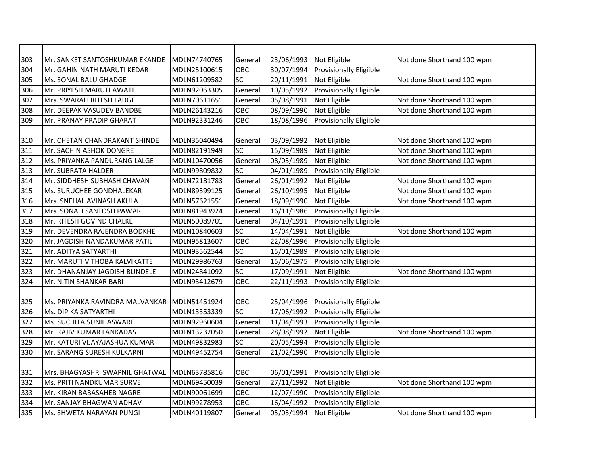| 303 | Mr. SANKET SANTOSHKUMAR EKANDE                | MDLN74740765 | General         | 23/06/1993 | Not Eligible                   | Not done Shorthand 100 wpm |
|-----|-----------------------------------------------|--------------|-----------------|------------|--------------------------------|----------------------------|
| 304 | Mr. GAHININATH MARUTI KEDAR                   | MDLN25100615 | OBC             | 30/07/1994 | Provisionally Eligiible        |                            |
| 305 | Ms. SONAL BALU GHADGE                         | MDLN61209582 | SC              | 20/11/1991 | Not Eligible                   | Not done Shorthand 100 wpm |
| 306 | Mr. PRIYESH MARUTI AWATE                      | MDLN92063305 | General         | 10/05/1992 | Provisionally Eligiible        |                            |
| 307 | Mrs. SWARALI RITESH LADGE                     | MDLN70611651 | General         | 05/08/1991 | Not Eligible                   | Not done Shorthand 100 wpm |
| 308 | Mr. DEEPAK VASUDEV BANDBE                     | MDLN26143216 | OBC             | 08/09/1990 | Not Eligible                   | Not done Shorthand 100 wpm |
| 309 | Mr. PRANAY PRADIP GHARAT                      | MDLN92331246 | OBC             | 18/08/1996 | Provisionally Eligiible        |                            |
|     |                                               |              |                 |            |                                |                            |
| 310 | Mr. CHETAN CHANDRAKANT SHINDE                 | MDLN35040494 | General         | 03/09/1992 | Not Eligible                   | Not done Shorthand 100 wpm |
| 311 | Mr. SACHIN ASHOK DONGRE                       | MDLN82191949 | SC              | 15/09/1989 | Not Eligible                   | Not done Shorthand 100 wpm |
| 312 | Ms. PRIYANKA PANDURANG LALGE                  | MDLN10470056 | General         | 08/05/1989 | Not Eligible                   | Not done Shorthand 100 wpm |
| 313 | Mr. SUBRATA HALDER                            | MDLN99809832 | SC              | 04/01/1989 | Provisionally Eligiible        |                            |
| 314 | Mr. SIDDHESH SUBHASH CHAVAN                   | MDLN72181783 | General         | 26/01/1992 | Not Eligible                   | Not done Shorthand 100 wpm |
| 315 | Ms. SURUCHEE GONDHALEKAR                      | MDLN89599125 | General         | 26/10/1995 | Not Eligible                   | Not done Shorthand 100 wpm |
| 316 | Mrs. SNEHAL AVINASH AKULA                     | MDLN57621551 | General         | 18/09/1990 | Not Eligible                   | Not done Shorthand 100 wpm |
| 317 | Mrs. SONALI SANTOSH PAWAR                     | MDLN81943924 | General         | 16/11/1986 | Provisionally Eligiible        |                            |
| 318 | Mr. RITESH GOVIND CHALKE                      | MDLN50089701 | General         | 04/10/1991 | Provisionally Eligiible        |                            |
| 319 | Mr. DEVENDRA RAJENDRA BODKHE                  | MDLN10840603 | SC              | 14/04/1991 | Not Eligible                   | Not done Shorthand 100 wpm |
| 320 | Mr. JAGDISH NANDAKUMAR PATIL                  | MDLN95813607 | OBC             | 22/08/1996 | <b>Provisionally Eligiible</b> |                            |
| 321 | Mr. ADITYA SATYARTHI                          | MDLN93562544 | $\overline{SC}$ | 15/01/1989 | Provisionally Eligiible        |                            |
| 322 | Mr. MARUTI VITHOBA KALVIKATTE                 | MDLN29986763 | General         | 15/06/1975 | Provisionally Eligiible        |                            |
| 323 | Mr. DHANANJAY JAGDISH BUNDELE                 | MDLN24841092 | SC              | 17/09/1991 | Not Eligible                   | Not done Shorthand 100 wpm |
| 324 | Mr. NITIN SHANKAR BARI                        | MDLN93412679 | OBC             | 22/11/1993 | Provisionally Eligiible        |                            |
|     |                                               |              |                 |            |                                |                            |
| 325 | Ms. PRIYANKA RAVINDRA MALVANKAR  MDLN51451924 |              | OBC             | 25/04/1996 | <b>Provisionally Eligiible</b> |                            |
| 326 | Ms. DIPIKA SATYARTHI                          | MDLN13353339 | <b>SC</b>       | 17/06/1992 | Provisionally Eligiible        |                            |
| 327 | Ms. SUCHITA SUNIL ASWARE                      | MDLN92960604 | General         | 11/04/1993 | Provisionally Eligiible        |                            |
| 328 | Mr. RAJIV KUMAR LANKADAS                      | MDLN13232050 | General         | 28/08/1992 | Not Eligible                   | Not done Shorthand 100 wpm |
| 329 | Mr. KATURI VIJAYAJASHUA KUMAR                 | MDLN49832983 | <b>SC</b>       | 20/05/1994 | Provisionally Eligiible        |                            |
| 330 | Mr. SARANG SURESH KULKARNI                    | MDLN49452754 | General         | 21/02/1990 | Provisionally Eligiible        |                            |
|     |                                               |              |                 |            |                                |                            |
| 331 | Mrs. BHAGYASHRI SWAPNIL GHATWAL               | MDLN63785816 | OBC             | 06/01/1991 | <b>Provisionally Eligiible</b> |                            |
| 332 | Ms. PRITI NANDKUMAR SURVE                     | MDLN69450039 | General         | 27/11/1992 | Not Eligible                   | Not done Shorthand 100 wpm |
| 333 | Mr. KIRAN BABASAHEB NAGRE                     | MDLN90061699 | OBC             | 12/07/1990 | Provisionally Eligiible        |                            |
| 334 | Mr. SANJAY BHAGWAN ADHAV                      | MDLN99278953 | OBC             | 16/04/1992 | Provisionally Eligiible        |                            |
| 335 | Ms. SHWETA NARAYAN PUNGI                      | MDLN40119807 | General         | 05/05/1994 | Not Eligible                   | Not done Shorthand 100 wpm |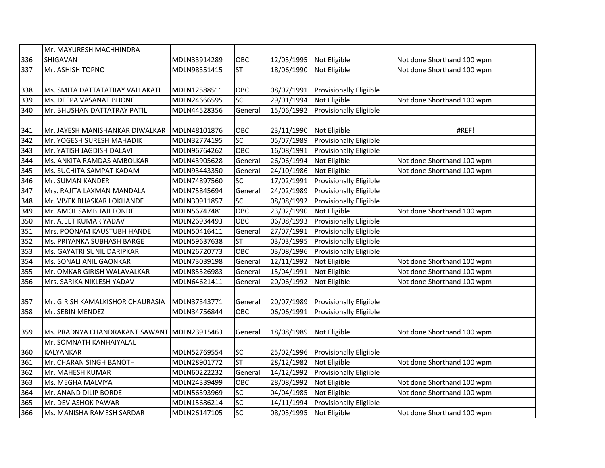|     | Mr. MAYURESH MACHHINDRA                     |              |                          |            |                                |                            |
|-----|---------------------------------------------|--------------|--------------------------|------------|--------------------------------|----------------------------|
| 336 | <b>SHIGAVAN</b>                             | MDLN33914289 | OBC                      | 12/05/1995 | Not Eligible                   | Not done Shorthand 100 wpm |
| 337 | Mr. ASHISH TOPNO                            | MDLN98351415 | <b>ST</b>                | 18/06/1990 | Not Eligible                   | Not done Shorthand 100 wpm |
|     |                                             |              |                          |            |                                |                            |
| 338 | Ms. SMITA DATTATATRAY VALLAKATI             | MDLN12588511 | OBC                      | 08/07/1991 | <b>Provisionally Eligiible</b> |                            |
| 339 | Ms. DEEPA VASANAT BHONE                     | MDLN24666595 | SC                       | 29/01/1994 | Not Eligible                   | Not done Shorthand 100 wpm |
| 340 | Mr. BHUSHAN DATTATRAY PATIL                 | MDLN44528356 | General                  | 15/06/1992 | <b>Provisionally Eligiible</b> |                            |
|     |                                             |              |                          |            |                                |                            |
| 341 | Mr. JAYESH MANISHANKAR DIWALKAR             | MDLN48101876 | OBC                      | 23/11/1990 | Not Eligible                   | #REF!                      |
| 342 | Mr. YOGESH SURESH MAHADIK                   | MDLN32774195 | SC                       | 05/07/1989 | <b>Provisionally Eligiible</b> |                            |
| 343 | Mr. YATISH JAGDISH DALAVI                   | MDLN96764262 | OBC                      | 16/08/1991 | Provisionally Eligiible        |                            |
| 344 | Ms. ANKITA RAMDAS AMBOLKAR                  | MDLN43905628 | General                  | 26/06/1994 | Not Eligible                   | Not done Shorthand 100 wpm |
| 345 | Ms. SUCHITA SAMPAT KADAM                    | MDLN93443350 | General                  | 24/10/1986 | Not Eligible                   | Not done Shorthand 100 wpm |
| 346 | Mr. SUMAN KANDER                            | MDLN74897560 | SC                       | 17/02/1991 | Provisionally Eligiible        |                            |
| 347 | Mrs. RAJITA LAXMAN MANDALA                  | MDLN75845694 | General                  | 24/02/1989 | Provisionally Eligiible        |                            |
| 348 | Mr. VIVEK BHASKAR LOKHANDE                  | MDLN30911857 | SC                       | 08/08/1992 | Provisionally Eligiible        |                            |
| 349 | Mr. AMOL SAMBHAJI FONDE                     | MDLN56747481 | OBC                      | 23/02/1990 | Not Eligible                   | Not done Shorthand 100 wpm |
| 350 | Mr. AJEET KUMAR YADAV                       | MDLN26934493 | OBC                      | 06/08/1993 | Provisionally Eligiible        |                            |
| 351 | Mrs. POONAM KAUSTUBH HANDE                  | MDLN50416411 | General                  | 27/07/1991 | Provisionally Eligiible        |                            |
| 352 | Ms. PRIYANKA SUBHASH BARGE                  | MDLN59637638 | $\overline{\mathsf{ST}}$ | 03/03/1995 | Provisionally Eligiible        |                            |
| 353 | Ms. GAYATRI SUNIL DARIPKAR                  | MDLN26720773 | OBC                      | 03/08/1996 | Provisionally Eligiible        |                            |
| 354 | Ms. SONALI ANIL GAONKAR                     | MDLN73039198 | General                  | 12/11/1992 | Not Eligible                   | Not done Shorthand 100 wpm |
| 355 | Mr. OMKAR GIRISH WALAVALKAR                 | MDLN85526983 | General                  | 15/04/1991 | Not Eligible                   | Not done Shorthand 100 wpm |
| 356 | Mrs. SARIKA NIKLESH YADAV                   | MDLN64621411 | General                  | 20/06/1992 | Not Eligible                   | Not done Shorthand 100 wpm |
|     |                                             |              |                          |            |                                |                            |
| 357 | Mr. GIRISH KAMALKISHOR CHAURASIA            | MDLN37343771 | General                  | 20/07/1989 | <b>Provisionally Eligiible</b> |                            |
| 358 | Mr. SEBIN MENDEZ                            | MDLN34756844 | OBC                      | 06/06/1991 | <b>Provisionally Eligiible</b> |                            |
|     |                                             |              |                          |            |                                |                            |
| 359 | Ms. PRADNYA CHANDRAKANT SAWANT MDLN23915463 |              | General                  | 18/08/1989 | Not Eligible                   | Not done Shorthand 100 wpm |
|     | Mr. SOMNATH KANHAIYALAL                     |              |                          |            |                                |                            |
| 360 | KALYANKAR                                   | MDLN52769554 | <b>SC</b>                | 25/02/1996 | <b>Provisionally Eligiible</b> |                            |
| 361 | Mr. CHARAN SINGH BANOTH                     | MDLN28901772 | <b>ST</b>                | 28/12/1982 | Not Eligible                   | Not done Shorthand 100 wpm |
| 362 | Mr. MAHESH KUMAR                            | MDLN60222232 | General                  | 14/12/1992 | Provisionally Eligiible        |                            |
| 363 | Ms. MEGHA MALVIYA                           | MDLN24339499 | OBC                      | 28/08/1992 | Not Eligible                   | Not done Shorthand 100 wpm |
| 364 | Mr. ANAND DILIP BORDE                       | MDLN56593969 | <b>SC</b>                | 04/04/1985 | Not Eligible                   | Not done Shorthand 100 wpm |
| 365 | Mr. DEV ASHOK PAWAR                         | MDLN15686214 | <b>SC</b>                | 14/11/1994 | Provisionally Eligiible        |                            |
| 366 | Ms. MANISHA RAMESH SARDAR                   | MDLN26147105 | <b>SC</b>                | 08/05/1995 | Not Eligible                   | Not done Shorthand 100 wpm |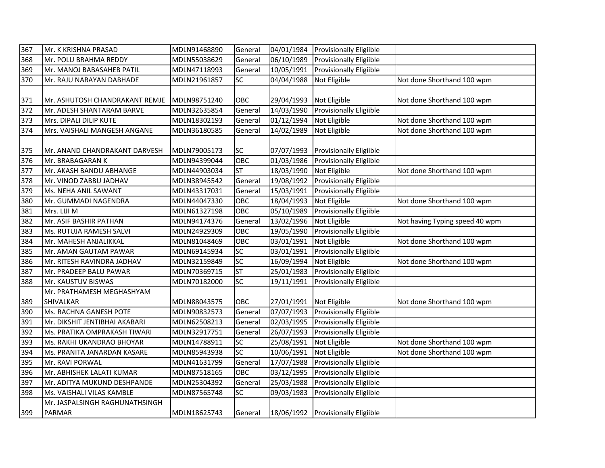| 367 | Mr. K KRISHNA PRASAD           | MDLN91468890 | General                  | 04/01/1984 | <b>Provisionally Eligiible</b>     |                                |
|-----|--------------------------------|--------------|--------------------------|------------|------------------------------------|--------------------------------|
| 368 | Mr. POLU BRAHMA REDDY          | MDLN55038629 | General                  | 06/10/1989 | <b>Provisionally Eligiible</b>     |                                |
| 369 | Mr. MANOJ BABASAHEB PATIL      | MDLN47118993 | General                  | 10/05/1991 | <b>Provisionally Eligiible</b>     |                                |
| 370 | Mr. RAJU NARAYAN DABHADE       | MDLN21961857 | SC                       | 04/04/1988 | Not Eligible                       | Not done Shorthand 100 wpm     |
|     |                                |              |                          |            |                                    |                                |
| 371 | Mr. ASHUTOSH CHANDRAKANT REMJE | MDLN98751240 | OBC                      | 29/04/1993 | Not Eligible                       | Not done Shorthand 100 wpm     |
| 372 | Mr. ADESH SHANTARAM BARVE      | MDLN32635854 | General                  | 14/03/1990 | Provisionally Eligiible            |                                |
| 373 | Mrs. DIPALI DILIP KUTE         | MDLN18302193 | General                  | 01/12/1994 | Not Eligible                       | Not done Shorthand 100 wpm     |
| 374 | Mrs. VAISHALI MANGESH ANGANE   | MDLN36180585 | General                  | 14/02/1989 | Not Eligible                       | Not done Shorthand 100 wpm     |
| 375 | Mr. ANAND CHANDRAKANT DARVESH  | MDLN79005173 | SC                       | 07/07/1993 | <b>Provisionally Eligiible</b>     |                                |
| 376 | Mr. BRABAGARAN K               | MDLN94399044 | OBC                      | 01/03/1986 | <b>Provisionally Eligiible</b>     |                                |
| 377 | Mr. AKASH BANDU ABHANGE        | MDLN44903034 | <b>ST</b>                | 18/03/1990 | Not Eligible                       | Not done Shorthand 100 wpm     |
| 378 | Mr. VINOD ZABBU JADHAV         | MDLN38945542 | General                  | 19/08/1992 | Provisionally Eligiible            |                                |
| 379 | Ms. NEHA ANIL SAWANT           | MDLN43317031 | General                  | 15/03/1991 | Provisionally Eligiible            |                                |
| 380 | Mr. GUMMADI NAGENDRA           | MDLN44047330 | OBC                      | 18/04/1993 | Not Eligible                       | Not done Shorthand 100 wpm     |
| 381 | Mrs. LIJI M                    | MDLN61327198 | OBC                      | 05/10/1989 | Provisionally Eligiible            |                                |
| 382 | Mr. ASIF BASHIR PATHAN         | MDLN94174376 | General                  | 13/02/1996 | Not Eligible                       | Not having Typing speed 40 wpm |
| 383 | Ms. RUTUJA RAMESH SALVI        | MDLN24929309 | OBC                      | 19/05/1990 | Provisionally Eligiible            |                                |
| 384 | Mr. MAHESH ANJALIKKAL          | MDLN81048469 | OBC                      | 03/01/1991 | Not Eligible                       | Not done Shorthand 100 wpm     |
| 385 | Mr. AMAN GAUTAM PAWAR          | MDLN69145934 | $\overline{SC}$          | 03/01/1991 | Provisionally Eligiible            |                                |
| 386 | Mr. RITESH RAVINDRA JADHAV     | MDLN32159849 | $\overline{SC}$          | 16/09/1994 | Not Eligible                       | Not done Shorthand 100 wpm     |
| 387 | Mr. PRADEEP BALU PAWAR         | MDLN70369715 | $\overline{\mathsf{ST}}$ | 25/01/1983 | Provisionally Eligiible            |                                |
| 388 | Mr. KAUSTUV BISWAS             | MDLN70182000 | $\overline{SC}$          | 19/11/1991 | <b>Provisionally Eligiible</b>     |                                |
|     | Mr. PRATHAMESH MEGHASHYAM      |              |                          |            |                                    |                                |
| 389 | <b>SHIVALKAR</b>               | MDLN88043575 | OBC                      | 27/01/1991 | Not Eligible                       | Not done Shorthand 100 wpm     |
| 390 | Ms. RACHNA GANESH POTE         | MDLN90832573 | General                  | 07/07/1993 | Provisionally Eligiible            |                                |
| 391 | Mr. DIKSHIT JENTIBHAI AKABARI  | MDLN62508213 | General                  | 02/03/1995 | <b>Provisionally Eligiible</b>     |                                |
| 392 | Ms. PRATIKA OMPRAKASH TIWARI   | MDLN32917751 | General                  | 26/07/1993 | Provisionally Eligiible            |                                |
| 393 | Ms. RAKHI UKANDRAO BHOYAR      | MDLN14788911 | SC                       | 25/08/1991 | Not Eligible                       | Not done Shorthand 100 wpm     |
| 394 | Ms. PRANITA JANARDAN KASARE    | MDLN85943938 | $\overline{SC}$          | 10/06/1991 | Not Eligible                       | Not done Shorthand 100 wpm     |
| 395 | Mr. RAVI PORWAL                | MDLN41631799 | General                  | 17/07/1988 | Provisionally Eligiible            |                                |
| 396 | Mr. ABHISHEK LALATI KUMAR      | MDLN87518165 | OBC                      | 03/12/1995 | Provisionally Eligiible            |                                |
| 397 | Mr. ADITYA MUKUND DESHPANDE    | MDLN25304392 | General                  | 25/03/1988 | Provisionally Eligiible            |                                |
| 398 | Ms. VAISHALI VILAS KAMBLE      | MDLN87565748 | SC                       | 09/03/1983 | Provisionally Eligiible            |                                |
|     | Mr. JASPALSINGH RAGHUNATHSINGH |              |                          |            |                                    |                                |
| 399 | <b>PARMAR</b>                  | MDLN18625743 | General                  |            | 18/06/1992 Provisionally Eligiible |                                |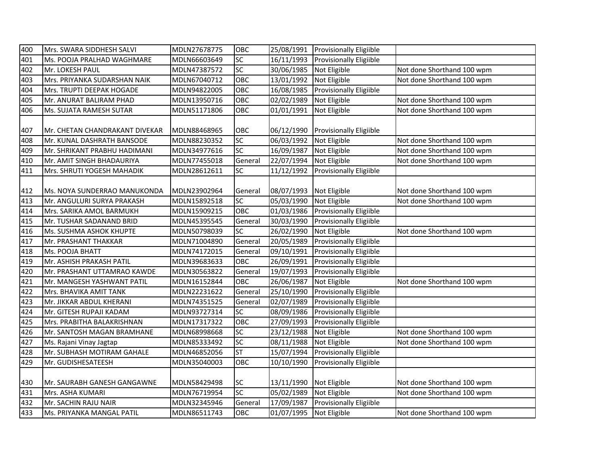| 400 | Mrs. SWARA SIDDHESH SALVI      | MDLN27678775 | OBC             | 25/08/1991              | <b>Provisionally Eligiible</b> |                            |
|-----|--------------------------------|--------------|-----------------|-------------------------|--------------------------------|----------------------------|
| 401 | Ms. POOJA PRALHAD WAGHMARE     | MDLN66603649 | SC              | 16/11/1993              | <b>Provisionally Eligiible</b> |                            |
| 402 | Mr. LOKESH PAUL                | MDLN47387572 | SC              | 30/06/1985              | Not Eligible                   | Not done Shorthand 100 wpm |
| 403 | Mrs. PRIYANKA SUDARSHAN NAIK   | MDLN67040712 | OBC             | 13/01/1992              | Not Eligible                   | Not done Shorthand 100 wpm |
| 404 | Mrs. TRUPTI DEEPAK HOGADE      | MDLN94822005 | OBC             | 16/08/1985              | Provisionally Eligiible        |                            |
| 405 | Mr. ANURAT BALIRAM PHAD        | MDLN13950716 | OBC             | 02/02/1989              | Not Eligible                   | Not done Shorthand 100 wpm |
| 406 | Ms. SUJATA RAMESH SUTAR        | MDLN51171806 | OBC             | 01/01/1991              | Not Eligible                   | Not done Shorthand 100 wpm |
| 407 | Mr. CHETAN CHANDRAKANT DIVEKAR | MDLN88468965 | OBC             | 06/12/1990              | <b>Provisionally Eligiible</b> |                            |
| 408 | Mr. KUNAL DASHRATH BANSODE     | MDLN88230352 | SC              | 06/03/1992              | Not Eligible                   | Not done Shorthand 100 wpm |
| 409 | Mr. SHRIKANT PRABHU HADIMANI   | MDLN34977616 | $\overline{SC}$ | 16/09/1987              | Not Eligible                   | Not done Shorthand 100 wpm |
| 410 | Mr. AMIT SINGH BHADAURIYA      | MDLN77455018 | General         | 22/07/1994              | Not Eligible                   | Not done Shorthand 100 wpm |
| 411 | Mrs. SHRUTI YOGESH MAHADIK     | MDLN28612611 | SC              | 11/12/1992              | Provisionally Eligiible        |                            |
| 412 | Ms. NOYA SUNDERRAO MANUKONDA   | MDLN23902964 | General         | 08/07/1993              | Not Eligible                   | Not done Shorthand 100 wpm |
| 413 | Mr. ANGULURI SURYA PRAKASH     | MDLN15892518 | SC              | 05/03/1990              | Not Eligible                   | Not done Shorthand 100 wpm |
| 414 | Mrs. SARIKA AMOL BARMUKH       | MDLN15909215 | OBC             | 01/03/1986              | <b>Provisionally Eligiible</b> |                            |
| 415 | Mr. TUSHAR SADANAND BRID       | MDLN45395545 | General         | 30/03/1990              | <b>Provisionally Eligiible</b> |                            |
| 416 | Ms. SUSHMA ASHOK KHUPTE        | MDLN50798039 | SC              | 26/02/1990              | Not Eligible                   | Not done Shorthand 100 wpm |
| 417 | Mr. PRASHANT THAKKAR           | MDLN71004890 | General         | 20/05/1989              | Provisionally Eligiible        |                            |
| 418 | Ms. POOJA BHATT                | MDLN74172015 | General         | 09/10/1991              | Provisionally Eligiible        |                            |
| 419 | Mr. ASHISH PRAKASH PATIL       | MDLN39683633 | OBC             | 26/09/1991              | <b>Provisionally Eligiible</b> |                            |
| 420 | Mr. PRASHANT UTTAMRAO KAWDE    | MDLN30563822 | General         | 19/07/1993              | <b>Provisionally Eligiible</b> |                            |
| 421 | Mr. MANGESH YASHWANT PATIL     | MDLN16152844 | OBC             | 26/06/1987              | Not Eligible                   | Not done Shorthand 100 wpm |
| 422 | Mrs. BHAVIKA AMIT TANK         | MDLN22231622 | General         | 25/10/1990              | Provisionally Eligiible        |                            |
| 423 | Mr. JIKKAR ABDUL KHERANI       | MDLN74351525 | General         | 02/07/1989              | <b>Provisionally Eligiible</b> |                            |
| 424 | Mr. GITESH RUPAJI KADAM        | MDLN93727314 | SC              | 08/09/1986              | <b>Provisionally Eligiible</b> |                            |
| 425 | Mrs. PRABITHA BALAKRISHNAN     | MDLN17317322 | OBC             | 27/09/1993              | <b>Provisionally Eligiible</b> |                            |
| 426 | Mr. SANTOSH MAGAN BRAMHANE     | MDLN68998668 | SC              | 23/12/1988              | Not Eligible                   | Not done Shorthand 100 wpm |
| 427 | Ms. Rajani Vinay Jagtap        | MDLN85333492 | $\overline{SC}$ | 08/11/1988              | Not Eligible                   | Not done Shorthand 100 wpm |
| 428 | Mr. SUBHASH MOTIRAM GAHALE     | MDLN46852056 | <b>ST</b>       | 15/07/1994              | Provisionally Eligiible        |                            |
| 429 | Mr. GUDISHESATEESH             | MDLN35040003 | OBC             | 10/10/1990              | Provisionally Eligiible        |                            |
| 430 | Mr. SAURABH GANESH GANGAWNE    | MDLN58429498 | <b>SC</b>       | 13/11/1990              | Not Eligible                   | Not done Shorthand 100 wpm |
| 431 | Mrs. ASHA KUMARI               | MDLN76719954 | $\overline{SC}$ | 05/02/1989              | Not Eligible                   | Not done Shorthand 100 wpm |
| 432 | Mr. SACHIN RAJU NAIR           | MDLN32345946 | General         | 17/09/1987              | <b>Provisionally Eligiible</b> |                            |
| 433 | Ms. PRIYANKA MANGAL PATIL      | MDLN86511743 | OBC             | 01/07/1995 Not Eligible |                                | Not done Shorthand 100 wpm |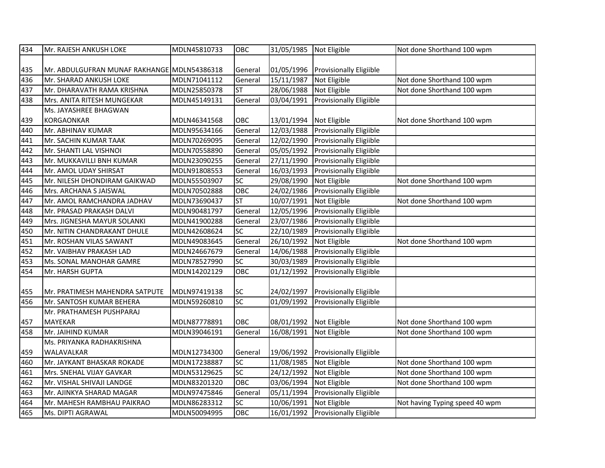| 434 | Mr. RAJESH ANKUSH LOKE                      | MDLN45810733 | OBC       | 31/05/1985 | Not Eligible                   | Not done Shorthand 100 wpm     |
|-----|---------------------------------------------|--------------|-----------|------------|--------------------------------|--------------------------------|
|     |                                             |              |           |            |                                |                                |
| 435 | Mr. ABDULGUFRAN MUNAF RAKHANGE MDLN54386318 |              | General   | 01/05/1996 | <b>Provisionally Eligiible</b> |                                |
| 436 | Mr. SHARAD ANKUSH LOKE                      | MDLN71041112 | General   | 15/11/1987 | Not Eligible                   | Not done Shorthand 100 wpm     |
| 437 | Mr. DHARAVATH RAMA KRISHNA                  | MDLN25850378 | ST        | 28/06/1988 | Not Eligible                   | Not done Shorthand 100 wpm     |
| 438 | Mrs. ANITA RITESH MUNGEKAR                  | MDLN45149131 | General   | 03/04/1991 | Provisionally Eligiible        |                                |
|     | Ms. JAYASHREE BHAGWAN                       |              |           |            |                                |                                |
| 439 | <b>KORGAONKAR</b>                           | MDLN46341568 | OBC       | 13/01/1994 | Not Eligible                   | Not done Shorthand 100 wpm     |
| 440 | Mr. ABHINAV KUMAR                           | MDLN95634166 | General   | 12/03/1988 | Provisionally Eligiible        |                                |
| 441 | Mr. SACHIN KUMAR TAAK                       | MDLN70269095 | General   | 12/02/1990 | <b>Provisionally Eligiible</b> |                                |
| 442 | Mr. SHANTI LAL VISHNOI                      | MDLN70558890 | General   | 05/05/1992 | Provisionally Eligiible        |                                |
| 443 | Mr. MUKKAVILLI BNH KUMAR                    | MDLN23090255 | General   | 27/11/1990 | Provisionally Eligiible        |                                |
| 444 | Mr. AMOL UDAY SHIRSAT                       | MDLN91808553 | General   | 16/03/1993 | <b>Provisionally Eligiible</b> |                                |
| 445 | Mr. NILESH DHONDIRAM GAIKWAD                | MDLN55503907 | SC        | 29/08/1990 | Not Eligible                   | Not done Shorthand 100 wpm     |
| 446 | Mrs. ARCHANA S JAISWAL                      | MDLN70502888 | OBC       | 24/02/1986 | <b>Provisionally Eligiible</b> |                                |
| 447 | Mr. AMOL RAMCHANDRA JADHAV                  | MDLN73690437 | ST        | 10/07/1991 | Not Eligible                   | Not done Shorthand 100 wpm     |
| 448 | Mr. PRASAD PRAKASH DALVI                    | MDLN90481797 | General   | 12/05/1996 | <b>Provisionally Eligiible</b> |                                |
| 449 | Mrs. JIGNESHA MAYUR SOLANKI                 | MDLN41900288 | General   | 23/07/1986 | Provisionally Eligiible        |                                |
| 450 | Mr. NITIN CHANDRAKANT DHULE                 | MDLN42608624 | SC        | 22/10/1989 | <b>Provisionally Eligiible</b> |                                |
| 451 | Mr. ROSHAN VILAS SAWANT                     | MDLN49083645 | General   | 26/10/1992 | Not Eligible                   | Not done Shorthand 100 wpm     |
| 452 | Mr. VAIBHAV PRAKASH LAD                     | MDLN24667679 | General   | 14/06/1988 | Provisionally Eligiible        |                                |
| 453 | Ms. SONAL MANOHAR GAMRE                     | MDLN78527990 | SC        | 30/03/1989 | Provisionally Eligiible        |                                |
| 454 | Mr. HARSH GUPTA                             | MDLN14202129 | OBC       | 01/12/1992 | <b>Provisionally Eligiible</b> |                                |
|     |                                             |              |           |            |                                |                                |
| 455 | Mr. PRATIMESH MAHENDRA SATPUTE              | MDLN97419138 | SC        | 24/02/1997 | <b>Provisionally Eligiible</b> |                                |
| 456 | Mr. SANTOSH KUMAR BEHERA                    | MDLN59260810 | SC        | 01/09/1992 | <b>Provisionally Eligiible</b> |                                |
|     | Mr. PRATHAMESH PUSHPARAJ                    |              |           |            |                                |                                |
| 457 | <b>MAYEKAR</b>                              | MDLN87778891 | OBC       | 08/01/1992 | Not Eligible                   | Not done Shorthand 100 wpm     |
| 458 | Mr. JAIHIND KUMAR                           | MDLN39046191 | General   | 16/08/1991 | Not Eligible                   | Not done Shorthand 100 wpm     |
|     | Ms. PRIYANKA RADHAKRISHNA                   |              |           |            |                                |                                |
| 459 | WALAVALKAR                                  | MDLN12734300 | General   | 19/06/1992 | <b>Provisionally Eligiible</b> |                                |
| 460 | Mr. JAYKANT BHASKAR ROKADE                  | MDLN17238887 | <b>SC</b> | 11/08/1985 | Not Eligible                   | Not done Shorthand 100 wpm     |
| 461 | Mrs. SNEHAL VIJAY GAVKAR                    | MDLN53129625 | <b>SC</b> | 24/12/1992 | Not Eligible                   | Not done Shorthand 100 wpm     |
| 462 | Mr. VISHAL SHIVAJI LANDGE                   | MDLN83201320 | OBC       | 03/06/1994 | Not Eligible                   | Not done Shorthand 100 wpm     |
| 463 | Mr. AJINKYA SHARAD MAGAR                    | MDLN97475846 | General   | 05/11/1994 | Provisionally Eligiible        |                                |
| 464 | Mr. MAHESH RAMBHAU PAIKRAO                  | MDLN86283312 | SC        | 10/06/1991 | Not Eligible                   | Not having Typing speed 40 wpm |
| 465 | Ms. DIPTI AGRAWAL                           | MDLN50094995 | OBC       | 16/01/1992 | <b>Provisionally Eligiible</b> |                                |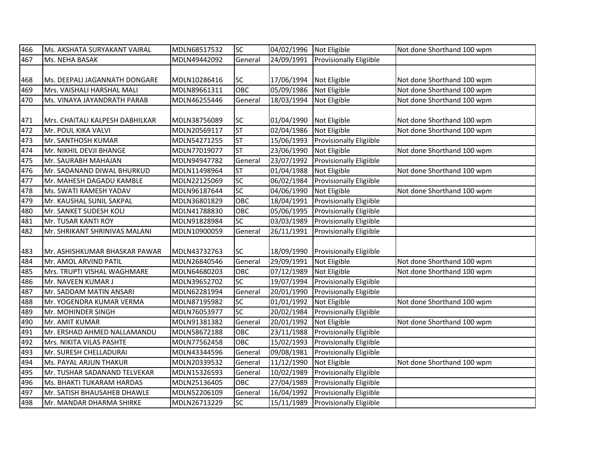| 466 | Ms. AKSHATA SURYAKANT VAIRAL    | MDLN68517532 | SC              | 04/02/1996 | Not Eligible                   | Not done Shorthand 100 wpm |
|-----|---------------------------------|--------------|-----------------|------------|--------------------------------|----------------------------|
| 467 | Ms. NEHA BASAK                  | MDLN49442092 | General         | 24/09/1991 | Provisionally Eligiible        |                            |
|     |                                 |              |                 |            |                                |                            |
| 468 | Ms. DEEPALI JAGANNATH DONGARE   | MDLN10286416 | SC              | 17/06/1994 | Not Eligible                   | Not done Shorthand 100 wpm |
| 469 | Mrs. VAISHALI HARSHAL MALI      | MDLN89661311 | OBC             | 05/09/1986 | Not Eligible                   | Not done Shorthand 100 wpm |
| 470 | Ms. VINAYA JAYANDRATH PARAB     | MDLN46255446 | General         | 18/03/1994 | Not Eligible                   | Not done Shorthand 100 wpm |
|     |                                 |              |                 |            |                                |                            |
| 471 | Mrs. CHAITALI KALPESH DABHILKAR | MDLN38756089 | SC              | 01/04/1990 | Not Eligible                   | Not done Shorthand 100 wpm |
| 472 | Mr. POUL KIKA VALVI             | MDLN20569117 | <b>ST</b>       | 02/04/1986 | Not Eligible                   | Not done Shorthand 100 wpm |
| 473 | Mr. SANTHOSH KUMAR              | MDLN54271255 | <b>ST</b>       | 15/06/1993 | Provisionally Eligiible        |                            |
| 474 | Mr. NIKHIL DEVJI BHANGE         | MDLN77019077 | ST              | 23/06/1990 | Not Eligible                   | Not done Shorthand 100 wpm |
| 475 | Mr. SAURABH MAHAJAN             | MDLN94947782 | General         | 23/07/1992 | Provisionally Eligiible        |                            |
| 476 | Mr. SADANAND DIWAL BHURKUD      | MDLN11498964 | <b>ST</b>       | 01/04/1988 | Not Eligible                   | Not done Shorthand 100 wpm |
| 477 | Mr. MAHESH DAGADU KAMBLE        | MDLN22125069 | $\overline{SC}$ | 06/02/1984 | Provisionally Eligiible        |                            |
| 478 | Ms. SWATI RAMESH YADAV          | MDLN96187644 | SC              | 04/06/1990 | Not Eligible                   | Not done Shorthand 100 wpm |
| 479 | Mr. KAUSHAL SUNIL SAKPAL        | MDLN36801829 | OBC             | 18/04/1991 | <b>Provisionally Eligiible</b> |                            |
| 480 | Mr. SANKET SUDESH KOLI          | MDLN41788830 | OBC             | 05/06/1995 | <b>Provisionally Eligiible</b> |                            |
| 481 | Mr. TUSAR KANTI ROY             | MDLN91828984 | SC              | 03/03/1989 | Provisionally Eligiible        |                            |
| 482 | Mr. SHRIKANT SHRINIVAS MALANI   | MDLN10900059 | General         | 26/11/1991 | Provisionally Eligiible        |                            |
|     |                                 |              |                 |            |                                |                            |
| 483 | IMr. ASHISHKUMAR BHASKAR PAWAR  | MDLN43732763 | SC              | 18/09/1990 | <b>Provisionally Eligiible</b> |                            |
| 484 | Mr. AMOL ARVIND PATIL           | MDLN26840546 | General         | 29/09/1991 | Not Eligible                   | Not done Shorthand 100 wpm |
| 485 | Mrs. TRUPTI VISHAL WAGHMARE     | MDLN64680203 | OBC             | 07/12/1989 | Not Eligible                   | Not done Shorthand 100 wpm |
| 486 | Mr. NAVEEN KUMAR J              | MDLN39652702 | SC              | 19/07/1994 | Provisionally Eligiible        |                            |
| 487 | Mr. SADDAM MATIN ANSARI         | MDLN62281994 | General         | 20/01/1990 | <b>Provisionally Eligiible</b> |                            |
| 488 | Mr. YOGENDRA KUMAR VERMA        | MDLN87195982 | <b>SC</b>       | 01/01/1992 | Not Eligible                   | Not done Shorthand 100 wpm |
| 489 | Mr. MOHINDER SINGH              | MDLN76053977 | $\overline{SC}$ | 20/02/1984 | Provisionally Eligiible        |                            |
| 490 | Mr. AMIT KUMAR                  | MDLN91381382 | General         | 20/01/1992 | Not Eligible                   | Not done Shorthand 100 wpm |
| 491 | Mr. ERSHAD AHMED NALLAMANDU     | MDLN58672188 | OBC             | 23/11/1988 | Provisionally Eligiible        |                            |
| 492 | Mrs. NIKITA VILAS PASHTE        | MDLN77562458 | OBC             | 15/02/1993 | <b>Provisionally Eligiible</b> |                            |
| 493 | Mr. SURESH CHELLADURAI          | MDLN43344596 | General         | 09/08/1981 | <b>Provisionally Eligiible</b> |                            |
| 494 | Ms. PAYAL ARJUN THAKUR          | MDLN20339532 | General         | 11/12/1990 | Not Eligible                   | Not done Shorthand 100 wpm |
| 495 | Mr. TUSHAR SADANAND TELVEKAR    | MDLN15326593 | General         | 10/02/1989 | Provisionally Eligiible        |                            |
| 496 | Ms. BHAKTI TUKARAM HARDAS       | MDLN25136405 | OBC             | 27/04/1989 | Provisionally Eligiible        |                            |
| 497 | Mr. SATISH BHAUSAHEB DHAWLE     | MDLN52206109 | General         | 16/04/1992 | Provisionally Eligiible        |                            |
| 498 | Mr. MANDAR DHARMA SHIRKE        | MDLN26713229 | SC              | 15/11/1989 | <b>Provisionally Eligiible</b> |                            |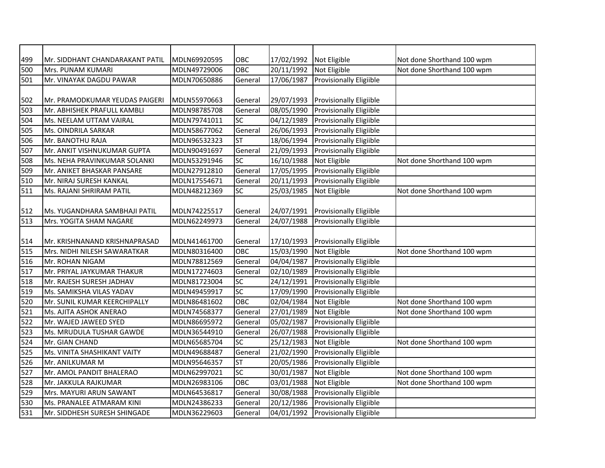| 499 | Mr. SIDDHANT CHANDARAKANT PATIL | MDLN69920595 | OBC       | 17/02/1992             | Not Eligible                   | Not done Shorthand 100 wpm |
|-----|---------------------------------|--------------|-----------|------------------------|--------------------------------|----------------------------|
| 500 | Mrs. PUNAM KUMARI               | MDLN49729006 | OBC       | 20/11/1992             | Not Eligible                   | Not done Shorthand 100 wpm |
| 501 | Mr. VINAYAK DAGDU PAWAR         | MDLN70650886 | General   | 17/06/1987             | Provisionally Eligiible        |                            |
|     |                                 |              |           |                        |                                |                            |
| 502 | Mr. PRAMODKUMAR YEUDAS PAIGERI  | MDLN55970663 | General   | 29/07/1993             | <b>Provisionally Eligiible</b> |                            |
| 503 | Mr. ABHISHEK PRAFULL KAMBLI     | MDLN98785708 | General   | 08/05/1990             | Provisionally Eligiible        |                            |
| 504 | Ms. NEELAM UTTAM VAIRAL         | MDLN79741011 | <b>SC</b> | 04/12/1989             | <b>Provisionally Eligiible</b> |                            |
| 505 | Ms. OINDRILA SARKAR             | MDLN58677062 | General   | 26/06/1993             | Provisionally Eligiible        |                            |
| 506 | Mr. BANOTHU RAJA                | MDLN96532323 | <b>ST</b> | 18/06/1994             | Provisionally Eligiible        |                            |
| 507 | Mr. ANKIT VISHNUKUMAR GUPTA     | MDLN90491697 | General   | $\frac{1}{21}/09/1993$ | Provisionally Eligiible        |                            |
| 508 | Ms. NEHA PRAVINKUMAR SOLANKI    | MDLN53291946 | SC        | 16/10/1988             | Not Eligible                   | Not done Shorthand 100 wpm |
| 509 | Mr. ANIKET BHASKAR PANSARE      | MDLN27912810 | General   | 17/05/1995             | Provisionally Eligiible        |                            |
| 510 | Mr. NIRAJ SURESH KANKAL         | MDLN17554671 | General   | 20/11/1993             | Provisionally Eligiible        |                            |
| 511 | Ms. RAJANI SHRIRAM PATIL        | MDLN48212369 | SC        | 25/03/1985             | Not Eligible                   | Not done Shorthand 100 wpm |
|     |                                 |              |           |                        |                                |                            |
| 512 | Ms. YUGANDHARA SAMBHAJI PATIL   | MDLN74225517 | General   | 24/07/1991             | <b>Provisionally Eligiible</b> |                            |
| 513 | Mrs. YOGITA SHAM NAGARE         | MDLN62249973 | General   | 24/07/1988             | Provisionally Eligiible        |                            |
|     |                                 |              |           |                        |                                |                            |
| 514 | Mr. KRISHNANAND KRISHNAPRASAD   | MDLN41461700 | General   | 17/10/1993             | <b>Provisionally Eligiible</b> |                            |
| 515 | Mrs. NIDHI NILESH SAWARATKAR    | MDLN80316400 | OBC       | 15/03/1990             | Not Eligible                   | Not done Shorthand 100 wpm |
| 516 | Mr. ROHAN NIGAM                 | MDLN78812569 | General   | 04/04/1987             | Provisionally Eligiible        |                            |
| 517 | Mr. PRIYAL JAYKUMAR THAKUR      | MDLN17274603 | General   | 02/10/1989             | Provisionally Eligiible        |                            |
| 518 | Mr. RAJESH SURESH JADHAV        | MDLN81723004 | <b>SC</b> | 24/12/1991             | Provisionally Eligiible        |                            |
| 519 | Ms. SAMIKSHA VILAS YADAV        | MDLN49459917 | <b>SC</b> | 17/09/1990             | Provisionally Eligiible        |                            |
| 520 | Mr. SUNIL KUMAR KEERCHIPALLY    | MDLN86481602 | OBC       | 02/04/1984             | Not Eligible                   | Not done Shorthand 100 wpm |
| 521 | Ms. AJITA ASHOK ANERAO          | MDLN74568377 | General   | 27/01/1989             | Not Eligible                   | Not done Shorthand 100 wpm |
| 522 | Mr. WAJED JAWEED SYED           | MDLN86695972 | General   | 05/02/1987             | Provisionally Eligiible        |                            |
| 523 | Ms. MRUDULA TUSHAR GAWDE        | MDLN36544910 | General   | 26/07/1988             | Provisionally Eligiible        |                            |
| 524 | Mr. GIAN CHAND                  | MDLN65685704 | <b>SC</b> | 25/12/1983             | Not Eligible                   | Not done Shorthand 100 wpm |
| 525 | Ms. VINITA SHASHIKANT VAITY     | MDLN49688487 | General   | 21/02/1990             | Provisionally Eligiible        |                            |
| 526 | Mr. ANILKUMAR M                 | MDLN95646357 | <b>ST</b> | 20/05/1986             | Provisionally Eligiible        |                            |
| 527 | Mr. AMOL PANDIT BHALERAO        | MDLN62997021 | <b>SC</b> | 30/01/1987             | Not Eligible                   | Not done Shorthand 100 wpm |
| 528 | Mr. JAKKULA RAJKUMAR            | MDLN26983106 | OBC       | 03/01/1988             | Not Eligible                   | Not done Shorthand 100 wpm |
| 529 | Mrs. MAYURI ARUN SAWANT         | MDLN64536817 | General   | 30/08/1988             | Provisionally Eligiible        |                            |
| 530 | Ms. PRANALEE ATMARAM KINI       | MDLN24386233 | General   | 20/12/1986             | Provisionally Eligiible        |                            |
| 531 | Mr. SIDDHESH SURESH SHINGADE    | MDLN36229603 | General   | 04/01/1992             | Provisionally Eligiible        |                            |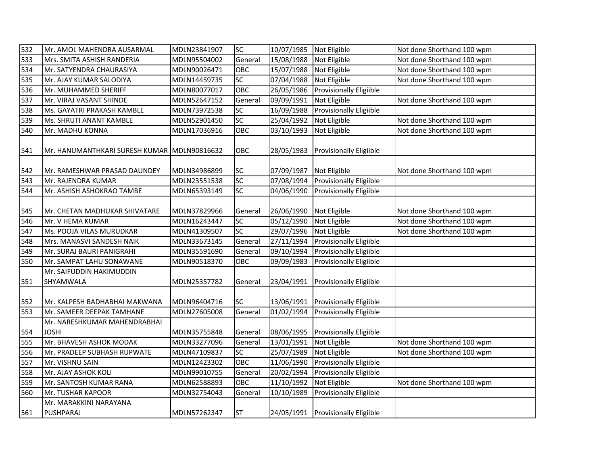| 532 | Mr. AMOL MAHENDRA AUSARMAL                   | MDLN23841907 | <b>SC</b>  | 10/07/1985 Not Eligible |                                    | Not done Shorthand 100 wpm |
|-----|----------------------------------------------|--------------|------------|-------------------------|------------------------------------|----------------------------|
| 533 | Mrs. SMITA ASHISH RANDERIA                   | MDLN95504002 | General    | 15/08/1988              | Not Eligible                       | Not done Shorthand 100 wpm |
| 534 | Mr. SATYENDRA CHAURASIYA                     | MDLN90026471 | OBC        | 15/07/1988              | Not Eligible                       | Not done Shorthand 100 wpm |
| 535 | Mr. AJAY KUMAR SALODIYA                      | MDLN14459735 | SC         | 07/04/1988              | Not Eligible                       | Not done Shorthand 100 wpm |
| 536 | Mr. MUHAMMED SHERIFF                         | MDLN80077017 | OBC        | 26/05/1986              | <b>Provisionally Eligiible</b>     |                            |
| 537 | Mr. VIRAJ VASANT SHINDE                      | MDLN52647152 | General    | 09/09/1991              | Not Eligible                       | Not done Shorthand 100 wpm |
| 538 | Ms. GAYATRI PRAKASH KAMBLE                   | MDLN73972538 | SC         | 16/09/1988              | Provisionally Eligiible            |                            |
| 539 | Ms. SHRUTI ANANT KAMBLE                      | MDLN52901450 | SC         | 25/04/1992              | Not Eligible                       | Not done Shorthand 100 wpm |
| 540 | Mr. MADHU KONNA                              | MDLN17036916 | OBC        | 03/10/1993              | Not Eligible                       | Not done Shorthand 100 wpm |
| 541 | Mr. HANUMANTHKARI SURESH KUMAR MDLN90816632  |              | OBC        | 28/05/1983              | Provisionally Eligiible            |                            |
| 542 | Mr. RAMESHWAR PRASAD DAUNDEY                 | MDLN34986899 | <b>SC</b>  | 07/09/1987              | Not Eligible                       | Not done Shorthand 100 wpm |
| 543 | Mr. RAJENDRA KUMAR                           | MDLN23551538 | SC         | 07/08/1994              | Provisionally Eligiible            |                            |
| 544 | Mr. ASHISH ASHOKRAO TAMBE                    | MDLN65393149 | <b>SC</b>  | 04/06/1990              | Provisionally Eligiible            |                            |
| 545 | Mr. CHETAN MADHUKAR SHIVATARE                | MDLN37829966 | General    | 26/06/1990 Not Eligible |                                    | Not done Shorthand 100 wpm |
| 546 | Mr. V HEMA KUMAR                             | MDLN16243447 | <b>SC</b>  | 05/12/1990              | Not Eligible                       | Not done Shorthand 100 wpm |
| 547 | Ms. POOJA VILAS MURUDKAR                     | MDLN41309507 | SC         | 29/07/1996              | Not Eligible                       | Not done Shorthand 100 wpm |
| 548 | Mrs. MANASVI SANDESH NAIK                    | MDLN33673145 | General    | 27/11/1994              | Provisionally Eligiible            |                            |
| 549 | Mr. SURAJ BAURI PANIGRAHI                    | MDLN35591690 | General    | 09/10/1994              | Provisionally Eligiible            |                            |
| 550 | Mr. SAMPAT LAHU SONAWANE                     | MDLN90518370 | OBC        | 09/09/1983              | <b>Provisionally Eligiible</b>     |                            |
| 551 | Mr. SAIFUDDIN HAKIMUDDIN<br>SHYAMWALA        | MDLN25357782 | General    | 23/04/1991              | <b>Provisionally Eligiible</b>     |                            |
| 552 | Mr. KALPESH BADHABHAI MAKWANA                | MDLN96404716 | SC         | 13/06/1991              | <b>Provisionally Eligiible</b>     |                            |
| 553 | Mr. SAMEER DEEPAK TAMHANE                    | MDLN27605008 | General    | 01/02/1994              | Provisionally Eligiible            |                            |
| 554 | Mr. NARESHKUMAR MAHENDRABHAI<br><b>JOSHI</b> | MDLN35755848 | General    |                         | 08/06/1995 Provisionally Eligiible |                            |
| 555 | Mr. BHAVESH ASHOK MODAK                      | MDLN33277096 | General    | 13/01/1991              | Not Eligible                       | Not done Shorthand 100 wpm |
| 556 | Mr. PRADEEP SUBHASH RUPWATE                  | MDLN47109837 | <b>SC</b>  | 25/07/1989              | Not Eligible                       | Not done Shorthand 100 wpm |
| 557 | Mr. VISHNU SAIN                              | MDLN12423302 | <b>OBC</b> | 11/06/1990              | Provisionally Eligiible            |                            |
| 558 | Mr. AJAY ASHOK KOLI                          | MDLN99010755 | General    | 20/02/1994              | Provisionally Eligiible            |                            |
| 559 | Mr. SANTOSH KUMAR RANA                       | MDLN62588893 | OBC        | 11/10/1992              | Not Eligible                       | Not done Shorthand 100 wpm |
| 560 | Mr. TUSHAR KAPOOR                            | MDLN32754043 | General    | 10/10/1989              | Provisionally Eligiible            |                            |
|     | Mr. MARAKKINI NARAYANA                       |              |            |                         |                                    |                            |
| 561 | PUSHPARAJ                                    | MDLN57262347 | <b>ST</b>  |                         | 24/05/1991 Provisionally Eligiible |                            |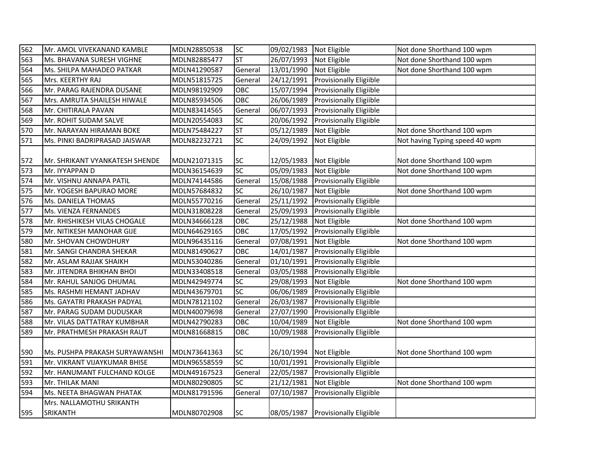| 562 | Mr. AMOL VIVEKANAND KAMBLE     | MDLN28850538 | <b>SC</b> | 09/02/1983 Not Eligible |                                    | Not done Shorthand 100 wpm     |
|-----|--------------------------------|--------------|-----------|-------------------------|------------------------------------|--------------------------------|
| 563 | Ms. BHAVANA SURESH VIGHNE      | MDLN82885477 | <b>ST</b> | 26/07/1993              | Not Eligible                       | Not done Shorthand 100 wpm     |
| 564 | Ms. SHILPA MAHADEO PATKAR      | MDLN41290587 | General   | 13/01/1990              | Not Eligible                       | Not done Shorthand 100 wpm     |
| 565 | Mrs. KEERTHY RAJ               | MDLN51815725 | General   | 24/12/1991              | Provisionally Eligiible            |                                |
| 566 | Mr. PARAG RAJENDRA DUSANE      | MDLN98192909 | OBC       | 15/07/1994              | <b>Provisionally Eligiible</b>     |                                |
| 567 | Mrs. AMRUTA SHAILESH HIWALE    | MDLN85934506 | OBC       | 26/06/1989              | <b>Provisionally Eligiible</b>     |                                |
| 568 | Mr. CHITIRALA PAVAN            | MDLN83414565 | General   | 06/07/1993              | <b>Provisionally Eligiible</b>     |                                |
| 569 | Mr. ROHIT SUDAM SALVE          | MDLN20554083 | SC        | 20/06/1992              | <b>Provisionally Eligiible</b>     |                                |
| 570 | Mr. NARAYAN HIRAMAN BOKE       | MDLN75484227 | <b>ST</b> | 05/12/1989              | Not Eligible                       | Not done Shorthand 100 wpm     |
| 571 | Ms. PINKI BADRIPRASAD JAISWAR  | MDLN82232721 | SC        | 24/09/1992              | Not Eligible                       | Not having Typing speed 40 wpm |
| 572 | Mr. SHRIKANT VYANKATESH SHENDE | MDLN21071315 | <b>SC</b> | 12/05/1983 Not Eligible |                                    | Not done Shorthand 100 wpm     |
| 573 | Mr. IYYAPPAN D                 | MDLN36154639 | <b>SC</b> | 05/09/1983              | Not Eligible                       | Not done Shorthand 100 wpm     |
| 574 | Mr. VISHNU ANNAPA PATIL        | MDLN74144586 | General   | 15/08/1988              | <b>Provisionally Eligiible</b>     |                                |
| 575 | Mr. YOGESH BAPURAO MORE        | MDLN57684832 | SC        | 26/10/1987              | Not Eligible                       | Not done Shorthand 100 wpm     |
| 576 | Ms. DANIELA THOMAS             | MDLN55770216 | General   | 25/11/1992              | <b>Provisionally Eligiible</b>     |                                |
| 577 | Ms. VIENZA FERNANDES           | MDLN31808228 | General   | 25/09/1993              | <b>Provisionally Eligiible</b>     |                                |
| 578 | Mr. RHISHIKESH VILAS CHOGALE   | MDLN34666128 | OBC       | 25/12/1988              | Not Eligible                       | Not done Shorthand 100 wpm     |
| 579 | Mr. NITIKESH MANOHAR GIJE      | MDLN64629165 | OBC       | 17/05/1992              | <b>Provisionally Eligiible</b>     |                                |
| 580 | Mr. SHOVAN CHOWDHURY           | MDLN96435116 | General   | 07/08/1991              | Not Eligible                       | Not done Shorthand 100 wpm     |
| 581 | Mr. SANGI CHANDRA SHEKAR       | MDLN81490627 | OBC       | 14/01/1987              | Provisionally Eligiible            |                                |
| 582 | Mr. ASLAM RAJJAK SHAIKH        | MDLN53040286 | General   | 01/10/1991              | Provisionally Eligiible            |                                |
| 583 | Mr. JITENDRA BHIKHAN BHOI      | MDLN33408518 | General   | 03/05/1988              | Provisionally Eligiible            |                                |
| 584 | Mr. RAHUL SANJOG DHUMAL        | MDLN42949774 | SC        | 29/08/1993              | Not Eligible                       | Not done Shorthand 100 wpm     |
| 585 | Ms. RASHMI HEMANT JADHAV       | MDLN43679701 | SC        | 06/06/1989              | Provisionally Eligiible            |                                |
| 586 | Ms. GAYATRI PRAKASH PADYAL     | MDLN78121102 | General   | 26/03/1987              | Provisionally Eligiible            |                                |
| 587 | Mr. PARAG SUDAM DUDUSKAR       | MDLN40079698 | General   | 27/07/1990              | <b>Provisionally Eligiible</b>     |                                |
| 588 | Mr. VILAS DATTATRAY KUMBHAR    | MDLN42790283 | OBC       | 10/04/1989              | Not Eligible                       | Not done Shorthand 100 wpm     |
| 589 | Mr. PRATHMESH PRAKASH RAUT     | MDLN81668815 | OBC       | 10/09/1988              | <b>Provisionally Eligiible</b>     |                                |
|     |                                |              |           |                         |                                    |                                |
| 590 | Ms. PUSHPA PRAKASH SURYAWANSHI | MDLN73641363 | <b>SC</b> | 26/10/1994              | Not Eligible                       | Not done Shorthand 100 wpm     |
| 591 | Mr. VIKRANT VIJAYKUMAR BHISE   | MDLN96558559 | <b>SC</b> | 10/01/1991              | Provisionally Eligiible            |                                |
| 592 | Mr. HANUMANT FULCHAND KOLGE    | MDLN49167523 | General   | 22/05/1987              | Provisionally Eligiible            |                                |
| 593 | Mr. THILAK MANI                | MDLN80290805 | <b>SC</b> | 21/12/1981              | Not Eligible                       | Not done Shorthand 100 wpm     |
| 594 | Ms. NEETA BHAGWAN PHATAK       | MDLN81791596 | General   | 07/10/1987              | Provisionally Eligiible            |                                |
|     | Mrs. NALLAMOTHU SRIKANTH       |              |           |                         |                                    |                                |
| 595 | <b>SRIKANTH</b>                | MDLN80702908 | <b>SC</b> |                         | 08/05/1987 Provisionally Eligiible |                                |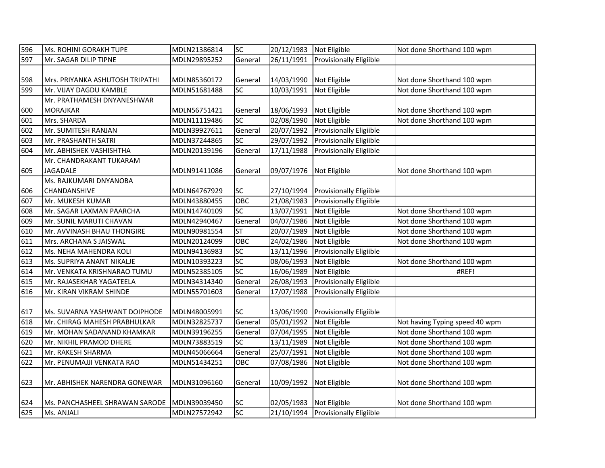| 596 | Ms. ROHINI GORAKH TUPE          | MDLN21386814 | SC         | 20/12/1983 | Not Eligible                       | Not done Shorthand 100 wpm     |
|-----|---------------------------------|--------------|------------|------------|------------------------------------|--------------------------------|
| 597 | Mr. SAGAR DILIP TIPNE           | MDLN29895252 | General    | 26/11/1991 | <b>Provisionally Eligiible</b>     |                                |
|     |                                 |              |            |            |                                    |                                |
| 598 | Mrs. PRIYANKA ASHUTOSH TRIPATHI | MDLN85360172 | General    | 14/03/1990 | Not Eligible                       | Not done Shorthand 100 wpm     |
| 599 | Mr. VIJAY DAGDU KAMBLE          | MDLN51681488 | SC         | 10/03/1991 | Not Eligible                       | Not done Shorthand 100 wpm     |
|     | Mr. PRATHAMESH DNYANESHWAR      |              |            |            |                                    |                                |
| 600 | <b>MORAJKAR</b>                 | MDLN56751421 | General    | 18/06/1993 | Not Eligible                       | Not done Shorthand 100 wpm     |
| 601 | Mrs. SHARDA                     | MDLN11119486 | SC         | 02/08/1990 | Not Eligible                       | Not done Shorthand 100 wpm     |
| 602 | Mr. SUMITESH RANJAN             | MDLN39927611 | General    | 20/07/1992 | Provisionally Eligiible            |                                |
| 603 | Mr. PRASHANTH SATRI             | MDLN37244865 | SC         | 29/07/1992 | Provisionally Eligiible            |                                |
| 604 | Mr. ABHISHEK VASHISHTHA         | MDLN20139196 | General    | 17/11/1988 | Provisionally Eligiible            |                                |
|     | Mr. CHANDRAKANT TUKARAM         |              |            |            |                                    |                                |
| 605 | <b>JAGADALE</b>                 | MDLN91411086 | General    | 09/07/1976 | Not Eligible                       | Not done Shorthand 100 wpm     |
|     | Ms. RAJKUMARI DNYANOBA          |              |            |            |                                    |                                |
| 606 | <b>CHANDANSHIVE</b>             | MDLN64767929 | <b>SC</b>  | 27/10/1994 | <b>Provisionally Eligiible</b>     |                                |
| 607 | Mr. MUKESH KUMAR                | MDLN43880455 | OBC        | 21/08/1983 | Provisionally Eligiible            |                                |
| 608 | Mr. SAGAR LAXMAN PAARCHA        | MDLN14740109 | SC         | 13/07/1991 | Not Eligible                       | Not done Shorthand 100 wpm     |
| 609 | Mr. SUNIL MARUTI CHAVAN         | MDLN42940467 | General    | 04/07/1986 | Not Eligible                       | Not done Shorthand 100 wpm     |
| 610 | Mr. AVVINASH BHAU THONGIRE      | MDLN90981554 | <b>ST</b>  | 20/07/1989 | Not Eligible                       | Not done Shorthand 100 wpm     |
| 611 | Mrs. ARCHANA S JAISWAL          | MDLN20124099 | OBC        | 24/02/1986 | Not Eligible                       | Not done Shorthand 100 wpm     |
| 612 | Ms. NEHA MAHENDRA KOLI          | MDLN94136983 | SC         | 13/11/1996 | Provisionally Eligiible            |                                |
| 613 | Ms. SUPRIYA ANANT NIKALJE       | MDLN10393223 | SC         | 08/06/1993 | Not Eligible                       | Not done Shorthand 100 wpm     |
| 614 | Mr. VENKATA KRISHNARAO TUMU     | MDLN52385105 | <b>SC</b>  | 16/06/1989 | Not Eligible                       | #REF!                          |
| 615 | Mr. RAJASEKHAR YAGATEELA        | MDLN34314340 | General    | 26/08/1993 | Provisionally Eligiible            |                                |
| 616 | Mr. KIRAN VIKRAM SHINDE         | MDLN55701603 | General    | 17/07/1988 | Provisionally Eligiible            |                                |
|     |                                 |              |            |            |                                    |                                |
| 617 | Ms. SUVARNA YASHWANT DOIPHODE   | MDLN48005991 | <b>SC</b>  | 13/06/1990 | <b>Provisionally Eligiible</b>     |                                |
| 618 | Mr. CHIRAG MAHESH PRABHULKAR    | MDLN32825737 | General    | 05/01/1992 | Not Eligible                       | Not having Typing speed 40 wpm |
| 619 | Mr. MOHAN SADANAND KHAMKAR      | MDLN39196255 | General    | 07/04/1995 | Not Eligible                       | Not done Shorthand 100 wpm     |
| 620 | Mr. NIKHIL PRAMOD DHERE         | MDLN73883519 | <b>SC</b>  | 13/11/1989 | Not Eligible                       | Not done Shorthand 100 wpm     |
| 621 | Mr. RAKESH SHARMA               | MDLN45066664 | General    | 25/07/1991 | Not Eligible                       | Not done Shorthand 100 wpm     |
| 622 | Mr. PENUMAJJI VENKATA RAO       | MDLN51434251 | <b>OBC</b> | 07/08/1986 | Not Eligible                       | Not done Shorthand 100 wpm     |
|     |                                 |              |            |            |                                    |                                |
| 623 | Mr. ABHISHEK NARENDRA GONEWAR   | MDLN31096160 | General    | 10/09/1992 | Not Eligible                       | Not done Shorthand 100 wpm     |
|     |                                 |              |            |            |                                    |                                |
| 624 | Ms. PANCHASHEEL SHRAWAN SARODE  | MDLN39039450 | <b>SC</b>  | 02/05/1983 | Not Eligible                       | Not done Shorthand 100 wpm     |
| 625 | Ms. ANJALI                      | MDLN27572942 | <b>SC</b>  |            | 21/10/1994 Provisionally Eligiible |                                |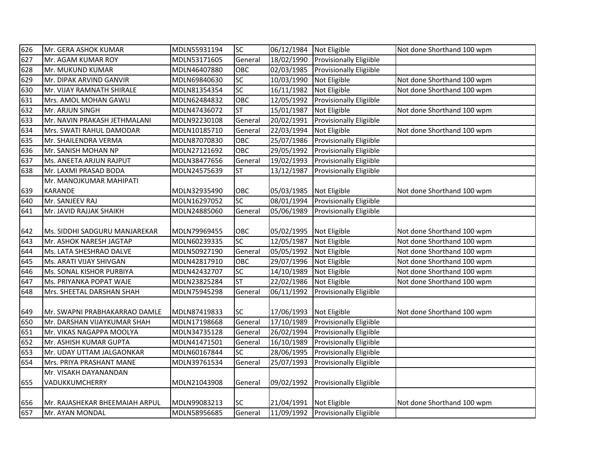| 626 | Mr. GERA ASHOK KUMAR           | MDLN55931194 | SC              | 06/12/1984 | Not Eligible                       | Not done Shorthand 100 wpm |
|-----|--------------------------------|--------------|-----------------|------------|------------------------------------|----------------------------|
| 627 | Mr. AGAM KUMAR ROY             | MDLN53171605 | General         | 18/02/1990 | <b>Provisionally Eligiible</b>     |                            |
| 628 | Mr. MUKUND KUMAR               | MDLN46407880 | OBC             | 02/03/1985 | <b>Provisionally Eligiible</b>     |                            |
| 629 | Mr. DIPAK ARVIND GANVIR        | MDLN69840630 | SC              | 10/03/1990 | Not Eligible                       | Not done Shorthand 100 wpm |
| 630 | Mr. VIJAY RAMNATH SHIRALE      | MDLN81354354 | SC              | 16/11/1982 | Not Eligible                       | Not done Shorthand 100 wpm |
| 631 | Mrs. AMOL MOHAN GAWLI          | MDLN62484832 | OBC             | 12/05/1992 | Provisionally Eligiible            |                            |
| 632 | Mr. ARJUN SINGH                | MDLN47436072 | ST              | 15/01/1987 | Not Eligible                       | Not done Shorthand 100 wpm |
| 633 | Mr. NAVIN PRAKASH JETHMALANI   | MDLN92230108 | General         | 20/02/1991 | <b>Provisionally Eligiible</b>     |                            |
| 634 | Mrs. SWATI RAHUL DAMODAR       | MDLN10185710 | General         | 22/03/1994 | Not Eligible                       | Not done Shorthand 100 wpm |
| 635 | Mr. SHAILENDRA VERMA           | MDLN87070830 | OBC             | 25/07/1986 | Provisionally Eligiible            |                            |
| 636 | Mr. SANISH MOHAN NP            | MDLN27121692 | OBC             | 29/05/1992 | Provisionally Eligiible            |                            |
| 637 | Ms. ANEETA ARJUN RAJPUT        | MDLN38477656 | General         | 19/02/1993 | <b>Provisionally Eligiible</b>     |                            |
| 638 | Mr. LAXMI PRASAD BODA          | MDLN24575639 | ST              | 13/12/1987 | <b>Provisionally Eligiible</b>     |                            |
|     | Mr. MANOJKUMAR MAHIPATI        |              |                 |            |                                    |                            |
| 639 | <b>KARANDE</b>                 | MDLN32935490 | OBC             | 05/03/1985 | Not Eligible                       | Not done Shorthand 100 wpm |
| 640 | Mr. SANJEEV RAJ                | MDLN16297052 | $\overline{SC}$ | 08/01/1994 | Provisionally Eligiible            |                            |
| 641 | Mr. JAVID RAJJAK SHAIKH        | MDLN24885060 | General         | 05/06/1989 | <b>Provisionally Eligiible</b>     |                            |
|     |                                |              |                 |            |                                    |                            |
| 642 | Ms. SIDDHI SADGURU MANJAREKAR  | MDLN79969455 | OBC             | 05/02/1995 | Not Eligible                       | Not done Shorthand 100 wpm |
| 643 | Mr. ASHOK NARESH JAGTAP        | MDLN60239335 | SC              | 12/05/1987 | Not Eligible                       | Not done Shorthand 100 wpm |
| 644 | Ms. LATA SHESHRAO DALVE        | MDLN50927190 | General         | 05/05/1992 | Not Eligible                       | Not done Shorthand 100 wpm |
| 645 | Ms. ARATI VIJAY SHIVGAN        | MDLN42817910 | OBC             | 29/07/1996 | Not Eligible                       | Not done Shorthand 100 wpm |
| 646 | Ms. SONAL KISHOR PURBIYA       | MDLN42432707 | SC              | 14/10/1989 | Not Eligible                       | Not done Shorthand 100 wpm |
| 647 | Ms. PRIYANKA POPAT WAJE        | MDLN23825284 | <b>ST</b>       | 22/02/1986 | Not Eligible                       | Not done Shorthand 100 wpm |
| 648 | Mrs. SHEETAL DARSHAN SHAH      | MDLN75945298 | General         | 06/11/1992 | Provisionally Eligiible            |                            |
|     |                                |              |                 |            |                                    |                            |
| 649 | Mr. SWAPNI PRABHAKARRAO DAMLE  | MDLN87419833 | <b>SC</b>       | 17/06/1993 | Not Eligible                       | Not done Shorthand 100 wpm |
| 650 | Mr. DARSHAN VIJAYKUMAR SHAH    | MDLN17198668 | General         | 17/10/1989 | Provisionally Eligiible            |                            |
| 651 | Mr. VIKAS NAGAPPA MOOLYA       | MDLN34735128 | General         | 26/02/1994 | Provisionally Eligiible            |                            |
| 652 | Mr. ASHISH KUMAR GUPTA         | MDLN41471501 | General         | 16/10/1989 | <b>Provisionally Eligiible</b>     |                            |
| 653 | Mr. UDAY UTTAM JALGAONKAR      | MDLN60167844 | SC              | 28/06/1995 | Provisionally Eligiible            |                            |
| 654 | Mrs. PRIYA PRASHANT MANE       | MDLN39761534 | General         | 25/07/1993 | Provisionally Eligiible            |                            |
|     | Mr. VISAKH DAYANANDAN          |              |                 |            |                                    |                            |
| 655 | VADUKKUMCHERRY                 | MDLN21043908 | General         | 09/02/1992 | <b>Provisionally Eligiible</b>     |                            |
|     |                                |              |                 |            |                                    |                            |
| 656 | Mr. RAJASHEKAR BHEEMAIAH ARPUL | MDLN99083213 | SC              | 21/04/1991 | Not Eligible                       | Not done Shorthand 100 wpm |
| 657 | Mr. AYAN MONDAL                | MDLN58956685 | General         |            | 11/09/1992 Provisionally Eligiible |                            |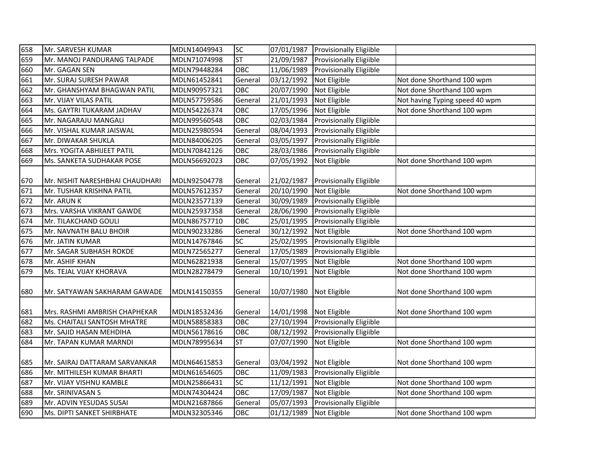| 658 | Mr. SARVESH KUMAR               | MDLN14049943 | SC        | 07/01/1987           | <b>Provisionally Eligiible</b> |                                |
|-----|---------------------------------|--------------|-----------|----------------------|--------------------------------|--------------------------------|
| 659 | Mr. MANOJ PANDURANG TALPADE     | MDLN71074998 | <b>ST</b> | 21/09/1987           | <b>Provisionally Eligiible</b> |                                |
| 660 | Mr. GAGAN SEN                   | MDLN79448284 | OBC       | 11/06/1989           | <b>Provisionally Eligiible</b> |                                |
| 661 | Mr. SURAJ SURESH PAWAR          | MDLN61452841 | General   | 03/12/1992           | Not Eligible                   | Not done Shorthand 100 wpm     |
| 662 | Mr. GHANSHYAM BHAGWAN PATIL     | MDLN90957321 | OBC       | 20/07/1990           | Not Eligible                   | Not done Shorthand 100 wpm     |
| 663 | Mr. VIJAY VILAS PATIL           | MDLN57759586 | General   | 21/01/1993           | Not Eligible                   | Not having Typing speed 40 wpm |
| 664 | Ms. GAYTRI TUKARAM JADHAV       | MDLN54226374 | OBC       | 17/05/1996           | Not Eligible                   | Not done Shorthand 100 wpm     |
| 665 | Mr. NAGARAJU MANGALI            | MDLN99560548 | OBC       | 02/03/1984           | Provisionally Eligiible        |                                |
| 666 | Mr. VISHAL KUMAR JAISWAL        | MDLN25980594 | General   | 08/04/1993           | <b>Provisionally Eligiible</b> |                                |
| 667 | Mr. DIWAKAR SHUKLA              | MDLN84006205 | General   | 03/05/1997           | <b>Provisionally Eligiible</b> |                                |
| 668 | Mrs. YOGITA ABHIJEET PATIL      | MDLN70842126 | OBC       | 28/03/1986           | <b>Provisionally Eligiible</b> |                                |
| 669 | Ms. SANKETA SUDHAKAR POSE       | MDLN56692023 | OBC       | 07/05/1992           | Not Eligible                   | Not done Shorthand 100 wpm     |
|     |                                 |              |           |                      |                                |                                |
| 670 | Mr. NISHIT NARESHBHAI CHAUDHARI | MDLN92504778 | General   | 21/02/1987           | <b>Provisionally Eligiible</b> |                                |
| 671 | Mr. TUSHAR KRISHNA PATIL        | MDLN57612357 | General   | 20/10/1990           | Not Eligible                   | Not done Shorthand 100 wpm     |
| 672 | Mr. ARUN K                      | MDLN23577139 | General   | 30/09/1989           | Provisionally Eligiible        |                                |
| 673 | Mrs. VARSHA VIKRANT GAWDE       | MDLN25937358 | General   | 28/06/1990           | <b>Provisionally Eligiible</b> |                                |
| 674 | Mr. TILAKCHAND GOULI            | MDLN86757710 | OBC       | 25/01/1995           | <b>Provisionally Eligiible</b> |                                |
| 675 | Mr. NAVNATH BALU BHOIR          | MDLN90233286 | General   | 30/12/1992           | Not Eligible                   | Not done Shorthand 100 wpm     |
| 676 | Mr. JATIN KUMAR                 | MDLN14767846 | SC        | 25/02/1995           | Provisionally Eligiible        |                                |
| 677 | Mr. SAGAR SUBHASH ROKDE         | MDLN72565277 | General   | 17/05/1989           | Provisionally Eligiible        |                                |
| 678 | Mr. ASHIF KHAN                  | MDLN62821938 | General   | 15/07/1995           | Not Eligible                   | Not done Shorthand 100 wpm     |
| 679 | Ms. TEJAL VIJAY KHORAVA         | MDLN28278479 | General   | 10/10/1991           | Not Eligible                   | Not done Shorthand 100 wpm     |
| 680 | Mr. SATYAWAN SAKHARAM GAWADE    | MDLN14150355 | General   | 10/07/1980           | Not Eligible                   | Not done Shorthand 100 wpm     |
| 681 | Mrs. RASHMI AMBRISH CHAPHEKAR   | MDLN18532436 | General   | 14/01/1998           | Not Eligible                   | Not done Shorthand 100 wpm     |
| 682 | Ms. CHAITALI SANTOSH MHATRE     | MDLN58858383 | OBC       | $\frac{27}{10/1994}$ | Provisionally Eligiible        |                                |
| 683 | Mr. SAJID HASAN MEHDIHA         | MDLN56178616 | OBC       | 08/12/1992           | Provisionally Eligiible        |                                |
| 684 | Mr. TAPAN KUMAR MARNDI          | MDLN78995634 | <b>ST</b> | 07/07/1990           | Not Eligible                   | Not done Shorthand 100 wpm     |
| 685 | Mr. SAIRAJ DATTARAM SARVANKAR   | MDLN64615853 | General   | 03/04/1992           | Not Eligible                   | Not done Shorthand 100 wpm     |
| 686 | Mr. MITHILESH KUMAR BHARTI      | MDLN61654605 | OBC       | 11/09/1983           | Provisionally Eligiible        |                                |
| 687 | Mr. VIJAY VISHNU KAMBLE         | MDLN25866431 | SC        | 11/12/1991           | Not Eligible                   | Not done Shorthand 100 wpm     |
| 688 | Mr. SRINIVASAN S                | MDLN74304424 | OBC       | 17/09/1987           | Not Eligible                   | Not done Shorthand 100 wpm     |
| 689 | Mr. ADVIN YESUDAS SUSAI         | MDLN21687866 | General   | 05/07/1993           | Provisionally Eligiible        |                                |
| 690 | Ms. DIPTI SANKET SHIRBHATE      | MDLN32305346 | OBC       | 01/12/1989           | Not Eligible                   | Not done Shorthand 100 wpm     |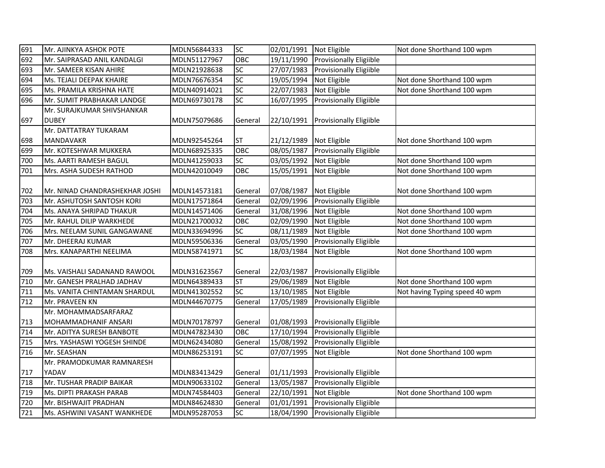| 691 | Mr. AJINKYA ASHOK POTE         | MDLN56844333 | <b>SC</b> | 02/01/1991 | Not Eligible                   | Not done Shorthand 100 wpm     |
|-----|--------------------------------|--------------|-----------|------------|--------------------------------|--------------------------------|
| 692 | Mr. SAIPRASAD ANIL KANDALGI    | MDLN51127967 | OBC       | 19/11/1990 | Provisionally Eligiible        |                                |
| 693 | Mr. SAMEER KISAN AHIRE         | MDLN21928638 | SC        | 27/07/1983 | <b>Provisionally Eligiible</b> |                                |
| 694 | Ms. TEJALI DEEPAK KHAIRE       | MDLN76676354 | SC        | 19/05/1994 | Not Eligible                   | Not done Shorthand 100 wpm     |
| 695 | Ms. PRAMILA KRISHNA HATE       | MDLN40914021 | SC        | 22/07/1983 | Not Eligible                   | Not done Shorthand 100 wpm     |
| 696 | Mr. SUMIT PRABHAKAR LANDGE     | MDLN69730178 | SC        | 16/07/1995 | Provisionally Eligiible        |                                |
|     | Mr. SURAJKUMAR SHIVSHANKAR     |              |           |            |                                |                                |
| 697 | <b>DUBEY</b>                   | MDLN75079686 | General   | 22/10/1991 | Provisionally Eligiible        |                                |
|     | Mr. DATTATRAY TUKARAM          |              |           |            |                                |                                |
| 698 | <b>MANDAVAKR</b>               | MDLN92545264 | ST        | 21/12/1989 | Not Eligible                   | Not done Shorthand 100 wpm     |
| 699 | Mr. KOTESHWAR MUKKERA          | MDLN68925335 | OBC       | 08/05/1987 | <b>Provisionally Eligiible</b> |                                |
| 700 | Ms. AARTI RAMESH BAGUL         | MDLN41259033 | SC        | 03/05/1992 | Not Eligible                   | Not done Shorthand 100 wpm     |
| 701 | Mrs. ASHA SUDESH RATHOD        | MDLN42010049 | OBC       | 15/05/1991 | Not Eligible                   | Not done Shorthand 100 wpm     |
|     |                                |              |           |            |                                |                                |
| 702 | Mr. NINAD CHANDRASHEKHAR JOSHI | MDLN14573181 | General   | 07/08/1987 | Not Eligible                   | Not done Shorthand 100 wpm     |
| 703 | Mr. ASHUTOSH SANTOSH KORI      | MDLN17571864 | General   | 02/09/1996 | <b>Provisionally Eligiible</b> |                                |
| 704 | Ms. ANAYA SHRIPAD THAKUR       | MDLN14571406 | General   | 31/08/1996 | Not Eligible                   | Not done Shorthand 100 wpm     |
| 705 | Mr. RAHUL DILIP WARKHEDE       | MDLN21700032 | OBC       | 02/09/1990 | Not Eligible                   | Not done Shorthand 100 wpm     |
| 706 | Mrs. NEELAM SUNIL GANGAWANE    | MDLN33694996 | SC        | 08/11/1989 | Not Eligible                   | Not done Shorthand 100 wpm     |
| 707 | Mr. DHEERAJ KUMAR              | MDLN59506336 | General   | 03/05/1990 | Provisionally Eligiible        |                                |
| 708 | Mrs. KANAPARTHI NEELIMA        | MDLN58741971 | SC        | 18/03/1984 | Not Eligible                   | Not done Shorthand 100 wpm     |
|     |                                |              |           |            |                                |                                |
| 709 | Ms. VAISHALI SADANAND RAWOOL   | MDLN31623567 | General   | 22/03/1987 | <b>Provisionally Eligiible</b> |                                |
| 710 | Mr. GANESH PRALHAD JADHAV      | MDLN64389433 | <b>ST</b> | 29/06/1989 | Not Eligible                   | Not done Shorthand 100 wpm     |
| 711 | Ms. VANITA CHINTAMAN SHARDUL   | MDLN41302552 | SC        | 13/10/1985 | Not Eligible                   | Not having Typing speed 40 wpm |
| 712 | Mr. PRAVEEN KN                 | MDLN44670775 | General   | 17/05/1989 | Provisionally Eligiible        |                                |
|     | Mr. MOHAMMADSARFARAZ           |              |           |            |                                |                                |
| 713 | MOHAMMADHANIF ANSARI           | MDLN70178797 | General   | 01/08/1993 | <b>Provisionally Eligiible</b> |                                |
| 714 | Mr. ADITYA SURESH BANBOTE      | MDLN47823430 | OBC       | 17/10/1994 | <b>Provisionally Eligiible</b> |                                |
| 715 | Mrs. YASHASWI YOGESH SHINDE    | MDLN62434080 | General   | 15/08/1992 | <b>Provisionally Eligiible</b> |                                |
| 716 | Mr. SEASHAN                    | MDLN86253191 | <b>SC</b> | 07/07/1995 | Not Eligible                   | Not done Shorthand 100 wpm     |
|     | Mr. PRAMODKUMAR RAMNARESH      |              |           |            |                                |                                |
| 717 | YADAV                          | MDLN83413429 | General   | 01/11/1993 | <b>Provisionally Eligiible</b> |                                |
| 718 | Mr. TUSHAR PRADIP BAIKAR       | MDLN90633102 | General   | 13/05/1987 | Provisionally Eligiible        |                                |
| 719 | Ms. DIPTI PRAKASH PARAB        | MDLN74584403 | General   | 22/10/1991 | Not Eligible                   | Not done Shorthand 100 wpm     |
| 720 | Mr. BISHWAJIT PRADHAN          | MDLN84624830 | General   | 01/01/1991 | Provisionally Eligiible        |                                |
| 721 | Ms. ASHWINI VASANT WANKHEDE    | MDLN95287053 | SC        | 18/04/1990 | <b>Provisionally Eligiible</b> |                                |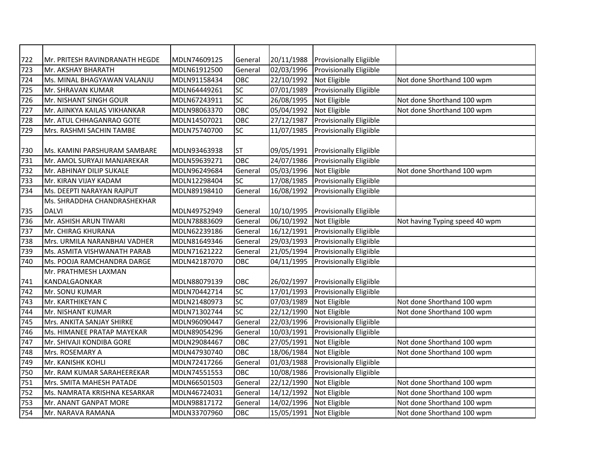| 722 | Mr. PRITESH RAVINDRANATH HEGDE | MDLN74609125 | General   | 20/11/1988           | <b>Provisionally Eligiible</b> |                                |
|-----|--------------------------------|--------------|-----------|----------------------|--------------------------------|--------------------------------|
| 723 | Mr. AKSHAY BHARATH             | MDLN61912500 | General   | 02/03/1996           | <b>Provisionally Eligiible</b> |                                |
| 724 | Ms. MINAL BHAGYAWAN VALANJU    | MDLN91158434 | OBC       | 22/10/1992           | Not Eligible                   | Not done Shorthand 100 wpm     |
| 725 | Mr. SHRAVAN KUMAR              | MDLN64449261 | <b>SC</b> | 07/01/1989           | <b>Provisionally Eligiible</b> |                                |
| 726 | Mr. NISHANT SINGH GOUR         | MDLN67243911 | <b>SC</b> | 26/08/1995           | Not Eligible                   | Not done Shorthand 100 wpm     |
| 727 | Mr. AJINKYA KAILAS VIKHANKAR   | MDLN98063370 | OBC       | 05/04/1992           | Not Eligible                   | Not done Shorthand 100 wpm     |
| 728 | Mr. ATUL CHHAGANRAO GOTE       | MDLN14507021 | OBC       | 27/12/1987           | <b>Provisionally Eligiible</b> |                                |
| 729 | Mrs. RASHMI SACHIN TAMBE       | MDLN75740700 | SC        | 11/07/1985           | Provisionally Eligiible        |                                |
|     |                                |              |           |                      |                                |                                |
| 730 | Ms. KAMINI PARSHURAM SAMBARE   | MDLN93463938 | <b>ST</b> | 09/05/1991           | <b>Provisionally Eligiible</b> |                                |
| 731 | Mr. AMOL SURYAJI MANJAREKAR    | MDLN59639271 | OBC       | 24/07/1986           | <b>Provisionally Eligiible</b> |                                |
| 732 | Mr. ABHINAY DILIP SUKALE       | MDLN96249684 | General   | 05/03/1996           | Not Eligible                   | Not done Shorthand 100 wpm     |
| 733 | Mr. KIRAN VIJAY KADAM          | MDLN12298404 | SC        | 17/08/1985           | Provisionally Eligiible        |                                |
| 734 | Ms. DEEPTI NARAYAN RAJPUT      | MDLN89198410 | General   | 16/08/1992           | Provisionally Eligiible        |                                |
|     | Ms. SHRADDHA CHANDRASHEKHAR    |              |           |                      |                                |                                |
| 735 | <b>DALVI</b>                   | MDLN49752949 | General   | 10/10/1995           | <b>Provisionally Eligiible</b> |                                |
| 736 | Mr. ASHISH ARUN TIWARI         | MDLN78883609 | General   | 06/10/1992           | Not Eligible                   | Not having Typing speed 40 wpm |
| 737 | Mr. CHIRAG KHURANA             | MDLN62239186 | General   | 16/12/1991           | <b>Provisionally Eligiible</b> |                                |
| 738 | Mrs. URMILA NARANBHAI VADHER   | MDLN81649346 | General   | 29/03/1993           | Provisionally Eligiible        |                                |
| 739 | Ms. ASMITA VISHWANATH PARAB    | MDLN71621222 | General   | 21/05/1994           | Provisionally Eligiible        |                                |
| 740 | Ms. POOJA RAMCHANDRA DARGE     | MDLN42187070 | OBC       | 04/11/1995           | Provisionally Eligiible        |                                |
|     | Mr. PRATHMESH LAXMAN           |              |           |                      |                                |                                |
| 741 | KANDALGAONKAR                  | MDLN88079139 | OBC       | 26/02/1997           | <b>Provisionally Eligiible</b> |                                |
| 742 | Mr. SONU KUMAR                 | MDLN70442714 | <b>SC</b> | 17/01/1993           | <b>Provisionally Eligiible</b> |                                |
| 743 | Mr. KARTHIKEYAN C              | MDLN21480973 | <b>SC</b> | $\frac{07}{03}/1989$ | Not Eligible                   | Not done Shorthand 100 wpm     |
| 744 | Mr. NISHANT KUMAR              | MDLN71302744 | <b>SC</b> | 22/12/1990           | Not Eligible                   | Not done Shorthand 100 wpm     |
| 745 | Mrs. ANKITA SANJAY SHIRKE      | MDLN96090447 | General   | 22/03/1996           | Provisionally Eligiible        |                                |
| 746 | Ms. HIMANEE PRATAP MAYEKAR     | MDLN89054296 | General   | 10/03/1991           | Provisionally Eligiible        |                                |
| 747 | Mr. SHIVAJI KONDIBA GORE       | MDLN29084467 | OBC       | 27/05/1991           | Not Eligible                   | Not done Shorthand 100 wpm     |
| 748 | Mrs. ROSEMARY A                | MDLN47930740 | OBC       | 18/06/1984           | Not Eligible                   | Not done Shorthand 100 wpm     |
| 749 | Mr. KANISHK KOHLI              | MDLN72417266 | General   | 01/03/1988           | Provisionally Eligiible        |                                |
| 750 | Mr. RAM KUMAR SARAHEEREKAR     | MDLN74551553 | OBC       | 10/08/1986           | Provisionally Eligiible        |                                |
| 751 | Mrs. SMITA MAHESH PATADE       | MDLN66501503 | General   | 22/12/1990           | Not Eligible                   | Not done Shorthand 100 wpm     |
| 752 | Ms. NAMRATA KRISHNA KESARKAR   | MDLN46724031 | General   | 14/12/1992           | Not Eligible                   | Not done Shorthand 100 wpm     |
| 753 | Mr. ANANT GANPAT MORE          | MDLN98817172 | General   | 14/02/1996           | Not Eligible                   | Not done Shorthand 100 wpm     |
| 754 | Mr. NARAVA RAMANA              | MDLN33707960 | OBC       | 15/05/1991           | Not Eligible                   | Not done Shorthand 100 wpm     |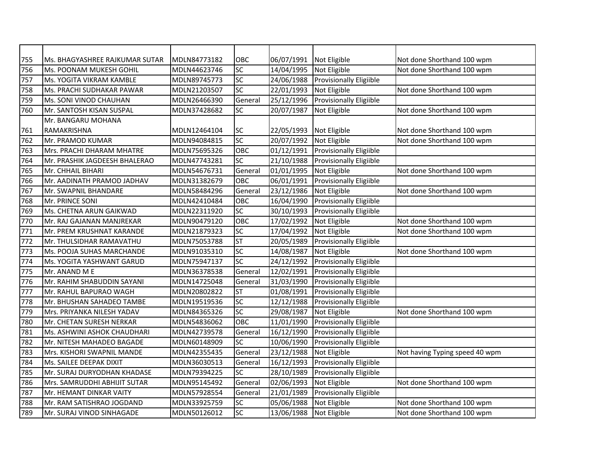| 755 | Ms. BHAGYASHREE RAJKUMAR SUTAR | MDLN84773182 | ОВС                      | 06/07/1991 | Not Eligible                   | Not done Shorthand 100 wpm     |
|-----|--------------------------------|--------------|--------------------------|------------|--------------------------------|--------------------------------|
| 756 | Ms. POONAM MUKESH GOHIL        | MDLN44623746 | SC                       | 14/04/1995 | Not Eligible                   | Not done Shorthand 100 wpm     |
| 757 | Ms. YOGITA VIKRAM KAMBLE       | MDLN89745773 | SC                       | 24/06/1988 | <b>Provisionally Eligiible</b> |                                |
| 758 | Ms. PRACHI SUDHAKAR PAWAR      | MDLN21203507 | $\overline{SC}$          | 22/01/1993 | Not Eligible                   | Not done Shorthand 100 wpm     |
| 759 | Ms. SONI VINOD CHAUHAN         | MDLN26466390 | General                  | 25/12/1996 | <b>Provisionally Eligiible</b> |                                |
| 760 | Mr. SANTOSH KISAN SUSPAL       | MDLN37428682 | SC                       | 20/07/1987 | Not Eligible                   | Not done Shorthand 100 wpm     |
|     | Mr. BANGARU MOHANA             |              |                          |            |                                |                                |
| 761 | RAMAKRISHNA                    | MDLN12464104 | SC                       | 22/05/1993 | Not Eligible                   | Not done Shorthand 100 wpm     |
| 762 | Mr. PRAMOD KUMAR               | MDLN94084815 | $\overline{SC}$          | 20/07/1992 | Not Eligible                   | Not done Shorthand 100 wpm     |
| 763 | Mrs. PRACHI DHARAM MHATRE      | MDLN75695326 | OBC                      | 01/12/1991 | Provisionally Eligiible        |                                |
| 764 | Mr. PRASHIK JAGDEESH BHALERAO  | MDLN47743281 | SC                       | 21/10/1988 | <b>Provisionally Eligiible</b> |                                |
| 765 | Mr. CHHAIL BIHARI              | MDLN54676731 | General                  | 01/01/1995 | Not Eligible                   | Not done Shorthand 100 wpm     |
| 766 | Mr. AADINATH PRAMOD JADHAV     | MDLN31382679 | OBC                      | 06/01/1991 | Provisionally Eligiible        |                                |
| 767 | Mr. SWAPNIL BHANDARE           | MDLN58484296 | General                  | 23/12/1986 | Not Eligible                   | Not done Shorthand 100 wpm     |
| 768 | Mr. PRINCE SONI                | MDLN42410484 | OBC                      | 16/04/1990 | Provisionally Eligiible        |                                |
| 769 | Ms. CHETNA ARUN GAIKWAD        | MDLN22311920 | SC                       | 30/10/1993 | <b>Provisionally Eligiible</b> |                                |
| 770 | Mr. RAJ GAJANAN MANJREKAR      | MDLN90479120 | OBC                      | 17/02/1992 | Not Eligible                   | Not done Shorthand 100 wpm     |
| 771 | Mr. PREM KRUSHNAT KARANDE      | MDLN21879323 | SC                       | 17/04/1992 | Not Eligible                   | Not done Shorthand 100 wpm     |
| 772 | Mr. THULSIDHAR RAMAVATHU       | MDLN75053788 | $\overline{\mathsf{ST}}$ | 20/05/1989 | Provisionally Eligiible        |                                |
| 773 | Ms. POOJA SUHAS MARCHANDE      | MDLN91035310 | SC                       | 14/08/1987 | Not Eligible                   | Not done Shorthand 100 wpm     |
| 774 | Ms. YOGITA YASHWANT GARUD      | MDLN75947137 | $\overline{SC}$          | 24/12/1992 | Provisionally Eligiible        |                                |
| 775 | Mr. ANAND M E                  | MDLN36378538 | General                  | 12/02/1991 | <b>Provisionally Eligiible</b> |                                |
| 776 | Mr. RAHIM SHABUDDIN SAYANI     | MDLN14725048 | General                  | 31/03/1990 | <b>Provisionally Eligiible</b> |                                |
| 777 | Mr. RAHUL BAPURAO WAGH         | MDLN20802822 | <b>ST</b>                | 01/08/1991 | <b>Provisionally Eligiible</b> |                                |
| 778 | Mr. BHUSHAN SAHADEO TAMBE      | MDLN19519536 | $\overline{SC}$          | 12/12/1988 | <b>Provisionally Eligiible</b> |                                |
| 779 | Mrs. PRIYANKA NILESH YADAV     | MDLN84365326 | SC                       | 29/08/1987 | Not Eligible                   | Not done Shorthand 100 wpm     |
| 780 | Mr. CHETAN SURESH NERKAR       | MDLN54836062 | OBC                      | 11/01/1990 | Provisionally Eligiible        |                                |
| 781 | Ms. ASHWINI ASHOK CHAUDHARI    | MDLN42739578 | General                  | 16/12/1990 | Provisionally Eligiible        |                                |
| 782 | Mr. NITESH MAHADEO BAGADE      | MDLN60148909 | SC                       | 10/06/1990 | Provisionally Eligiible        |                                |
| 783 | Mrs. KISHORI SWAPNIL MANDE     | MDLN42355435 | General                  | 23/12/1988 | Not Eligible                   | Not having Typing speed 40 wpm |
| 784 | Ms. SAILEE DEEPAK DIXIT        | MDLN36030513 | General                  | 16/12/1993 | Provisionally Eligiible        |                                |
| 785 | Mr. SURAJ DURYODHAN KHADASE    | MDLN79394225 | SC                       | 28/10/1989 | Provisionally Eligiible        |                                |
| 786 | Mrs. SAMRUDDHI ABHIJIT SUTAR   | MDLN95145492 | General                  | 02/06/1993 | Not Eligible                   | Not done Shorthand 100 wpm     |
| 787 | Mr. HEMANT DINKAR VAITY        | MDLN57928554 | General                  | 21/01/1989 | Provisionally Eligiible        |                                |
| 788 | Mr. RAM SATISHRAO JOGDAND      | MDLN33925759 | SC                       | 05/06/1988 | Not Eligible                   | Not done Shorthand 100 wpm     |
| 789 | Mr. SURAJ VINOD SINHAGADE      | MDLN50126012 | SC                       | 13/06/1988 | Not Eligible                   | Not done Shorthand 100 wpm     |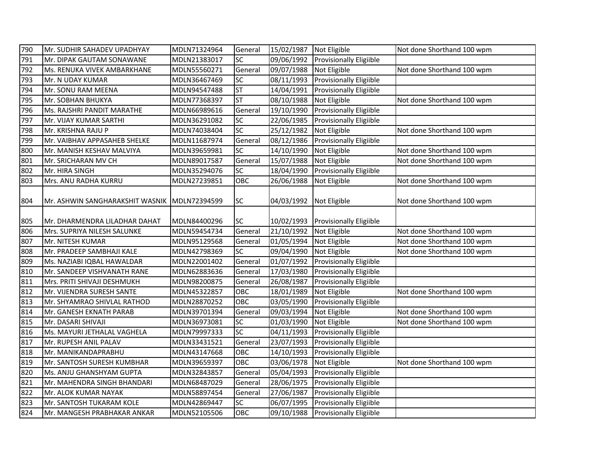| 790 | Mr. SUDHIR SAHADEV UPADHYAY                    | MDLN71324964 | General   | 15/02/1987 Not Eligible |                                    | Not done Shorthand 100 wpm |
|-----|------------------------------------------------|--------------|-----------|-------------------------|------------------------------------|----------------------------|
| 791 | Mr. DIPAK GAUTAM SONAWANE                      | MDLN21383017 | SC        | 09/06/1992              | Provisionally Eligiible            |                            |
| 792 | Ms. RENUKA VIVEK AMBARKHANE                    | MDLN55560271 | General   | 09/07/1988 Not Eligible |                                    | Not done Shorthand 100 wpm |
| 793 | Mr. N UDAY KUMAR                               | MDLN36467469 | SC        | 08/11/1993              | <b>Provisionally Eligiible</b>     |                            |
| 794 | Mr. SONU RAM MEENA                             | MDLN94547488 | <b>ST</b> | 14/04/1991              | <b>Provisionally Eligiible</b>     |                            |
| 795 | Mr. SOBHAN BHUKYA                              | MDLN77368397 | <b>ST</b> | 08/10/1988              | Not Eligible                       | Not done Shorthand 100 wpm |
| 796 | Ms. RAJSHRI PANDIT MARATHE                     | MDLN66989616 | General   | 19/10/1990              | Provisionally Eligiible            |                            |
| 797 | Mr. VIJAY KUMAR SARTHI                         | MDLN36291082 | <b>SC</b> | 22/06/1985              | <b>Provisionally Eligiible</b>     |                            |
| 798 | Mr. KRISHNA RAJU P                             | MDLN74038404 | <b>SC</b> | 25/12/1982              | Not Eligible                       | Not done Shorthand 100 wpm |
| 799 | Mr. VAIBHAV APPASAHEB SHELKE                   | MDLN11687974 | General   | 08/12/1986              | <b>Provisionally Eligiible</b>     |                            |
| 800 | Mr. MANISH KESHAV MALVIYA                      | MDLN39659981 | SC        | 14/10/1990              | Not Eligible                       | Not done Shorthand 100 wpm |
| 801 | Mr. SRICHARAN MV CH                            | MDLN89017587 | General   | 15/07/1988              | Not Eligible                       | Not done Shorthand 100 wpm |
| 802 | Mr. HIRA SINGH                                 | MDLN35294076 | SC        | 18/04/1990              | Provisionally Eligiible            |                            |
| 803 | Mrs. ANU RADHA KURRU                           | MDLN27239851 | OBC       | 26/06/1988              | Not Eligible                       | Not done Shorthand 100 wpm |
| 804 | Mr. ASHWIN SANGHARAKSHIT WASNIK   MDLN72394599 |              | <b>SC</b> | 04/03/1992              | Not Eligible                       | Not done Shorthand 100 wpm |
| 805 | Mr. DHARMENDRA LILADHAR DAHAT                  | MDLN84400296 | <b>SC</b> |                         | 10/02/1993 Provisionally Eligiible |                            |
| 806 | Mrs. SUPRIYA NILESH SALUNKE                    | MDLN59454734 | General   | 21/10/1992              | Not Eligible                       | Not done Shorthand 100 wpm |
| 807 | Mr. NITESH KUMAR                               | MDLN95129568 | General   | 01/05/1994              | Not Eligible                       | Not done Shorthand 100 wpm |
| 808 | Mr. PRADEEP SAMBHAJI KALE                      | MDLN42798369 | SC        | 09/04/1990              | Not Eligible                       | Not done Shorthand 100 wpm |
| 809 | Ms. NAZIABI IQBAL HAWALDAR                     | MDLN22001402 | General   |                         | 01/07/1992 Provisionally Eligiible |                            |
| 810 | Mr. SANDEEP VISHVANATH RANE                    | MDLN62883636 | General   | 17/03/1980              | <b>Provisionally Eligiible</b>     |                            |
| 811 | Mrs. PRITI SHIVAJI DESHMUKH                    | MDLN98200875 | General   | 26/08/1987              | Provisionally Eligiible            |                            |
| 812 | Mr. VIJENDRA SURESH SANTE                      | MDLN45322857 | OBC       | 18/01/1989              | Not Eligible                       | Not done Shorthand 100 wpm |
| 813 | Mr. SHYAMRAO SHIVLAL RATHOD                    | MDLN28870252 | OBC       | 03/05/1990              | Provisionally Eligiible            |                            |
| 814 | Mr. GANESH EKNATH PARAB                        | MDLN39701394 | General   | 09/03/1994              | Not Eligible                       | Not done Shorthand 100 wpm |
| 815 | Mr. DASARI SHIVAJI                             | MDLN36973081 | SC        | 01/03/1990              | Not Eligible                       | Not done Shorthand 100 wpm |
| 816 | Ms. MAYURI JETHALAL VAGHELA                    | MDLN79997333 | SC        | 04/11/1993              | <b>Provisionally Eligiible</b>     |                            |
| 817 | Mr. RUPESH ANIL PALAV                          | MDLN33431521 | General   | 23/07/1993              | <b>Provisionally Eligiible</b>     |                            |
| 818 | Mr. MANIKANDAPRABHU                            | MDLN43147668 | OBC       | 14/10/1993              | <b>Provisionally Eligiible</b>     |                            |
| 819 | Mr. SANTOSH SURESH KUMBHAR                     | MDLN39659397 | OBC       | 03/06/1978              | Not Eligible                       | Not done Shorthand 100 wpm |
| 820 | Ms. ANJU GHANSHYAM GUPTA                       | MDLN32843857 | General   | 05/04/1993              | Provisionally Eligiible            |                            |
| 821 | Mr. MAHENDRA SINGH BHANDARI                    | MDLN68487029 | General   | 28/06/1975              | Provisionally Eligiible            |                            |
| 822 | Mr. ALOK KUMAR NAYAK                           | MDLN58897454 | General   | 27/06/1987              | Provisionally Eligiible            |                            |
| 823 | Mr. SANTOSH TUKARAM KOLE                       | MDLN42869447 | <b>SC</b> | 06/07/1995              | Provisionally Eligiible            |                            |
| 824 | Mr. MANGESH PRABHAKAR ANKAR                    | MDLN52105506 | OBC       |                         | 09/10/1988 Provisionally Eligiible |                            |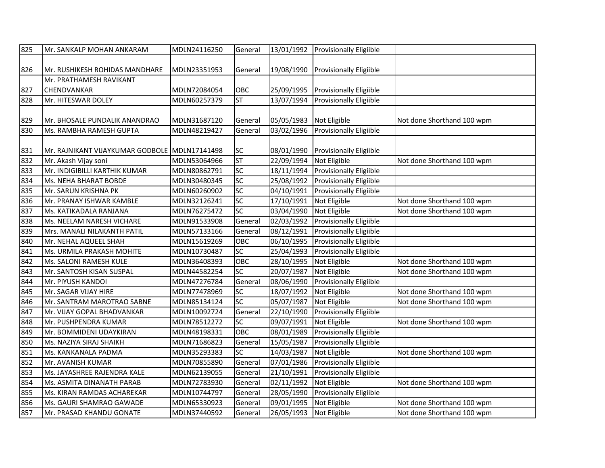| 825 | Mr. SANKALP MOHAN ANKARAM                     | MDLN24116250 | General         | 13/01/1992            | <b>Provisionally Eligiible</b> |                            |
|-----|-----------------------------------------------|--------------|-----------------|-----------------------|--------------------------------|----------------------------|
|     |                                               |              |                 |                       |                                |                            |
| 826 | Mr. RUSHIKESH ROHIDAS MANDHARE                | MDLN23351953 | General         | 19/08/1990            | <b>Provisionally Eligiible</b> |                            |
|     | Mr. PRATHAMESH RAVIKANT                       |              |                 |                       |                                |                            |
| 827 | <b>CHENDVANKAR</b>                            | MDLN72084054 | OBC             | 25/09/1995            | <b>Provisionally Eligiible</b> |                            |
| 828 | Mr. HITESWAR DOLEY                            | MDLN60257379 | <b>ST</b>       | 13/07/1994            | Provisionally Eligiible        |                            |
|     |                                               |              |                 |                       |                                |                            |
| 829 | Mr. BHOSALE PUNDALIK ANANDRAO                 | MDLN31687120 | General         | 05/05/1983            | Not Eligible                   | Not done Shorthand 100 wpm |
| 830 | Ms. RAMBHA RAMESH GUPTA                       | MDLN48219427 | General         | 03/02/1996            | Provisionally Eligiible        |                            |
|     |                                               |              |                 |                       |                                |                            |
| 831 | Mr. RAJNIKANT VIJAYKUMAR GODBOLE MDLN17141498 |              | SC              | 08/01/1990            | <b>Provisionally Eligiible</b> |                            |
| 832 | Mr. Akash Vijay soni                          | MDLN53064966 | ST              | 22/09/1994            | Not Eligible                   | Not done Shorthand 100 wpm |
| 833 | Mr. INDIGIBILLI KARTHIK KUMAR                 | MDLN80862791 | SC              | 18/11/1994            | Provisionally Eligiible        |                            |
| 834 | Ms. NEHA BHARAT BOBDE                         | MDLN30480345 | SC              | 25/08/1992            | <b>Provisionally Eligiible</b> |                            |
| 835 | Mr. SARUN KRISHNA PK                          | MDLN60260902 | $\overline{SC}$ | 04/10/1991            | <b>Provisionally Eligiible</b> |                            |
| 836 | Mr. PRANAY ISHWAR KAMBLE                      | MDLN32126241 | $\overline{SC}$ | $\frac{17}{10}$ /1991 | Not Eligible                   | Not done Shorthand 100 wpm |
| 837 | Ms. KATIKADALA RANJANA                        | MDLN76275472 | SC              | 03/04/1990            | Not Eligible                   | Not done Shorthand 100 wpm |
| 838 | Ms. NEELAM NARESH VICHARE                     | MDLN91533908 | General         | 02/03/1992            | Provisionally Eligiible        |                            |
| 839 | Mrs. MANALI NILAKANTH PATIL                   | MDLN57133166 | General         | 08/12/1991            | <b>Provisionally Eligiible</b> |                            |
| 840 | Mr. NEHAL AQUEEL SHAH                         | MDLN15619269 | OBC             | 06/10/1995            | <b>Provisionally Eligiible</b> |                            |
| 841 | Ms. URMILA PRAKASH MOHITE                     | MDLN10730487 | $\overline{SC}$ | 25/04/1993            | <b>Provisionally Eligiible</b> |                            |
| 842 | Ms. SALONI RAMESH KULE                        | MDLN36408393 | OBC             | 28/10/1995            | Not Eligible                   | Not done Shorthand 100 wpm |
| 843 | Mr. SANTOSH KISAN SUSPAL                      | MDLN44582254 | $\overline{SC}$ | 20/07/1987            | Not Eligible                   | Not done Shorthand 100 wpm |
| 844 | Mr. PIYUSH KANDOI                             | MDLN47276784 | General         | 08/06/1990            | Provisionally Eligiible        |                            |
| 845 | Mr. SAGAR VIJAY HIRE                          | MDLN77478969 | $\overline{SC}$ | 18/07/1992            | Not Eligible                   | Not done Shorthand 100 wpm |
| 846 | Mr. SANTRAM MAROTRAO SABNE                    | MDLN85134124 | $\overline{SC}$ | 05/07/1987            | Not Eligible                   | Not done Shorthand 100 wpm |
| 847 | Mr. VIJAY GOPAL BHADVANKAR                    | MDLN10092724 | General         | 22/10/1990            | <b>Provisionally Eligiible</b> |                            |
| 848 | Mr. PUSHPENDRA KUMAR                          | MDLN78512272 | SC              | 09/07/1991            | Not Eligible                   | Not done Shorthand 100 wpm |
| 849 | Mr. BOMMIDENI UDAYKIRAN                       | MDLN48198331 | OBC             | 08/01/1989            | Provisionally Eligiible        |                            |
| 850 | Ms. NAZIYA SIRAJ SHAIKH                       | MDLN71686823 | General         | 15/05/1987            | Provisionally Eligiible        |                            |
| 851 | Ms. KANKANALA PADMA                           | MDLN35293383 | <b>SC</b>       | 14/03/1987            | Not Eligible                   | Not done Shorthand 100 wpm |
| 852 | Mr. AVANISH KUMAR                             | MDLN70855890 | General         | 07/01/1986            | Provisionally Eligiible        |                            |
| 853 | Ms. JAYASHREE RAJENDRA KALE                   | MDLN62139055 | General         | 21/10/1991            | Provisionally Eligiible        |                            |
| 854 | Ms. ASMITA DINANATH PARAB                     | MDLN72783930 | General         | 02/11/1992            | Not Eligible                   | Not done Shorthand 100 wpm |
| 855 | Ms. KIRAN RAMDAS ACHAREKAR                    | MDLN10744797 | General         | 28/05/1990            | Provisionally Eligiible        |                            |
| 856 | Ms. GAURI SHAMRAO GAWADE                      | MDLN65330923 | General         | 09/01/1995            | Not Eligible                   | Not done Shorthand 100 wpm |
| 857 | Mr. PRASAD KHANDU GONATE                      | MDLN37440592 | General         | 26/05/1993            | Not Eligible                   | Not done Shorthand 100 wpm |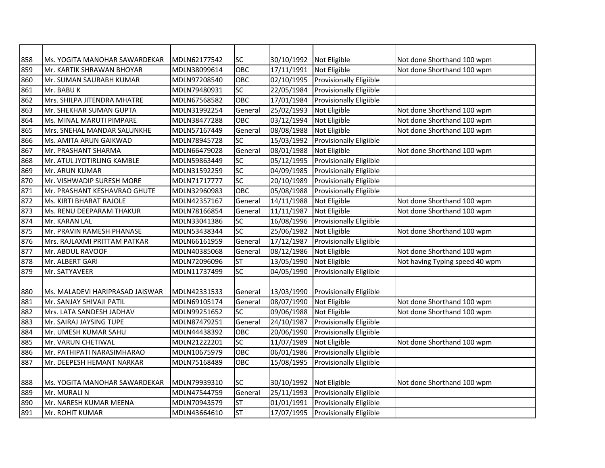| 858        | Ms. YOGITA MANOHAR SAWARDEKAR                               | MDLN62177542                 | <b>SC</b>          | 30/10/1992               | Not Eligible                                   | Not done Shorthand 100 wpm     |
|------------|-------------------------------------------------------------|------------------------------|--------------------|--------------------------|------------------------------------------------|--------------------------------|
| 859        | Mr. KARTIK SHRAWAN BHOYAR                                   | MDLN38099614                 | OBC                | 17/11/1991               | Not Eligible                                   | Not done Shorthand 100 wpm     |
| 860        | Mr. SUMAN SAURABH KUMAR                                     | MDLN97208540                 | OBC                | 02/10/1995               | Provisionally Eligiible                        |                                |
| 861        | Mr. BABU K                                                  | MDLN79480931                 | SC                 | 22/05/1984               | Provisionally Eligiible                        |                                |
| 862        | Mrs. SHILPA JITENDRA MHATRE                                 | MDLN67568582                 | OBC                | 17/01/1984               | Provisionally Eligiible                        |                                |
| 863        | Mr. SHEKHAR SUMAN GUPTA                                     | MDLN31992254                 | General            | 25/02/1993               | Not Eligible                                   | Not done Shorthand 100 wpm     |
| 864        | Ms. MINAL MARUTI PIMPARE                                    | MDLN38477288                 | OBC                | 03/12/1994               | Not Eligible                                   | Not done Shorthand 100 wpm     |
| 865        | Mrs. SNEHAL MANDAR SALUNKHE                                 | MDLN57167449                 | General            | 08/08/1988               | Not Eligible                                   | Not done Shorthand 100 wpm     |
| 866        | Ms. AMITA ARUN GAIKWAD                                      | MDLN78945728                 | SC                 | 15/03/1992               | Provisionally Eligiible                        |                                |
| 867        | Mr. PRASHANT SHARMA                                         | MDLN66479028                 | General            | 08/01/1988               | Not Eligible                                   | Not done Shorthand 100 wpm     |
| 868        | Mr. ATUL JYOTIRLING KAMBLE                                  | MDLN59863449                 | SC                 | 05/12/1995               | Provisionally Eligiible                        |                                |
| 869        | Mr. ARUN KUMAR                                              | MDLN31592259                 | SC                 | 04/09/1985               | Provisionally Eligiible                        |                                |
| 870        | Mr. VISHWADIP SURESH MORE                                   | MDLN71717777                 | <b>SC</b>          | 20/10/1989               | Provisionally Eligiible                        |                                |
| 871        | Mr. PRASHANT KESHAVRAO GHUTE                                | MDLN32960983                 | OBC                | 05/08/1988               | <b>Provisionally Eligiible</b>                 |                                |
| 872        | Ms. KIRTI BHARAT RAJOLE                                     | MDLN42357167                 | General            | 14/11/1988               | Not Eligible                                   | Not done Shorthand 100 wpm     |
| 873        | Ms. RENU DEEPARAM THAKUR                                    | MDLN78166854                 | General            | 11/11/1987               | Not Eligible                                   | Not done Shorthand 100 wpm     |
| 874        | Mr. KARAN LAL                                               | MDLN33041386                 | SC                 | 16/08/1996               | Provisionally Eligiible                        |                                |
| 875        | Mr. PRAVIN RAMESH PHANASE                                   | MDLN53438344                 | SC                 | 25/06/1982               | Not Eligible                                   | Not done Shorthand 100 wpm     |
| 876        | Mrs. RAJLAXMI PRITTAM PATKAR                                | MDLN66161959                 | General            | 17/12/1987               | <b>Provisionally Eligiible</b>                 |                                |
| 877        | Mr. ABDUL RAVOOF                                            | MDLN40385068                 | General            | 08/12/1986               | Not Eligible                                   | Not done Shorthand 100 wpm     |
| 878        | Mr. ALBERT GARI                                             | MDLN72096096                 | <b>ST</b>          | 13/05/1990               | Not Eligible                                   | Not having Typing speed 40 wpm |
| 879        | Mr. SATYAVEER                                               | MDLN11737499                 | SC                 | 04/05/1990               | Provisionally Eligiible                        |                                |
|            |                                                             |                              |                    |                          |                                                |                                |
| 880<br>881 | Ms. MALADEVI HARIPRASAD JAISWAR<br>Mr. SANJAY SHIVAJI PATIL | MDLN42331533<br>MDLN69105174 | General<br>General | 13/03/1990<br>08/07/1990 | <b>Provisionally Eligiible</b><br>Not Eligible | Not done Shorthand 100 wpm     |
| 882        | Mrs. LATA SANDESH JADHAV                                    | MDLN99251652                 | <b>SC</b>          | 09/06/1988               | Not Eligible                                   | Not done Shorthand 100 wpm     |
| 883        | Mr. SAIRAJ JAYSING TUPE                                     | MDLN87479251                 | General            | 24/10/1987               | Provisionally Eligiible                        |                                |
| 884        | Mr. UMESH KUMAR SAHU                                        | MDLN44438392                 | OBC                | 20/06/1990               | Provisionally Eligiible                        |                                |
| 885        | Mr. VARUN CHETIWAL                                          | MDLN21222201                 | <b>SC</b>          | 11/07/1989               | Not Eligible                                   | Not done Shorthand 100 wpm     |
| 886        | Mr. PATHIPATI NARASIMHARAO                                  | MDLN10675979                 | OBC                | 06/01/1986               | Provisionally Eligiible                        |                                |
| 887        |                                                             | MDLN75168489                 | OBC                | 15/08/1995               | Provisionally Eligiible                        |                                |
|            | Mr. DEEPESH HEMANT NARKAR                                   |                              |                    |                          |                                                |                                |
| 888        | Ms. YOGITA MANOHAR SAWARDEKAR                               | MDLN79939310                 | <b>SC</b>          | 30/10/1992               | Not Eligible                                   | Not done Shorthand 100 wpm     |
| 889        | Mr. MURALI N                                                | MDLN47544759                 | General            | 25/11/1993               | Provisionally Eligiible                        |                                |
| 890        | Mr. NARESH KUMAR MEENA                                      | MDLN70943579                 | <b>ST</b>          | 01/01/1991               | Provisionally Eligiible                        |                                |
| 891        | Mr. ROHIT KUMAR                                             | MDLN43664610                 | <b>ST</b>          | 17/07/1995               | <b>Provisionally Eligiible</b>                 |                                |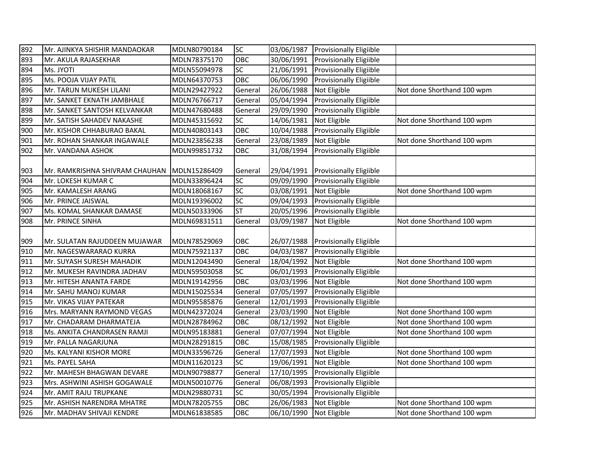| 892                              | Mr. AJINKYA SHISHIR MANDAOKAR  | MDLN80790184 | <b>SC</b>  | 03/06/1987 | <b>Provisionally Eligiible</b>     |                            |
|----------------------------------|--------------------------------|--------------|------------|------------|------------------------------------|----------------------------|
| 893                              | Mr. AKULA RAJASEKHAR           | MDLN78375170 | OBC        | 30/06/1991 | Provisionally Eligiible            |                            |
| 894                              | Ms. JYOTI                      | MDLN55094978 | SC         | 21/06/1991 | <b>Provisionally Eligiible</b>     |                            |
| 895                              | Ms. POOJA VIJAY PATIL          | MDLN64370753 | OBC        | 06/06/1990 | <b>Provisionally Eligiible</b>     |                            |
| 896                              | Mr. TARUN MUKESH LILANI        | MDLN29427922 | General    | 26/06/1988 | Not Eligible                       | Not done Shorthand 100 wpm |
| 897                              | Mr. SANKET EKNATH JAMBHALE     | MDLN76766717 | General    | 05/04/1994 | <b>Provisionally Eligiible</b>     |                            |
| 898                              | Mr. SANKET SANTOSH KELVANKAR   | MDLN47680488 | General    | 29/09/1990 | Provisionally Eligiible            |                            |
| 899                              | Mr. SATISH SAHADEV NAKASHE     | MDLN45315692 | SC         | 14/06/1981 | Not Eligible                       | Not done Shorthand 100 wpm |
| 900                              | Mr. KISHOR CHHABURAO BAKAL     | MDLN40803143 | OBC        | 10/04/1988 | Provisionally Eligiible            |                            |
| 901                              | Mr. ROHAN SHANKAR INGAWALE     | MDLN23856238 | General    | 23/08/1989 | Not Eligible                       | Not done Shorthand 100 wpm |
| 902                              | Mr. VANDANA ASHOK              | MDLN99851732 | OBC        | 31/08/1994 | <b>Provisionally Eligiible</b>     |                            |
|                                  |                                |              |            |            |                                    |                            |
| 903                              | Mr. RAMKRISHNA SHIVRAM CHAUHAN | MDLN15286409 | General    | 29/04/1991 | <b>Provisionally Eligiible</b>     |                            |
| 904                              | Mr. LOKESH KUMAR C             | MDLN33896424 | <b>SC</b>  | 09/09/1990 | <b>Provisionally Eligiible</b>     |                            |
| 905                              | Mr. KAMALESH ARANG             | MDLN18068167 | <b>SC</b>  | 03/08/1991 | Not Eligible                       | Not done Shorthand 100 wpm |
| 906                              | Mr. PRINCE JAISWAL             | MDLN19396002 | <b>SC</b>  | 09/04/1993 | <b>Provisionally Eligiible</b>     |                            |
| 907                              | Ms. KOMAL SHANKAR DAMASE       | MDLN50333906 | ST         | 20/05/1996 | <b>Provisionally Eligiible</b>     |                            |
| 908                              | Mr. PRINCE SINHA               | MDLN69831511 | General    | 03/09/1987 | Not Eligible                       | Not done Shorthand 100 wpm |
|                                  |                                |              |            |            |                                    |                            |
| 909                              | Mr. SULATAN RAJUDDEEN MUJAWAR  | MDLN78529069 | OBC        |            | 26/07/1988 Provisionally Eligiible |                            |
| 910                              | Mr. NAGESWARARAO KURRA         | MDLN75921137 | <b>OBC</b> | 04/03/1987 | Provisionally Eligiible            |                            |
| 911                              | Mr. SUYASH SURESH MAHADIK      | MDLN12043490 | General    | 18/04/1992 | Not Eligible                       | Not done Shorthand 100 wpm |
| 912                              | Mr. MUKESH RAVINDRA JADHAV     | MDLN59503058 | SC         | 06/01/1993 | Provisionally Eligiible            |                            |
| 913                              | Mr. HITESH ANANTA FARDE        | MDLN19142956 | OBC        | 03/03/1996 | Not Eligible                       | Not done Shorthand 100 wpm |
| 914                              | Mr. SAHU MANOJ KUMAR           | MDLN15025534 | General    | 07/05/1997 | Provisionally Eligiible            |                            |
| 915                              | Mr. VIKAS VIJAY PATEKAR        | MDLN95585876 | General    | 12/01/1993 | Provisionally Eligiible            |                            |
| 916                              | Mrs. MARYANN RAYMOND VEGAS     | MDLN42372024 | General    | 23/03/1990 | Not Eligible                       | Not done Shorthand 100 wpm |
| 917                              | Mr. CHADARAM DHARMATEJA        | MDLN28784962 | OBC        | 08/12/1992 | Not Eligible                       | Not done Shorthand 100 wpm |
| 918                              | Ms. ANKITA CHANDRASEN RAMJI    | MDLN95183881 | General    | 07/07/1994 | Not Eligible                       | Not done Shorthand 100 wpm |
| 919                              | Mr. PALLA NAGARJUNA            | MDLN28291815 | OBC        | 15/08/1985 | <b>Provisionally Eligiible</b>     |                            |
| 920                              | Ms. KALYANI KISHOR MORE        | MDLN33596726 | General    | 17/07/1993 | Not Eligible                       | Not done Shorthand 100 wpm |
| 921                              | Ms. PAYEL SAHA                 | MDLN11620123 | <b>SC</b>  | 19/06/1991 | Not Eligible                       | Not done Shorthand 100 wpm |
| 922                              | Mr. MAHESH BHAGWAN DEVARE      | MDLN90798877 | General    | 17/10/1995 | Provisionally Eligiible            |                            |
| 923                              | Mrs. ASHWINI ASHISH GOGAWALE   | MDLN50010776 | General    | 06/08/1993 | Provisionally Eligiible            |                            |
| 924                              | Mr. AMIT RAJU TRUPKANE         | MDLN29880731 | <b>SC</b>  | 30/05/1994 | <b>Provisionally Eligiible</b>     |                            |
| 925                              | Mr. ASHISH NARENDRA MHATRE     | MDLN78205755 | OBC        | 26/06/1983 | Not Eligible                       | Not done Shorthand 100 wpm |
| 926<br>Mr. MADHAV SHIVAJI KENDRE |                                | MDLN61838585 | OBC        | 06/10/1990 | Not Eligible                       | Not done Shorthand 100 wpm |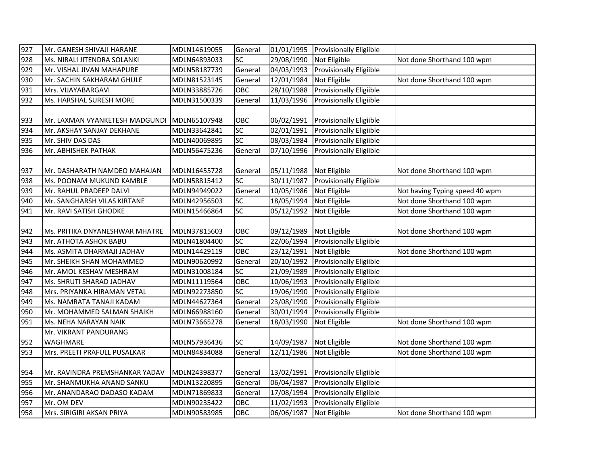| 927 | Mr. GANESH SHIVAJI HARANE      | MDLN14619055 | General    |                         | 01/01/1995 Provisionally Eligiible |                                |
|-----|--------------------------------|--------------|------------|-------------------------|------------------------------------|--------------------------------|
| 928 | Ms. NIRALI JITENDRA SOLANKI    | MDLN64893033 | SC         | 29/08/1990              | Not Eligible                       | Not done Shorthand 100 wpm     |
| 929 | Mr. VISHAL JIVAN MAHAPURE      | MDLN58187739 | General    | 04/03/1993              | Provisionally Eligiible            |                                |
| 930 | Mr. SACHIN SAKHARAM GHULE      | MDLN81523145 | General    | 12/01/1984              | Not Eligible                       | Not done Shorthand 100 wpm     |
| 931 | Mrs. VIJAYABARGAVI             | MDLN33885726 | OBC        | 28/10/1988              | Provisionally Eligiible            |                                |
| 932 | Ms. HARSHAL SURESH MORE        | MDLN31500339 | General    | 11/03/1996              | Provisionally Eligiible            |                                |
|     |                                |              |            |                         |                                    |                                |
| 933 | Mr. LAXMAN VYANKETESH MADGUNDI | MDLN65107948 | OBC        | 06/02/1991              | <b>Provisionally Eligiible</b>     |                                |
| 934 | Mr. AKSHAY SANJAY DEKHANE      | MDLN33642841 | SC         | 02/01/1991              | Provisionally Eligiible            |                                |
| 935 | Mr. SHIV DAS DAS               | MDLN40069895 | SC         | 08/03/1984              | <b>Provisionally Eligiible</b>     |                                |
| 936 | Mr. ABHISHEK PATHAK            | MDLN56475236 | General    | 07/10/1996              | <b>Provisionally Eligiible</b>     |                                |
| 937 | Mr. DASHARATH NAMDEO MAHAJAN   | MDLN16455728 | General    | 05/11/1988 Not Eligible |                                    | Not done Shorthand 100 wpm     |
| 938 | Ms. POONAM MUKUND KAMBLE       | MDLN58815412 | SC         | 30/11/1987              | <b>Provisionally Eligiible</b>     |                                |
| 939 | Mr. RAHUL PRADEEP DALVI        | MDLN94949022 | General    | 10/05/1986              | Not Eligible                       | Not having Typing speed 40 wpm |
| 940 | Mr. SANGHARSH VILAS KIRTANE    | MDLN42956503 | SC         | 18/05/1994              | Not Eligible                       | Not done Shorthand 100 wpm     |
| 941 | Mr. RAVI SATISH GHODKE         | MDLN15466864 | <b>SC</b>  | 05/12/1992              | Not Eligible                       | Not done Shorthand 100 wpm     |
|     |                                |              |            |                         |                                    |                                |
| 942 | Ms. PRITIKA DNYANESHWAR MHATRE | MDLN37815603 | OBC        | 09/12/1989              | Not Eligible                       | Not done Shorthand 100 wpm     |
| 943 | Mr. ATHOTA ASHOK BABU          | MDLN41804400 | SC         | 22/06/1994              | <b>Provisionally Eligiible</b>     |                                |
| 944 | Ms. ASMITA DHARMAJI JADHAV     | MDLN14429119 | OBC        | 23/12/1991              | Not Eligible                       | Not done Shorthand 100 wpm     |
| 945 | Mr. SHEIKH SHAN MOHAMMED       | MDLN90620992 | General    | 20/10/1992              | Provisionally Eligiible            |                                |
| 946 | Mr. AMOL KESHAV MESHRAM        | MDLN31008184 | SC         | 21/09/1989              | Provisionally Eligiible            |                                |
| 947 | Ms. SHRUTI SHARAD JADHAV       | MDLN11119564 | OBC        | 10/06/1993              | <b>Provisionally Eligiible</b>     |                                |
| 948 | Mrs. PRIYANKA HIRAMAN VETAL    | MDLN92273850 | SC         | 19/06/1990              | <b>Provisionally Eligiible</b>     |                                |
| 949 | Ms. NAMRATA TANAJI KADAM       | MDLN44627364 | General    | 23/08/1990              | <b>Provisionally Eligiible</b>     |                                |
| 950 | Mr. MOHAMMED SALMAN SHAIKH     | MDLN66988160 | General    | 30/01/1994              | Provisionally Eligiible            |                                |
| 951 | Ms. NEHA NARAYAN NAIK          | MDLN73665278 | General    | 18/03/1990              | Not Eligible                       | Not done Shorthand 100 wpm     |
|     | Mr. VIKRANT PANDURANG          |              |            |                         |                                    |                                |
| 952 | <b>WAGHMARE</b>                | MDLN57936436 | <b>SC</b>  | 14/09/1987              | Not Eligible                       | Not done Shorthand 100 wpm     |
| 953 | Mrs. PREETI PRAFULL PUSALKAR   | MDLN84834088 | General    | 12/11/1986              | Not Eligible                       | Not done Shorthand 100 wpm     |
|     |                                |              |            |                         |                                    |                                |
| 954 | Mr. RAVINDRA PREMSHANKAR YADAV | MDLN24398377 | General    | 13/02/1991              | <b>Provisionally Eligiible</b>     |                                |
| 955 | Mr. SHANMUKHA ANAND SANKU      | MDLN13220895 | General    | 06/04/1987              | Provisionally Eligiible            |                                |
| 956 | Mr. ANANDARAO DADASO KADAM     | MDLN71869833 | General    | 17/08/1994              | <b>Provisionally Eligiible</b>     |                                |
| 957 | Mr. OM DEV                     | MDLN90235422 | OBC        | 11/02/1993              | Provisionally Eligiible            |                                |
| 958 | Mrs. SIRIGIRI AKSAN PRIYA      | MDLN90583985 | <b>OBC</b> | 06/06/1987              | Not Eligible                       | Not done Shorthand 100 wpm     |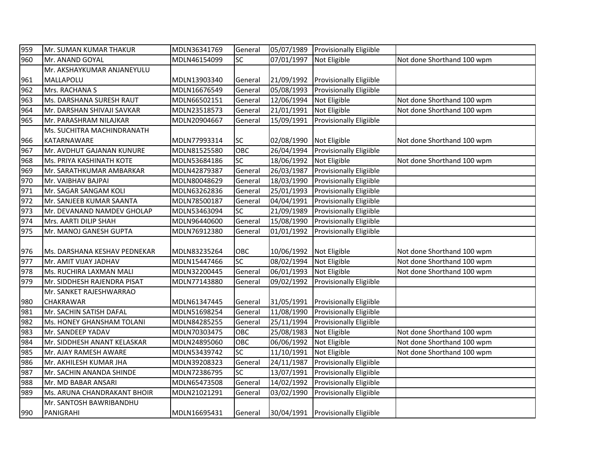| 959 | Mr. SUMAN KUMAR THAKUR            | MDLN36341769 | General   |                         | 05/07/1989 Provisionally Eligiible |                            |
|-----|-----------------------------------|--------------|-----------|-------------------------|------------------------------------|----------------------------|
| 960 | Mr. ANAND GOYAL                   | MDLN46154099 | SC        | 07/01/1997              | Not Eligible                       | Not done Shorthand 100 wpm |
|     | Mr. AKSHAYKUMAR ANJANEYULU        |              |           |                         |                                    |                            |
| 961 | MALLAPOLU                         | MDLN13903340 | General   | 21/09/1992              | <b>Provisionally Eligiible</b>     |                            |
| 962 | Mrs. RACHANA S                    | MDLN16676549 | General   | 05/08/1993              | <b>Provisionally Eligiible</b>     |                            |
| 963 | Ms. DARSHANA SURESH RAUT          | MDLN66502151 | General   | 12/06/1994              | Not Eligible                       | Not done Shorthand 100 wpm |
| 964 | Mr. DARSHAN SHIVAJI SAVKAR        | MDLN23518573 | General   | 21/01/1991              | Not Eligible                       | Not done Shorthand 100 wpm |
| 965 | Mr. PARASHRAM NILAJKAR            | MDLN20904667 | General   | 15/09/1991              | <b>Provisionally Eligiible</b>     |                            |
|     | <b>Ms. SUCHITRA MACHINDRANATH</b> |              |           |                         |                                    |                            |
| 966 | KATARNAWARE                       | MDLN77993314 | <b>SC</b> | 02/08/1990              | Not Eligible                       | Not done Shorthand 100 wpm |
| 967 | Mr. AVDHUT GAJANAN KUNURE         | MDLN81525580 | OBC       | 26/04/1994              | <b>Provisionally Eligiible</b>     |                            |
| 968 | Ms. PRIYA KASHINATH KOTE          | MDLN53684186 | SC        | 18/06/1992              | Not Eligible                       | Not done Shorthand 100 wpm |
| 969 | Mr. SARATHKUMAR AMBARKAR          | MDLN42879387 | General   | 26/03/1987              | Provisionally Eligiible            |                            |
| 970 | Mr. VAIBHAV BAJPAI                | MDLN80048629 | General   | 18/03/1990              | <b>Provisionally Eligiible</b>     |                            |
| 971 | Mr. SAGAR SANGAM KOLI             | MDLN63262836 | General   | 25/01/1993              | <b>Provisionally Eligiible</b>     |                            |
| 972 | Mr. SANJEEB KUMAR SAANTA          | MDLN78500187 | General   | 04/04/1991              | <b>Provisionally Eligiible</b>     |                            |
| 973 | Mr. DEVANAND NAMDEV GHOLAP        | MDLN53463094 | SC        | 21/09/1989              | Provisionally Eligiible            |                            |
| 974 | Mrs. AARTI DILIP SHAH             | MDLN96440600 | General   | 15/08/1990              | Provisionally Eligiible            |                            |
| 975 | Mr. MANOJ GANESH GUPTA            | MDLN76912380 | General   | 01/01/1992              | <b>Provisionally Eligiible</b>     |                            |
|     |                                   |              |           |                         |                                    |                            |
| 976 | Ms. DARSHANA KESHAV PEDNEKAR      | MDLN83235264 | OBC       | 10/06/1992 Not Eligible |                                    | Not done Shorthand 100 wpm |
| 977 | Mr. AMIT VIJAY JADHAV             | MDLN15447466 | SC        | 08/02/1994              | Not Eligible                       | Not done Shorthand 100 wpm |
| 978 | Ms. RUCHIRA LAXMAN MALI           | MDLN32200445 | General   | 06/01/1993              | Not Eligible                       | Not done Shorthand 100 wpm |
| 979 | Mr. SIDDHESH RAJENDRA PISAT       | MDLN77143880 | General   | 09/02/1992              | <b>Provisionally Eligiible</b>     |                            |
|     | Mr. SANKET RAJESHWARRAO           |              |           |                         |                                    |                            |
| 980 | <b>CHAKRAWAR</b>                  | MDLN61347445 | General   | 31/05/1991              | <b>Provisionally Eligiible</b>     |                            |
| 981 | Mr. SACHIN SATISH DAFAL           | MDLN51698254 | General   | 11/08/1990              | Provisionally Eligiible            |                            |
| 982 | Ms. HONEY GHANSHAM TOLANI         | MDLN84285255 | General   | 25/11/1994              | <b>Provisionally Eligiible</b>     |                            |
| 983 | Mr. SANDEEP YADAV                 | MDLN70303475 | OBC       | 25/08/1983              | Not Eligible                       | Not done Shorthand 100 wpm |
| 984 | Mr. SIDDHESH ANANT KELASKAR       | MDLN24895060 | OBC       | 06/06/1992              | Not Eligible                       | Not done Shorthand 100 wpm |
| 985 | Mr. AJAY RAMESH AWARE             | MDLN53439742 | <b>SC</b> | 11/10/1991              | Not Eligible                       | Not done Shorthand 100 wpm |
| 986 | Mr. AKHILESH KUMAR JHA            | MDLN39208323 | General   | 24/11/1987              | <b>Provisionally Eligiible</b>     |                            |
| 987 | Mr. SACHIN ANANDA SHINDE          | MDLN72386795 | SC        | 13/07/1991              | Provisionally Eligiible            |                            |
| 988 | Mr. MD BABAR ANSARI               | MDLN65473508 | General   | 14/02/1992              | Provisionally Eligiible            |                            |
| 989 | Ms. ARUNA CHANDRAKANT BHOIR       | MDLN21021291 | General   | 03/02/1990              | <b>Provisionally Eligiible</b>     |                            |
|     | Mr. SANTOSH BAWRIBANDHU           |              |           |                         |                                    |                            |
| 990 | PANIGRAHI                         | MDLN16695431 | General   |                         | 30/04/1991 Provisionally Eligiible |                            |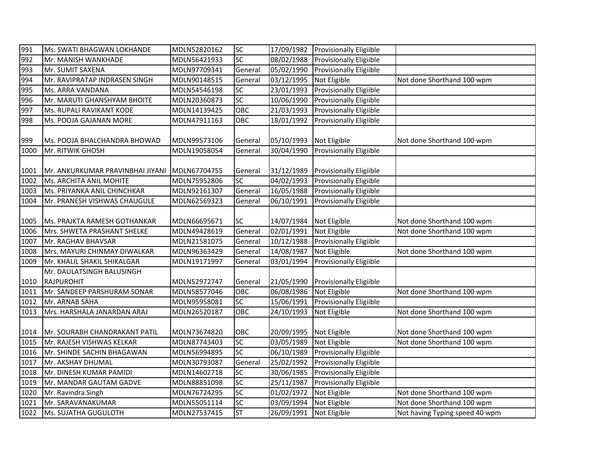| 991  | Ms. SWATI BHAGWAN LOKHANDE       | MDLN52820162 | <b>SC</b> | 17/09/1982              | <b>Provisionally Eligiible</b> |                                |
|------|----------------------------------|--------------|-----------|-------------------------|--------------------------------|--------------------------------|
| 992  | Mr. MANISH WANKHADE              | MDLN56421933 | SC        | 08/02/1988              | Provisionally Eligiible        |                                |
| 993  | Mr. SUMIT SAXENA                 | MDLN97709341 | General   | 05/02/1990              | <b>Provisionally Eligiible</b> |                                |
| 994  | Mr. RAVIPRATAP INDRASEN SINGH    | MDLN90148515 | General   | 03/12/1995              | Not Eligible                   | Not done Shorthand 100 wpm     |
| 995  | Ms. ARRA VANDANA                 | MDLN54546198 | SC        | 23/01/1993              | Provisionally Eligiible        |                                |
| 996  | Mr. MARUTI GHANSHYAM BHOITE      | MDLN20360873 | <b>SC</b> | 10/06/1990              | Provisionally Eligiible        |                                |
| 997  | Ms. RUPALI RAVIKANT KODE         | MDLN14139425 | OBC       | 21/03/1993              | <b>Provisionally Eligiible</b> |                                |
| 998  | Ms. POOJA GAJANAN MORE           | MDLN47911163 | OBC       | 18/01/1992              | <b>Provisionally Eligiible</b> |                                |
|      |                                  |              |           |                         |                                |                                |
| 999  | Ms. POOJA BHALCHANDRA BHOWAD     | MDLN99573106 | General   | 05/10/1993              | Not Eligible                   | Not done Shorthand 100 wpm     |
| 1000 | Mr. RITWIK GHOSH                 | MDLN19058054 | General   | 30/04/1990              | Provisionally Eligiible        |                                |
|      |                                  |              |           |                         |                                |                                |
| 1001 | Mr. ANKURKUMAR PRAVINBHAI JIYANI | MDLN67704755 | General   | 31/12/1989              | <b>Provisionally Eligiible</b> |                                |
| 1002 | Ms. ARCHITA ANIL MOHITE          | MDLN75952806 | SC        | 04/02/1993              | <b>Provisionally Eligiible</b> |                                |
| 1003 | Ms. PRIYANKA ANIL CHINCHKAR      | MDLN92161307 | General   | 16/05/1988              | <b>Provisionally Eligiible</b> |                                |
| 1004 | Mr. PRANESH VISHWAS CHAUGULE     | MDLN62569323 | General   | 06/10/1991              | <b>Provisionally Eligiible</b> |                                |
|      |                                  |              |           |                         |                                |                                |
| 1005 | Ms. PRAJKTA RAMESH GOTHANKAR     | MDLN66695671 | <b>SC</b> | 14/07/1984 Not Eligible |                                | Not done Shorthand 100 wpm     |
| 1006 | Mrs. SHWETA PRASHANT SHELKE      | MDLN49428619 | General   | 02/01/1991              | Not Eligible                   | Not done Shorthand 100 wpm     |
| 1007 | Mr. RAGHAV BHAVSAR               | MDLN21581075 | General   | 10/12/1988              | <b>Provisionally Eligiible</b> |                                |
| 1008 | Mrs. MAYURI CHINMAY DIWALKAR     | MDLN96363429 | General   | 14/08/1987              | Not Eligible                   | Not done Shorthand 100 wpm     |
| 1009 | Mr. KHALIL SHAKIL SHIKALGAR      | MDLN19171997 | General   | 03/01/1994              | <b>Provisionally Eligiible</b> |                                |
|      | Mr. DAULATSINGH BALUSINGH        |              |           |                         |                                |                                |
| 1010 | RAJPUROHIT                       | MDLN52972747 | General   | 21/05/1990              | <b>Provisionally Eligiible</b> |                                |
| 1011 | Mr. SANDEEP PARSHURAM SONAR      | MDLN58577046 | OBC       | 06/08/1986              | Not Eligible                   | Not done Shorthand 100 wpm     |
| 1012 | Mr. ARNAB SAHA                   | MDLN95958081 | <b>SC</b> | 15/06/1991              | Provisionally Eligiible        |                                |
| 1013 | Mrs. HARSHALA JANARDAN ARAJ      | MDLN26520187 | OBC       | 24/10/1993              | Not Eligible                   | Not done Shorthand 100 wpm     |
|      |                                  |              |           |                         |                                |                                |
| 1014 | Mr. SOURABH CHANDRAKANT PATIL    | MDLN73674820 | OBC       | 20/09/1995              | Not Eligible                   | Not done Shorthand 100 wpm     |
| 1015 | Mr. RAJESH VISHWAS KELKAR        | MDLN87743403 | SC        | 03/05/1989              | Not Eligible                   | Not done Shorthand 100 wpm     |
| 1016 | Mr. SHINDE SACHIN BHAGAWAN       | MDLN56994895 | <b>SC</b> | 06/10/1989              | Provisionally Eligiible        |                                |
| 1017 | Mr. AKSHAY DHUMAL                | MDLN30793087 | General   | 25/02/1992              | Provisionally Eligiible        |                                |
| 1018 | Mr. DINESH KUMAR PAMIDI          | MDLN14602718 | SC        | 30/06/1985              | Provisionally Eligiible        |                                |
| 1019 | Mr. MANDAR GAUTAM GADVE          | MDLN88851098 | SC        | 25/11/1987              | Provisionally Eligiible        |                                |
| 1020 | Mr. Ravindra Singh               | MDLN76724295 | <b>SC</b> | 01/02/1972              | Not Eligible                   | Not done Shorthand 100 wpm     |
| 1021 | Mr. SARAVANAKUMAR                | MDLN55051114 | SC        | 03/09/1994              | Not Eligible                   | Not done Shorthand 100 wpm     |
| 1022 | Ms. SUJATHA GUGULOTH             | MDLN27537415 | <b>ST</b> | 26/09/1991              | Not Eligible                   | Not having Typing speed 40 wpm |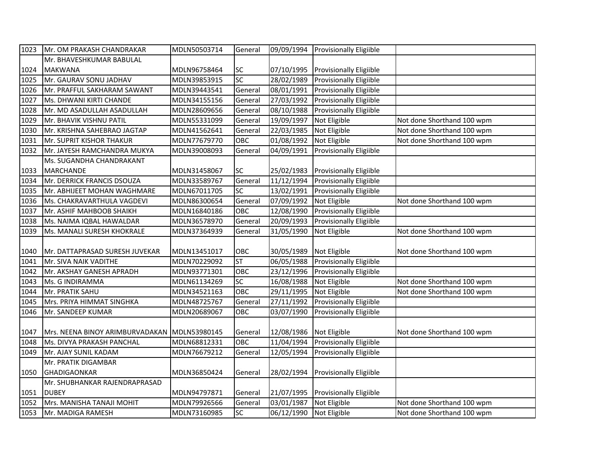| 1023 | Mr. OM PRAKASH CHANDRAKAR                    | MDLN50503714 | General         | 09/09/1994 | <b>Provisionally Eligiible</b> |                            |
|------|----------------------------------------------|--------------|-----------------|------------|--------------------------------|----------------------------|
|      | Mr. BHAVESHKUMAR BABULAL                     |              |                 |            |                                |                            |
| 1024 | <b>MAKWANA</b>                               | MDLN96758464 | SC              | 07/10/1995 | Provisionally Eligiible        |                            |
| 1025 | Mr. GAURAV SONU JADHAV                       | MDLN39853915 | $\overline{SC}$ | 28/02/1989 | Provisionally Eligiible        |                            |
| 1026 | Mr. PRAFFUL SAKHARAM SAWANT                  | MDLN39443541 | General         | 08/01/1991 | <b>Provisionally Eligiible</b> |                            |
| 1027 | <b>Ms. DHWANI KIRTI CHANDE</b>               | MDLN34155156 | General         | 27/03/1992 | Provisionally Eligiible        |                            |
| 1028 | Mr. MD ASADULLAH ASADULLAH                   | MDLN28609656 | General         | 08/10/1988 | <b>Provisionally Eligiible</b> |                            |
| 1029 | Mr. BHAVIK VISHNU PATIL                      | MDLN55331099 | General         | 19/09/1997 | Not Eligible                   | Not done Shorthand 100 wpm |
| 1030 | Mr. KRISHNA SAHEBRAO JAGTAP                  | MDLN41562641 | General         | 22/03/1985 | Not Eligible                   | Not done Shorthand 100 wpm |
| 1031 | Mr. SUPRIT KISHOR THAKUR                     | MDLN77679770 | OBC             | 01/08/1992 | Not Eligible                   | Not done Shorthand 100 wpm |
| 1032 | Mr. JAYESH RAMCHANDRA MUKYA                  | MDLN39008093 | General         | 04/09/1991 | Provisionally Eligiible        |                            |
|      | Ms. SUGANDHA CHANDRAKANT                     |              |                 |            |                                |                            |
| 1033 | <b>MARCHANDE</b>                             | MDLN31458067 | SC              | 25/02/1983 | <b>Provisionally Eligiible</b> |                            |
| 1034 | Mr. DERRICK FRANCIS DSOUZA                   | MDLN33589767 | General         | 11/12/1994 | Provisionally Eligiible        |                            |
| 1035 | Mr. ABHIJEET MOHAN WAGHMARE                  | MDLN67011705 | SC              | 13/02/1991 | <b>Provisionally Eligiible</b> |                            |
| 1036 | Ms. CHAKRAVARTHULA VAGDEVI                   | MDLN86300654 | General         | 07/09/1992 | Not Eligible                   | Not done Shorthand 100 wpm |
| 1037 | Mr. ASHIF MAHBOOB SHAIKH                     | MDLN16840186 | OBC             | 12/08/1990 | Provisionally Eligiible        |                            |
| 1038 | Ms. NAIMA IQBAL HAWALDAR                     | MDLN36578970 | General         | 20/09/1993 | Provisionally Eligiible        |                            |
| 1039 | Ms. MANALI SURESH KHOKRALE                   | MDLN37364939 | General         | 31/05/1990 | Not Eligible                   | Not done Shorthand 100 wpm |
|      |                                              |              |                 |            |                                |                            |
| 1040 | Mr. DATTAPRASAD SURESH JUVEKAR               | MDLN13451017 | OBC             | 30/05/1989 | Not Eligible                   | Not done Shorthand 100 wpm |
| 1041 | Mr. SIVA NAIK VADITHE                        | MDLN70229092 | <b>ST</b>       | 06/05/1988 | Provisionally Eligiible        |                            |
| 1042 | Mr. AKSHAY GANESH APRADH                     | MDLN93771301 | OBC             | 23/12/1996 | <b>Provisionally Eligiible</b> |                            |
| 1043 | Ms. G INDIRAMMA                              | MDLN61134269 | SC              | 16/08/1988 | Not Eligible                   | Not done Shorthand 100 wpm |
| 1044 | Mr. PRATIK SAHU                              | MDLN34521163 | OBC             | 29/11/1995 | Not Eligible                   | Not done Shorthand 100 wpm |
| 1045 | Mrs. PRIYA HIMMAT SINGHKA                    | MDLN48725767 | General         | 27/11/1992 | Provisionally Eligiible        |                            |
| 1046 | Mr. SANDEEP KUMAR                            | MDLN20689067 | OBC             | 03/07/1990 | <b>Provisionally Eligiible</b> |                            |
|      |                                              |              |                 |            |                                |                            |
| 1047 | Mrs. NEENA BINOY ARIMBURVADAKAN MDLN53980145 |              | General         | 12/08/1986 | Not Eligible                   | Not done Shorthand 100 wpm |
| 1048 | Ms. DIVYA PRAKASH PANCHAL                    | MDLN68812331 | OBC             | 11/04/1994 | Provisionally Eligiible        |                            |
| 1049 | Mr. AJAY SUNIL KADAM                         | MDLN76679212 | General         | 12/05/1994 | <b>Provisionally Eligiible</b> |                            |
|      | Mr. PRATIK DIGAMBAR                          |              |                 |            |                                |                            |
| 1050 | <b>GHADIGAONKAR</b>                          | MDLN36850424 | General         | 28/02/1994 | <b>Provisionally Eligiible</b> |                            |
|      | Mr. SHUBHANKAR RAJENDRAPRASAD                |              |                 |            |                                |                            |
| 1051 | <b>DUBEY</b>                                 | MDLN94797871 | General         | 21/07/1995 | <b>Provisionally Eligiible</b> |                            |
| 1052 | Mrs. MANISHA TANAJI MOHIT                    | MDLN79926566 | General         | 03/01/1987 | Not Eligible                   | Not done Shorthand 100 wpm |
| 1053 | Mr. MADIGA RAMESH                            | MDLN73160985 | <b>SC</b>       | 06/12/1990 | Not Eligible                   | Not done Shorthand 100 wpm |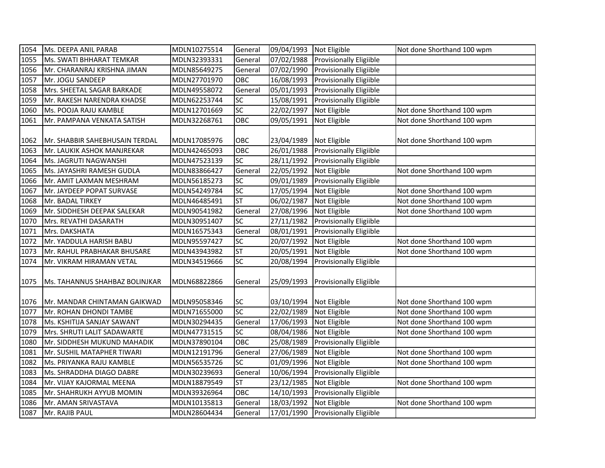| 1054 | Ms. DEEPA ANIL PARAB           | MDLN10275514 | General         | 09/04/1993 Not Eligible |                                    | Not done Shorthand 100 wpm |
|------|--------------------------------|--------------|-----------------|-------------------------|------------------------------------|----------------------------|
| 1055 | Ms. SWATI BHHARAT TEMKAR       | MDLN32393331 | General         | 07/02/1988              | <b>Provisionally Eligiible</b>     |                            |
| 1056 | Mr. CHARANRAJ KRISHNA JIMAN    | MDLN85649275 | General         | 07/02/1990              | <b>Provisionally Eligiible</b>     |                            |
| 1057 | Mr. JOGU SANDEEP               | MDLN27701970 | OBC             | 16/08/1993              | <b>Provisionally Eligiible</b>     |                            |
| 1058 | Mrs. SHEETAL SAGAR BARKADE     | MDLN49558072 | General         | 05/01/1993              | Provisionally Eligiible            |                            |
| 1059 | Mr. RAKESH NARENDRA KHADSE     | MDLN62253744 | SC              | 15/08/1991              | <b>Provisionally Eligiible</b>     |                            |
| 1060 | Ms. POOJA RAJU KAMBLE          | MDLN12701669 | SC              | 22/02/1997              | Not Eligible                       | Not done Shorthand 100 wpm |
| 1061 | Mr. PAMPANA VENKATA SATISH     | MDLN32268761 | OBC             | 09/05/1991              | Not Eligible                       | Not done Shorthand 100 wpm |
|      |                                |              |                 |                         |                                    |                            |
| 1062 | Mr. SHABBIR SAHEBHUSAIN TERDAL | MDLN17085976 | OBC             | 23/04/1989              | Not Eligible                       | Not done Shorthand 100 wpm |
| 1063 | Mr. LAUKIK ASHOK MANJREKAR     | MDLN42465093 | OBC             | 26/01/1988              | Provisionally Eligiible            |                            |
| 1064 | Ms. JAGRUTI NAGWANSHI          | MDLN47523139 | SC              |                         | 28/11/1992 Provisionally Eligiible |                            |
| 1065 | Ms. JAYASHRI RAMESH GUDLA      | MDLN83866427 | General         | 22/05/1992              | Not Eligible                       | Not done Shorthand 100 wpm |
| 1066 | Mr. AMIT LAXMAN MESHRAM        | MDLN56185273 | SC              | 09/01/1989              | Provisionally Eligiible            |                            |
| 1067 | Mr. JAYDEEP POPAT SURVASE      | MDLN54249784 | SC              | 17/05/1994              | Not Eligible                       | Not done Shorthand 100 wpm |
| 1068 | Mr. BADAL TIRKEY               | MDLN46485491 | ST              | 06/02/1987              | Not Eligible                       | Not done Shorthand 100 wpm |
| 1069 | Mr. SIDDHESH DEEPAK SALEKAR    | MDLN90541982 | General         | 27/08/1996              | Not Eligible                       | Not done Shorthand 100 wpm |
| 1070 | Mrs. REVATHI DASARATH          | MDLN30951407 | SC              | 27/11/1982              | Provisionally Eligiible            |                            |
| 1071 | Mrs. DAKSHATA                  | MDLN16575343 | General         | 08/01/1991              | <b>Provisionally Eligiible</b>     |                            |
| 1072 | Mr. YADDULA HARISH BABU        | MDLN95597427 | SC              | 20/07/1992              | Not Eligible                       | Not done Shorthand 100 wpm |
| 1073 | Mr. RAHUL PRABHAKAR BHUSARE    | MDLN43943982 | <b>ST</b>       | 20/05/1991              | Not Eligible                       | Not done Shorthand 100 wpm |
| 1074 | Mr. VIKRAM HIRAMAN VETAL       | MDLN34519666 | SC              | 20/08/1994              | Provisionally Eligiible            |                            |
|      |                                |              |                 |                         |                                    |                            |
| 1075 | Ms. TAHANNUS SHAHBAZ BOLINJKAR | MDLN68822866 | General         | 25/09/1993              | <b>Provisionally Eligiible</b>     |                            |
|      |                                |              |                 |                         |                                    |                            |
| 1076 | Mr. MANDAR CHINTAMAN GAIKWAD   | MDLN95058346 | <b>SC</b>       | 03/10/1994              | Not Eligible                       | Not done Shorthand 100 wpm |
| 1077 | Mr. ROHAN DHONDI TAMBE         | MDLN71655000 | $\overline{SC}$ | 22/02/1989              | Not Eligible                       | Not done Shorthand 100 wpm |
| 1078 | Ms. KSHITIJA SANJAY SAWANT     | MDLN30294435 | General         | 17/06/1993              | Not Eligible                       | Not done Shorthand 100 wpm |
| 1079 | Mrs. SHRUTI LALIT SADAWARTE    | MDLN47731515 | SC              | 08/04/1986              | Not Eligible                       | Not done Shorthand 100 wpm |
| 1080 | Mr. SIDDHESH MUKUND MAHADIK    | MDLN37890104 | OBC             | 25/08/1989              | Provisionally Eligiible            |                            |
| 1081 | Mr. SUSHIL MATAPHER TIWARI     | MDLN12191796 | General         | 27/06/1989              | Not Eligible                       | Not done Shorthand 100 wpm |
| 1082 | Ms. PRIYANKA RAJU KAMBLE       | MDLN56535726 | SC              | 01/09/1996              | Not Eligible                       | Not done Shorthand 100 wpm |
| 1083 | Ms. SHRADDHA DIAGO DABRE       | MDLN30239693 | General         | 10/06/1994              | Provisionally Eligiible            |                            |
| 1084 | Mr. VIJAY KAJORMAL MEENA       | MDLN18879549 | <b>ST</b>       | 23/12/1985              | Not Eligible                       | Not done Shorthand 100 wpm |
| 1085 | Mr. SHAHRUKH AYYUB MOMIN       | MDLN39326964 | OBC             | 14/10/1993              | Provisionally Eligiible            |                            |
| 1086 | Mr. AMAN SRIVASTAVA            | MDLN10135813 | General         | 18/03/1992              | Not Eligible                       | Not done Shorthand 100 wpm |
| 1087 | Mr. RAJIB PAUL                 | MDLN28604434 | General         |                         | 17/01/1990 Provisionally Eligiible |                            |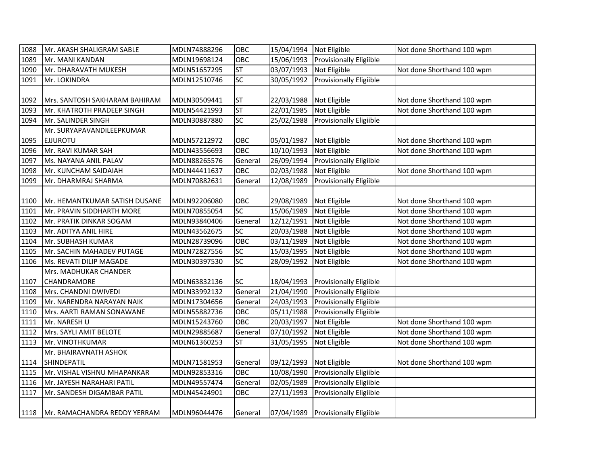| 1088 | Mr. AKASH SHALIGRAM SABLE           | MDLN74888296 | OBC       | 15/04/1994 Not Eligible |                                    | Not done Shorthand 100 wpm |
|------|-------------------------------------|--------------|-----------|-------------------------|------------------------------------|----------------------------|
| 1089 | Mr. MANI KANDAN                     | MDLN19698124 | OBC       | 15/06/1993              | Provisionally Eligiible            |                            |
| 1090 | Mr. DHARAVATH MUKESH                | MDLN51657295 | ST        | 03/07/1993              | Not Eligible                       | Not done Shorthand 100 wpm |
| 1091 | Mr. LOKINDRA                        | MDLN12510746 | SC        | 30/05/1992              | Provisionally Eligiible            |                            |
|      |                                     |              |           |                         |                                    |                            |
| 1092 | Mrs. SANTOSH SAKHARAM BAHIRAM       | MDLN30509441 | <b>ST</b> | 22/03/1988              | Not Eligible                       | Not done Shorthand 100 wpm |
| 1093 | Mr. KHATROTH PRADEEP SINGH          | MDLN54421993 | <b>ST</b> | 22/01/1985              | Not Eligible                       | Not done Shorthand 100 wpm |
| 1094 | Mr. SALINDER SINGH                  | MDLN30887880 | SC        | 25/02/1988              | <b>Provisionally Eligiible</b>     |                            |
|      | Mr. SURYAPAVANDILEEPKUMAR           |              |           |                         |                                    |                            |
| 1095 | <b>EJJUROTU</b>                     | MDLN57212972 | OBC       | 05/01/1987              | Not Eligible                       | Not done Shorthand 100 wpm |
| 1096 | Mr. RAVI KUMAR SAH                  | MDLN43556693 | OBC       | 10/10/1993              | Not Eligible                       | Not done Shorthand 100 wpm |
| 1097 | Ms. NAYANA ANIL PALAV               | MDLN88265576 | General   | 26/09/1994              | Provisionally Eligiible            |                            |
| 1098 | Mr. KUNCHAM SAIDAIAH                | MDLN44411637 | OBC       | 02/03/1988              | Not Eligible                       | Not done Shorthand 100 wpm |
| 1099 | Mr. DHARMRAJ SHARMA                 | MDLN70882631 | General   | 12/08/1989              | Provisionally Eligiible            |                            |
|      |                                     |              |           |                         |                                    |                            |
| 1100 | Mr. HEMANTKUMAR SATISH DUSANE       | MDLN92206080 | OBC       | 29/08/1989              | Not Eligible                       | Not done Shorthand 100 wpm |
| 1101 | Mr. PRAVIN SIDDHARTH MORE           | MDLN70855054 | SC        | 15/06/1989              | Not Eligible                       | Not done Shorthand 100 wpm |
| 1102 | Mr. PRATIK DINKAR SOGAM             | MDLN93840406 | General   | 12/12/1991              | Not Eligible                       | Not done Shorthand 100 wpm |
| 1103 | Mr. ADITYA ANIL HIRE                | MDLN43562675 | SC        | 20/03/1988              | Not Eligible                       | Not done Shorthand 100 wpm |
| 1104 | Mr. SUBHASH KUMAR                   | MDLN28739096 | OBC       | 03/11/1989              | Not Eligible                       | Not done Shorthand 100 wpm |
| 1105 | Mr. SACHIN MAHADEV PUTAGE           | MDLN72827556 | SC        | 15/03/1995              | Not Eligible                       | Not done Shorthand 100 wpm |
| 1106 | Ms. REVATI DILIP MAGADE             | MDLN30397530 | SC        | 28/09/1992              | Not Eligible                       | Not done Shorthand 100 wpm |
|      | Mrs. MADHUKAR CHANDER               |              |           |                         |                                    |                            |
| 1107 | CHANDRAMORE                         | MDLN63832136 | SC        | 18/04/1993              | <b>Provisionally Eligiible</b>     |                            |
| 1108 | Mrs. CHANDNI DWIVEDI                | MDLN33992132 | General   | 21/04/1990              | Provisionally Eligiible            |                            |
| 1109 | Mr. NARENDRA NARAYAN NAIK           | MDLN17304656 | General   | 24/03/1993              | Provisionally Eligiible            |                            |
| 1110 | Mrs. AARTI RAMAN SONAWANE           | MDLN55882736 | OBC       | 05/11/1988              | <b>Provisionally Eligiible</b>     |                            |
| 1111 | Mr. NARESH U                        | MDLN15243760 | OBC       | 20/03/1997              | Not Eligible                       | Not done Shorthand 100 wpm |
| 1112 | Mrs. SAYLI AMIT BELOTE              | MDLN29885687 | General   | 07/10/1992              | Not Eligible                       | Not done Shorthand 100 wpm |
| 1113 | Mr. VINOTHKUMAR                     | MDLN61360253 | <b>ST</b> | 31/05/1995              | Not Eligible                       | Not done Shorthand 100 wpm |
|      | Mr. BHAIRAVNATH ASHOK               |              |           |                         |                                    |                            |
| 1114 | SHINDEPATIL                         | MDLN71581953 | General   | 09/12/1993              | Not Eligible                       | Not done Shorthand 100 wpm |
| 1115 | Mr. VISHAL VISHNU MHAPANKAR         | MDLN92853316 | OBC       | 10/08/1990              | Provisionally Eligiible            |                            |
| 1116 | Mr. JAYESH NARAHARI PATIL           | MDLN49557474 | General   | 02/05/1989              | Provisionally Eligiible            |                            |
| 1117 | Mr. SANDESH DIGAMBAR PATIL          | MDLN45424901 | OBC       | 27/11/1993              | Provisionally Eligiible            |                            |
|      |                                     |              |           |                         |                                    |                            |
|      | 1118   Mr. RAMACHANDRA REDDY YERRAM | MDLN96044476 | General   |                         | 07/04/1989 Provisionally Eligiible |                            |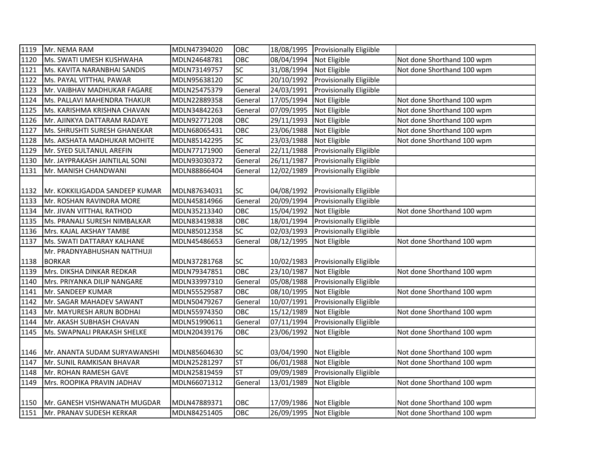| 1119 | Mr. NEMA RAM                   | MDLN47394020 | OBC       |            | 18/08/1995 Provisionally Eligiible |                            |
|------|--------------------------------|--------------|-----------|------------|------------------------------------|----------------------------|
| 1120 | Ms. SWATI UMESH KUSHWAHA       | MDLN24648781 | OBC       | 08/04/1994 | Not Eligible                       | Not done Shorthand 100 wpm |
| 1121 | Ms. KAVITA NARANBHAI SANDIS    | MDLN73149757 | SC        | 31/08/1994 | Not Eligible                       | Not done Shorthand 100 wpm |
| 1122 | Ms. PAYAL VITTHAL PAWAR        | MDLN95638120 | SC        | 20/10/1992 | Provisionally Eligiible            |                            |
| 1123 | Mr. VAIBHAV MADHUKAR FAGARE    | MDLN25475379 | General   | 24/03/1991 | <b>Provisionally Eligiible</b>     |                            |
| 1124 | Ms. PALLAVI MAHENDRA THAKUR    | MDLN22889358 | General   | 17/05/1994 | Not Eligible                       | Not done Shorthand 100 wpm |
| 1125 | Ms. KARISHMA KRISHNA CHAVAN    | MDLN34842263 | General   | 07/09/1995 | Not Eligible                       | Not done Shorthand 100 wpm |
| 1126 | Mr. AJINKYA DATTARAM RADAYE    | MDLN92771208 | OBC       | 29/11/1993 | Not Eligible                       | Not done Shorthand 100 wpm |
| 1127 | Ms. SHRUSHTI SURESH GHANEKAR   | MDLN68065431 | OBC       | 23/06/1988 | Not Eligible                       | Not done Shorthand 100 wpm |
| 1128 | Ms. AKSHATA MADHUKAR MOHITE    | MDLN85142295 | SC        | 23/03/1988 | Not Eligible                       | Not done Shorthand 100 wpm |
| 1129 | Mr. SYED SULTANUL AREFIN       | MDLN77171900 | General   | 22/11/1988 | Provisionally Eligiible            |                            |
| 1130 | Mr. JAYPRAKASH JAINTILAL SONI  | MDLN93030372 | General   | 26/11/1987 | Provisionally Eligiible            |                            |
| 1131 | Mr. MANISH CHANDWANI           | MDLN88866404 | General   | 12/02/1989 | <b>Provisionally Eligiible</b>     |                            |
|      |                                |              |           |            |                                    |                            |
| 1132 | Mr. KOKKILIGADDA SANDEEP KUMAR | MDLN87634031 | <b>SC</b> | 04/08/1992 | <b>Provisionally Eligiible</b>     |                            |
| 1133 | Mr. ROSHAN RAVINDRA MORE       | MDLN45814966 | General   | 20/09/1994 | <b>Provisionally Eligiible</b>     |                            |
| 1134 | Mr. JIVAN VITTHAL RATHOD       | MDLN35213340 | OBC       | 15/04/1992 | Not Eligible                       | Not done Shorthand 100 wpm |
| 1135 | Ms. PRANALI SURESH NIMBALKAR   | MDLN83419838 | OBC       | 18/01/1994 | Provisionally Eligiible            |                            |
| 1136 | Mrs. KAJAL AKSHAY TAMBE        | MDLN85012358 | SC        | 02/03/1993 | Provisionally Eligiible            |                            |
| 1137 | Ms. SWATI DATTARAY KALHANE     | MDLN45486653 | General   | 08/12/1995 | Not Eligible                       | Not done Shorthand 100 wpm |
|      | Mr. PRADNYABHUSHAN NATTHUJI    |              |           |            |                                    |                            |
| 1138 | <b>BORKAR</b>                  | MDLN37281768 | <b>SC</b> | 10/02/1983 | <b>Provisionally Eligiible</b>     |                            |
| 1139 | Mrs. DIKSHA DINKAR REDKAR      | MDLN79347851 | OBC       | 23/10/1987 | Not Eligible                       | Not done Shorthand 100 wpm |
| 1140 | Mrs. PRIYANKA DILIP NANGARE    | MDLN33997310 | General   | 05/08/1988 | Provisionally Eligiible            |                            |
| 1141 | Mr. SANDEEP KUMAR              | MDLN55529587 | OBC       | 08/10/1995 | Not Eligible                       | Not done Shorthand 100 wpm |
| 1142 | Mr. SAGAR MAHADEV SAWANT       | MDLN50479267 | General   | 10/07/1991 | Provisionally Eligiible            |                            |
| 1143 | Mr. MAYURESH ARUN BODHAI       | MDLN55974350 | OBC       | 15/12/1989 | Not Eligible                       | Not done Shorthand 100 wpm |
| 1144 | Mr. AKASH SUBHASH CHAVAN       | MDLN51990611 | General   | 07/11/1994 | Provisionally Eligiible            |                            |
| 1145 | Ms. SWAPNALI PRAKASH SHELKE    | MDLN20439176 | OBC       | 23/06/1992 | Not Eligible                       | Not done Shorthand 100 wpm |
|      |                                |              |           |            |                                    |                            |
| 1146 | Mr. ANANTA SUDAM SURYAWANSHI   | MDLN85604630 | <b>SC</b> | 03/04/1990 | Not Eligible                       | Not done Shorthand 100 wpm |
| 1147 | Mr. SUNIL RAMKISAN BHAVAR      | MDLN25281297 | <b>ST</b> | 06/01/1988 | Not Eligible                       | Not done Shorthand 100 wpm |
| 1148 | Mr. ROHAN RAMESH GAVE          | MDLN25819459 | <b>ST</b> | 09/09/1989 | Provisionally Eligiible            |                            |
| 1149 | Mrs. ROOPIKA PRAVIN JADHAV     | MDLN66071312 | General   | 13/01/1989 | Not Eligible                       | Not done Shorthand 100 wpm |
|      |                                |              |           |            |                                    |                            |
| 1150 | Mr. GANESH VISHWANATH MUGDAR   | MDLN47889371 | OBC       | 17/09/1986 | Not Eligible                       | Not done Shorthand 100 wpm |
| 1151 | Mr. PRANAV SUDESH KERKAR       | MDLN84251405 | OBC       | 26/09/1995 | Not Eligible                       | Not done Shorthand 100 wpm |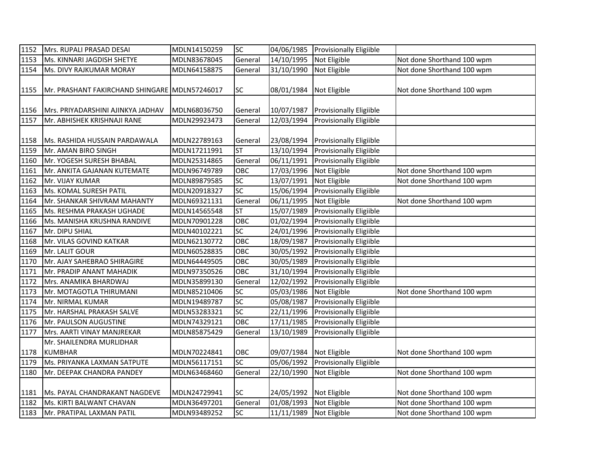| 1152 | Mrs. RUPALI PRASAD DESAI                      | MDLN14150259                 | $\overline{SC}$  | 04/06/1985               | <b>Provisionally Eligiible</b>          |                            |
|------|-----------------------------------------------|------------------------------|------------------|--------------------------|-----------------------------------------|----------------------------|
| 1153 | Ms. KINNARI JAGDISH SHETYE                    | MDLN83678045                 | General          | 14/10/1995               | Not Eligible                            | Not done Shorthand 100 wpm |
| 1154 | Ms. DIVY RAJKUMAR MORAY                       | MDLN64158875                 | General          | 31/10/1990               | Not Eligible                            | Not done Shorthand 100 wpm |
| 1155 | Mr. PRASHANT FAKIRCHAND SHINGARE MDLN57246017 |                              | SC               | 08/01/1984               | Not Eligible                            | Not done Shorthand 100 wpm |
| 1156 | Mrs. PRIYADARSHINI AJINKYA JADHAV             | MDLN68036750                 | General          | 10/07/1987               | <b>Provisionally Eligiible</b>          |                            |
| 1157 | Mr. ABHISHEK KRISHNAJI RANE                   | MDLN29923473                 | General          | 12/03/1994               | Provisionally Eligiible                 |                            |
| 1158 | Ms. RASHIDA HUSSAIN PARDAWALA                 | MDLN22789163                 | General          | 23/08/1994               | <b>Provisionally Eligiible</b>          |                            |
| 1159 | Mr. AMAN BIRO SINGH                           | MDLN17211991                 | <b>ST</b>        | 13/10/1994               | Provisionally Eligiible                 |                            |
| 1160 | Mr. YOGESH SURESH BHABAL                      | MDLN25314865                 | General          | 06/11/1991               | <b>Provisionally Eligiible</b>          |                            |
| 1161 | Mr. ANKITA GAJANAN KUTEMATE                   | MDLN96749789                 | OBC              | 17/03/1996               | Not Eligible                            | Not done Shorthand 100 wpm |
| 1162 | Mr. VIJAY KUMAR                               | MDLN89879585                 | SC               | 13/07/1991               | Not Eligible                            | Not done Shorthand 100 wpm |
| 1163 | Ms. KOMAL SURESH PATIL                        | MDLN20918327                 | $\overline{SC}$  | 15/06/1994               | Provisionally Eligiible                 |                            |
| 1164 | Mr. SHANKAR SHIVRAM MAHANTY                   | MDLN69321131                 | General          | 06/11/1995               | Not Eligible                            | Not done Shorthand 100 wpm |
| 1165 | Ms. RESHMA PRAKASH UGHADE                     | MDLN14565548                 | <b>ST</b>        | 15/07/1989               | Provisionally Eligiible                 |                            |
| 1166 | Ms. MANISHA KRUSHNA RANDIVE                   | MDLN70901228                 | OBC              | 01/02/1994               | <b>Provisionally Eligiible</b>          |                            |
| 1167 | Mr. DIPU SHIAL                                | MDLN40102221                 | SC               | 24/01/1996               | <b>Provisionally Eligiible</b>          |                            |
| 1168 | Mr. VILAS GOVIND KATKAR                       | MDLN62130772                 | OBC              | 18/09/1987               | <b>Provisionally Eligiible</b>          |                            |
| 1169 | Mr. LALIT GOUR                                | MDLN60528835                 | OBC              | 30/05/1992               | <b>Provisionally Eligiible</b>          |                            |
| 1170 | Mr. AJAY SAHEBRAO SHIRAGIRE                   | MDLN64449505                 | OBC              | 30/05/1989               | <b>Provisionally Eligiible</b>          |                            |
| 1171 | Mr. PRADIP ANANT MAHADIK                      | MDLN97350526                 | OBC              | 31/10/1994               | Provisionally Eligiible                 |                            |
| 1172 | Mrs. ANAMIKA BHARDWAJ                         | MDLN35899130                 | General          | 12/02/1992               | <b>Provisionally Eligiible</b>          |                            |
| 1173 | Mr. MOTAGOTLA THIRUMANI                       | MDLN85210406                 | SC               | 05/03/1986               | Not Eligible                            | Not done Shorthand 100 wpm |
| 1174 | Mr. NIRMAL KUMAR                              | MDLN19489787                 | SC               | 05/08/1987               | Provisionally Eligiible                 |                            |
| 1175 | Mr. HARSHAL PRAKASH SALVE                     | MDLN53283321                 | SC<br><b>OBC</b> | 22/11/1996               | Provisionally Eligiible                 |                            |
| 1176 | Mr. PAULSON AUGUSTINE                         | MDLN74329121                 |                  | 17/11/1985               | Provisionally Eligiible                 |                            |
| 1177 | Mrs. AARTI VINAY MANJREKAR                    | MDLN85875429                 | General          | 13/10/1989               | <b>Provisionally Eligiible</b>          |                            |
|      | Mr. SHAILENDRA MURLIDHAR                      |                              |                  |                          |                                         |                            |
| 1178 | <b>KUMBHAR</b><br>Ms. PRIYANKA LAXMAN SATPUTE | MDLN70224841<br>MDLN56117151 | OBC<br>SC        | 09/07/1984<br>05/06/1992 | Not Eligible<br>Provisionally Eligiible | Not done Shorthand 100 wpm |
| 1179 |                                               |                              |                  |                          |                                         |                            |
| 1180 | Mr. DEEPAK CHANDRA PANDEY                     | MDLN63468460                 | General          | 22/10/1990               | Not Eligible                            | Not done Shorthand 100 wpm |
| 1181 | Ms. PAYAL CHANDRAKANT NAGDEVE                 | MDLN24729941                 | <b>SC</b>        | 24/05/1992 Not Eligible  |                                         | Not done Shorthand 100 wpm |
| 1182 | Ms. KIRTI BALWANT CHAVAN                      | MDLN36497201                 | General          | 01/08/1993               | Not Eligible                            | Not done Shorthand 100 wpm |
| 1183 | Mr. PRATIPAL LAXMAN PATIL                     | MDLN93489252                 | SC               | 11/11/1989 Not Eligible  |                                         | Not done Shorthand 100 wpm |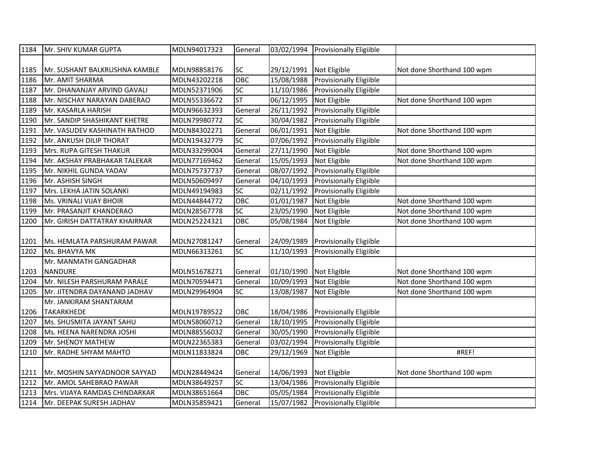| 1184 | Mr. SHIV KUMAR GUPTA          | MDLN94017323 | General                  | 03/02/1994 | Provisionally Eligiible        |                            |
|------|-------------------------------|--------------|--------------------------|------------|--------------------------------|----------------------------|
|      |                               |              |                          |            |                                |                            |
| 1185 | Mr. SUSHANT BALKRUSHNA KAMBLE | MDLN98858176 | SC                       | 29/12/1991 | Not Eligible                   | Not done Shorthand 100 wpm |
| 1186 | Mr. AMIT SHARMA               | MDLN43202218 | OBC                      | 15/08/1988 | Provisionally Eligiible        |                            |
| 1187 | Mr. DHANANJAY ARVIND GAVALI   | MDLN52371906 | SC                       | 11/10/1986 | Provisionally Eligiible        |                            |
| 1188 | Mr. NISCHAY NARAYAN DABERAO   | MDLN55336672 | $\overline{\mathsf{ST}}$ | 06/12/1995 | Not Eligible                   | Not done Shorthand 100 wpm |
| 1189 | Mr. KASARLA HARISH            | MDLN96632393 | General                  | 26/11/1992 | Provisionally Eligiible        |                            |
| 1190 | Mr. SANDIP SHASHIKANT KHETRE  | MDLN79980772 | SC                       | 30/04/1982 | Provisionally Eligiible        |                            |
| 1191 | Mr. VASUDEV KASHINATH RATHOD  | MDLN84302271 | General                  | 06/01/1991 | Not Eligible                   | Not done Shorthand 100 wpm |
| 1192 | Mr. ANKUSH DILIP THORAT       | MDLN19432779 | SC                       | 07/06/1992 | <b>Provisionally Eligiible</b> |                            |
| 1193 | Mrs. RUPA GITESH THAKUR       | MDLN33299004 | General                  | 27/11/1990 | Not Eligible                   | Not done Shorthand 100 wpm |
| 1194 | Mr. AKSHAY PRABHAKAR TALEKAR  | MDLN77169462 | General                  | 15/05/1993 | Not Eligible                   | Not done Shorthand 100 wpm |
| 1195 | Mr. NIKHIL GUNDA YADAV        | MDLN75737737 | General                  | 08/07/1992 | <b>Provisionally Eligiible</b> |                            |
| 1196 | Mr. ASHISH SINGH              | MDLN50609497 | General                  | 04/10/1993 | Provisionally Eligiible        |                            |
| 1197 | Mrs. LEKHA JATIN SOLANKI      | MDLN49194983 | SC                       | 02/11/1992 | <b>Provisionally Eligiible</b> |                            |
| 1198 | Ms. VRINALI VIJAY BHOIR       | MDLN44844772 | OBC                      | 01/01/1987 | Not Eligible                   | Not done Shorthand 100 wpm |
| 1199 | Mr. PRASANJIT KHANDERAO       | MDLN28567778 | SC                       | 23/05/1990 | Not Eligible                   | Not done Shorthand 100 wpm |
| 1200 | Mr. GIRISH DATTATRAY KHAIRNAR | MDLN25224321 | OBC                      | 05/08/1984 | Not Eligible                   | Not done Shorthand 100 wpm |
|      |                               |              |                          |            |                                |                            |
| 1201 | Ms. HEMLATA PARSHURAM PAWAR   | MDLN27081247 | General                  | 24/09/1989 | <b>Provisionally Eligiible</b> |                            |
| 1202 | Ms. BHAVYA MK                 | MDLN66313261 | SC                       | 11/10/1993 | <b>Provisionally Eligiible</b> |                            |
|      | Mr. MANMATH GANGADHAR         |              |                          |            |                                |                            |
| 1203 | <b>NANDURE</b>                | MDLN51678271 | General                  | 01/10/1990 | Not Eligible                   | Not done Shorthand 100 wpm |
| 1204 | Mr. NILESH PARSHURAM PARALE   | MDLN70594471 | General                  | 10/09/1993 | Not Eligible                   | Not done Shorthand 100 wpm |
| 1205 | Mr. JITENDRA DAYANAND JADHAV  | MDLN29964904 | SC                       | 13/08/1987 | Not Eligible                   | Not done Shorthand 100 wpm |
|      | Mr. JANKIRAM SHANTARAM        |              |                          |            |                                |                            |
| 1206 | <b>TAKARKHEDE</b>             | MDLN19789522 | OBC                      | 18/04/1986 | <b>Provisionally Eligiible</b> |                            |
| 1207 | Ms. SHUSMITA JAYANT SAHU      | MDLN58060712 | General                  | 18/10/1995 | Provisionally Eligiible        |                            |
| 1208 | Ms. HEENA NARENDRA JOSHI      | MDLN88556032 | General                  | 30/05/1990 | Provisionally Eligiible        |                            |
| 1209 | Mr. SHENOY MATHEW             | MDLN22365383 | General                  | 03/02/1994 | Provisionally Eligiible        |                            |
| 1210 | Mr. RADHE SHYAM MAHTO         | MDLN11833824 | OBC                      | 29/12/1969 | Not Eligible                   | #REF!                      |
|      |                               |              |                          |            |                                |                            |
| 1211 | Mr. MOSHIN SAYYADNOOR SAYYAD  | MDLN28449424 | General                  | 14/06/1993 | Not Eligible                   | Not done Shorthand 100 wpm |
| 1212 | Mr. AMOL SAHEBRAO PAWAR       | MDLN38649257 | SC                       | 13/04/1986 | Provisionally Eligiible        |                            |
| 1213 | Mrs. VIJAYA RAMDAS CHINDARKAR | MDLN38651664 | OBC                      | 05/05/1984 | Provisionally Eligiible        |                            |
| 1214 | Mr. DEEPAK SURESH JADHAV      | MDLN35859421 | General                  | 15/07/1982 | Provisionally Eligiible        |                            |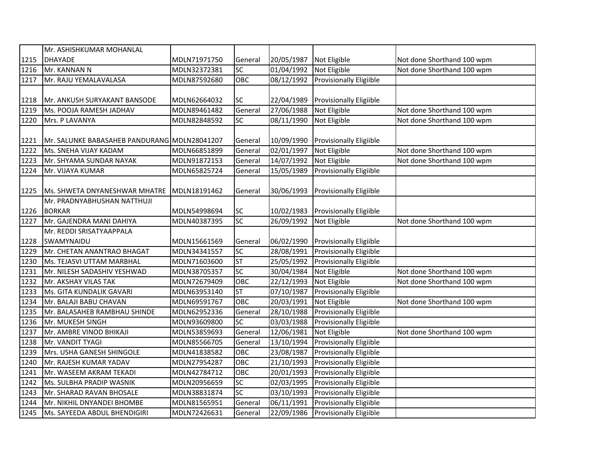|      | Mr. ASHISHKUMAR MOHANLAL                     |              |                 |                     |                                |                            |
|------|----------------------------------------------|--------------|-----------------|---------------------|--------------------------------|----------------------------|
| 1215 | <b>DHAYADE</b>                               | MDLN71971750 | General         | 20/05/1987          | Not Eligible                   | Not done Shorthand 100 wpm |
| 1216 | Mr. KANNAN N                                 | MDLN32372381 | SC              | 01/04/1992          | Not Eligible                   | Not done Shorthand 100 wpm |
| 1217 | Mr. RAJU YEMALAVALASA                        | MDLN87592680 | OBC             | 08/12/1992          | Provisionally Eligiible        |                            |
|      |                                              |              |                 |                     |                                |                            |
| 1218 | Mr. ANKUSH SURYAKANT BANSODE                 | MDLN62664032 | SC              | 22/04/1989          | <b>Provisionally Eligiible</b> |                            |
| 1219 | Ms. POOJA RAMESH JADHAV                      | MDLN89461482 | General         | 27/06/1988          | Not Eligible                   | Not done Shorthand 100 wpm |
| 1220 | Mrs. P LAVANYA                               | MDLN82848592 | SC              | 08/11/1990          | Not Eligible                   | Not done Shorthand 100 wpm |
|      |                                              |              |                 |                     |                                |                            |
| 1221 | Mr. SALUNKE BABASAHEB PANDURANG MDLN28041207 |              | General         | 10/09/1990          | <b>Provisionally Eligiible</b> |                            |
| 1222 | Ms. SNEHA VIJAY KADAM                        | MDLN66851899 | General         | 02/01/1997          | Not Eligible                   | Not done Shorthand 100 wpm |
| 1223 | Mr. SHYAMA SUNDAR NAYAK                      | MDLN91872153 | General         | 14/07/1992          | Not Eligible                   | Not done Shorthand 100 wpm |
| 1224 | Mr. VIJAYA KUMAR                             | MDLN65825724 | General         | 15/05/1989          | Provisionally Eligiible        |                            |
|      |                                              |              |                 |                     |                                |                            |
| 1225 | Ms. SHWETA DNYANESHWAR MHATRE                | MDLN18191462 | General         | 30/06/1993          | <b>Provisionally Eligiible</b> |                            |
|      | Mr. PRADNYABHUSHAN NATTHUJI                  |              |                 |                     |                                |                            |
| 1226 | <b>BORKAR</b>                                | MDLN54998694 | SC              | 10/02/1983          | <b>Provisionally Eligiible</b> |                            |
| 1227 | Mr. GAJENDRA MANI DAHIYA                     | MDLN40387395 | SC              | 26/09/1992          | Not Eligible                   | Not done Shorthand 100 wpm |
|      | Mr. REDDI SRISATYAAPPALA                     |              |                 |                     |                                |                            |
| 1228 | SWAMYNAIDU                                   | MDLN15661569 | General         | 06/02/1990          | <b>Provisionally Eligiible</b> |                            |
| 1229 | Mr. CHETAN ANANTRAO BHAGAT                   | MDLN34341557 | $\overline{SC}$ | 28/08/1991          | Provisionally Eligiible        |                            |
| 1230 | Ms. TEJASVI UTTAM MARBHAL                    | MDLN71603600 | <b>ST</b>       | 25/05/1992          | Provisionally Eligiible        |                            |
| 1231 | Mr. NILESH SADASHIV YESHWAD                  | MDLN38705357 | $\overline{SC}$ | 30/04/1984          | Not Eligible                   | Not done Shorthand 100 wpm |
| 1232 | Mr. AKSHAY VILAS TAK                         | MDLN72679409 | OBC             | 22/12/1993          | Not Eligible                   | Not done Shorthand 100 wpm |
| 1233 | Ms. GITA KUNDALIK GAVARI                     | MDLN63953140 | <b>ST</b>       | $\sqrt{07}/10/1987$ | Provisionally Eligiible        |                            |
| 1234 | Mr. BALAJI BABU CHAVAN                       | MDLN69591767 | OBC             | 20/03/1991          | Not Eligible                   | Not done Shorthand 100 wpm |
| 1235 | Mr. BALASAHEB RAMBHAU SHINDE                 | MDLN62952336 | General         | 28/10/1988          | Provisionally Eligiible        |                            |
| 1236 | Mr. MUKESH SINGH                             | MDLN93609800 | SC              | 03/03/1988          | Provisionally Eligiible        |                            |
| 1237 | Mr. AMBRE VINOD BHIKAJI                      | MDLN53859693 | General         | 12/06/1981          | Not Eligible                   | Not done Shorthand 100 wpm |
| 1238 | Mr. VANDIT TYAGI                             | MDLN85566705 | General         | 13/10/1994          | Provisionally Eligiible        |                            |
| 1239 | Mrs. USHA GANESH SHINGOLE                    | MDLN41838582 | OBC             | 23/08/1987          | Provisionally Eligiible        |                            |
| 1240 | Mr. RAJESH KUMAR YADAV                       | MDLN27954287 | OBC             | 21/10/1993          | Provisionally Eligiible        |                            |
| 1241 | Mr. WASEEM AKRAM TEKADI                      | MDLN42784712 | OBC             | 20/01/1993          | Provisionally Eligiible        |                            |
| 1242 | Ms. SULBHA PRADIP WASNIK                     | MDLN20956659 | SC              | 02/03/1995          | Provisionally Eligiible        |                            |
| 1243 | Mr. SHARAD RAVAN BHOSALE                     | MDLN38831874 | $\overline{SC}$ | 03/10/1993          | Provisionally Eligiible        |                            |
| 1244 | Mr. NIKHIL DNYANDEI BHOMBE                   | MDLN81565951 | General         | 06/11/1991          | Provisionally Eligiible        |                            |
| 1245 | Ms. SAYEEDA ABDUL BHENDIGIRI                 | MDLN72426631 | General         | 22/09/1986          | Provisionally Eligiible        |                            |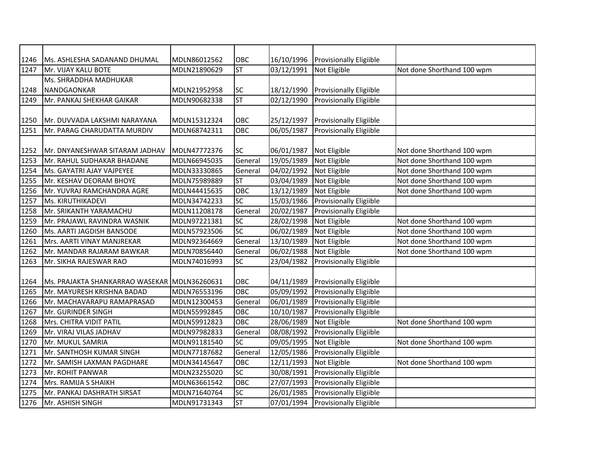| 16/10/1996<br>1246<br>Ms. ASHLESHA SADANAND DHUMAL<br>MDLN86012562<br>OBC<br><b>Provisionally Eligiible</b><br><b>ST</b><br>03/12/1991<br>1247<br>Mr. VIJAY KALU BOTE<br>MDLN21890629<br>Not Eligible<br>Not done Shorthand 100 wpm<br>Ms. SHRADDHA MADHUKAR<br><b>SC</b><br>18/12/1990<br><b>Provisionally Eligiible</b><br>1248<br>NANDGAONKAR<br>MDLN21952958<br><b>ST</b><br>02/12/1990<br>Provisionally Eligiible<br>1249<br>Mr. PANKAJ SHEKHAR GAIKAR<br>MDLN90682338<br>OBC<br>25/12/1997<br><b>Provisionally Eligiible</b><br>1250<br>Mr. DUVVADA LAKSHMI NARAYANA<br>MDLN15312324<br>OBC<br>06/05/1987<br><b>Provisionally Eligiible</b><br>1251<br>Mr. PARAG CHARUDATTA MURDIV<br>MDLN68742311<br><b>SC</b><br>06/01/1987<br>Not Eligible<br>MDLN47772376<br>Not done Shorthand 100 wpm<br>1252<br>Mr. DNYANESHWAR SITARAM JADHAV<br>1253<br>General<br>19/05/1989<br>Not Eligible<br>Not done Shorthand 100 wpm<br>Mr. RAHUL SUDHAKAR BHADANE<br>MDLN66945035<br>04/02/1992<br>Not done Shorthand 100 wpm<br>1254<br>Ms. GAYATRI AJAY VAJPEYEE<br>MDLN33330865<br>General<br>Not Eligible<br><b>ST</b><br>1255<br>MDLN75989889<br>03/04/1989<br>Not done Shorthand 100 wpm<br>Mr. KESHAV DEORAM BHOYE<br>Not Eligible<br>OBC<br>13/12/1989<br>Not Eligible<br>Not done Shorthand 100 wpm<br>1256<br>Mr. YUVRAJ RAMCHANDRA AGRE<br>MDLN44415635<br>SC<br>15/03/1986<br>Provisionally Eligiible<br>1257<br>Ms. KIRUTHIKADEVI<br>MDLN34742233<br>Provisionally Eligiible<br>1258<br>Mr. SRIKANTH YARAMACHU<br>MDLN11208178<br>General<br>20/02/1987<br>SC<br>28/02/1998<br>Not Eligible<br>Not done Shorthand 100 wpm<br>1259<br>Mr. PRAJAWL RAVINDRA WASNIK<br>MDLN97221381<br>SC<br>MDLN57923506<br>06/02/1989<br>Not done Shorthand 100 wpm<br>1260<br>Ms. AARTI JAGDISH BANSODE<br>Not Eligible<br>General<br>13/10/1989<br>Not done Shorthand 100 wpm<br>1261<br>Mrs. AARTI VINAY MANJREKAR<br>MDLN92364669<br>Not Eligible<br>MDLN70856440<br>General<br>06/02/1988<br>Not Eligible<br>Not done Shorthand 100 wpm<br>1262<br>Mr. MANDAR RAJARAM BAWKAR<br>SC<br>Provisionally Eligiible<br>MDLN74016993<br>23/04/1982<br>1263<br>Mr. SIKHA RAJESWAR RAO<br>OBC<br>04/11/1989<br>Provisionally Eligiible<br>Ms. PRAJAKTA SHANKARRAO WASEKAR MDLN36260631<br>1264<br>OBC<br>05/09/1992<br><b>Provisionally Eligiible</b><br>1265<br>Mr. MAYURESH KRISHNA BADAD<br>MDLN76553196<br>06/01/1989<br>Provisionally Eligiible<br>General<br>1266<br>Mr. MACHAVARAPU RAMAPRASAD<br>MDLN12300453<br>OBC<br>10/10/1987<br>Provisionally Eligiible<br>1267<br>Mr. GURINDER SINGH<br>MDLN55992845<br>OBC<br>28/06/1989<br>Not done Shorthand 100 wpm<br>1268<br>Mrs. CHITRA VIDIT PATIL<br>MDLN59912823<br>Not Eligible<br>08/08/1992<br><b>Provisionally Eligiible</b><br>Mr. VIRAJ VILAS JADHAV<br>1269<br>MDLN97982833<br>General<br>SC<br>Not done Shorthand 100 wpm<br>1270<br>Mr. MUKUL SAMRIA<br>09/05/1995<br>Not Eligible<br>MDLN91181540<br>General<br>12/05/1986<br>Provisionally Eligiible<br>1271<br>Mr. SANTHOSH KUMAR SINGH<br>MDLN77187682<br>Not done Shorthand 100 wpm<br>1272<br>MDLN34145647<br>OBC<br>12/11/1993<br>Not Eligible<br>Mr. SAMISH LAXMAN PAGDHARE<br>SC<br>Provisionally Eligiible<br>30/08/1991<br>1273<br>Mr. ROHIT PANWAR<br>MDLN23255020<br>27/07/1993<br>Provisionally Eligiible<br>OBC<br>1274<br>Mrs. RAMIJA S SHAIKH<br>MDLN63661542<br>SC<br>1275<br>Mr. PANKAJ DASHRATH SIRSAT<br>MDLN71640764 | 26/01/1985<br>Provisionally Eligiible<br>5T<br>07/01/1994<br><b>Provisionally Eligiible</b><br>1276<br>Mr. ASHISH SINGH<br>MDLN91731343 |  |  |  |  |
|---------------------------------------------------------------------------------------------------------------------------------------------------------------------------------------------------------------------------------------------------------------------------------------------------------------------------------------------------------------------------------------------------------------------------------------------------------------------------------------------------------------------------------------------------------------------------------------------------------------------------------------------------------------------------------------------------------------------------------------------------------------------------------------------------------------------------------------------------------------------------------------------------------------------------------------------------------------------------------------------------------------------------------------------------------------------------------------------------------------------------------------------------------------------------------------------------------------------------------------------------------------------------------------------------------------------------------------------------------------------------------------------------------------------------------------------------------------------------------------------------------------------------------------------------------------------------------------------------------------------------------------------------------------------------------------------------------------------------------------------------------------------------------------------------------------------------------------------------------------------------------------------------------------------------------------------------------------------------------------------------------------------------------------------------------------------------------------------------------------------------------------------------------------------------------------------------------------------------------------------------------------------------------------------------------------------------------------------------------------------------------------------------------------------------------------------------------------------------------------------------------------------------------------------------------------------------------------------------------------------------------------------------------------------------------------------------------------------------------------------------------------------------------------------------------------------------------------------------------------------------------------------------------------------------------------------------------------------------------------------------------------------------------------------------------------------------------------------------------------------------------------------------------------------------------------------------------------------------------------------------------------------------------------------------------------------------------------------------------------------------------------------------------------------------------------------|-----------------------------------------------------------------------------------------------------------------------------------------|--|--|--|--|
|                                                                                                                                                                                                                                                                                                                                                                                                                                                                                                                                                                                                                                                                                                                                                                                                                                                                                                                                                                                                                                                                                                                                                                                                                                                                                                                                                                                                                                                                                                                                                                                                                                                                                                                                                                                                                                                                                                                                                                                                                                                                                                                                                                                                                                                                                                                                                                                                                                                                                                                                                                                                                                                                                                                                                                                                                                                                                                                                                                                                                                                                                                                                                                                                                                                                                                                                                                                                                                             |                                                                                                                                         |  |  |  |  |
|                                                                                                                                                                                                                                                                                                                                                                                                                                                                                                                                                                                                                                                                                                                                                                                                                                                                                                                                                                                                                                                                                                                                                                                                                                                                                                                                                                                                                                                                                                                                                                                                                                                                                                                                                                                                                                                                                                                                                                                                                                                                                                                                                                                                                                                                                                                                                                                                                                                                                                                                                                                                                                                                                                                                                                                                                                                                                                                                                                                                                                                                                                                                                                                                                                                                                                                                                                                                                                             |                                                                                                                                         |  |  |  |  |
|                                                                                                                                                                                                                                                                                                                                                                                                                                                                                                                                                                                                                                                                                                                                                                                                                                                                                                                                                                                                                                                                                                                                                                                                                                                                                                                                                                                                                                                                                                                                                                                                                                                                                                                                                                                                                                                                                                                                                                                                                                                                                                                                                                                                                                                                                                                                                                                                                                                                                                                                                                                                                                                                                                                                                                                                                                                                                                                                                                                                                                                                                                                                                                                                                                                                                                                                                                                                                                             |                                                                                                                                         |  |  |  |  |
|                                                                                                                                                                                                                                                                                                                                                                                                                                                                                                                                                                                                                                                                                                                                                                                                                                                                                                                                                                                                                                                                                                                                                                                                                                                                                                                                                                                                                                                                                                                                                                                                                                                                                                                                                                                                                                                                                                                                                                                                                                                                                                                                                                                                                                                                                                                                                                                                                                                                                                                                                                                                                                                                                                                                                                                                                                                                                                                                                                                                                                                                                                                                                                                                                                                                                                                                                                                                                                             |                                                                                                                                         |  |  |  |  |
|                                                                                                                                                                                                                                                                                                                                                                                                                                                                                                                                                                                                                                                                                                                                                                                                                                                                                                                                                                                                                                                                                                                                                                                                                                                                                                                                                                                                                                                                                                                                                                                                                                                                                                                                                                                                                                                                                                                                                                                                                                                                                                                                                                                                                                                                                                                                                                                                                                                                                                                                                                                                                                                                                                                                                                                                                                                                                                                                                                                                                                                                                                                                                                                                                                                                                                                                                                                                                                             |                                                                                                                                         |  |  |  |  |
|                                                                                                                                                                                                                                                                                                                                                                                                                                                                                                                                                                                                                                                                                                                                                                                                                                                                                                                                                                                                                                                                                                                                                                                                                                                                                                                                                                                                                                                                                                                                                                                                                                                                                                                                                                                                                                                                                                                                                                                                                                                                                                                                                                                                                                                                                                                                                                                                                                                                                                                                                                                                                                                                                                                                                                                                                                                                                                                                                                                                                                                                                                                                                                                                                                                                                                                                                                                                                                             |                                                                                                                                         |  |  |  |  |
|                                                                                                                                                                                                                                                                                                                                                                                                                                                                                                                                                                                                                                                                                                                                                                                                                                                                                                                                                                                                                                                                                                                                                                                                                                                                                                                                                                                                                                                                                                                                                                                                                                                                                                                                                                                                                                                                                                                                                                                                                                                                                                                                                                                                                                                                                                                                                                                                                                                                                                                                                                                                                                                                                                                                                                                                                                                                                                                                                                                                                                                                                                                                                                                                                                                                                                                                                                                                                                             |                                                                                                                                         |  |  |  |  |
|                                                                                                                                                                                                                                                                                                                                                                                                                                                                                                                                                                                                                                                                                                                                                                                                                                                                                                                                                                                                                                                                                                                                                                                                                                                                                                                                                                                                                                                                                                                                                                                                                                                                                                                                                                                                                                                                                                                                                                                                                                                                                                                                                                                                                                                                                                                                                                                                                                                                                                                                                                                                                                                                                                                                                                                                                                                                                                                                                                                                                                                                                                                                                                                                                                                                                                                                                                                                                                             |                                                                                                                                         |  |  |  |  |
|                                                                                                                                                                                                                                                                                                                                                                                                                                                                                                                                                                                                                                                                                                                                                                                                                                                                                                                                                                                                                                                                                                                                                                                                                                                                                                                                                                                                                                                                                                                                                                                                                                                                                                                                                                                                                                                                                                                                                                                                                                                                                                                                                                                                                                                                                                                                                                                                                                                                                                                                                                                                                                                                                                                                                                                                                                                                                                                                                                                                                                                                                                                                                                                                                                                                                                                                                                                                                                             |                                                                                                                                         |  |  |  |  |
|                                                                                                                                                                                                                                                                                                                                                                                                                                                                                                                                                                                                                                                                                                                                                                                                                                                                                                                                                                                                                                                                                                                                                                                                                                                                                                                                                                                                                                                                                                                                                                                                                                                                                                                                                                                                                                                                                                                                                                                                                                                                                                                                                                                                                                                                                                                                                                                                                                                                                                                                                                                                                                                                                                                                                                                                                                                                                                                                                                                                                                                                                                                                                                                                                                                                                                                                                                                                                                             |                                                                                                                                         |  |  |  |  |
|                                                                                                                                                                                                                                                                                                                                                                                                                                                                                                                                                                                                                                                                                                                                                                                                                                                                                                                                                                                                                                                                                                                                                                                                                                                                                                                                                                                                                                                                                                                                                                                                                                                                                                                                                                                                                                                                                                                                                                                                                                                                                                                                                                                                                                                                                                                                                                                                                                                                                                                                                                                                                                                                                                                                                                                                                                                                                                                                                                                                                                                                                                                                                                                                                                                                                                                                                                                                                                             |                                                                                                                                         |  |  |  |  |
|                                                                                                                                                                                                                                                                                                                                                                                                                                                                                                                                                                                                                                                                                                                                                                                                                                                                                                                                                                                                                                                                                                                                                                                                                                                                                                                                                                                                                                                                                                                                                                                                                                                                                                                                                                                                                                                                                                                                                                                                                                                                                                                                                                                                                                                                                                                                                                                                                                                                                                                                                                                                                                                                                                                                                                                                                                                                                                                                                                                                                                                                                                                                                                                                                                                                                                                                                                                                                                             |                                                                                                                                         |  |  |  |  |
|                                                                                                                                                                                                                                                                                                                                                                                                                                                                                                                                                                                                                                                                                                                                                                                                                                                                                                                                                                                                                                                                                                                                                                                                                                                                                                                                                                                                                                                                                                                                                                                                                                                                                                                                                                                                                                                                                                                                                                                                                                                                                                                                                                                                                                                                                                                                                                                                                                                                                                                                                                                                                                                                                                                                                                                                                                                                                                                                                                                                                                                                                                                                                                                                                                                                                                                                                                                                                                             |                                                                                                                                         |  |  |  |  |
|                                                                                                                                                                                                                                                                                                                                                                                                                                                                                                                                                                                                                                                                                                                                                                                                                                                                                                                                                                                                                                                                                                                                                                                                                                                                                                                                                                                                                                                                                                                                                                                                                                                                                                                                                                                                                                                                                                                                                                                                                                                                                                                                                                                                                                                                                                                                                                                                                                                                                                                                                                                                                                                                                                                                                                                                                                                                                                                                                                                                                                                                                                                                                                                                                                                                                                                                                                                                                                             |                                                                                                                                         |  |  |  |  |
|                                                                                                                                                                                                                                                                                                                                                                                                                                                                                                                                                                                                                                                                                                                                                                                                                                                                                                                                                                                                                                                                                                                                                                                                                                                                                                                                                                                                                                                                                                                                                                                                                                                                                                                                                                                                                                                                                                                                                                                                                                                                                                                                                                                                                                                                                                                                                                                                                                                                                                                                                                                                                                                                                                                                                                                                                                                                                                                                                                                                                                                                                                                                                                                                                                                                                                                                                                                                                                             |                                                                                                                                         |  |  |  |  |
|                                                                                                                                                                                                                                                                                                                                                                                                                                                                                                                                                                                                                                                                                                                                                                                                                                                                                                                                                                                                                                                                                                                                                                                                                                                                                                                                                                                                                                                                                                                                                                                                                                                                                                                                                                                                                                                                                                                                                                                                                                                                                                                                                                                                                                                                                                                                                                                                                                                                                                                                                                                                                                                                                                                                                                                                                                                                                                                                                                                                                                                                                                                                                                                                                                                                                                                                                                                                                                             |                                                                                                                                         |  |  |  |  |
|                                                                                                                                                                                                                                                                                                                                                                                                                                                                                                                                                                                                                                                                                                                                                                                                                                                                                                                                                                                                                                                                                                                                                                                                                                                                                                                                                                                                                                                                                                                                                                                                                                                                                                                                                                                                                                                                                                                                                                                                                                                                                                                                                                                                                                                                                                                                                                                                                                                                                                                                                                                                                                                                                                                                                                                                                                                                                                                                                                                                                                                                                                                                                                                                                                                                                                                                                                                                                                             |                                                                                                                                         |  |  |  |  |
|                                                                                                                                                                                                                                                                                                                                                                                                                                                                                                                                                                                                                                                                                                                                                                                                                                                                                                                                                                                                                                                                                                                                                                                                                                                                                                                                                                                                                                                                                                                                                                                                                                                                                                                                                                                                                                                                                                                                                                                                                                                                                                                                                                                                                                                                                                                                                                                                                                                                                                                                                                                                                                                                                                                                                                                                                                                                                                                                                                                                                                                                                                                                                                                                                                                                                                                                                                                                                                             |                                                                                                                                         |  |  |  |  |
|                                                                                                                                                                                                                                                                                                                                                                                                                                                                                                                                                                                                                                                                                                                                                                                                                                                                                                                                                                                                                                                                                                                                                                                                                                                                                                                                                                                                                                                                                                                                                                                                                                                                                                                                                                                                                                                                                                                                                                                                                                                                                                                                                                                                                                                                                                                                                                                                                                                                                                                                                                                                                                                                                                                                                                                                                                                                                                                                                                                                                                                                                                                                                                                                                                                                                                                                                                                                                                             |                                                                                                                                         |  |  |  |  |
|                                                                                                                                                                                                                                                                                                                                                                                                                                                                                                                                                                                                                                                                                                                                                                                                                                                                                                                                                                                                                                                                                                                                                                                                                                                                                                                                                                                                                                                                                                                                                                                                                                                                                                                                                                                                                                                                                                                                                                                                                                                                                                                                                                                                                                                                                                                                                                                                                                                                                                                                                                                                                                                                                                                                                                                                                                                                                                                                                                                                                                                                                                                                                                                                                                                                                                                                                                                                                                             |                                                                                                                                         |  |  |  |  |
|                                                                                                                                                                                                                                                                                                                                                                                                                                                                                                                                                                                                                                                                                                                                                                                                                                                                                                                                                                                                                                                                                                                                                                                                                                                                                                                                                                                                                                                                                                                                                                                                                                                                                                                                                                                                                                                                                                                                                                                                                                                                                                                                                                                                                                                                                                                                                                                                                                                                                                                                                                                                                                                                                                                                                                                                                                                                                                                                                                                                                                                                                                                                                                                                                                                                                                                                                                                                                                             |                                                                                                                                         |  |  |  |  |
|                                                                                                                                                                                                                                                                                                                                                                                                                                                                                                                                                                                                                                                                                                                                                                                                                                                                                                                                                                                                                                                                                                                                                                                                                                                                                                                                                                                                                                                                                                                                                                                                                                                                                                                                                                                                                                                                                                                                                                                                                                                                                                                                                                                                                                                                                                                                                                                                                                                                                                                                                                                                                                                                                                                                                                                                                                                                                                                                                                                                                                                                                                                                                                                                                                                                                                                                                                                                                                             |                                                                                                                                         |  |  |  |  |
|                                                                                                                                                                                                                                                                                                                                                                                                                                                                                                                                                                                                                                                                                                                                                                                                                                                                                                                                                                                                                                                                                                                                                                                                                                                                                                                                                                                                                                                                                                                                                                                                                                                                                                                                                                                                                                                                                                                                                                                                                                                                                                                                                                                                                                                                                                                                                                                                                                                                                                                                                                                                                                                                                                                                                                                                                                                                                                                                                                                                                                                                                                                                                                                                                                                                                                                                                                                                                                             |                                                                                                                                         |  |  |  |  |
|                                                                                                                                                                                                                                                                                                                                                                                                                                                                                                                                                                                                                                                                                                                                                                                                                                                                                                                                                                                                                                                                                                                                                                                                                                                                                                                                                                                                                                                                                                                                                                                                                                                                                                                                                                                                                                                                                                                                                                                                                                                                                                                                                                                                                                                                                                                                                                                                                                                                                                                                                                                                                                                                                                                                                                                                                                                                                                                                                                                                                                                                                                                                                                                                                                                                                                                                                                                                                                             |                                                                                                                                         |  |  |  |  |
|                                                                                                                                                                                                                                                                                                                                                                                                                                                                                                                                                                                                                                                                                                                                                                                                                                                                                                                                                                                                                                                                                                                                                                                                                                                                                                                                                                                                                                                                                                                                                                                                                                                                                                                                                                                                                                                                                                                                                                                                                                                                                                                                                                                                                                                                                                                                                                                                                                                                                                                                                                                                                                                                                                                                                                                                                                                                                                                                                                                                                                                                                                                                                                                                                                                                                                                                                                                                                                             |                                                                                                                                         |  |  |  |  |
|                                                                                                                                                                                                                                                                                                                                                                                                                                                                                                                                                                                                                                                                                                                                                                                                                                                                                                                                                                                                                                                                                                                                                                                                                                                                                                                                                                                                                                                                                                                                                                                                                                                                                                                                                                                                                                                                                                                                                                                                                                                                                                                                                                                                                                                                                                                                                                                                                                                                                                                                                                                                                                                                                                                                                                                                                                                                                                                                                                                                                                                                                                                                                                                                                                                                                                                                                                                                                                             |                                                                                                                                         |  |  |  |  |
|                                                                                                                                                                                                                                                                                                                                                                                                                                                                                                                                                                                                                                                                                                                                                                                                                                                                                                                                                                                                                                                                                                                                                                                                                                                                                                                                                                                                                                                                                                                                                                                                                                                                                                                                                                                                                                                                                                                                                                                                                                                                                                                                                                                                                                                                                                                                                                                                                                                                                                                                                                                                                                                                                                                                                                                                                                                                                                                                                                                                                                                                                                                                                                                                                                                                                                                                                                                                                                             |                                                                                                                                         |  |  |  |  |
|                                                                                                                                                                                                                                                                                                                                                                                                                                                                                                                                                                                                                                                                                                                                                                                                                                                                                                                                                                                                                                                                                                                                                                                                                                                                                                                                                                                                                                                                                                                                                                                                                                                                                                                                                                                                                                                                                                                                                                                                                                                                                                                                                                                                                                                                                                                                                                                                                                                                                                                                                                                                                                                                                                                                                                                                                                                                                                                                                                                                                                                                                                                                                                                                                                                                                                                                                                                                                                             |                                                                                                                                         |  |  |  |  |
|                                                                                                                                                                                                                                                                                                                                                                                                                                                                                                                                                                                                                                                                                                                                                                                                                                                                                                                                                                                                                                                                                                                                                                                                                                                                                                                                                                                                                                                                                                                                                                                                                                                                                                                                                                                                                                                                                                                                                                                                                                                                                                                                                                                                                                                                                                                                                                                                                                                                                                                                                                                                                                                                                                                                                                                                                                                                                                                                                                                                                                                                                                                                                                                                                                                                                                                                                                                                                                             |                                                                                                                                         |  |  |  |  |
|                                                                                                                                                                                                                                                                                                                                                                                                                                                                                                                                                                                                                                                                                                                                                                                                                                                                                                                                                                                                                                                                                                                                                                                                                                                                                                                                                                                                                                                                                                                                                                                                                                                                                                                                                                                                                                                                                                                                                                                                                                                                                                                                                                                                                                                                                                                                                                                                                                                                                                                                                                                                                                                                                                                                                                                                                                                                                                                                                                                                                                                                                                                                                                                                                                                                                                                                                                                                                                             |                                                                                                                                         |  |  |  |  |
|                                                                                                                                                                                                                                                                                                                                                                                                                                                                                                                                                                                                                                                                                                                                                                                                                                                                                                                                                                                                                                                                                                                                                                                                                                                                                                                                                                                                                                                                                                                                                                                                                                                                                                                                                                                                                                                                                                                                                                                                                                                                                                                                                                                                                                                                                                                                                                                                                                                                                                                                                                                                                                                                                                                                                                                                                                                                                                                                                                                                                                                                                                                                                                                                                                                                                                                                                                                                                                             |                                                                                                                                         |  |  |  |  |
|                                                                                                                                                                                                                                                                                                                                                                                                                                                                                                                                                                                                                                                                                                                                                                                                                                                                                                                                                                                                                                                                                                                                                                                                                                                                                                                                                                                                                                                                                                                                                                                                                                                                                                                                                                                                                                                                                                                                                                                                                                                                                                                                                                                                                                                                                                                                                                                                                                                                                                                                                                                                                                                                                                                                                                                                                                                                                                                                                                                                                                                                                                                                                                                                                                                                                                                                                                                                                                             |                                                                                                                                         |  |  |  |  |
|                                                                                                                                                                                                                                                                                                                                                                                                                                                                                                                                                                                                                                                                                                                                                                                                                                                                                                                                                                                                                                                                                                                                                                                                                                                                                                                                                                                                                                                                                                                                                                                                                                                                                                                                                                                                                                                                                                                                                                                                                                                                                                                                                                                                                                                                                                                                                                                                                                                                                                                                                                                                                                                                                                                                                                                                                                                                                                                                                                                                                                                                                                                                                                                                                                                                                                                                                                                                                                             |                                                                                                                                         |  |  |  |  |
|                                                                                                                                                                                                                                                                                                                                                                                                                                                                                                                                                                                                                                                                                                                                                                                                                                                                                                                                                                                                                                                                                                                                                                                                                                                                                                                                                                                                                                                                                                                                                                                                                                                                                                                                                                                                                                                                                                                                                                                                                                                                                                                                                                                                                                                                                                                                                                                                                                                                                                                                                                                                                                                                                                                                                                                                                                                                                                                                                                                                                                                                                                                                                                                                                                                                                                                                                                                                                                             |                                                                                                                                         |  |  |  |  |
|                                                                                                                                                                                                                                                                                                                                                                                                                                                                                                                                                                                                                                                                                                                                                                                                                                                                                                                                                                                                                                                                                                                                                                                                                                                                                                                                                                                                                                                                                                                                                                                                                                                                                                                                                                                                                                                                                                                                                                                                                                                                                                                                                                                                                                                                                                                                                                                                                                                                                                                                                                                                                                                                                                                                                                                                                                                                                                                                                                                                                                                                                                                                                                                                                                                                                                                                                                                                                                             |                                                                                                                                         |  |  |  |  |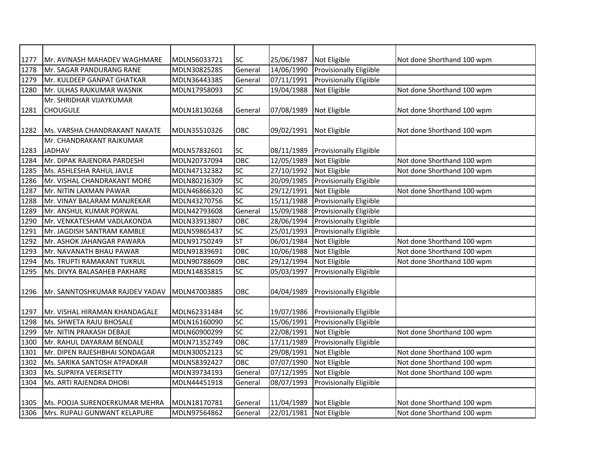| 1277 | Mr. AVINASH MAHADEV WAGHMARE   | MDLN56033721 | SC                       | 25/06/1987 | Not Eligible                   | Not done Shorthand 100 wpm |
|------|--------------------------------|--------------|--------------------------|------------|--------------------------------|----------------------------|
| 1278 | Mr. SAGAR PANDURANG RANE       | MDLN30825285 | General                  | 14/06/1990 | Provisionally Eligiible        |                            |
| 1279 | Mr. KULDEEP GANPAT GHATKAR     | MDLN36443385 | General                  | 07/11/1991 | Provisionally Eligiible        |                            |
| 1280 | Mr. ULHAS RAJKUMAR WASNIK      | MDLN17958093 | SC                       | 19/04/1988 | Not Eligible                   | Not done Shorthand 100 wpm |
|      | Mr. SHRIDHAR VIJAYKUMAR        |              |                          |            |                                |                            |
| 1281 | <b>CHOUGULE</b>                | MDLN18130268 | General                  | 07/08/1989 | Not Eligible                   | Not done Shorthand 100 wpm |
|      |                                |              |                          |            |                                |                            |
| 1282 | Ms. VARSHA CHANDRAKANT NAKATE  | MDLN35510326 | OBC                      | 09/02/1991 | Not Eligible                   | Not done Shorthand 100 wpm |
|      | Mr. CHANDRAKANT RAJKUMAR       |              |                          |            |                                |                            |
| 1283 | <b>JADHAV</b>                  | MDLN57832601 | SC                       | 08/11/1989 | <b>Provisionally Eligiible</b> |                            |
| 1284 | Mr. DIPAK RAJENDRA PARDESHI    | MDLN20737094 | OBC                      | 12/05/1989 | Not Eligible                   | Not done Shorthand 100 wpm |
| 1285 | Ms. ASHLESHA RAHUL JAVLE       | MDLN47132382 | SC                       | 27/10/1992 | Not Eligible                   | Not done Shorthand 100 wpm |
| 1286 | Mr. VISHAL CHANDRAKANT MORE    | MDLN80216309 | SC                       | 20/09/1985 | Provisionally Eligiible        |                            |
| 1287 | Mr. NITIN LAXMAN PAWAR         | MDLN46866320 | SC                       | 29/12/1991 | Not Eligible                   | Not done Shorthand 100 wpm |
| 1288 | Mr. VINAY BALARAM MANJREKAR    | MDLN43270756 | SC                       | 15/11/1988 | Provisionally Eligiible        |                            |
| 1289 | Mr. ANSHUL KUMAR PORWAL        | MDLN42793608 | General                  | 15/09/1988 | Provisionally Eligiible        |                            |
| 1290 | Mr. VENKATESHAM VADLAKONDA     | MDLN33913807 | OBC                      | 28/06/1994 | <b>Provisionally Eligiible</b> |                            |
| 1291 | Mr. JAGDISH SANTRAM KAMBLE     | MDLN59865437 | SC                       | 25/01/1993 | Provisionally Eligiible        |                            |
| 1292 | Mr. ASHOK JAHANGAR PAWARA      | MDLN91750249 | $\overline{\mathsf{ST}}$ | 06/01/1984 | Not Eligible                   | Not done Shorthand 100 wpm |
| 1293 | Mr. NAVANATH BHAU PAWAR        | MDLN91839691 | OBC                      | 10/06/1988 | Not Eligible                   | Not done Shorthand 100 wpm |
| 1294 | Ms. TRUPTI RAMAKANT TUKRUL     | MDLN90788609 | OBC                      | 29/12/1994 | Not Eligible                   | Not done Shorthand 100 wpm |
| 1295 | Ms. DIVYA BALASAHEB PAKHARE    | MDLN14835815 | SC                       | 05/03/1997 | Provisionally Eligiible        |                            |
| 1296 | Mr. SANNTOSHKUMAR RAJDEV YADAV | MDLN47003885 | OBC                      | 04/04/1989 | <b>Provisionally Eligiible</b> |                            |
|      |                                |              |                          |            |                                |                            |
| 1297 | Mr. VISHAL HIRAMAN KHANDAGALE  | MDLN62331484 | <b>SC</b>                | 19/07/1986 | <b>Provisionally Eligiible</b> |                            |
| 1298 | Ms. SHWETA RAJU BHOSALE        | MDLN16160090 | SC                       | 15/06/1991 | Provisionally Eligiible        |                            |
| 1299 | Mr. NITIN PRAKASH DEBAJE       | MDLN60900299 | SC                       | 22/08/1991 | Not Eligible                   | Not done Shorthand 100 wpm |
| 1300 | Mr. RAHUL DAYARAM BENDALE      | MDLN71352749 | OBC                      | 17/11/1989 | Provisionally Eligiible        |                            |
| 1301 | Mr. DIPEN RAJESHBHAI SONDAGAR  | MDLN30052123 | SC                       | 29/08/1991 | Not Eligible                   | Not done Shorthand 100 wpm |
| 1302 | Ms. SARIKA SANTOSH ATPADKAR    | MDLN58392427 | OBC                      | 07/07/1990 | Not Eligible                   | Not done Shorthand 100 wpm |
| 1303 | Ms. SUPRIYA VEERISETTY         | MDLN39734193 | General                  | 07/12/1995 | Not Eligible                   | Not done Shorthand 100 wpm |
| 1304 | Ms. ARTI RAJENDRA DHOBI        | MDLN44451918 | General                  | 08/07/1993 | Provisionally Eligiible        |                            |
|      |                                |              |                          |            |                                |                            |
| 1305 | Ms. POOJA SURENDERKUMAR MEHRA  | MDLN18170781 | General                  | 11/04/1989 | Not Eligible                   | Not done Shorthand 100 wpm |
| 1306 | Mrs. RUPALI GUNWANT KELAPURE   | MDLN97564862 | General                  | 22/01/1981 | Not Eligible                   | Not done Shorthand 100 wpm |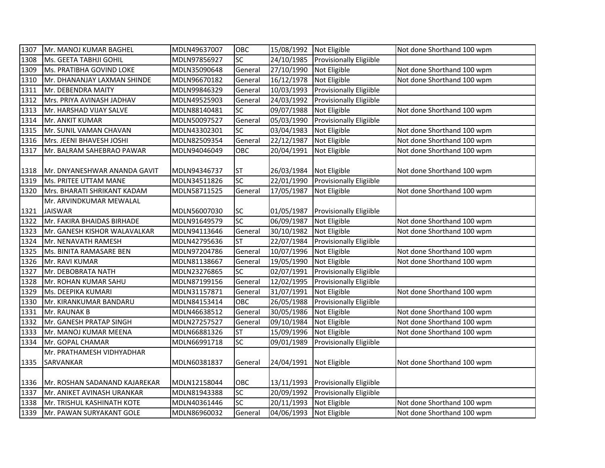| 1307 | Mr. MANOJ KUMAR BAGHEL        | MDLN49637007 | OBC             | 15/08/1992 Not Eligible |                                    | Not done Shorthand 100 wpm |
|------|-------------------------------|--------------|-----------------|-------------------------|------------------------------------|----------------------------|
| 1308 | Ms. GEETA TABHJI GOHIL        | MDLN97856927 | SC              | 24/10/1985              | Provisionally Eligiible            |                            |
| 1309 | Ms. PRATIBHA GOVIND LOKE      | MDLN35090648 | General         | 27/10/1990              | Not Eligible                       | Not done Shorthand 100 wpm |
| 1310 | Mr. DHANANJAY LAXMAN SHINDE   | MDLN96670182 | General         | 16/12/1978              | Not Eligible                       | Not done Shorthand 100 wpm |
| 1311 | Mr. DEBENDRA MAITY            | MDLN99846329 | General         | 10/03/1993              | Provisionally Eligiible            |                            |
| 1312 | Mrs. PRIYA AVINASH JADHAV     | MDLN49525903 | General         | 24/03/1992              | <b>Provisionally Eligiible</b>     |                            |
| 1313 | Mr. HARSHAD VIJAY SALVE       | MDLN88140481 | SC              | 09/07/1988              | Not Eligible                       | Not done Shorthand 100 wpm |
| 1314 | Mr. ANKIT KUMAR               | MDLN50097527 | General         | 05/03/1990              | <b>Provisionally Eligiible</b>     |                            |
| 1315 | Mr. SUNIL VAMAN CHAVAN        | MDLN43302301 | SC              | 03/04/1983              | Not Eligible                       | Not done Shorthand 100 wpm |
| 1316 | Mrs. JEENI BHAVESH JOSHI      | MDLN82509354 | General         | 22/12/1987              | Not Eligible                       | Not done Shorthand 100 wpm |
| 1317 | Mr. BALRAM SAHEBRAO PAWAR     | MDLN94046049 | OBC             | 20/04/1991              | Not Eligible                       | Not done Shorthand 100 wpm |
|      |                               |              |                 |                         |                                    |                            |
| 1318 | Mr. DNYANESHWAR ANANDA GAVIT  | MDLN94346737 | ST              | 26/03/1984              | Not Eligible                       | Not done Shorthand 100 wpm |
| 1319 | Ms. PRITEE UTTAM MANE         | MDLN34511826 | SC              | 22/01/1990              | Provisionally Eligiible            |                            |
| 1320 | Mrs. BHARATI SHRIKANT KADAM   | MDLN58711525 | General         | 17/05/1987              | Not Eligible                       | Not done Shorthand 100 wpm |
|      | Mr. ARVINDKUMAR MEWALAL       |              |                 |                         |                                    |                            |
| 1321 | <b>JAISWAR</b>                | MDLN56007030 | SC              | 01/05/1987              | <b>Provisionally Eligiible</b>     |                            |
| 1322 | Mr. FAKIRA BHAIDAS BIRHADE    | MDLN91649579 | $\overline{SC}$ | 06/09/1987              | Not Eligible                       | Not done Shorthand 100 wpm |
| 1323 | Mr. GANESH KISHOR WALAVALKAR  | MDLN94113646 | General         | 30/10/1982              | Not Eligible                       | Not done Shorthand 100 wpm |
| 1324 | Mr. NENAVATH RAMESH           | MDLN42795636 | <b>ST</b>       | 22/07/1984              | Provisionally Eligiible            |                            |
| 1325 | Ms. BINITA RAMASARE BEN       | MDLN97204786 | General         | 10/07/1996              | Not Eligible                       | Not done Shorthand 100 wpm |
| 1326 | Mr. RAVI KUMAR                | MDLN81138667 | General         | 19/05/1990              | Not Eligible                       | Not done Shorthand 100 wpm |
| 1327 | Mr. DEBOBRATA NATH            | MDLN23276865 | SC              | 02/07/1991              | Provisionally Eligiible            |                            |
| 1328 | Mr. ROHAN KUMAR SAHU          | MDLN87199156 | General         | 12/02/1995              | Provisionally Eligiible            |                            |
| 1329 | Ms. DEEPIKA KUMARI            | MDLN31157871 | General         | 31/07/1991              | Not Eligible                       | Not done Shorthand 100 wpm |
| 1330 | Mr. KIRANKUMAR BANDARU        | MDLN84153414 | OBC             | 26/05/1988              | <b>Provisionally Eligiible</b>     |                            |
| 1331 | Mr. RAUNAK B                  | MDLN46638512 | General         | 30/05/1986              | Not Eligible                       | Not done Shorthand 100 wpm |
| 1332 | Mr. GANESH PRATAP SINGH       | MDLN27257527 | General         | 09/10/1984              | Not Eligible                       | Not done Shorthand 100 wpm |
| 1333 | Mr. MANOJ KUMAR MEENA         | MDLN66881326 | <b>ST</b>       | 15/09/1996              | Not Eligible                       | Not done Shorthand 100 wpm |
| 1334 | Mr. GOPAL CHAMAR              | MDLN66991718 | SC              | 09/01/1989              | <b>Provisionally Eligiible</b>     |                            |
|      | Mr. PRATHAMESH VIDHYADHAR     |              |                 |                         |                                    |                            |
| 1335 | SARVANKAR                     | MDLN60381837 | General         | 24/04/1991              | Not Eligible                       | Not done Shorthand 100 wpm |
|      |                               |              |                 |                         |                                    |                            |
| 1336 | Mr. ROSHAN SADANAND KAJAREKAR | MDLN12158044 | OBC             |                         | 13/11/1993 Provisionally Eligiible |                            |
| 1337 | Mr. ANIKET AVINASH URANKAR    | MDLN81943388 | SC              | 20/09/1992              | Provisionally Eligiible            |                            |
| 1338 | Mr. TRISHUL KASHINATH KOTE    | MDLN40361446 | SC              | 20/11/1993              | Not Eligible                       | Not done Shorthand 100 wpm |
| 1339 | Mr. PAWAN SURYAKANT GOLE      | MDLN86960032 | General         | 04/06/1993 Not Eligible |                                    | Not done Shorthand 100 wpm |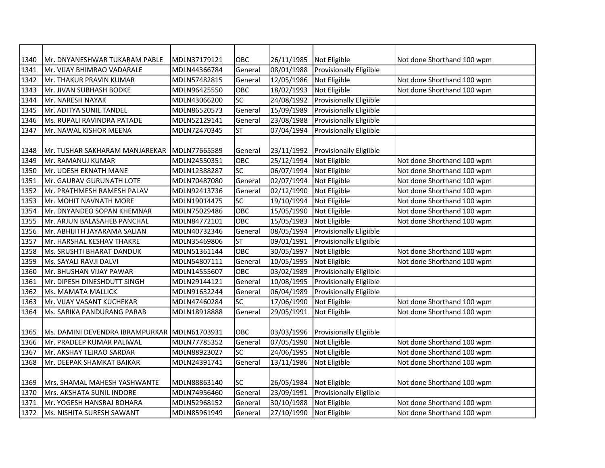| 1340 | Mr. DNYANESHWAR TUKARAM PABLE                 | MDLN37179121 | ОВС                      | 26/11/1985 | Not Eligible                   | Not done Shorthand 100 wpm |
|------|-----------------------------------------------|--------------|--------------------------|------------|--------------------------------|----------------------------|
| 1341 | Mr. VIJAY BHIMRAO VADARALE                    | MDLN44366784 | General                  | 08/01/1988 | <b>Provisionally Eligiible</b> |                            |
| 1342 | Mr. THAKUR PRAVIN KUMAR                       | MDLN57482815 | General                  | 12/05/1986 | Not Eligible                   | Not done Shorthand 100 wpm |
| 1343 | Mr. JIVAN SUBHASH BODKE                       | MDLN96425550 | OBC                      | 18/02/1993 | Not Eligible                   | Not done Shorthand 100 wpm |
| 1344 | Mr. NARESH NAYAK                              | MDLN43066200 | SC                       | 24/08/1992 | Provisionally Eligiible        |                            |
| 1345 | Mr. ADITYA SUNIL TANDEL                       | MDLN86520573 | General                  | 15/09/1989 | Provisionally Eligiible        |                            |
| 1346 | Ms. RUPALI RAVINDRA PATADE                    | MDLN52129141 | General                  | 23/08/1988 | Provisionally Eligiible        |                            |
| 1347 | Mr. NAWAL KISHOR MEENA                        | MDLN72470345 | <b>ST</b>                | 07/04/1994 | <b>Provisionally Eligiible</b> |                            |
|      |                                               |              |                          |            |                                |                            |
| 1348 | Mr. TUSHAR SAKHARAM MANJAREKAR   MDLN77665589 |              | General                  | 23/11/1992 | <b>Provisionally Eligiible</b> |                            |
| 1349 | Mr. RAMANUJ KUMAR                             | MDLN24550351 | OBC                      | 25/12/1994 | Not Eligible                   | Not done Shorthand 100 wpm |
| 1350 | Mr. UDESH EKNATH MANE                         | MDLN12388287 | SC                       | 06/07/1994 | Not Eligible                   | Not done Shorthand 100 wpm |
| 1351 | Mr. GAURAV GURUNATH LOTE                      | MDLN70487080 | General                  | 02/07/1994 | Not Eligible                   | Not done Shorthand 100 wpm |
| 1352 | Mr. PRATHMESH RAMESH PALAV                    | MDLN92413736 | General                  | 02/12/1990 | Not Eligible                   | Not done Shorthand 100 wpm |
| 1353 | Mr. MOHIT NAVNATH MORE                        | MDLN19014475 | $\overline{SC}$          | 19/10/1994 | Not Eligible                   | Not done Shorthand 100 wpm |
| 1354 | Mr. DNYANDEO SOPAN KHEMNAR                    | MDLN75029486 | OBC                      | 15/05/1990 | Not Eligible                   | Not done Shorthand 100 wpm |
| 1355 | Mr. ARJUN BALASAHEB PANCHAL                   | MDLN84772101 | OBC                      | 15/05/1983 | Not Eligible                   | Not done Shorthand 100 wpm |
| 1356 | Mr. ABHIJITH JAYARAMA SALIAN                  | MDLN40732346 | General                  | 08/05/1994 | Provisionally Eligiible        |                            |
| 1357 | Mr. HARSHAL KESHAV THAKRE                     | MDLN35469806 | $\overline{\mathsf{ST}}$ | 09/01/1991 | Provisionally Eligiible        |                            |
| 1358 | Ms. SRUSHTI BHARAT DANDUK                     | MDLN51361144 | OBC                      | 30/05/1997 | Not Eligible                   | Not done Shorthand 100 wpm |
| 1359 | Ms. SAYALI RAVJI DALVI                        | MDLN54807111 | General                  | 10/05/1995 | Not Eligible                   | Not done Shorthand 100 wpm |
| 1360 | Mr. BHUSHAN VIJAY PAWAR                       | MDLN14555607 | OBC                      | 03/02/1989 | Provisionally Eligiible        |                            |
| 1361 | Mr. DIPESH DINESHDUTT SINGH                   | MDLN29144121 | General                  | 10/08/1995 | Provisionally Eligiible        |                            |
| 1362 | Ms. MAMATA MALLICK                            | MDLN91632244 | General                  | 06/04/1989 | <b>Provisionally Eligiible</b> |                            |
| 1363 | Mr. VIJAY VASANT KUCHEKAR                     | MDLN47460284 | SC                       | 17/06/1990 | Not Eligible                   | Not done Shorthand 100 wpm |
| 1364 | Ms. SARIKA PANDURANG PARAB                    | MDLN18918888 | General                  | 29/05/1991 | Not Eligible                   | Not done Shorthand 100 wpm |
|      |                                               |              |                          |            |                                |                            |
| 1365 | Ms. DAMINI DEVENDRA IBRAMPURKAR MDLN61703931  |              | OBC                      | 03/03/1996 | <b>Provisionally Eligiible</b> |                            |
| 1366 | Mr. PRADEEP KUMAR PALIWAL                     | MDLN77785352 | General                  | 07/05/1990 | Not Eligible                   | Not done Shorthand 100 wpm |
| 1367 | Mr. AKSHAY TEJRAO SARDAR                      | MDLN88923027 | SC                       | 24/06/1995 | Not Eligible                   | Not done Shorthand 100 wpm |
| 1368 | Mr. DEEPAK SHAMKAT BAIKAR                     | MDLN24391741 | General                  | 13/11/1986 | Not Eligible                   | Not done Shorthand 100 wpm |
|      |                                               |              |                          |            |                                |                            |
| 1369 | Mrs. SHAMAL MAHESH YASHWANTE                  | MDLN88863140 | SC                       | 26/05/1984 | Not Eligible                   | Not done Shorthand 100 wpm |
| 1370 | Mrs. AKSHATA SUNIL INDORE                     | MDLN74956460 | General                  | 23/09/1991 | Provisionally Eligiible        |                            |
| 1371 | Mr. YOGESH HANSRAJ BOHARA                     | MDLN52968152 | General                  | 30/10/1988 | Not Eligible                   | Not done Shorthand 100 wpm |
| 1372 | Ms. NISHITA SURESH SAWANT                     | MDLN85961949 | General                  | 27/10/1990 | Not Eligible                   | Not done Shorthand 100 wpm |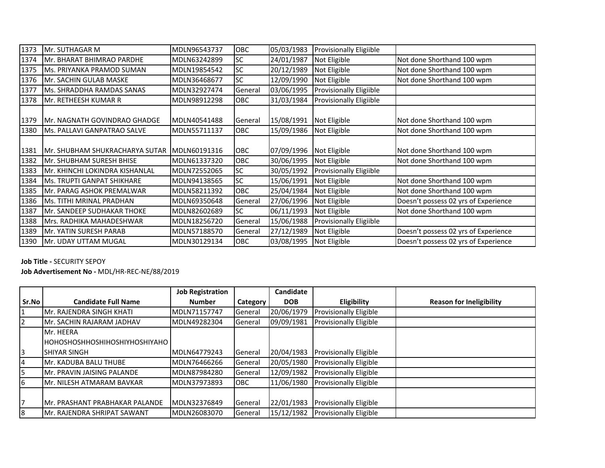| 1373 | Mr. SUTHAGAR M                    | MDLN96543737 | <b>OBC</b> | 05/03/1983 | Provisionally Eligiible |                                      |
|------|-----------------------------------|--------------|------------|------------|-------------------------|--------------------------------------|
| 1374 | Mr. BHARAT BHIMRAO PARDHE         | MDLN63242899 | <b>SC</b>  | 24/01/1987 | Not Eligible            | Not done Shorthand 100 wpm           |
| 1375 | Ms. PRIYANKA PRAMOD SUMAN         | MDLN19854542 | SC         | 20/12/1989 | Not Eligible            | Not done Shorthand 100 wpm           |
| 1376 | Mr. SACHIN GULAB MASKE            | MDLN36468677 | <b>SC</b>  | 12/09/1990 | Not Eligible            | Not done Shorthand 100 wpm           |
| 1377 | Ms. SHRADDHA RAMDAS SANAS         | MDLN32927474 | General    | 03/06/1995 | Provisionally Eligiible |                                      |
| 1378 | Mr. RETHEESH KUMAR R              | MDLN98912298 | OBC        | 31/03/1984 | Provisionally Eligiible |                                      |
|      |                                   |              |            |            |                         |                                      |
| 1379 | IMr. NAGNATH GOVINDRAO GHADGE     | MDLN40541488 | General    | 15/08/1991 | Not Eligible            | Not done Shorthand 100 wpm           |
| 1380 | IMs. PALLAVI GANPATRAO SALVE      | MDLN55711137 | <b>OBC</b> | 15/09/1986 | Not Eligible            | Not done Shorthand 100 wpm           |
|      |                                   |              |            |            |                         |                                      |
| 1381 | Mr. SHUBHAM SHUKRACHARYA SUTAR    | MDLN60191316 | <b>OBC</b> | 07/09/1996 | Not Eligible            | Not done Shorthand 100 wpm           |
| 1382 | lMr. SHUBHAM SURESH BHISE         | MDLN61337320 | <b>OBC</b> | 30/06/1995 | Not Eligible            | Not done Shorthand 100 wpm           |
| 1383 | İMr. KHINCHI LOKINDRA KISHANLAL   | MDLN72552065 | <b>SC</b>  | 30/05/1992 | Provisionally Eligiible |                                      |
| 1384 | <b>Ms. TRUPTI GANPAT SHIKHARE</b> | MDLN94138565 | <b>SC</b>  | 15/06/1991 | Not Eligible            | Not done Shorthand 100 wpm           |
| 1385 | Mr. PARAG ASHOK PREMALWAR         | MDLN58211392 | <b>OBC</b> | 25/04/1984 | Not Eligible            | Not done Shorthand 100 wpm           |
| 1386 | <b>Ms. TITHI MRINAL PRADHAN</b>   | MDLN69350648 | General    | 27/06/1996 | Not Eligible            | Doesn't possess 02 yrs of Experience |
| 1387 | lMr. SANDEEP SUDHAKAR THOKE       | MDLN82602689 | <b>SC</b>  | 06/11/1993 | Not Eligible            | Not done Shorthand 100 wpm           |
| 1388 | Mrs. RADHIKA MAHADESHWAR          | MDLN18256720 | General    | 15/06/1988 | Provisionally Eligiible |                                      |
| 1389 | Mr. YATIN SURESH PARAB            | MDLN57188570 | General    | 27/12/1989 | Not Eligible            | Doesn't possess 02 yrs of Experience |
| 1390 | <b>Mr. UDAY UTTAM MUGAL</b>       | MDLN30129134 | OBC        | 03/08/1995 | Not Eligible            | Doesn't possess 02 yrs of Experience |

## **Job Title -** SECURITY SEPOY

**Job Advertisement No -** MDL/HR-REC-NE/88/2019

|                |                                      | <b>Job Registration</b> |            | Candidate  |                               |                                 |
|----------------|--------------------------------------|-------------------------|------------|------------|-------------------------------|---------------------------------|
| Sr.No          | <b>Candidate Full Name</b>           | <b>Number</b>           | Category   | <b>DOB</b> | Eligibility                   | <b>Reason for Ineligibility</b> |
| 1              | Mr. RAJENDRA SINGH KHATI             | MDLN71157747            | General    | 20/06/1979 | <b>Provisionally Eligible</b> |                                 |
| $\overline{2}$ | Mr. SACHIN RAJARAM JADHAV            | MDLN49282304            | General    | 09/09/1981 | <b>Provisionally Eligible</b> |                                 |
|                | Mr. HEERA                            |                         |            |            |                               |                                 |
|                | <b>HOHOSHOSHHOSHIHOSHIYHOSHIYAHO</b> |                         |            |            |                               |                                 |
| 3              | <b>SHIYAR SINGH</b>                  | MDLN64779243            | General    | 20/04/1983 | <b>Provisionally Eligible</b> |                                 |
| 4              | <b>IMr. KADUBA BALU THUBE</b>        | MDLN76466266            | General    | 20/05/1980 | Provisionally Eligible        |                                 |
| 5              | Mr. PRAVIN JAISING PALANDE           | MDLN87984280            | General    | 12/09/1982 | Provisionally Eligible        |                                 |
| 6              | lMr. NILESH ATMARAM BAVKAR           | MDLN37973893            | <b>OBC</b> | 11/06/1980 | <b>Provisionally Eligible</b> |                                 |
|                |                                      |                         |            |            |                               |                                 |
| 7              | IMr. PRASHANT PRABHAKAR PALANDE      | MDLN32376849            | General    | 22/01/1983 | <b>Provisionally Eligible</b> |                                 |
| 8              | Mr. RAJENDRA SHRIPAT SAWANT          | MDLN26083070            | General    | 15/12/1982 | <b>Provisionally Eligible</b> |                                 |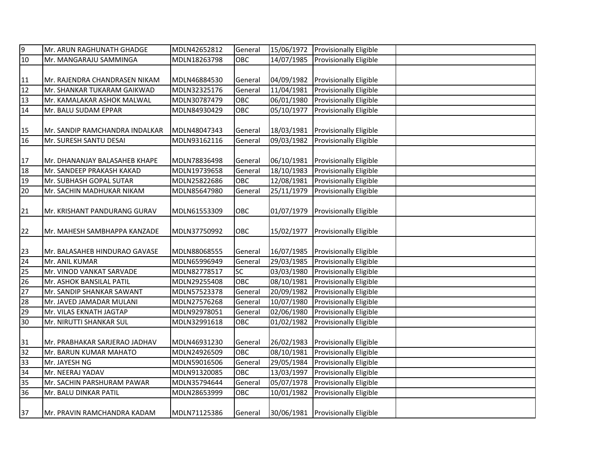| 9  | Mr. ARUN RAGHUNATH GHADGE      | MDLN42652812 | General    | 15/06/1972 | Provisionally Eligible            |  |
|----|--------------------------------|--------------|------------|------------|-----------------------------------|--|
| 10 | Mr. MANGARAJU SAMMINGA         | MDLN18263798 | OBC        | 14/07/1985 | <b>Provisionally Eligible</b>     |  |
|    |                                |              |            |            |                                   |  |
| 11 | Mr. RAJENDRA CHANDRASEN NIKAM  | MDLN46884530 | General    | 04/09/1982 | <b>Provisionally Eligible</b>     |  |
| 12 | Mr. SHANKAR TUKARAM GAIKWAD    | MDLN32325176 | General    | 11/04/1981 | Provisionally Eligible            |  |
| 13 | Mr. KAMALAKAR ASHOK MALWAL     | MDLN30787479 | OBC        | 06/01/1980 | <b>Provisionally Eligible</b>     |  |
| 14 | Mr. BALU SUDAM EPPAR           | MDLN84930429 | OBC        | 05/10/1977 | Provisionally Eligible            |  |
|    |                                |              |            |            |                                   |  |
| 15 | Mr. SANDIP RAMCHANDRA INDALKAR | MDLN48047343 | General    |            | 18/03/1981 Provisionally Eligible |  |
| 16 | Mr. SURESH SANTU DESAI         | MDLN93162116 | General    | 09/03/1982 | Provisionally Eligible            |  |
|    |                                |              |            |            |                                   |  |
| 17 | Mr. DHANANJAY BALASAHEB KHAPE  | MDLN78836498 | General    |            | 06/10/1981 Provisionally Eligible |  |
| 18 | Mr. SANDEEP PRAKASH KAKAD      | MDLN19739658 | General    | 18/10/1983 | <b>Provisionally Eligible</b>     |  |
| 19 | Mr. SUBHASH GOPAL SUTAR        | MDLN25822686 | OBC        | 12/08/1981 | <b>Provisionally Eligible</b>     |  |
| 20 | Mr. SACHIN MADHUKAR NIKAM      | MDLN85647980 | General    | 25/11/1979 | Provisionally Eligible            |  |
|    |                                |              |            |            |                                   |  |
| 21 | Mr. KRISHANT PANDURANG GURAV   | MDLN61553309 | OBC        | 01/07/1979 | <b>Provisionally Eligible</b>     |  |
|    |                                |              |            |            |                                   |  |
| 22 | Mr. MAHESH SAMBHAPPA KANZADE   | MDLN37750992 | OBC        | 15/02/1977 | <b>Provisionally Eligible</b>     |  |
|    |                                |              |            |            |                                   |  |
| 23 | Mr. BALASAHEB HINDURAO GAVASE  | MDLN88068555 | General    | 16/07/1985 | <b>Provisionally Eligible</b>     |  |
| 24 | Mr. ANIL KUMAR                 | MDLN65996949 | General    | 29/03/1985 | Provisionally Eligible            |  |
| 25 | Mr. VINOD VANKAT SARVADE       | MDLN82778517 | SC         | 03/03/1980 | Provisionally Eligible            |  |
| 26 | Mr. ASHOK BANSILAL PATIL       | MDLN29255408 | <b>OBC</b> | 08/10/1981 | Provisionally Eligible            |  |
| 27 | Mr. SANDIP SHANKAR SAWANT      | MDLN57523378 | General    | 20/09/1982 | Provisionally Eligible            |  |
| 28 | Mr. JAVED JAMADAR MULANI       | MDLN27576268 | General    | 10/07/1980 | Provisionally Eligible            |  |
| 29 | Mr. VILAS EKNATH JAGTAP        | MDLN92978051 | General    | 02/06/1980 | Provisionally Eligible            |  |
| 30 | Mr. NIRUTTI SHANKAR SUL        | MDLN32991618 | <b>OBC</b> | 01/02/1982 | Provisionally Eligible            |  |
|    |                                |              |            |            |                                   |  |
| 31 | Mr. PRABHAKAR SARJERAO JADHAV  | MDLN46931230 | General    | 26/02/1983 | <b>Provisionally Eligible</b>     |  |
| 32 | Mr. BARUN KUMAR MAHATO         | MDLN24926509 | OBC        | 08/10/1981 | Provisionally Eligible            |  |
| 33 | Mr. JAYESH NG                  | MDLN59016506 | General    | 29/05/1984 | Provisionally Eligible            |  |
| 34 | Mr. NEERAJ YADAV               | MDLN91320085 | OBC        | 13/03/1997 | Provisionally Eligible            |  |
| 35 | Mr. SACHIN PARSHURAM PAWAR     | MDLN35794644 | General    | 05/07/1978 | Provisionally Eligible            |  |
| 36 | Mr. BALU DINKAR PATIL          | MDLN28653999 | OBC        | 10/01/1982 | Provisionally Eligible            |  |
|    |                                |              |            |            |                                   |  |
| 37 | Mr. PRAVIN RAMCHANDRA KADAM    | MDLN71125386 | General    |            | 30/06/1981 Provisionally Eligible |  |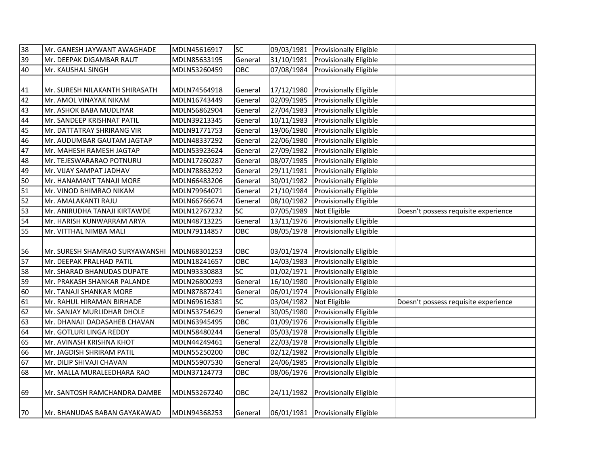| 38              | Mr. GANESH JAYWANT AWAGHADE                 | MDLN45616917 | SC         |                         | 09/03/1981 Provisionally Eligible |                                      |
|-----------------|---------------------------------------------|--------------|------------|-------------------------|-----------------------------------|--------------------------------------|
| 39              | Mr. DEEPAK DIGAMBAR RAUT                    | MDLN85633195 | General    | 31/10/1981              | <b>Provisionally Eligible</b>     |                                      |
| 40              | Mr. KAUSHAL SINGH                           | MDLN53260459 | OBC        |                         | 07/08/1984 Provisionally Eligible |                                      |
|                 |                                             |              |            |                         |                                   |                                      |
| 41              | Mr. SURESH NILAKANTH SHIRASATH              | MDLN74564918 | General    | 17/12/1980              | <b>Provisionally Eligible</b>     |                                      |
| 42              | Mr. AMOL VINAYAK NIKAM                      | MDLN16743449 | General    | 02/09/1985              | <b>Provisionally Eligible</b>     |                                      |
| 43              | Mr. ASHOK BABA MUDLIYAR                     | MDLN56862904 | General    |                         | 27/04/1983 Provisionally Eligible |                                      |
| 44              | Mr. SANDEEP KRISHNAT PATIL                  | MDLN39213345 | General    |                         | 10/11/1983 Provisionally Eligible |                                      |
| 45              | Mr. DATTATRAY SHRIRANG VIR                  | MDLN91771753 | General    | 19/06/1980              | <b>Provisionally Eligible</b>     |                                      |
| 46              | Mr. AUDUMBAR GAUTAM JAGTAP                  | MDLN48337292 | General    | 22/06/1980              | <b>Provisionally Eligible</b>     |                                      |
| 47              | Mr. MAHESH RAMESH JAGTAP                    | MDLN53923624 | General    | 27/09/1982              | <b>Provisionally Eligible</b>     |                                      |
| 48              | Mr. TEJESWARARAO POTNURU                    | MDLN17260287 | General    | 08/07/1985              | <b>Provisionally Eligible</b>     |                                      |
| 49              | Mr. VIJAY SAMPAT JADHAV                     | MDLN78863292 | General    | 29/11/1981              | <b>Provisionally Eligible</b>     |                                      |
| 50              | Mr. HANAMANT TANAJI MORE                    | MDLN66483206 | General    | 30/01/1982              | <b>Provisionally Eligible</b>     |                                      |
| 51              | Mr. VINOD BHIMRAO NIKAM                     | MDLN79964071 | General    | 21/10/1984              | Provisionally Eligible            |                                      |
| $\overline{52}$ | Mr. AMALAKANTI RAJU                         | MDLN66766674 | General    | 08/10/1982              | <b>Provisionally Eligible</b>     |                                      |
| 53              | Mr. ANIRUDHA TANAJI KIRTAWDE                | MDLN12767232 | SC         | 07/05/1989 Not Eligible |                                   | Doesn't possess requisite experience |
| 54              | Mr. HARISH KUNWARRAM ARYA                   | MDLN48713225 | General    |                         | 13/11/1976 Provisionally Eligible |                                      |
| 55              | Mr. VITTHAL NIMBA MALI                      | MDLN79114857 | OBC        | 08/05/1978              | <b>Provisionally Eligible</b>     |                                      |
|                 |                                             |              |            |                         |                                   |                                      |
| 56              | Mr. SURESH SHAMRAO SURYAWANSHI MDLN68301253 |              | OBC        |                         | 03/01/1974 Provisionally Eligible |                                      |
| 57              | Mr. DEEPAK PRALHAD PATIL                    | MDLN18241657 | OBC        |                         | 14/03/1983 Provisionally Eligible |                                      |
| 58              | Mr. SHARAD BHANUDAS DUPATE                  | MDLN93330883 | <b>SC</b>  |                         | 01/02/1971 Provisionally Eligible |                                      |
| 59              | Mr. PRAKASH SHANKAR PALANDE                 | MDLN26800293 | General    |                         | 16/10/1980 Provisionally Eligible |                                      |
| 60              | Mr. TANAJI SHANKAR MORE                     | MDLN87887241 | General    |                         | 06/01/1974 Provisionally Eligible |                                      |
| 61              | Mr. RAHUL HIRAMAN BIRHADE                   | MDLN69616381 | <b>SC</b>  | 03/04/1982 Not Eligible |                                   | Doesn't possess requisite experience |
| 62              | Mr. SANJAY MURLIDHAR DHOLE                  | MDLN53754629 | General    | 30/05/1980              | <b>Provisionally Eligible</b>     |                                      |
| 63              | Mr. DHANAJI DADASAHEB CHAVAN                | MDLN63945495 | OBC        |                         | 01/09/1976 Provisionally Eligible |                                      |
| 64              | Mr. GOTLURI LINGA REDDY                     | MDLN58480244 | General    |                         | 05/03/1978 Provisionally Eligible |                                      |
| 65              | Mr. AVINASH KRISHNA KHOT                    | MDLN44249461 | General    | 22/03/1978              | <b>Provisionally Eligible</b>     |                                      |
| 66              | Mr. JAGDISH SHRIRAM PATIL                   | MDLN55250200 | <b>OBC</b> | 02/12/1982              | Provisionally Eligible            |                                      |
| 67              | Mr. DILIP SHIVAJI CHAVAN                    | MDLN55907530 | General    | 24/06/1985              | <b>Provisionally Eligible</b>     |                                      |
| 68              | Mr. MALLA MURALEEDHARA RAO                  | MDLN37124773 | OBC        | 08/06/1976              | Provisionally Eligible            |                                      |
|                 |                                             |              |            |                         |                                   |                                      |
| 69              | Mr. SANTOSH RAMCHANDRA DAMBE                | MDLN53267240 | OBC        |                         | 24/11/1982 Provisionally Eligible |                                      |
|                 |                                             |              |            |                         |                                   |                                      |
| 70              | Mr. BHANUDAS BABAN GAYAKAWAD                | MDLN94368253 | General    |                         | 06/01/1981 Provisionally Eligible |                                      |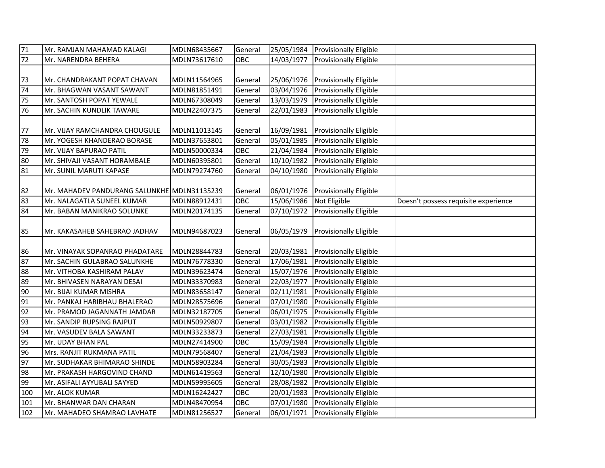| 71  | Mr. RAMJAN MAHAMAD KALAGI                   | MDLN68435667 | General | 25/05/1984 | <b>Provisionally Eligible</b>     |                                      |
|-----|---------------------------------------------|--------------|---------|------------|-----------------------------------|--------------------------------------|
| 72  | Mr. NARENDRA BEHERA                         | MDLN73617610 | OBC     | 14/03/1977 | <b>Provisionally Eligible</b>     |                                      |
|     |                                             |              |         |            |                                   |                                      |
| 73  | Mr. CHANDRAKANT POPAT CHAVAN                | MDLN11564965 | General | 25/06/1976 | <b>Provisionally Eligible</b>     |                                      |
| 74  | Mr. BHAGWAN VASANT SAWANT                   | MDLN81851491 | General | 03/04/1976 | Provisionally Eligible            |                                      |
| 75  | Mr. SANTOSH POPAT YEWALE                    | MDLN67308049 | General | 13/03/1979 | Provisionally Eligible            |                                      |
| 76  | Mr. SACHIN KUNDLIK TAWARE                   | MDLN22407375 | General | 22/01/1983 | <b>Provisionally Eligible</b>     |                                      |
|     |                                             |              |         |            |                                   |                                      |
| 77  | Mr. VIJAY RAMCHANDRA CHOUGULE               | MDLN11013145 | General | 16/09/1981 | <b>Provisionally Eligible</b>     |                                      |
| 78  | Mr. YOGESH KHANDERAO BORASE                 | MDLN37653801 | General | 05/01/1985 | Provisionally Eligible            |                                      |
| 79  | Mr. VIJAY BAPURAO PATIL                     | MDLN50000334 | OBC     | 21/04/1984 | Provisionally Eligible            |                                      |
| 80  | Mr. SHIVAJI VASANT HORAMBALE                | MDLN60395801 | General | 10/10/1982 | Provisionally Eligible            |                                      |
| 81  | Mr. SUNIL MARUTI KAPASE                     | MDLN79274760 | General | 04/10/1980 | <b>Provisionally Eligible</b>     |                                      |
|     |                                             |              |         |            |                                   |                                      |
| 82  | Mr. MAHADEV PANDURANG SALUNKHE MDLN31135239 |              | General |            | 06/01/1976 Provisionally Eligible |                                      |
| 83  | Mr. NALAGATLA SUNEEL KUMAR                  | MDLN88912431 | OBC     | 15/06/1986 | Not Eligible                      | Doesn't possess requisite experience |
| 84  | Mr. BABAN MANIKRAO SOLUNKE                  | MDLN20174135 | General | 07/10/1972 | <b>Provisionally Eligible</b>     |                                      |
|     |                                             |              |         |            |                                   |                                      |
| 85  | Mr. KAKASAHEB SAHEBRAO JADHAV               | MDLN94687023 | General | 06/05/1979 | <b>Provisionally Eligible</b>     |                                      |
|     |                                             |              |         |            |                                   |                                      |
| 86  | Mr. VINAYAK SOPANRAO PHADATARE              | MDLN28844783 | General | 20/03/1981 | <b>Provisionally Eligible</b>     |                                      |
| 87  | Mr. SACHIN GULABRAO SALUNKHE                | MDLN76778330 | General | 17/06/1981 | Provisionally Eligible            |                                      |
| 88  | Mr. VITHOBA KASHIRAM PALAV                  | MDLN39623474 | General | 15/07/1976 | <b>Provisionally Eligible</b>     |                                      |
| 89  | Mr. BHIVASEN NARAYAN DESAI                  | MDLN33370983 | General | 22/03/1977 | <b>Provisionally Eligible</b>     |                                      |
| 90  | Mr. BIJAI KUMAR MISHRA                      | MDLN83658147 | General | 02/11/1981 | Provisionally Eligible            |                                      |
| 91  | Mr. PANKAJ HARIBHAU BHALERAO                | MDLN28575696 | General | 07/01/1980 | <b>Provisionally Eligible</b>     |                                      |
| 92  | Mr. PRAMOD JAGANNATH JAMDAR                 | MDLN32187705 | General | 06/01/1975 | <b>Provisionally Eligible</b>     |                                      |
| 93  | Mr. SANDIP RUPSING RAJPUT                   | MDLN50929807 | General | 03/01/1982 | <b>Provisionally Eligible</b>     |                                      |
| 94  | Mr. VASUDEV BALA SAWANT                     | MDLN33233873 | General | 27/03/1981 | <b>Provisionally Eligible</b>     |                                      |
| 95  | Mr. UDAY BHAN PAL                           | MDLN27414900 | OBC     | 15/09/1984 | Provisionally Eligible            |                                      |
| 96  | Mrs. RANJIT RUKMANA PATIL                   | MDLN79568407 | General | 21/04/1983 | Provisionally Eligible            |                                      |
| 97  | Mr. SUDHAKAR BHIMARAO SHINDE                | MDLN58903284 | General | 30/05/1983 | Provisionally Eligible            |                                      |
| 98  | Mr. PRAKASH HARGOVIND CHAND                 | MDLN61419563 | General | 12/10/1980 | Provisionally Eligible            |                                      |
| 99  | Mr. ASIFALI AYYUBALI SAYYED                 | MDLN59995605 | General | 28/08/1982 | Provisionally Eligible            |                                      |
| 100 | Mr. ALOK KUMAR                              | MDLN16242427 | OBC     | 20/01/1983 | Provisionally Eligible            |                                      |
| 101 | Mr. BHANWAR DAN CHARAN                      | MDLN48470954 | OBC     | 07/01/1980 | Provisionally Eligible            |                                      |
| 102 | Mr. MAHADEO SHAMRAO LAVHATE                 | MDLN81256527 | General | 06/01/1971 | <b>Provisionally Eligible</b>     |                                      |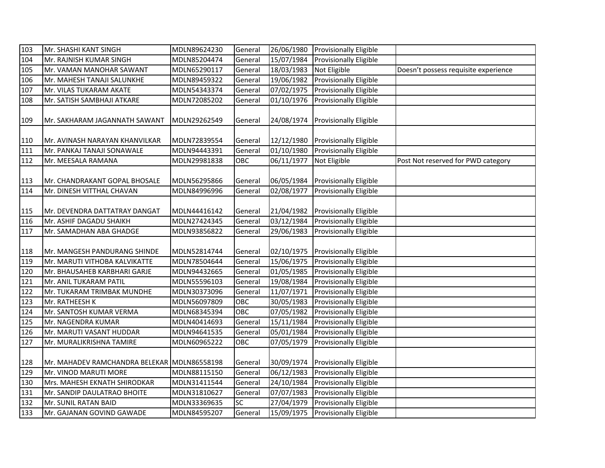| 103        | Mr. SHASHI KANT SINGH                                      | MDLN89624230                 | General            |                          | 26/06/1980 Provisionally Eligible                       |                                      |
|------------|------------------------------------------------------------|------------------------------|--------------------|--------------------------|---------------------------------------------------------|--------------------------------------|
| 104        | Mr. RAJNISH KUMAR SINGH                                    | MDLN85204474                 | General            | 15/07/1984               | Provisionally Eligible                                  |                                      |
| 105        | Mr. VAMAN MANOHAR SAWANT                                   | MDLN65290117                 | General            | 18/03/1983               | Not Eligible                                            | Doesn't possess requisite experience |
| 106        | Mr. MAHESH TANAJI SALUNKHE                                 | MDLN89459322                 | General            | 19/06/1982               | Provisionally Eligible                                  |                                      |
| 107        | Mr. VILAS TUKARAM AKATE                                    | MDLN54343374                 | General            | 07/02/1975               | Provisionally Eligible                                  |                                      |
| 108        | Mr. SATISH SAMBHAJI ATKARE                                 | MDLN72085202                 | General            | 01/10/1976               | Provisionally Eligible                                  |                                      |
| 109        | Mr. SAKHARAM JAGANNATH SAWANT                              | MDLN29262549                 | General            | 24/08/1974               | <b>Provisionally Eligible</b>                           |                                      |
| 110        | Mr. AVINASH NARAYAN KHANVILKAR                             | MDLN72839554                 | General            | 12/12/1980               | <b>Provisionally Eligible</b>                           |                                      |
| 111        | Mr. PANKAJ TANAJI SONAWALE                                 | MDLN94443391                 | General            | 01/10/1980               | <b>Provisionally Eligible</b>                           |                                      |
| 112        | Mr. MEESALA RAMANA                                         | MDLN29981838                 | OBC                | 06/11/1977               | Not Eligible                                            | Post Not reserved for PWD category   |
| 113<br>114 | Mr. CHANDRAKANT GOPAL BHOSALE<br>Mr. DINESH VITTHAL CHAVAN | MDLN56295866<br>MDLN84996996 | General<br>General | 06/05/1984<br>02/08/1977 | <b>Provisionally Eligible</b><br>Provisionally Eligible |                                      |
|            |                                                            |                              |                    |                          |                                                         |                                      |
| 115        | Mr. DEVENDRA DATTATRAY DANGAT                              | MDLN44416142                 | General            |                          | 21/04/1982 Provisionally Eligible                       |                                      |
| 116        | Mr. ASHIF DAGADU SHAIKH                                    | MDLN27424345                 | General            | 03/12/1984               | <b>Provisionally Eligible</b>                           |                                      |
| 117        | Mr. SAMADHAN ABA GHADGE                                    | MDLN93856822                 | General            | 29/06/1983               | <b>Provisionally Eligible</b>                           |                                      |
| 118        | Mr. MANGESH PANDURANG SHINDE                               | MDLN52814744                 | General            | 02/10/1975               | <b>Provisionally Eligible</b>                           |                                      |
| 119        | Mr. MARUTI VITHOBA KALVIKATTE                              | MDLN78504644                 | General            | 15/06/1975               | <b>Provisionally Eligible</b>                           |                                      |
| 120        | Mr. BHAUSAHEB KARBHARI GARJE                               | MDLN94432665                 | General            | 01/05/1985               | <b>Provisionally Eligible</b>                           |                                      |
| 121        | Mr. ANIL TUKARAM PATIL                                     | MDLN55596103                 | General            | 19/08/1984               | Provisionally Eligible                                  |                                      |
| 122        | Mr. TUKARAM TRIMBAK MUNDHE                                 | MDLN30373096                 | General            | 11/07/1971               | Provisionally Eligible                                  |                                      |
| 123        | Mr. RATHEESH K                                             | MDLN56097809                 | OBC                | 30/05/1983               | <b>Provisionally Eligible</b>                           |                                      |
| 124        | Mr. SANTOSH KUMAR VERMA                                    | MDLN68345394                 | OBC                | 07/05/1982               | Provisionally Eligible                                  |                                      |
| 125        | Mr. NAGENDRA KUMAR                                         | MDLN40414693                 | General            | 15/11/1984               | Provisionally Eligible                                  |                                      |
| 126        | Mr. MARUTI VASANT HUDDAR                                   | MDLN94641535                 | General            | 05/01/1984               | Provisionally Eligible                                  |                                      |
| 127        | Mr. MURALIKRISHNA TAMIRE                                   | MDLN60965222                 | OBC                | 07/05/1979               | Provisionally Eligible                                  |                                      |
| 128        | Mr. MAHADEV RAMCHANDRA BELEKAR MDLN86558198                |                              | General            | 30/09/1974               | <b>Provisionally Eligible</b>                           |                                      |
| 129        | Mr. VINOD MARUTI MORE                                      | MDLN88115150                 | General            | 06/12/1983               | <b>Provisionally Eligible</b>                           |                                      |
| 130        | Mrs. MAHESH EKNATH SHIRODKAR                               | MDLN31411544                 | General            | 24/10/1984               | <b>Provisionally Eligible</b>                           |                                      |
| 131        | Mr. SANDIP DAULATRAO BHOITE                                | MDLN31810627                 | General            | 07/07/1983               | <b>Provisionally Eligible</b>                           |                                      |
| 132        | Mr. SUNIL RATAN BAID                                       | MDLN33369635                 | SC                 | 27/04/1979               | <b>Provisionally Eligible</b>                           |                                      |
| 133        | Mr. GAJANAN GOVIND GAWADE                                  | MDLN84595207                 | General            |                          | 15/09/1975 Provisionally Eligible                       |                                      |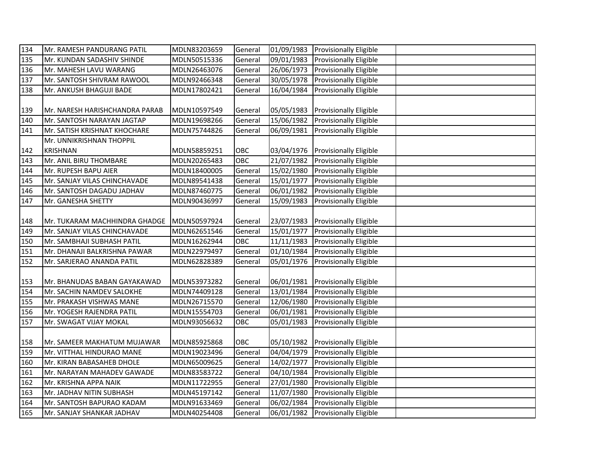| 134 | Mr. RAMESH PANDURANG PATIL                   | MDLN83203659 | General |            | 01/09/1983 Provisionally Eligible |  |
|-----|----------------------------------------------|--------------|---------|------------|-----------------------------------|--|
| 135 | Mr. KUNDAN SADASHIV SHINDE                   | MDLN50515336 | General | 09/01/1983 | Provisionally Eligible            |  |
| 136 | Mr. MAHESH LAVU WARANG                       | MDLN26463076 | General | 26/06/1973 | <b>Provisionally Eligible</b>     |  |
| 137 | Mr. SANTOSH SHIVRAM RAWOOL                   | MDLN92466348 | General | 30/05/1978 | <b>Provisionally Eligible</b>     |  |
| 138 | Mr. ANKUSH BHAGUJI BADE                      | MDLN17802421 | General | 16/04/1984 | <b>Provisionally Eligible</b>     |  |
|     |                                              |              |         |            |                                   |  |
| 139 | Mr. NARESH HARISHCHANDRA PARAB               | MDLN10597549 | General | 05/05/1983 | <b>Provisionally Eligible</b>     |  |
| 140 | Mr. SANTOSH NARAYAN JAGTAP                   | MDLN19698266 | General | 15/06/1982 | Provisionally Eligible            |  |
| 141 | Mr. SATISH KRISHNAT KHOCHARE                 | MDLN75744826 | General | 06/09/1981 | <b>Provisionally Eligible</b>     |  |
|     | Mr. UNNIKRISHNAN THOPPIL                     |              |         |            |                                   |  |
| 142 | <b>KRISHNAN</b>                              | MDLN58859251 | OBC     |            | 03/04/1976 Provisionally Eligible |  |
| 143 | Mr. ANIL BIRU THOMBARE                       | MDLN20265483 | OBC     | 21/07/1982 | <b>Provisionally Eligible</b>     |  |
| 144 | Mr. RUPESH BAPU AIER                         | MDLN18400005 | General | 15/02/1980 | <b>Provisionally Eligible</b>     |  |
| 145 | Mr. SANJAY VILAS CHINCHAVADE                 | MDLN89541438 | General | 15/01/1977 | <b>Provisionally Eligible</b>     |  |
| 146 | Mr. SANTOSH DAGADU JADHAV                    | MDLN87460775 | General | 06/01/1982 | Provisionally Eligible            |  |
| 147 | Mr. GANESHA SHETTY                           | MDLN90436997 | General | 15/09/1983 | Provisionally Eligible            |  |
|     |                                              |              |         |            |                                   |  |
| 148 | Mr. TUKARAM MACHHINDRA GHADGE   MDLN50597924 |              | General |            | 23/07/1983 Provisionally Eligible |  |
| 149 | Mr. SANJAY VILAS CHINCHAVADE                 | MDLN62651546 | General | 15/01/1977 | Provisionally Eligible            |  |
| 150 | Mr. SAMBHAJI SUBHASH PATIL                   | MDLN16262944 | OBC     | 11/11/1983 | Provisionally Eligible            |  |
| 151 | Mr. DHANAJI BALKRISHNA PAWAR                 | MDLN22979497 | General | 01/10/1984 | Provisionally Eligible            |  |
| 152 | Mr. SARJERAO ANANDA PATIL                    | MDLN62828389 | General | 05/01/1976 | <b>Provisionally Eligible</b>     |  |
|     |                                              |              |         |            |                                   |  |
| 153 | Mr. BHANUDAS BABAN GAYAKAWAD                 | MDLN53973282 | General |            | 06/01/1981 Provisionally Eligible |  |
| 154 | Mr. SACHIN NAMDEV SALOKHE                    | MDLN74409128 | General | 13/01/1984 | Provisionally Eligible            |  |
| 155 | Mr. PRAKASH VISHWAS MANE                     | MDLN26715570 | General | 12/06/1980 | Provisionally Eligible            |  |
| 156 | Mr. YOGESH RAJENDRA PATIL                    | MDLN15554703 | General | 06/01/1981 | Provisionally Eligible            |  |
| 157 | Mr. SWAGAT VIJAY MOKAL                       | MDLN93056632 | OBC     | 05/01/1983 | Provisionally Eligible            |  |
|     |                                              |              |         |            |                                   |  |
| 158 | Mr. SAMEER MAKHATUM MUJAWAR                  | MDLN85925868 | OBC     | 05/10/1982 | <b>Provisionally Eligible</b>     |  |
| 159 | Mr. VITTHAL HINDURAO MANE                    | MDLN19023496 | General | 04/04/1979 | <b>Provisionally Eligible</b>     |  |
| 160 | Mr. KIRAN BABASAHEB DHOLE                    | MDLN65009625 | General | 14/02/1977 | Provisionally Eligible            |  |
| 161 | Mr. NARAYAN MAHADEV GAWADE                   | MDLN83583722 | General | 04/10/1984 | Provisionally Eligible            |  |
| 162 | Mr. KRISHNA APPA NAIK                        | MDLN11722955 | General | 27/01/1980 | Provisionally Eligible            |  |
| 163 | Mr. JADHAV NITIN SUBHASH                     | MDLN45197142 | General | 11/07/1980 | Provisionally Eligible            |  |
| 164 | Mr. SANTOSH BAPURAO KADAM                    | MDLN91633469 | General | 06/02/1984 | Provisionally Eligible            |  |
| 165 | Mr. SANJAY SHANKAR JADHAV                    | MDLN40254408 | General |            | 06/01/1982 Provisionally Eligible |  |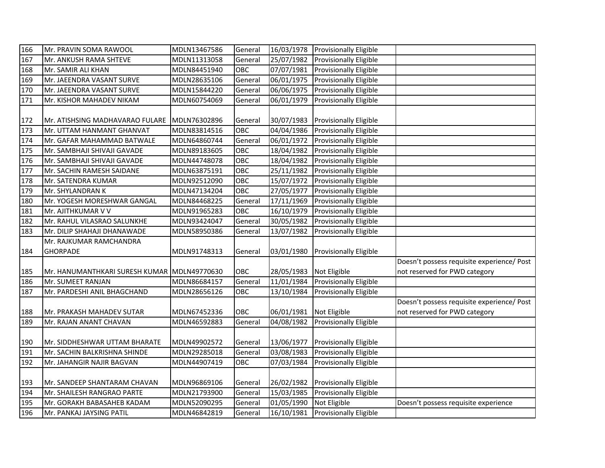| 166 | Mr. PRAVIN SOMA RAWOOL                      | MDLN13467586 | General | 16/03/1978              | Provisionally Eligible        |                                            |
|-----|---------------------------------------------|--------------|---------|-------------------------|-------------------------------|--------------------------------------------|
| 167 | Mr. ANKUSH RAMA SHTEVE                      | MDLN11313058 | General | 25/07/1982              | Provisionally Eligible        |                                            |
| 168 | Mr. SAMIR ALI KHAN                          | MDLN84451940 | OBC     | 07/07/1981              | Provisionally Eligible        |                                            |
| 169 | Mr. JAEENDRA VASANT SURVE                   | MDLN28635106 | General | 06/01/1975              | Provisionally Eligible        |                                            |
| 170 | Mr. JAEENDRA VASANT SURVE                   | MDLN15844220 | General | 06/06/1975              | Provisionally Eligible        |                                            |
| 171 | Mr. KISHOR MAHADEV NIKAM                    | MDLN60754069 | General | 06/01/1979              | Provisionally Eligible        |                                            |
|     |                                             |              |         |                         |                               |                                            |
| 172 | Mr. ATISHSING MADHAVARAO FULARE             | MDLN76302896 | General | 30/07/1983              | <b>Provisionally Eligible</b> |                                            |
| 173 | Mr. UTTAM HANMANT GHANVAT                   | MDLN83814516 | OBC     | 04/04/1986              | Provisionally Eligible        |                                            |
| 174 | Mr. GAFAR MAHAMMAD BATWALE                  | MDLN64860744 | General | 06/01/1972              | <b>Provisionally Eligible</b> |                                            |
| 175 | Mr. SAMBHAJI SHIVAJI GAVADE                 | MDLN89183605 | OBC     | 18/04/1982              | Provisionally Eligible        |                                            |
| 176 | Mr. SAMBHAJI SHIVAJI GAVADE                 | MDLN44748078 | OBC     | 18/04/1982              | Provisionally Eligible        |                                            |
| 177 | Mr. SACHIN RAMESH SAIDANE                   | MDLN63875191 | OBC     | 25/11/1982              | Provisionally Eligible        |                                            |
| 178 | Mr. SATENDRA KUMAR                          | MDLN92512090 | OBC     | 15/07/1972              | Provisionally Eligible        |                                            |
| 179 | Mr. SHYLANDRAN K                            | MDLN47134204 | OBC     | 27/05/1977              | Provisionally Eligible        |                                            |
| 180 | Mr. YOGESH MORESHWAR GANGAL                 | MDLN84468225 | General | $\frac{1}{17}/11/1969$  | Provisionally Eligible        |                                            |
| 181 | Mr. AJITHKUMAR V V                          | MDLN91965283 | OBC     | 16/10/1979              | Provisionally Eligible        |                                            |
| 182 | Mr. RAHUL VILASRAO SALUNKHE                 | MDLN93424047 | General | 30/05/1982              | Provisionally Eligible        |                                            |
| 183 | Mr. DILIP SHAHAJI DHANAWADE                 | MDLN58950386 | General | 13/07/1982              | Provisionally Eligible        |                                            |
|     | Mr. RAJKUMAR RAMCHANDRA                     |              |         |                         |                               |                                            |
| 184 | <b>GHORPADE</b>                             | MDLN91748313 | General | 03/01/1980              | <b>Provisionally Eligible</b> |                                            |
|     |                                             |              |         |                         |                               | Doesn't possess requisite experience/ Post |
| 185 | Mr. HANUMANTHKARI SURESH KUMAR MDLN49770630 |              | OBC     | 28/05/1983              | Not Eligible                  | not reserved for PWD category              |
| 186 | Mr. SUMEET RANJAN                           | MDLN86684157 | General | 11/01/1984              | Provisionally Eligible        |                                            |
| 187 | Mr. PARDESHI ANIL BHAGCHAND                 | MDLN28656126 | OBC     | 13/10/1984              | Provisionally Eligible        |                                            |
|     |                                             |              |         |                         |                               | Doesn't possess requisite experience/ Post |
| 188 | Mr. PRAKASH MAHADEV SUTAR                   | MDLN67452336 | OBC     | 06/01/1981              | Not Eligible                  | not reserved for PWD category              |
| 189 | Mr. RAJAN ANANT CHAVAN                      | MDLN46592883 | General | 04/08/1982              | Provisionally Eligible        |                                            |
|     |                                             |              |         |                         |                               |                                            |
| 190 | Mr. SIDDHESHWAR UTTAM BHARATE               | MDLN49902572 | General | 13/06/1977              | Provisionally Eligible        |                                            |
| 191 | Mr. SACHIN BALKRISHNA SHINDE                | MDLN29285018 | General | 03/08/1983              | Provisionally Eligible        |                                            |
| 192 | Mr. JAHANGIR NAJIR BAGVAN                   | MDLN44907419 | OBC     | 07/03/1984              | Provisionally Eligible        |                                            |
|     |                                             |              |         |                         |                               |                                            |
| 193 | Mr. SANDEEP SHANTARAM CHAVAN                | MDLN96869106 | General | 26/02/1982              | <b>Provisionally Eligible</b> |                                            |
| 194 | Mr. SHAILESH RANGRAO PARTE                  | MDLN21793900 | General | 15/03/1985              | Provisionally Eligible        |                                            |
| 195 | Mr. GORAKH BABASAHEB KADAM                  | MDLN52090295 | General | $\overline{01/05/1990}$ | Not Eligible                  | Doesn't possess requisite experience       |
| 196 | Mr. PANKAJ JAYSING PATIL                    | MDLN46842819 | General | 16/10/1981              | <b>Provisionally Eligible</b> |                                            |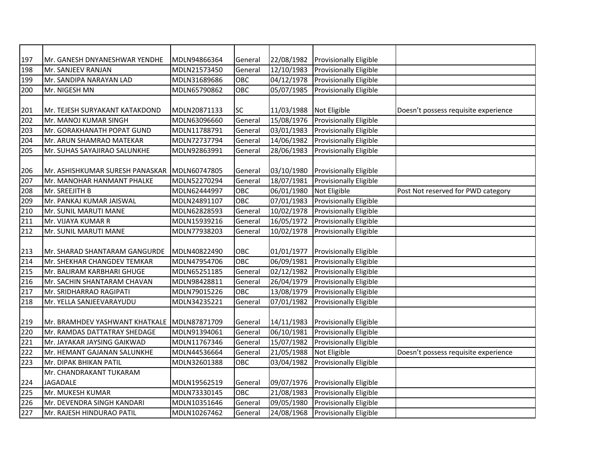| 197 | Mr. GANESH DNYANESHWAR YENDHE   | MDLN94866364 | General   | 22/08/1982 | Provisionally Eligible        |                                      |
|-----|---------------------------------|--------------|-----------|------------|-------------------------------|--------------------------------------|
| 198 | Mr. SANJEEV RANJAN              | MDLN21573450 | General   | 12/10/1983 | Provisionally Eligible        |                                      |
| 199 | Mr. SANDIPA NARAYAN LAD         | MDLN31689686 | OBC       | 04/12/1978 | Provisionally Eligible        |                                      |
| 200 | Mr. NIGESH MN                   | MDLN65790862 | OBC       | 05/07/1985 | Provisionally Eligible        |                                      |
|     |                                 |              |           |            |                               |                                      |
| 201 | Mr. TEJESH SURYAKANT KATAKDOND  | MDLN20871133 | <b>SC</b> | 11/03/1988 | Not Eligible                  | Doesn't possess requisite experience |
| 202 | Mr. MANOJ KUMAR SINGH           | MDLN63096660 | General   | 15/08/1976 | Provisionally Eligible        |                                      |
| 203 | Mr. GORAKHANATH POPAT GUND      | MDLN11788791 | General   | 03/01/1983 | Provisionally Eligible        |                                      |
| 204 | Mr. ARUN SHAMRAO MATEKAR        | MDLN72737794 | General   | 14/06/1982 | Provisionally Eligible        |                                      |
| 205 | Mr. SUHAS SAYAJIRAO SALUNKHE    | MDLN92863991 | General   | 28/06/1983 | Provisionally Eligible        |                                      |
|     |                                 |              |           |            |                               |                                      |
| 206 | Mr. ASHISHKUMAR SURESH PANASKAR | MDLN60747805 | General   | 03/10/1980 | Provisionally Eligible        |                                      |
| 207 | Mr. MANOHAR HANMANT PHALKE      | MDLN52270294 | General   | 18/07/1981 | Provisionally Eligible        |                                      |
| 208 | Mr. SREEJITH B                  | MDLN62444997 | OBC       | 06/01/1980 | Not Eligible                  | Post Not reserved for PWD category   |
| 209 | Mr. PANKAJ KUMAR JAISWAL        | MDLN24891107 | OBC       | 07/01/1983 | <b>Provisionally Eligible</b> |                                      |
| 210 | Mr. SUNIL MARUTI MANE           | MDLN62828593 | General   | 10/02/1978 | Provisionally Eligible        |                                      |
| 211 | Mr. VIJAYA KUMAR R              | MDLN15939216 | General   | 16/05/1972 | Provisionally Eligible        |                                      |
| 212 | Mr. SUNIL MARUTI MANE           | MDLN77938203 | General   | 10/02/1978 | Provisionally Eligible        |                                      |
|     |                                 |              |           |            |                               |                                      |
| 213 | Mr. SHARAD SHANTARAM GANGURDE   | MDLN40822490 | OBC       | 01/01/1977 | <b>Provisionally Eligible</b> |                                      |
| 214 | Mr. SHEKHAR CHANGDEV TEMKAR     | MDLN47954706 | OBC       | 06/09/1981 | Provisionally Eligible        |                                      |
| 215 | Mr. BALIRAM KARBHARI GHUGE      | MDLN65251185 | General   | 02/12/1982 | Provisionally Eligible        |                                      |
| 216 | Mr. SACHIN SHANTARAM CHAVAN     | MDLN98428811 | General   | 26/04/1979 | Provisionally Eligible        |                                      |
| 217 | Mr. SRIDHARRAO RAGIPATI         | MDLN79015226 | OBC       | 13/08/1979 | Provisionally Eligible        |                                      |
| 218 | Mr. YELLA SANJEEVARAYUDU        | MDLN34235221 | General   | 07/01/1982 | Provisionally Eligible        |                                      |
|     |                                 |              |           |            |                               |                                      |
| 219 | Mr. BRAMHDEV YASHWANT KHATKALE  | MDLN87871709 | General   | 14/11/1983 | Provisionally Eligible        |                                      |
| 220 | Mr. RAMDAS DATTATRAY SHEDAGE    | MDLN91394061 | General   | 06/10/1981 | Provisionally Eligible        |                                      |
| 221 | Mr. JAYAKAR JAYSING GAIKWAD     | MDLN11767346 | General   | 15/07/1982 | Provisionally Eligible        |                                      |
| 222 | Mr. HEMANT GAJANAN SALUNKHE     | MDLN44536664 | General   | 21/05/1988 | Not Eligible                  | Doesn't possess requisite experience |
| 223 | Mr. DIPAK BHIKAN PATIL          | MDLN32601388 | OBC       | 03/04/1982 | Provisionally Eligible        |                                      |
|     | Mr. CHANDRAKANT TUKARAM         |              |           |            |                               |                                      |
| 224 | <b>JAGADALE</b>                 | MDLN19562519 | General   | 09/07/1976 | Provisionally Eligible        |                                      |
| 225 | Mr. MUKESH KUMAR                | MDLN73330145 | OBC       | 21/08/1983 | Provisionally Eligible        |                                      |
| 226 | Mr. DEVENDRA SINGH KANDARI      | MDLN10351646 | General   | 09/05/1980 | Provisionally Eligible        |                                      |
| 227 | Mr. RAJESH HINDURAO PATIL       | MDLN10267462 | General   | 24/08/1968 | <b>Provisionally Eligible</b> |                                      |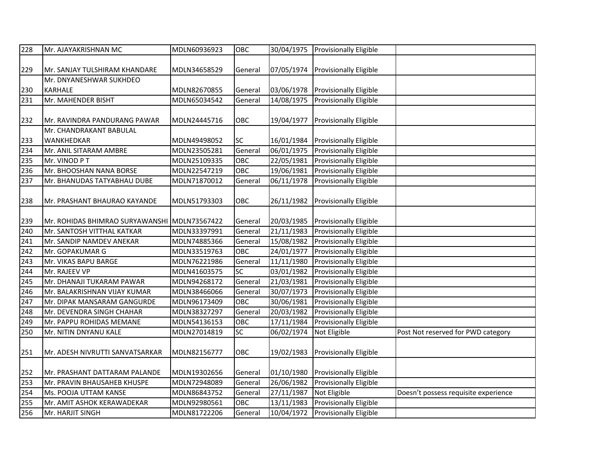| 228 | Mr. AJAYAKRISHNAN MC                         | MDLN60936923 | OBC       | 30/04/1975 | Provisionally Eligible            |                                      |
|-----|----------------------------------------------|--------------|-----------|------------|-----------------------------------|--------------------------------------|
|     |                                              |              |           |            |                                   |                                      |
| 229 | Mr. SANJAY TULSHIRAM KHANDARE                | MDLN34658529 | General   | 07/05/1974 | <b>Provisionally Eligible</b>     |                                      |
|     | Mr. DNYANESHWAR SUKHDEO                      |              |           |            |                                   |                                      |
| 230 | <b>KARHALE</b>                               | MDLN82670855 | General   | 03/06/1978 | <b>Provisionally Eligible</b>     |                                      |
| 231 | Mr. MAHENDER BISHT                           | MDLN65034542 | General   | 14/08/1975 | Provisionally Eligible            |                                      |
|     |                                              |              |           |            |                                   |                                      |
| 232 | Mr. RAVINDRA PANDURANG PAWAR                 | MDLN24445716 | OBC       | 19/04/1977 | Provisionally Eligible            |                                      |
|     | Mr. CHANDRAKANT BABULAL                      |              |           |            |                                   |                                      |
| 233 | WANKHEDKAR                                   | MDLN49498052 | <b>SC</b> | 16/01/1984 | <b>Provisionally Eligible</b>     |                                      |
| 234 | Mr. ANIL SITARAM AMBRE                       | MDLN23505281 | General   | 06/01/1975 | Provisionally Eligible            |                                      |
| 235 | Mr. VINOD PT                                 | MDLN25109335 | OBC       | 22/05/1981 | <b>Provisionally Eligible</b>     |                                      |
| 236 | Mr. BHOOSHAN NANA BORSE                      | MDLN22547219 | OBC       | 19/06/1981 | Provisionally Eligible            |                                      |
| 237 | Mr. BHANUDAS TATYABHAU DUBE                  | MDLN71870012 | General   | 06/11/1978 | <b>Provisionally Eligible</b>     |                                      |
|     |                                              |              |           |            |                                   |                                      |
| 238 | Mr. PRASHANT BHAURAO KAYANDE                 | MDLN51793303 | OBC       | 26/11/1982 | <b>Provisionally Eligible</b>     |                                      |
|     |                                              |              |           |            |                                   |                                      |
| 239 | Mr. ROHIDAS BHIMRAO SURYAWANSHI MDLN73567422 |              | General   | 20/03/1985 | <b>Provisionally Eligible</b>     |                                      |
| 240 | Mr. SANTOSH VITTHAL KATKAR                   | MDLN33397991 | General   | 21/11/1983 | Provisionally Eligible            |                                      |
| 241 | Mr. SANDIP NAMDEV ANEKAR                     | MDLN74885366 | General   | 15/08/1982 | Provisionally Eligible            |                                      |
| 242 | Mr. GOPAKUMAR G                              | MDLN33519763 | OBC       | 24/01/1977 | Provisionally Eligible            |                                      |
| 243 | Mr. VIKAS BAPU BARGE                         | MDLN76221986 | General   | 11/11/1980 | Provisionally Eligible            |                                      |
| 244 | Mr. RAJEEV VP                                | MDLN41603575 | SC        | 03/01/1982 | Provisionally Eligible            |                                      |
| 245 | Mr. DHANAJI TUKARAM PAWAR                    | MDLN94268172 | General   | 21/03/1981 | Provisionally Eligible            |                                      |
| 246 | Mr. BALAKRISHNAN VIJAY KUMAR                 | MDLN38466066 | General   | 30/07/1973 | Provisionally Eligible            |                                      |
| 247 | Mr. DIPAK MANSARAM GANGURDE                  | MDLN96173409 | OBC       | 30/06/1981 | Provisionally Eligible            |                                      |
| 248 | Mr. DEVENDRA SINGH CHAHAR                    | MDLN38327297 | General   | 20/03/1982 | Provisionally Eligible            |                                      |
| 249 | Mr. PAPPU ROHIDAS MEMANE                     | MDLN54136153 | OBC       | 17/11/1984 | Provisionally Eligible            |                                      |
| 250 | Mr. NITIN DNYANU KALE                        | MDLN27014819 | SC        | 06/02/1974 | Not Eligible                      | Post Not reserved for PWD category   |
|     |                                              |              |           |            |                                   |                                      |
| 251 | Mr. ADESH NIVRUTTI SANVATSARKAR              | MDLN82156777 | OBC       | 19/02/1983 | <b>Provisionally Eligible</b>     |                                      |
|     |                                              |              |           |            |                                   |                                      |
| 252 | Mr. PRASHANT DATTARAM PALANDE                | MDLN19302656 | General   | 01/10/1980 | <b>Provisionally Eligible</b>     |                                      |
| 253 | Mr. PRAVIN BHAUSAHEB KHUSPE                  | MDLN72948089 | General   | 26/06/1982 | Provisionally Eligible            |                                      |
| 254 | Ms. POOJA UTTAM KANSE                        | MDLN86843752 | General   | 27/11/1987 | Not Eligible                      | Doesn't possess requisite experience |
| 255 | Mr. AMIT ASHOK KERAWADEKAR                   | MDLN92980561 | OBC       | 13/11/1983 | Provisionally Eligible            |                                      |
| 256 | Mr. HARJIT SINGH                             | MDLN81722206 | General   |            | 10/04/1972 Provisionally Eligible |                                      |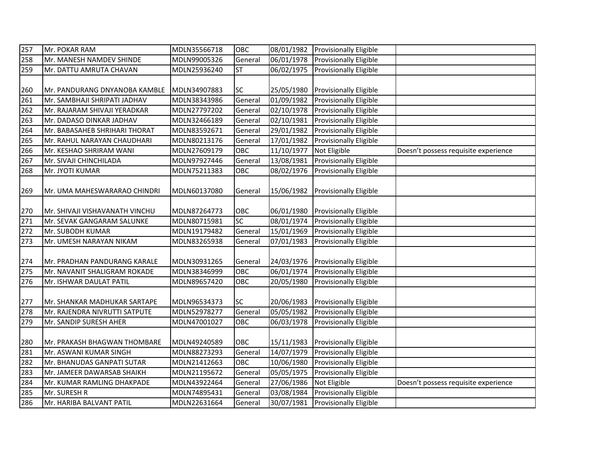| 257 | Mr. POKAR RAM                  | MDLN35566718 | OBC       | 08/01/1982 | <b>Provisionally Eligible</b>     |                                      |
|-----|--------------------------------|--------------|-----------|------------|-----------------------------------|--------------------------------------|
| 258 | Mr. MANESH NAMDEV SHINDE       | MDLN99005326 | General   | 06/01/1978 | <b>Provisionally Eligible</b>     |                                      |
| 259 | Mr. DATTU AMRUTA CHAVAN        | MDLN25936240 | <b>ST</b> |            | 06/02/1975 Provisionally Eligible |                                      |
|     |                                |              |           |            |                                   |                                      |
| 260 | Mr. PANDURANG DNYANOBA KAMBLE  | MDLN34907883 | <b>SC</b> | 25/05/1980 | <b>Provisionally Eligible</b>     |                                      |
| 261 | Mr. SAMBHAJI SHRIPATI JADHAV   | MDLN38343986 | General   | 01/09/1982 | Provisionally Eligible            |                                      |
| 262 | Mr. RAJARAM SHIVAJI YERADKAR   | MDLN27797202 | General   | 02/10/1978 | <b>Provisionally Eligible</b>     |                                      |
| 263 | Mr. DADASO DINKAR JADHAV       | MDLN32466189 | General   | 02/10/1981 | <b>Provisionally Eligible</b>     |                                      |
| 264 | Mr. BABASAHEB SHRIHARI THORAT  | MDLN83592671 | General   | 29/01/1982 | <b>Provisionally Eligible</b>     |                                      |
| 265 | Mr. RAHUL NARAYAN CHAUDHARI    | MDLN80213176 | General   | 17/01/1982 | Provisionally Eligible            |                                      |
| 266 | Mr. KESHAO SHRIRAM WANI        | MDLN27609179 | OBC       | 11/10/1977 | Not Eligible                      | Doesn't possess requisite experience |
| 267 | Mr. SIVAJI CHINCHILADA         | MDLN97927446 | General   | 13/08/1981 | <b>Provisionally Eligible</b>     |                                      |
| 268 | Mr. JYOTI KUMAR                | MDLN75211383 | OBC       | 08/02/1976 | <b>Provisionally Eligible</b>     |                                      |
|     |                                |              |           |            |                                   |                                      |
| 269 | Mr. UMA MAHESWARARAO CHINDRI   | MDLN60137080 | General   | 15/06/1982 | <b>Provisionally Eligible</b>     |                                      |
|     |                                |              |           |            |                                   |                                      |
| 270 | Mr. SHIVAJI VISHAVANATH VINCHU | MDLN87264773 | OBC       | 06/01/1980 | Provisionally Eligible            |                                      |
| 271 | Mr. SEVAK GANGARAM SALUNKE     | MDLN80715981 | SC        | 08/01/1974 | Provisionally Eligible            |                                      |
| 272 | Mr. SUBODH KUMAR               | MDLN19179482 | General   | 15/01/1969 | Provisionally Eligible            |                                      |
| 273 | Mr. UMESH NARAYAN NIKAM        | MDLN83265938 | General   | 07/01/1983 | Provisionally Eligible            |                                      |
|     |                                |              |           |            |                                   |                                      |
| 274 | Mr. PRADHAN PANDURANG KARALE   | MDLN30931265 | General   | 24/03/1976 | Provisionally Eligible            |                                      |
| 275 | Mr. NAVANIT SHALIGRAM ROKADE   | MDLN38346999 | OBC       | 06/01/1974 | <b>Provisionally Eligible</b>     |                                      |
| 276 | Mr. ISHWAR DAULAT PATIL        | MDLN89657420 | OBC       | 20/05/1980 | <b>Provisionally Eligible</b>     |                                      |
|     |                                |              |           |            |                                   |                                      |
| 277 | Mr. SHANKAR MADHUKAR SARTAPE   | MDLN96534373 | SC        | 20/06/1983 | <b>Provisionally Eligible</b>     |                                      |
| 278 | Mr. RAJENDRA NIVRUTTI SATPUTE  | MDLN52978277 | General   | 05/05/1982 | <b>Provisionally Eligible</b>     |                                      |
| 279 | Mr. SANDIP SURESH AHER         | MDLN47001027 | OBC       | 06/03/1978 | <b>Provisionally Eligible</b>     |                                      |
|     |                                |              |           |            |                                   |                                      |
| 280 | Mr. PRAKASH BHAGWAN THOMBARE   | MDLN49240589 | OBC       | 15/11/1983 | <b>Provisionally Eligible</b>     |                                      |
| 281 | Mr. ASWANI KUMAR SINGH         | MDLN88273293 | General   | 14/07/1979 | Provisionally Eligible            |                                      |
| 282 | Mr. BHANUDAS GANPATI SUTAR     | MDLN21412663 | OBC       | 10/06/1980 | Provisionally Eligible            |                                      |
| 283 | Mr. JAMEER DAWARSAB SHAIKH     | MDLN21195672 | General   | 05/05/1975 | Provisionally Eligible            |                                      |
| 284 | Mr. KUMAR RAMLING DHAKPADE     | MDLN43922464 | General   | 27/06/1986 | Not Eligible                      | Doesn't possess requisite experience |
| 285 | Mr. SURESH R                   | MDLN74895431 | General   | 03/08/1984 | Provisionally Eligible            |                                      |
| 286 | Mr. HARIBA BALVANT PATIL       | MDLN22631664 | General   | 30/07/1981 | <b>Provisionally Eligible</b>     |                                      |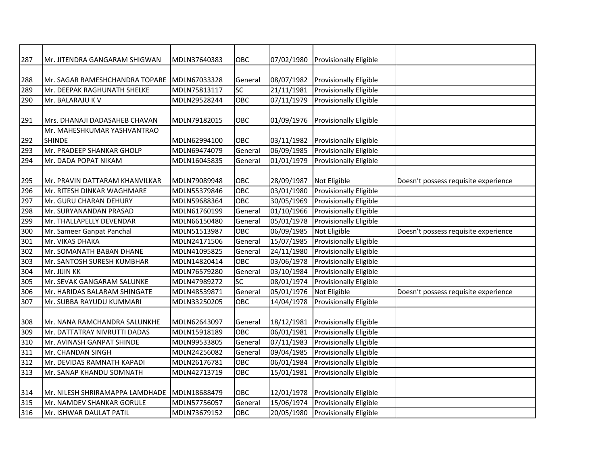| 287 | Mr. JITENDRA GANGARAM SHIGWAN   | MDLN37640383 | OBC     | 07/02/1980 | <b>Provisionally Eligible</b> |                                      |
|-----|---------------------------------|--------------|---------|------------|-------------------------------|--------------------------------------|
|     |                                 |              |         |            |                               |                                      |
| 288 | Mr. SAGAR RAMESHCHANDRA TOPARE  | MDLN67033328 | General | 08/07/1982 | Provisionally Eligible        |                                      |
| 289 | Mr. DEEPAK RAGHUNATH SHELKE     | MDLN75813117 | SC      | 21/11/1981 | Provisionally Eligible        |                                      |
| 290 | Mr. BALARAJU K V                | MDLN29528244 | OBC     | 07/11/1979 | Provisionally Eligible        |                                      |
|     |                                 |              |         |            |                               |                                      |
| 291 | Mrs. DHANAJI DADASAHEB CHAVAN   | MDLN79182015 | OBC     | 01/09/1976 | <b>Provisionally Eligible</b> |                                      |
|     | Mr. MAHESHKUMAR YASHVANTRAO     |              |         |            |                               |                                      |
| 292 | <b>SHINDE</b>                   | MDLN62994100 | OBC     | 03/11/1982 | <b>Provisionally Eligible</b> |                                      |
| 293 | Mr. PRADEEP SHANKAR GHOLP       | MDLN69474079 | General | 06/09/1985 | <b>Provisionally Eligible</b> |                                      |
| 294 | Mr. DADA POPAT NIKAM            | MDLN16045835 | General | 01/01/1979 | Provisionally Eligible        |                                      |
|     |                                 |              |         |            |                               |                                      |
| 295 | Mr. PRAVIN DATTARAM KHANVILKAR  | MDLN79089948 | OBC     | 28/09/1987 | Not Eligible                  | Doesn't possess requisite experience |
| 296 | Mr. RITESH DINKAR WAGHMARE      | MDLN55379846 | OBC     | 03/01/1980 | <b>Provisionally Eligible</b> |                                      |
| 297 | Mr. GURU CHARAN DEHURY          | MDLN59688364 | OBC     | 30/05/1969 | Provisionally Eligible        |                                      |
| 298 | Mr. SURYANANDAN PRASAD          | MDLN61760199 | General | 01/10/1966 | Provisionally Eligible        |                                      |
| 299 | Mr. THALLAPELLY DEVENDAR        | MDLN66150480 | General | 05/01/1978 | <b>Provisionally Eligible</b> |                                      |
| 300 | Mr. Sameer Ganpat Panchal       | MDLN51513987 | OBC     | 06/09/1985 | Not Eligible                  | Doesn't possess requisite experience |
| 301 | Mr. VIKAS DHAKA                 | MDLN24171506 | General | 15/07/1985 | Provisionally Eligible        |                                      |
| 302 | Mr. SOMANATH BABAN DHANE        | MDLN41095825 | General | 24/11/1980 | Provisionally Eligible        |                                      |
| 303 | Mr. SANTOSH SURESH KUMBHAR      | MDLN14820414 | OBC     | 03/06/1978 | Provisionally Eligible        |                                      |
| 304 | Mr. JIJIN KK                    | MDLN76579280 | General | 03/10/1984 | Provisionally Eligible        |                                      |
| 305 | Mr. SEVAK GANGARAM SALUNKE      | MDLN47989272 | SC      | 08/01/1974 | Provisionally Eligible        |                                      |
| 306 | Mr. HARIDAS BALARAM SHINGATE    | MDLN48539871 | General | 05/01/1976 | Not Eligible                  | Doesn't possess requisite experience |
| 307 | Mr. SUBBA RAYUDU KUMMARI        | MDLN33250205 | OBC     | 14/04/1978 | <b>Provisionally Eligible</b> |                                      |
|     |                                 |              |         |            |                               |                                      |
| 308 | Mr. NANA RAMCHANDRA SALUNKHE    | MDLN62643097 | General | 18/12/1981 | Provisionally Eligible        |                                      |
| 309 | Mr. DATTATRAY NIVRUTTI DADAS    | MDLN15918189 | OBC     | 06/01/1981 | Provisionally Eligible        |                                      |
| 310 | Mr. AVINASH GANPAT SHINDE       | MDLN99533805 | General | 07/11/1983 | Provisionally Eligible        |                                      |
| 311 | Mr. CHANDAN SINGH               | MDLN24256082 | General | 09/04/1985 | Provisionally Eligible        |                                      |
| 312 | Mr. DEVIDAS RAMNATH KAPADI      | MDLN26176781 | OBC     | 06/01/1984 | Provisionally Eligible        |                                      |
| 313 | Mr. SANAP KHANDU SOMNATH        | MDLN42713719 | OBC     | 15/01/1981 | Provisionally Eligible        |                                      |
|     |                                 |              |         |            |                               |                                      |
| 314 | Mr. NILESH SHRIRAMAPPA LAMDHADE | MDLN18688479 | OBC     | 12/01/1978 | <b>Provisionally Eligible</b> |                                      |
| 315 | Mr. NAMDEV SHANKAR GORULE       | MDLN57756057 | General | 15/06/1974 | Provisionally Eligible        |                                      |
| 316 | Mr. ISHWAR DAULAT PATIL         | MDLN73679152 | OBC     | 20/05/1980 | <b>Provisionally Eligible</b> |                                      |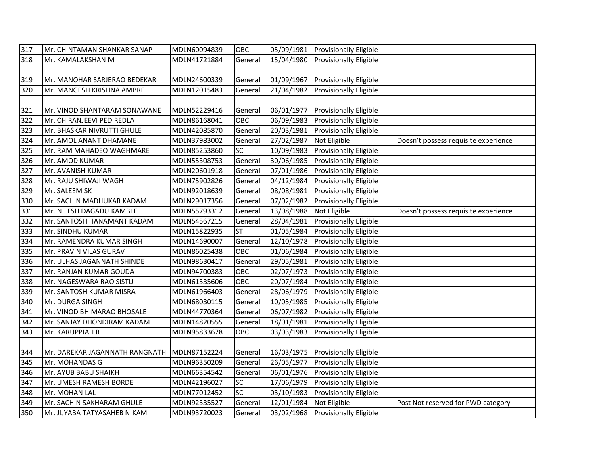| 317 | Mr. CHINTAMAN SHANKAR SANAP    | MDLN60094839 | OBC       | 05/09/1981 | <b>Provisionally Eligible</b> |                                      |
|-----|--------------------------------|--------------|-----------|------------|-------------------------------|--------------------------------------|
| 318 | Mr. KAMALAKSHAN M              | MDLN41721884 | General   | 15/04/1980 | <b>Provisionally Eligible</b> |                                      |
|     |                                |              |           |            |                               |                                      |
| 319 | Mr. MANOHAR SARJERAO BEDEKAR   | MDLN24600339 | General   | 01/09/1967 | <b>Provisionally Eligible</b> |                                      |
| 320 | Mr. MANGESH KRISHNA AMBRE      | MDLN12015483 | General   | 21/04/1982 | <b>Provisionally Eligible</b> |                                      |
|     |                                |              |           |            |                               |                                      |
| 321 | Mr. VINOD SHANTARAM SONAWANE   | MDLN52229416 | General   | 06/01/1977 | <b>Provisionally Eligible</b> |                                      |
| 322 | Mr. CHIRANJEEVI PEDIREDLA      | MDLN86168041 | OBC       | 06/09/1983 | Provisionally Eligible        |                                      |
| 323 | Mr. BHASKAR NIVRUTTI GHULE     | MDLN42085870 | General   | 20/03/1981 | <b>Provisionally Eligible</b> |                                      |
| 324 | Mr. AMOL ANANT DHAMANE         | MDLN37983002 | General   | 27/02/1987 | Not Eligible                  | Doesn't possess requisite experience |
| 325 | Mr. RAM MAHADEO WAGHMARE       | MDLN85253860 | SC        | 10/09/1983 | Provisionally Eligible        |                                      |
| 326 | Mr. AMOD KUMAR                 | MDLN55308753 | General   | 30/06/1985 | Provisionally Eligible        |                                      |
| 327 | Mr. AVANISH KUMAR              | MDLN20601918 | General   | 07/01/1986 | Provisionally Eligible        |                                      |
| 328 | Mr. RAJU SHIWAJI WAGH          | MDLN75902826 | General   | 04/12/1984 | Provisionally Eligible        |                                      |
| 329 | Mr. SALEEM SK                  | MDLN92018639 | General   | 08/08/1981 | <b>Provisionally Eligible</b> |                                      |
| 330 | Mr. SACHIN MADHUKAR KADAM      | MDLN29017356 | General   | 07/02/1982 | <b>Provisionally Eligible</b> |                                      |
| 331 | Mr. NILESH DAGADU KAMBLE       | MDLN55793312 | General   | 13/08/1988 | Not Eligible                  | Doesn't possess requisite experience |
| 332 | Mr. SANTOSH HANAMANT KADAM     | MDLN54567215 | General   | 28/04/1981 | Provisionally Eligible        |                                      |
| 333 | Mr. SINDHU KUMAR               | MDLN15822935 | <b>ST</b> | 01/05/1984 | Provisionally Eligible        |                                      |
| 334 | Mr. RAMENDRA KUMAR SINGH       | MDLN14690007 | General   | 12/10/1978 | Provisionally Eligible        |                                      |
| 335 | Mr. PRAVIN VILAS GURAV         | MDLN86025438 | OBC       | 01/06/1984 | Provisionally Eligible        |                                      |
| 336 | Mr. ULHAS JAGANNATH SHINDE     | MDLN98630417 | General   | 29/05/1981 | Provisionally Eligible        |                                      |
| 337 | Mr. RANJAN KUMAR GOUDA         | MDLN94700383 | OBC       | 02/07/1973 | Provisionally Eligible        |                                      |
| 338 | Mr. NAGESWARA RAO SISTU        | MDLN61535606 | OBC       | 20/07/1984 | Provisionally Eligible        |                                      |
| 339 | Mr. SANTOSH KUMAR MISRA        | MDLN61966403 | General   | 28/06/1979 | Provisionally Eligible        |                                      |
| 340 | Mr. DURGA SINGH                | MDLN68030115 | General   | 10/05/1985 | Provisionally Eligible        |                                      |
| 341 | Mr. VINOD BHIMARAO BHOSALE     | MDLN44770364 | General   | 06/07/1982 | Provisionally Eligible        |                                      |
| 342 | Mr. SANJAY DHONDIRAM KADAM     | MDLN14820555 | General   | 18/01/1981 | <b>Provisionally Eligible</b> |                                      |
| 343 | Mr. KARUPPIAH R                | MDLN95833678 | OBC       | 03/03/1983 | Provisionally Eligible        |                                      |
|     |                                |              |           |            |                               |                                      |
| 344 | Mr. DAREKAR JAGANNATH RANGNATH | MDLN87152224 | General   | 16/03/1975 | <b>Provisionally Eligible</b> |                                      |
| 345 | Mr. MOHANDAS G                 | MDLN96350209 | General   | 26/05/1977 | <b>Provisionally Eligible</b> |                                      |
| 346 | Mr. AYUB BABU SHAIKH           | MDLN66354542 | General   | 06/01/1976 | <b>Provisionally Eligible</b> |                                      |
| 347 | Mr. UMESH RAMESH BORDE         | MDLN42196027 | SC        | 17/06/1979 | Provisionally Eligible        |                                      |
| 348 | Mr. MOHAN LAL                  | MDLN77012452 | SC        | 03/10/1983 | <b>Provisionally Eligible</b> |                                      |
| 349 | Mr. SACHIN SAKHARAM GHULE      | MDLN92335527 | General   | 12/01/1984 | Not Eligible                  | Post Not reserved for PWD category   |
| 350 | Mr. JIJYABA TATYASAHEB NIKAM   | MDLN93720023 | General   | 03/02/1968 | <b>Provisionally Eligible</b> |                                      |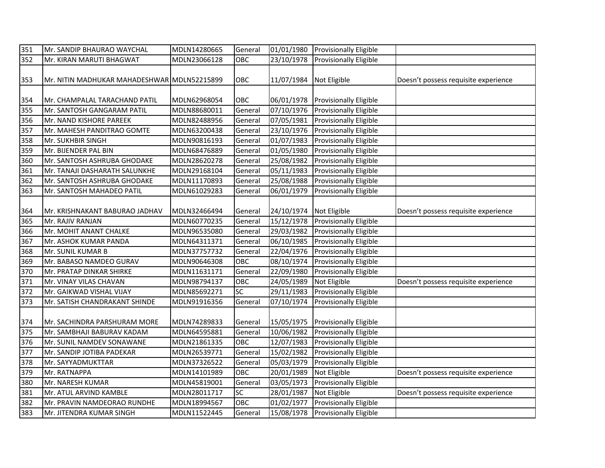| 351 | Mr. SANDIP BHAURAO WAYCHAL                  | MDLN14280665 | General | 01/01/1980 | <b>Provisionally Eligible</b> |                                      |
|-----|---------------------------------------------|--------------|---------|------------|-------------------------------|--------------------------------------|
| 352 | Mr. KIRAN MARUTI BHAGWAT                    | MDLN23066128 | OBC     | 23/10/1978 | Provisionally Eligible        |                                      |
|     |                                             |              |         |            |                               |                                      |
| 353 | Mr. NITIN MADHUKAR MAHADESHWAR MDLN52215899 |              | OBC     | 11/07/1984 | Not Eligible                  | Doesn't possess requisite experience |
|     |                                             |              |         |            |                               |                                      |
| 354 | Mr. CHAMPALAL TARACHAND PATIL               | MDLN62968054 | OBC     | 06/01/1978 | <b>Provisionally Eligible</b> |                                      |
| 355 | Mr. SANTOSH GANGARAM PATIL                  | MDLN88680011 | General | 07/10/1976 | <b>Provisionally Eligible</b> |                                      |
| 356 | Mr. NAND KISHORE PAREEK                     | MDLN82488956 | General | 07/05/1981 | Provisionally Eligible        |                                      |
| 357 | Mr. MAHESH PANDITRAO GOMTE                  | MDLN63200438 | General | 23/10/1976 | Provisionally Eligible        |                                      |
| 358 | Mr. SUKHBIR SINGH                           | MDLN90816193 | General | 01/07/1983 | Provisionally Eligible        |                                      |
| 359 | Mr. BIJENDER PAL BIN                        | MDLN68476889 | General | 01/05/1980 | Provisionally Eligible        |                                      |
| 360 | Mr. SANTOSH ASHRUBA GHODAKE                 | MDLN28620278 | General | 25/08/1982 | Provisionally Eligible        |                                      |
| 361 | Mr. TANAJI DASHARATH SALUNKHE               | MDLN29168104 | General | 05/11/1983 | Provisionally Eligible        |                                      |
| 362 | Mr. SANTOSH ASHRUBA GHODAKE                 | MDLN11170893 | General | 25/08/1988 | Provisionally Eligible        |                                      |
| 363 | Mr. SANTOSH MAHADEO PATIL                   | MDLN61029283 | General | 06/01/1979 | Provisionally Eligible        |                                      |
|     |                                             |              |         |            |                               |                                      |
| 364 | Mr. KRISHNAKANT BABURAO JADHAV              | MDLN32466494 | General | 24/10/1974 | Not Eligible                  | Doesn't possess requisite experience |
| 365 | Mr. RAJIV RANJAN                            | MDLN60770235 | General | 15/12/1978 | <b>Provisionally Eligible</b> |                                      |
| 366 | Mr. MOHIT ANANT CHALKE                      | MDLN96535080 | General | 29/03/1982 | Provisionally Eligible        |                                      |
| 367 | Mr. ASHOK KUMAR PANDA                       | MDLN64311371 | General | 06/10/1985 | Provisionally Eligible        |                                      |
| 368 | Mr. SUNIL KUMAR B                           | MDLN37757732 | General | 22/04/1976 | Provisionally Eligible        |                                      |
| 369 | Mr. BABASO NAMDEO GURAV                     | MDLN90646308 | OBC     | 08/10/1974 | Provisionally Eligible        |                                      |
| 370 | Mr. PRATAP DINKAR SHIRKE                    | MDLN11631171 | General | 22/09/1980 | Provisionally Eligible        |                                      |
| 371 | Mr. VINAY VILAS CHAVAN                      | MDLN98794137 | OBC     | 24/05/1989 | Not Eligible                  | Doesn't possess requisite experience |
| 372 | Mr. GAIKWAD VISHAL VIJAY                    | MDLN85692271 | SC      | 29/11/1983 | Provisionally Eligible        |                                      |
| 373 | Mr. SATISH CHANDRAKANT SHINDE               | MDLN91916356 | General | 07/10/1974 | Provisionally Eligible        |                                      |
|     |                                             |              |         |            |                               |                                      |
| 374 | Mr. SACHINDRA PARSHURAM MORE                | MDLN74289833 | General | 15/05/1975 | <b>Provisionally Eligible</b> |                                      |
| 375 | Mr. SAMBHAJI BABURAV KADAM                  | MDLN64595881 | General | 10/06/1982 | Provisionally Eligible        |                                      |
| 376 | Mr. SUNIL NAMDEV SONAWANE                   | MDLN21861335 | OBC     | 12/07/1983 | Provisionally Eligible        |                                      |
| 377 | Mr. SANDIP JOTIBA PADEKAR                   | MDLN26539771 | General | 15/02/1982 | Provisionally Eligible        |                                      |
| 378 | Mr. SAYYADMUKTTAR                           | MDLN37326522 | General | 05/03/1979 | Provisionally Eligible        |                                      |
| 379 | Mr. RATNAPPA                                | MDLN14101989 | OBC     | 20/01/1989 | Not Eligible                  | Doesn't possess requisite experience |
| 380 | Mr. NARESH KUMAR                            | MDLN45819001 | General | 03/05/1973 | Provisionally Eligible        |                                      |
| 381 | Mr. ATUL ARVIND KAMBLE                      | MDLN28011717 | SC      | 28/01/1987 | Not Eligible                  | Doesn't possess requisite experience |
| 382 | Mr. PRAVIN NAMDEORAO RUNDHE                 | MDLN18994567 | OBC     | 01/02/1977 | Provisionally Eligible        |                                      |
| 383 | Mr. JITENDRA KUMAR SINGH                    | MDLN11522445 | General | 15/08/1978 | <b>Provisionally Eligible</b> |                                      |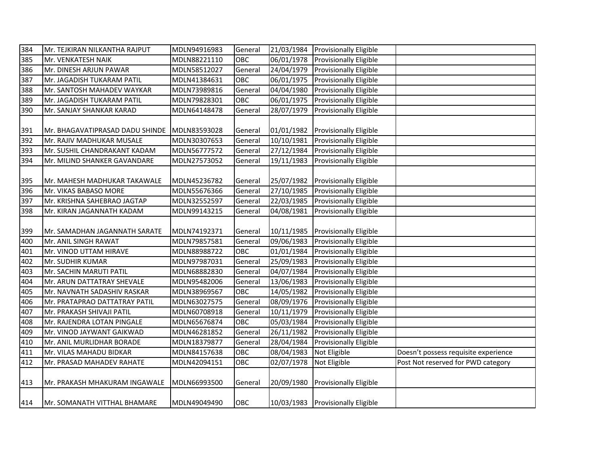| 384 | Mr. TEJKIRAN NILKANTHA RAJPUT   | MDLN94916983 | General | 21/03/1984 | <b>Provisionally Eligible</b>     |                                      |
|-----|---------------------------------|--------------|---------|------------|-----------------------------------|--------------------------------------|
| 385 | Mr. VENKATESH NAIK              | MDLN88221110 | OBC     | 06/01/1978 | Provisionally Eligible            |                                      |
| 386 | Mr. DINESH ARJUN PAWAR          | MDLN58512027 | General | 24/04/1979 | Provisionally Eligible            |                                      |
| 387 | Mr. JAGADISH TUKARAM PATIL      | MDLN41384631 | OBC     | 06/01/1975 | Provisionally Eligible            |                                      |
| 388 | Mr. SANTOSH MAHADEV WAYKAR      | MDLN73989816 | General | 04/04/1980 | Provisionally Eligible            |                                      |
| 389 | Mr. JAGADISH TUKARAM PATIL      | MDLN79828301 | OBC     | 06/01/1975 | Provisionally Eligible            |                                      |
| 390 | Mr. SANJAY SHANKAR KARAD        | MDLN64148478 | General | 28/07/1979 | Provisionally Eligible            |                                      |
|     |                                 |              |         |            |                                   |                                      |
| 391 | Mr. BHAGAVATIPRASAD DADU SHINDE | MDLN83593028 | General | 01/01/1982 | <b>Provisionally Eligible</b>     |                                      |
| 392 | Mr. RAJIV MADHUKAR MUSALE       | MDLN30307653 | General | 10/10/1981 | Provisionally Eligible            |                                      |
| 393 | Mr. SUSHIL CHANDRAKANT KADAM    | MDLN56777572 | General | 27/12/1984 | Provisionally Eligible            |                                      |
| 394 | Mr. MILIND SHANKER GAVANDARE    | MDLN27573052 | General | 19/11/1983 | Provisionally Eligible            |                                      |
|     |                                 |              |         |            |                                   |                                      |
| 395 | Mr. MAHESH MADHUKAR TAKAWALE    | MDLN45236782 | General | 25/07/1982 | <b>Provisionally Eligible</b>     |                                      |
| 396 | Mr. VIKAS BABASO MORE           | MDLN55676366 | General | 27/10/1985 | Provisionally Eligible            |                                      |
| 397 | Mr. KRISHNA SAHEBRAO JAGTAP     | MDLN32552597 | General | 22/03/1985 | Provisionally Eligible            |                                      |
| 398 | Mr. KIRAN JAGANNATH KADAM       | MDLN99143215 | General | 04/08/1981 | Provisionally Eligible            |                                      |
|     |                                 |              |         |            |                                   |                                      |
| 399 | Mr. SAMADHAN JAGANNATH SARATE   | MDLN74192371 | General | 10/11/1985 | Provisionally Eligible            |                                      |
| 400 | Mr. ANIL SINGH RAWAT            | MDLN79857581 | General | 09/06/1983 | Provisionally Eligible            |                                      |
| 401 | Mr. VINOD UTTAM HIRAVE          | MDLN88988722 | OBC     | 01/01/1984 | Provisionally Eligible            |                                      |
| 402 | Mr. SUDHIR KUMAR                | MDLN97987031 | General | 25/09/1983 | Provisionally Eligible            |                                      |
| 403 | Mr. SACHIN MARUTI PATIL         | MDLN68882830 | General | 04/07/1984 | Provisionally Eligible            |                                      |
| 404 | Mr. ARUN DATTATRAY SHEVALE      | MDLN95482006 | General | 13/06/1983 | Provisionally Eligible            |                                      |
| 405 | Mr. NAVNATH SADASHIV RASKAR     | MDLN38969567 | OBC     | 14/05/1982 | Provisionally Eligible            |                                      |
| 406 | Mr. PRATAPRAO DATTATRAY PATIL   | MDLN63027575 | General | 08/09/1976 | Provisionally Eligible            |                                      |
| 407 | Mr. PRAKASH SHIVAJI PATIL       | MDLN60708918 | General | 10/11/1979 | Provisionally Eligible            |                                      |
| 408 | Mr. RAJENDRA LOTAN PINGALE      | MDLN65676874 | OBC     | 05/03/1984 | Provisionally Eligible            |                                      |
| 409 | Mr. VINOD JAYWANT GAIKWAD       | MDLN46281852 | General | 26/11/1982 | Provisionally Eligible            |                                      |
| 410 | Mr. ANIL MURLIDHAR BORADE       | MDLN18379877 | General | 28/04/1984 | <b>Provisionally Eligible</b>     |                                      |
| 411 | Mr. VILAS MAHADU BIDKAR         | MDLN84157638 | OBC     | 08/04/1983 | Not Eligible                      | Doesn't possess requisite experience |
| 412 | Mr. PRASAD MAHADEV RAHATE       | MDLN42094151 | OBC     | 02/07/1978 | Not Eligible                      | Post Not reserved for PWD category   |
|     |                                 |              |         |            |                                   |                                      |
| 413 | Mr. PRAKASH MHAKURAM INGAWALE   | MDLN66993500 | General | 20/09/1980 | <b>Provisionally Eligible</b>     |                                      |
|     |                                 |              |         |            |                                   |                                      |
| 414 | Mr. SOMANATH VITTHAL BHAMARE    | MDLN49049490 | OBC     |            | 10/03/1983 Provisionally Eligible |                                      |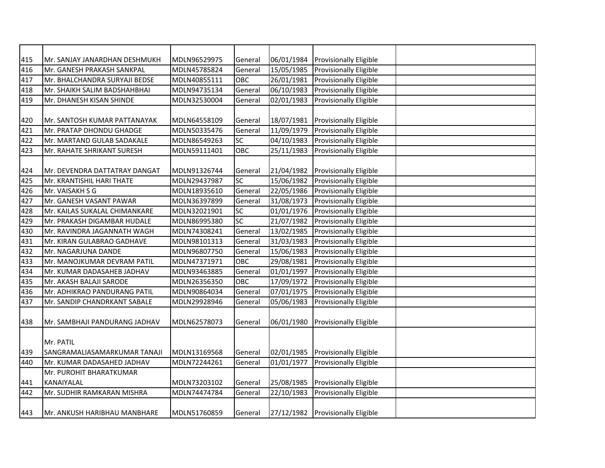| 415 | Mr. SANJAY JANARDHAN DESHMUKH | MDLN96529975 | General   | 06/01/1984 | <b>Provisionally Eligible</b>     |  |
|-----|-------------------------------|--------------|-----------|------------|-----------------------------------|--|
| 416 | Mr. GANESH PRAKASH SANKPAL    | MDLN45785824 | General   | 15/05/1985 | Provisionally Eligible            |  |
| 417 | Mr. BHALCHANDRA SURYAJI BEDSE | MDLN40855111 | OBC       | 26/01/1981 | <b>Provisionally Eligible</b>     |  |
| 418 | Mr. SHAIKH SALIM BADSHAHBHAI  | MDLN94735134 | General   | 06/10/1983 | Provisionally Eligible            |  |
| 419 | Mr. DHANESH KISAN SHINDE      | MDLN32530004 | General   | 02/01/1983 | Provisionally Eligible            |  |
|     |                               |              |           |            |                                   |  |
| 420 | Mr. SANTOSH KUMAR PATTANAYAK  | MDLN64558109 | General   | 18/07/1981 | <b>Provisionally Eligible</b>     |  |
| 421 | Mr. PRATAP DHONDU GHADGE      | MDLN50335476 | General   | 11/09/1979 | Provisionally Eligible            |  |
| 422 | Mr. MARTAND GULAB SADAKALE    | MDLN86549263 | <b>SC</b> | 04/10/1983 | Provisionally Eligible            |  |
| 423 | Mr. RAHATE SHRIKANT SURESH    | MDLN59111401 | OBC       | 25/11/1983 | Provisionally Eligible            |  |
|     |                               |              |           |            |                                   |  |
| 424 | Mr. DEVENDRA DATTATRAY DANGAT | MDLN91326744 | General   | 21/04/1982 | <b>Provisionally Eligible</b>     |  |
| 425 | Mr. KRANTISHIL HARI THATE     | MDLN29437987 | <b>SC</b> | 15/06/1982 | Provisionally Eligible            |  |
| 426 | Mr. VAISAKH S G               | MDLN18935610 | General   | 22/05/1986 | Provisionally Eligible            |  |
| 427 | Mr. GANESH VASANT PAWAR       | MDLN36397899 | General   | 31/08/1973 | Provisionally Eligible            |  |
| 428 | Mr. KAILAS SUKALAL CHIMANKARE | MDLN32021901 | <b>SC</b> | 01/01/1976 | Provisionally Eligible            |  |
| 429 | Mr. PRAKASH DIGAMBAR HUDALE   | MDLN86995380 | SC        | 21/07/1982 | Provisionally Eligible            |  |
| 430 | Mr. RAVINDRA JAGANNATH WAGH   | MDLN74308241 | General   | 13/02/1985 | <b>Provisionally Eligible</b>     |  |
| 431 | Mr. KIRAN GULABRAO GADHAVE    | MDLN98101313 | General   | 31/03/1983 | <b>Provisionally Eligible</b>     |  |
| 432 | Mr. NAGARJUNA DANDE           | MDLN96807750 | General   | 15/06/1983 | <b>Provisionally Eligible</b>     |  |
| 433 | Mr. MANOJKUMAR DEVRAM PATIL   | MDLN47371971 | OBC       | 29/08/1981 | <b>Provisionally Eligible</b>     |  |
| 434 | Mr. KUMAR DADASAHEB JADHAV    | MDLN93463885 | General   | 01/01/1997 | <b>Provisionally Eligible</b>     |  |
| 435 | Mr. AKASH BALAJI SARODE       | MDLN26356350 | OBC       | 17/09/1972 | <b>Provisionally Eligible</b>     |  |
| 436 | Mr. ADHIKRAO PANDURANG PATIL  | MDLN90864034 | General   | 07/01/1975 | <b>Provisionally Eligible</b>     |  |
| 437 | Mr. SANDIP CHANDRKANT SABALE  | MDLN29928946 | General   | 05/06/1983 | Provisionally Eligible            |  |
|     |                               |              |           |            |                                   |  |
| 438 | Mr. SAMBHAJI PANDURANG JADHAV | MDLN62578073 | General   | 06/01/1980 | <b>Provisionally Eligible</b>     |  |
|     |                               |              |           |            |                                   |  |
|     | Mr. PATIL                     |              |           |            |                                   |  |
| 439 | SANGRAMALIASAMARKUMAR TANAJI  | MDLN13169568 | General   | 02/01/1985 | <b>Provisionally Eligible</b>     |  |
| 440 | Mr. KUMAR DADASAHED JADHAV    | MDLN72244261 | General   | 01/01/1977 | Provisionally Eligible            |  |
|     | Mr. PUROHIT BHARATKUMAR       |              |           |            |                                   |  |
| 441 | KANAIYALAL                    | MDLN73203102 | General   | 25/08/1985 | <b>Provisionally Eligible</b>     |  |
| 442 | Mr. SUDHIR RAMKARAN MISHRA    | MDLN74474784 | General   | 22/10/1983 | <b>Provisionally Eligible</b>     |  |
|     |                               |              |           |            |                                   |  |
| 443 | Mr. ANKUSH HARIBHAU MANBHARE  | MDLN51760859 | General   |            | 27/12/1982 Provisionally Eligible |  |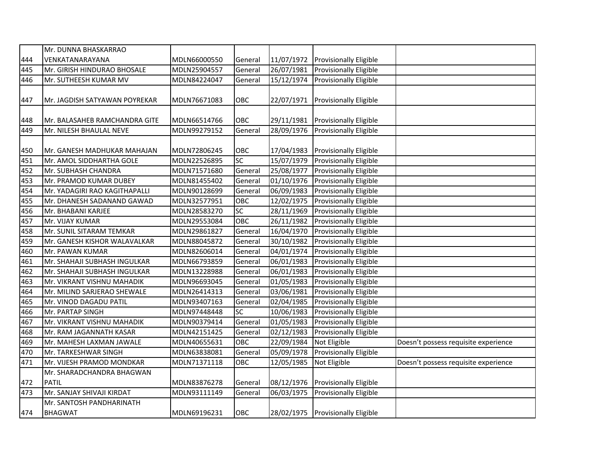|     | Mr. DUNNA BHASKARRAO          |              |                 |                         |                                   |                                      |
|-----|-------------------------------|--------------|-----------------|-------------------------|-----------------------------------|--------------------------------------|
| 444 | VENKATANARAYANA               | MDLN66000550 | General         | 11/07/1972              | <b>Provisionally Eligible</b>     |                                      |
| 445 | Mr. GIRISH HINDURAO BHOSALE   | MDLN25904557 | General         | 26/07/1981              | Provisionally Eligible            |                                      |
| 446 | Mr. SUTHEESH KUMAR MV         | MDLN84224047 | General         | 15/12/1974              | Provisionally Eligible            |                                      |
|     |                               |              |                 |                         |                                   |                                      |
| 447 | Mr. JAGDISH SATYAWAN POYREKAR | MDLN76671083 | OBC             | 22/07/1971              | Provisionally Eligible            |                                      |
| 448 | Mr. BALASAHEB RAMCHANDRA GITE | MDLN66514766 | OBC             | 29/11/1981              | <b>Provisionally Eligible</b>     |                                      |
| 449 | Mr. NILESH BHAULAL NEVE       | MDLN99279152 | General         | 28/09/1976              | Provisionally Eligible            |                                      |
|     |                               |              |                 |                         |                                   |                                      |
| 450 | Mr. GANESH MADHUKAR MAHAJAN   | MDLN72806245 | OBC             | 17/04/1983              | <b>Provisionally Eligible</b>     |                                      |
| 451 | Mr. AMOL SIDDHARTHA GOLE      | MDLN22526895 | SC              | 15/07/1979              | Provisionally Eligible            |                                      |
| 452 | Mr. SUBHASH CHANDRA           | MDLN71571680 | General         | 25/08/1977              | Provisionally Eligible            |                                      |
| 453 | Mr. PRAMOD KUMAR DUBEY        | MDLN81455402 | General         | 01/10/1976              | Provisionally Eligible            |                                      |
| 454 | Mr. YADAGIRI RAO KAGITHAPALLI | MDLN90128699 | General         | 06/09/1983              | Provisionally Eligible            |                                      |
| 455 | Mr. DHANESH SADANAND GAWAD    | MDLN32577951 | OBC             | 12/02/1975              | Provisionally Eligible            |                                      |
| 456 | Mr. BHABANI KARJEE            | MDLN28583270 | $\overline{SC}$ | 28/11/1969              | Provisionally Eligible            |                                      |
| 457 | Mr. VIJAY KUMAR               | MDLN29553084 | OBC             | 26/11/1982              | Provisionally Eligible            |                                      |
| 458 | Mr. SUNIL SITARAM TEMKAR      | MDLN29861827 | General         | 16/04/1970              | Provisionally Eligible            |                                      |
| 459 | Mr. GANESH KISHOR WALAVALKAR  | MDLN88045872 | General         | 30/10/1982              | Provisionally Eligible            |                                      |
| 460 | Mr. PAWAN KUMAR               | MDLN82606014 | General         | 04/01/1974              | Provisionally Eligible            |                                      |
| 461 | Mr. SHAHAJI SUBHASH INGULKAR  | MDLN66793859 | General         | 06/01/1983              | Provisionally Eligible            |                                      |
| 462 | Mr. SHAHAJI SUBHASH INGULKAR  | MDLN13228988 | General         | 06/01/1983              | Provisionally Eligible            |                                      |
| 463 | Mr. VIKRANT VISHNU MAHADIK    | MDLN96693045 | General         | $\overline{01/05/1983}$ | Provisionally Eligible            |                                      |
| 464 | Mr. MILIND SARJERAO SHEWALE   | MDLN26414313 | General         | 03/06/1981              | Provisionally Eligible            |                                      |
| 465 | Mr. VINOD DAGADU PATIL        | MDLN93407163 | General         | 02/04/1985              | Provisionally Eligible            |                                      |
| 466 | Mr. PARTAP SINGH              | MDLN97448448 | <b>SC</b>       | 10/06/1983              | Provisionally Eligible            |                                      |
| 467 | Mr. VIKRANT VISHNU MAHADIK    | MDLN90379414 | General         | 01/05/1983              | Provisionally Eligible            |                                      |
| 468 | Mr. RAM JAGANNATH KASAR       | MDLN42151425 | General         | 02/12/1983              | Provisionally Eligible            |                                      |
| 469 | Mr. MAHESH LAXMAN JAWALE      | MDLN40655631 | OBC             | 22/09/1984              | Not Eligible                      | Doesn't possess requisite experience |
| 470 | Mr. TARKESHWAR SINGH          | MDLN63838081 | General         | 05/09/1978              | Provisionally Eligible            |                                      |
| 471 | Mr. VIJESH PRAMOD MONDKAR     | MDLN71371118 | OBC             | 12/05/1985              | Not Eligible                      | Doesn't possess requisite experience |
|     | Mr. SHARADCHANDRA BHAGWAN     |              |                 |                         |                                   |                                      |
| 472 | <b>PATIL</b>                  | MDLN83876278 | General         | 08/12/1976              | Provisionally Eligible            |                                      |
| 473 | Mr. SANJAY SHIVAJI KIRDAT     | MDLN93111149 | General         | 06/03/1975              | Provisionally Eligible            |                                      |
|     | Mr. SANTOSH PANDHARINATH      |              |                 |                         |                                   |                                      |
| 474 | <b>BHAGWAT</b>                | MDLN69196231 | OBC             |                         | 28/02/1975 Provisionally Eligible |                                      |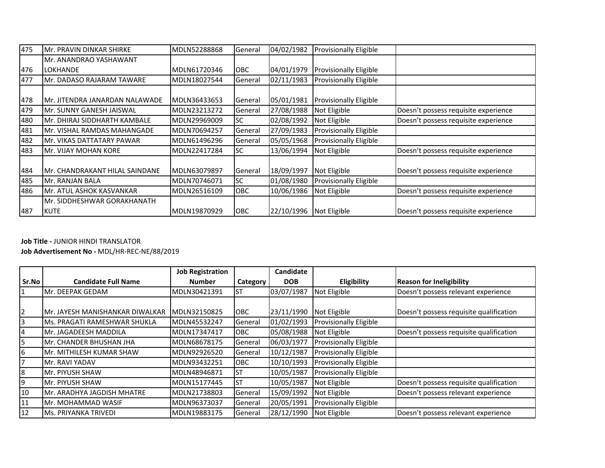| 475 | Mr. PRAVIN DINKAR SHIRKE       | MDLN52288868 | General    | 04/02/1982 | <b>Provisionally Eligible</b> |                                      |
|-----|--------------------------------|--------------|------------|------------|-------------------------------|--------------------------------------|
|     | Mr. ANANDRAO YASHAWANT         |              |            |            |                               |                                      |
| 476 | <b>LOKHANDE</b>                | MDLN61720346 | OBC        | 04/01/1979 | <b>Provisionally Eligible</b> |                                      |
| 477 | Mr. DADASO RAJARAM TAWARE      | MDLN18027544 | General    | 02/11/1983 | <b>Provisionally Eligible</b> |                                      |
|     |                                |              |            |            |                               |                                      |
| 478 | Mr. JITENDRA JANARDAN NALAWADE | MDLN36433653 | General    | 05/01/1981 | <b>Provisionally Eligible</b> |                                      |
| 479 | Mr. SUNNY GANESH JAISWAL       | MDLN23213272 | General    | 27/08/1988 | Not Eligible                  | Doesn't possess requisite experience |
| 480 | lMr. DHIRAJ SIDDHARTH KAMBALE  | MDLN29969009 | <b>SC</b>  | 02/08/1992 | Not Eligible                  | Doesn't possess requisite experience |
| 481 | lMr. VISHAL RAMDAS MAHANGADE   | MDLN70694257 | General    | 27/09/1983 | <b>Provisionally Eligible</b> |                                      |
| 482 | Mr. VIKAS DATTATARY PAWAR      | MDLN61496296 | General    | 05/05/1968 | <b>Provisionally Eligible</b> |                                      |
| 483 | Mr. VIJAY MOHAN KORE           | MDLN22417284 | SC.        | 13/06/1994 | Not Eligible                  | Doesn't possess requisite experience |
|     |                                |              |            |            |                               |                                      |
| 484 | Mr. CHANDRAKANT HILAL SAINDANE | MDLN63079897 | General    | 18/09/1997 | Not Eligible                  | Doesn't possess requisite experience |
| 485 | Mr. RANJAN BALA                | MDLN70746071 | SC.        | 01/08/1980 | <b>Provisionally Eligible</b> |                                      |
| 486 | Mr. ATUL ASHOK KASVANKAR       | MDLN26516109 | OBC        | 10/06/1986 | Not Eligible                  | Doesn't possess requisite experience |
|     | lMr. SIDDHESHWAR GORAKHANATH   |              |            |            |                               |                                      |
| 487 | <b>KUTE</b>                    | MDLN19870929 | <b>OBC</b> | 22/10/1996 | Not Eligible                  | Doesn't possess requisite experience |

**Job Title -** JUNIOR HINDI TRANSLATOR

**Job Advertisement No -** MDL/HR-REC-NE/88/2019

|                |                                 | <b>Job Registration</b> |                 | Candidate  |                               |                                         |
|----------------|---------------------------------|-------------------------|-----------------|------------|-------------------------------|-----------------------------------------|
| Sr.No          | <b>Candidate Full Name</b>      | <b>Number</b>           | <b>Category</b> | <b>DOB</b> | Eligibility                   | <b>Reason for Ineligibility</b>         |
|                | Mr. DEEPAK GEDAM                | MDLN30421391            | Ist             | 03/07/1987 | Not Eligible                  | Doesn't possess relevant experience     |
|                |                                 |                         |                 |            |                               |                                         |
| $\overline{2}$ | Mr. JAYESH MANISHANKAR DIWALKAR | MDLN32150825            | <b>OBC</b>      | 23/11/1990 | Not Eligible                  | Doesn't possess requisite qualification |
| 3              | lMs. PRAGATI RAMESHWAR SHUKLA   | MDLN45532247            | General         | 01/02/1993 | <b>Provisionally Eligible</b> |                                         |
| $\overline{4}$ | Mr. JAGADEESH MADDILA           | MDLN17347417            | <b>OBC</b>      | 05/08/1988 | Not Eligible                  | Doesn't possess requisite qualification |
| 5              | Mr. CHANDER BHUSHAN JHA         | MDLN68678175            | General         | 06/03/1977 | <b>Provisionally Eligible</b> |                                         |
| 6              | lMr. MITHILESH KUMAR SHAW       | MDLN92926520            | General         | 10/12/1987 | <b>Provisionally Eligible</b> |                                         |
| 7              | Mr. RAVI YADAV                  | MDLN93432251            | OBC             | 10/10/1993 | <b>Provisionally Eligible</b> |                                         |
| 8              | Mr. PIYUSH SHAW                 | MDLN48946871            | <b>ST</b>       | 10/05/1987 | <b>Provisionally Eligible</b> |                                         |
| 9              | Mr. PIYUSH SHAW                 | MDLN15177445            | IST             | 10/05/1987 | Not Eligible                  | Doesn't possess requisite qualification |
| 10             | Mr. ARADHYA JAGDISH MHATRE      | MDLN21738803            | General         | 15/09/1992 | Not Eligible                  | Doesn't possess relevant experience     |
| 11             | Mr. MOHAMMAD WASIF              | MDLN96373037            | General         | 20/05/1991 | <b>Provisionally Eligible</b> |                                         |
| 12             | lMs. PRIYANKA TRIVEDI           | MDLN19883175            | General         | 28/12/1990 | Not Eligible                  | Doesn't possess relevant experience     |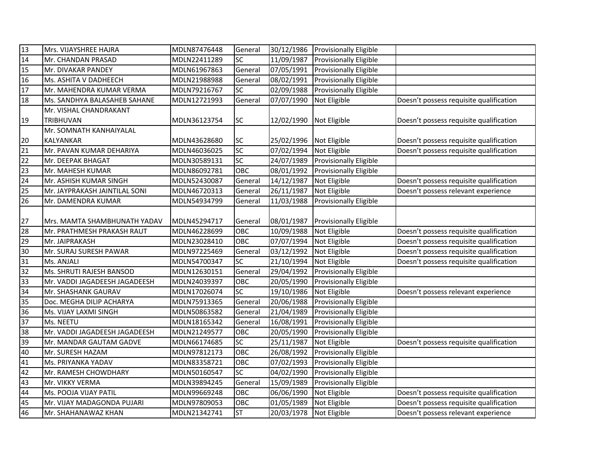| 13 | Mrs. VIJAYSHREE HAJRA         | MDLN87476448 | General         |            | 30/12/1986 Provisionally Eligible |                                         |
|----|-------------------------------|--------------|-----------------|------------|-----------------------------------|-----------------------------------------|
| 14 | Mr. CHANDAN PRASAD            | MDLN22411289 | SC              | 11/09/1987 | Provisionally Eligible            |                                         |
| 15 | Mr. DIVAKAR PANDEY            | MDLN61967863 | General         | 07/05/1991 | <b>Provisionally Eligible</b>     |                                         |
| 16 | Ms. ASHITA V DADHEECH         | MDLN21988988 | General         | 08/02/1991 | Provisionally Eligible            |                                         |
| 17 | Mr. MAHENDRA KUMAR VERMA      | MDLN79216767 | SC              | 02/09/1988 | Provisionally Eligible            |                                         |
| 18 | Ms. SANDHYA BALASAHEB SAHANE  | MDLN12721993 | General         | 07/07/1990 | Not Eligible                      | Doesn't possess requisite qualification |
|    | Mr. VISHAL CHANDRAKANT        |              |                 |            |                                   |                                         |
| 19 | TRIBHUVAN                     | MDLN36123754 | SC              | 12/02/1990 | Not Eligible                      | Doesn't possess requisite qualification |
|    | Mr. SOMNATH KANHAIYALAL       |              |                 |            |                                   |                                         |
| 20 | KALYANKAR                     | MDLN43628680 | SC              | 25/02/1996 | Not Eligible                      | Doesn't possess requisite qualification |
| 21 | Mr. PAVAN KUMAR DEHARIYA      | MDLN46036025 | SC              | 07/02/1994 | Not Eligible                      | Doesn't possess requisite qualification |
| 22 | Mr. DEEPAK BHAGAT             | MDLN30589131 | SC              | 24/07/1989 | Provisionally Eligible            |                                         |
| 23 | Mr. MAHESH KUMAR              | MDLN86092781 | OBC             | 08/01/1992 | Provisionally Eligible            |                                         |
| 24 | Mr. ASHISH KUMAR SINGH        | MDLN52430087 | General         | 14/12/1987 | Not Eligible                      | Doesn't possess requisite qualification |
| 25 | Mr. JAYPRAKASH JAINTILAL SONI | MDLN46720313 | General         | 26/11/1987 | Not Eligible                      | Doesn't possess relevant experience     |
| 26 | Mr. DAMENDRA KUMAR            | MDLN54934799 | General         | 11/03/1988 | Provisionally Eligible            |                                         |
|    |                               |              |                 |            |                                   |                                         |
| 27 | Mrs. MAMTA SHAMBHUNATH YADAV  | MDLN45294717 | General         | 08/01/1987 | <b>Provisionally Eligible</b>     |                                         |
| 28 | Mr. PRATHMESH PRAKASH RAUT    | MDLN46228699 | OBC             | 10/09/1988 | Not Eligible                      | Doesn't possess requisite qualification |
| 29 | Mr. JAIPRAKASH                | MDLN23028410 | OBC             | 07/07/1994 | Not Eligible                      | Doesn't possess requisite qualification |
| 30 | Mr. SURAJ SURESH PAWAR        | MDLN97225469 | General         | 03/12/1992 | Not Eligible                      | Doesn't possess requisite qualification |
| 31 | Ms. ANJALI                    | MDLN54700347 | SC              | 21/10/1994 | Not Eligible                      | Doesn't possess requisite qualification |
| 32 | Ms. SHRUTI RAJESH BANSOD      | MDLN12630151 | General         | 29/04/1992 | Provisionally Eligible            |                                         |
| 33 | Mr. VADDI JAGADEESH JAGADEESH | MDLN24039397 | OBC             | 20/05/1990 | Provisionally Eligible            |                                         |
| 34 | Mr. SHASHANK GAURAV           | MDLN17026074 | SC              | 19/10/1986 | Not Eligible                      | Doesn't possess relevant experience     |
| 35 | Doc. MEGHA DILIP ACHARYA      | MDLN75913365 | General         | 20/06/1988 | Provisionally Eligible            |                                         |
| 36 | Ms. VIJAY LAXMI SINGH         | MDLN50863582 | General         | 21/04/1989 | Provisionally Eligible            |                                         |
| 37 | Ms. NEETU                     | MDLN18165342 | General         | 16/08/1991 | Provisionally Eligible            |                                         |
| 38 | Mr. VADDI JAGADEESH JAGADEESH | MDLN21249577 | OBC             | 20/05/1990 | Provisionally Eligible            |                                         |
| 39 | Mr. MANDAR GAUTAM GADVE       | MDLN66174685 | $\overline{SC}$ | 25/11/1987 | Not Eligible                      | Doesn't possess requisite qualification |
| 40 | Mr. SURESH HAZAM              | MDLN97812173 | OBC             | 26/08/1992 | Provisionally Eligible            |                                         |
| 41 | Ms. PRIYANKA YADAV            | MDLN83358721 | OBC             | 07/02/1993 | Provisionally Eligible            |                                         |
| 42 | Mr. RAMESH CHOWDHARY          | MDLN50160547 | SC              | 04/02/1990 | Provisionally Eligible            |                                         |
| 43 | Mr. VIKKY VERMA               | MDLN39894245 | General         | 15/09/1989 | Provisionally Eligible            |                                         |
| 44 | Ms. POOJA VIJAY PATIL         | MDLN99669248 | OBC             | 06/06/1990 | Not Eligible                      | Doesn't possess requisite qualification |
| 45 | Mr. VIJAY MADAGONDA PUJARI    | MDLN97809053 | OBC             | 01/05/1989 | Not Eligible                      | Doesn't possess requisite qualification |
| 46 | Mr. SHAHANAWAZ KHAN           | MDLN21342741 | <b>ST</b>       | 20/03/1978 | Not Eligible                      | Doesn't possess relevant experience     |